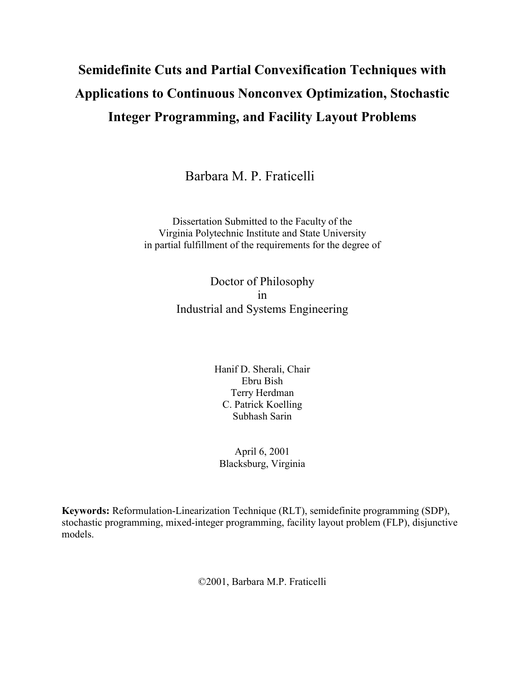# **Semidefinite Cuts and Partial Convexification Techniques with Applications to Continuous Nonconvex Optimization, Stochastic Integer Programming, and Facility Layout Problems**

Barbara M. P. Fraticelli

Dissertation Submitted to the Faculty of the Virginia Polytechnic Institute and State University in partial fulfillment of the requirements for the degree of

> Doctor of Philosophy in Industrial and Systems Engineering

> > Hanif D. Sherali, Chair Ebru Bish Terry Herdman C. Patrick Koelling Subhash Sarin

April 6, 2001 Blacksburg, Virginia

**Keywords:** Reformulation-Linearization Technique (RLT), semidefinite programming (SDP), stochastic programming, mixed-integer programming, facility layout problem (FLP), disjunctive models.

©2001, Barbara M.P. Fraticelli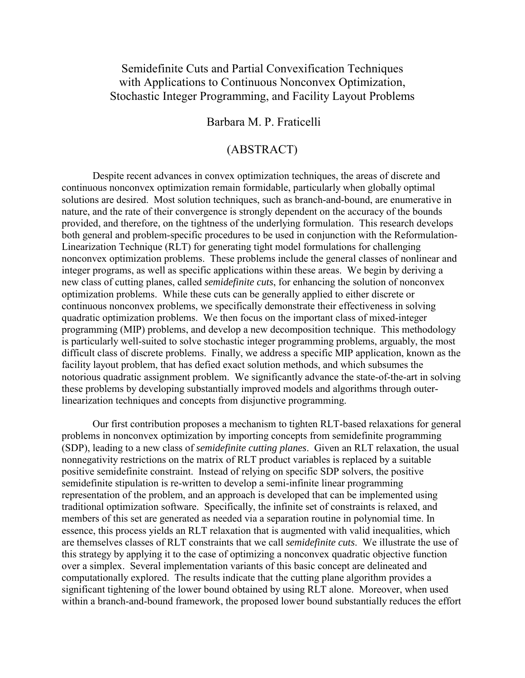## Semidefinite Cuts and Partial Convexification Techniques with Applications to Continuous Nonconvex Optimization, Stochastic Integer Programming, and Facility Layout Problems

### Barbara M. P. Fraticelli

## (ABSTRACT)

Despite recent advances in convex optimization techniques, the areas of discrete and continuous nonconvex optimization remain formidable, particularly when globally optimal solutions are desired. Most solution techniques, such as branch-and-bound, are enumerative in nature, and the rate of their convergence is strongly dependent on the accuracy of the bounds provided, and therefore, on the tightness of the underlying formulation. This research develops both general and problem-specific procedures to be used in conjunction with the Reformulation-Linearization Technique (RLT) for generating tight model formulations for challenging nonconvex optimization problems. These problems include the general classes of nonlinear and integer programs, as well as specific applications within these areas. We begin by deriving a new class of cutting planes, called *semidefinite cuts*, for enhancing the solution of nonconvex optimization problems. While these cuts can be generally applied to either discrete or continuous nonconvex problems, we specifically demonstrate their effectiveness in solving quadratic optimization problems. We then focus on the important class of mixed-integer programming (MIP) problems, and develop a new decomposition technique. This methodology is particularly well-suited to solve stochastic integer programming problems, arguably, the most difficult class of discrete problems. Finally, we address a specific MIP application, known as the facility layout problem, that has defied exact solution methods, and which subsumes the notorious quadratic assignment problem. We significantly advance the state-of-the-art in solving these problems by developing substantially improved models and algorithms through outerlinearization techniques and concepts from disjunctive programming.

 Our first contribution proposes a mechanism to tighten RLT-based relaxations for general problems in nonconvex optimization by importing concepts from semidefinite programming (SDP), leading to a new class of *semidefinite cutting planes*. Given an RLT relaxation, the usual nonnegativity restrictions on the matrix of RLT product variables is replaced by a suitable positive semidefinite constraint. Instead of relying on specific SDP solvers, the positive semidefinite stipulation is re-written to develop a semi-infinite linear programming representation of the problem, and an approach is developed that can be implemented using traditional optimization software. Specifically, the infinite set of constraints is relaxed, and members of this set are generated as needed via a separation routine in polynomial time. In essence, this process yields an RLT relaxation that is augmented with valid inequalities, which are themselves classes of RLT constraints that we call *semidefinite cuts*. We illustrate the use of this strategy by applying it to the case of optimizing a nonconvex quadratic objective function over a simplex. Several implementation variants of this basic concept are delineated and computationally explored. The results indicate that the cutting plane algorithm provides a significant tightening of the lower bound obtained by using RLT alone. Moreover, when used within a branch-and-bound framework, the proposed lower bound substantially reduces the effort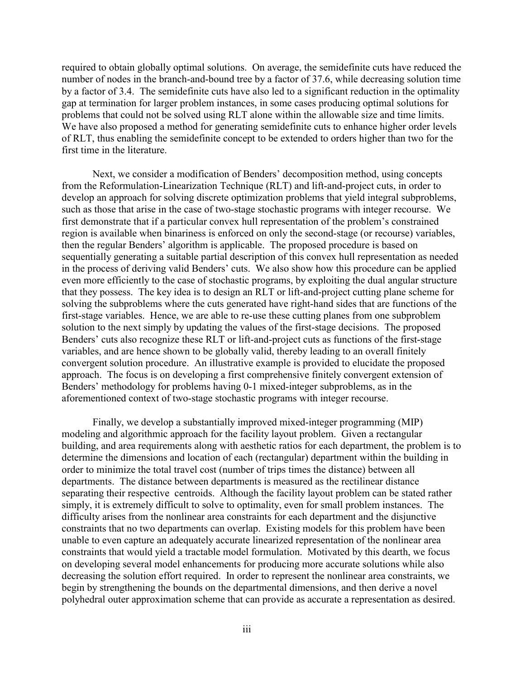required to obtain globally optimal solutions. On average, the semidefinite cuts have reduced the number of nodes in the branch-and-bound tree by a factor of 37.6, while decreasing solution time by a factor of 3.4. The semidefinite cuts have also led to a significant reduction in the optimality gap at termination for larger problem instances, in some cases producing optimal solutions for problems that could not be solved using RLT alone within the allowable size and time limits. We have also proposed a method for generating semidefinite cuts to enhance higher order levels of RLT, thus enabling the semidefinite concept to be extended to orders higher than two for the first time in the literature.

Next, we consider a modification of Benders' decomposition method, using concepts from the Reformulation-Linearization Technique (RLT) and lift-and-project cuts, in order to develop an approach for solving discrete optimization problems that yield integral subproblems, such as those that arise in the case of two-stage stochastic programs with integer recourse. We first demonstrate that if a particular convex hull representation of the problem's constrained region is available when binariness is enforced on only the second-stage (or recourse) variables, then the regular Benders' algorithm is applicable. The proposed procedure is based on sequentially generating a suitable partial description of this convex hull representation as needed in the process of deriving valid Benders' cuts. We also show how this procedure can be applied even more efficiently to the case of stochastic programs, by exploiting the dual angular structure that they possess. The key idea is to design an RLT or lift-and-project cutting plane scheme for solving the subproblems where the cuts generated have right-hand sides that are functions of the first-stage variables. Hence, we are able to re-use these cutting planes from one subproblem solution to the next simply by updating the values of the first-stage decisions. The proposed Benders' cuts also recognize these RLT or lift-and-project cuts as functions of the first-stage variables, and are hence shown to be globally valid, thereby leading to an overall finitely convergent solution procedure. An illustrative example is provided to elucidate the proposed approach. The focus is on developing a first comprehensive finitely convergent extension of Benders' methodology for problems having 0-1 mixed-integer subproblems, as in the aforementioned context of two-stage stochastic programs with integer recourse.

 Finally, we develop a substantially improved mixed-integer programming (MIP) modeling and algorithmic approach for the facility layout problem. Given a rectangular building, and area requirements along with aesthetic ratios for each department, the problem is to determine the dimensions and location of each (rectangular) department within the building in order to minimize the total travel cost (number of trips times the distance) between all departments. The distance between departments is measured as the rectilinear distance separating their respective centroids. Although the facility layout problem can be stated rather simply, it is extremely difficult to solve to optimality, even for small problem instances. The difficulty arises from the nonlinear area constraints for each department and the disjunctive constraints that no two departments can overlap. Existing models for this problem have been unable to even capture an adequately accurate linearized representation of the nonlinear area constraints that would yield a tractable model formulation. Motivated by this dearth, we focus on developing several model enhancements for producing more accurate solutions while also decreasing the solution effort required. In order to represent the nonlinear area constraints, we begin by strengthening the bounds on the departmental dimensions, and then derive a novel polyhedral outer approximation scheme that can provide as accurate a representation as desired.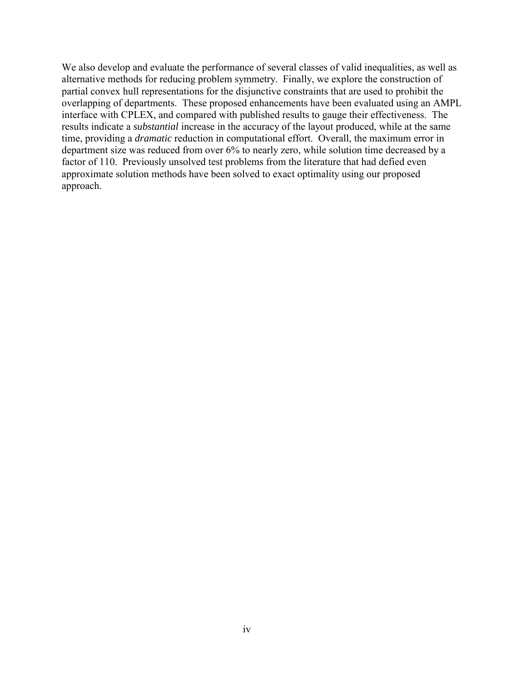We also develop and evaluate the performance of several classes of valid inequalities, as well as alternative methods for reducing problem symmetry. Finally, we explore the construction of partial convex hull representations for the disjunctive constraints that are used to prohibit the overlapping of departments. These proposed enhancements have been evaluated using an AMPL interface with CPLEX, and compared with published results to gauge their effectiveness. The results indicate a *substantial* increase in the accuracy of the layout produced, while at the same time, providing a *dramatic* reduction in computational effort. Overall, the maximum error in department size was reduced from over 6% to nearly zero, while solution time decreased by a factor of 110. Previously unsolved test problems from the literature that had defied even approximate solution methods have been solved to exact optimality using our proposed approach.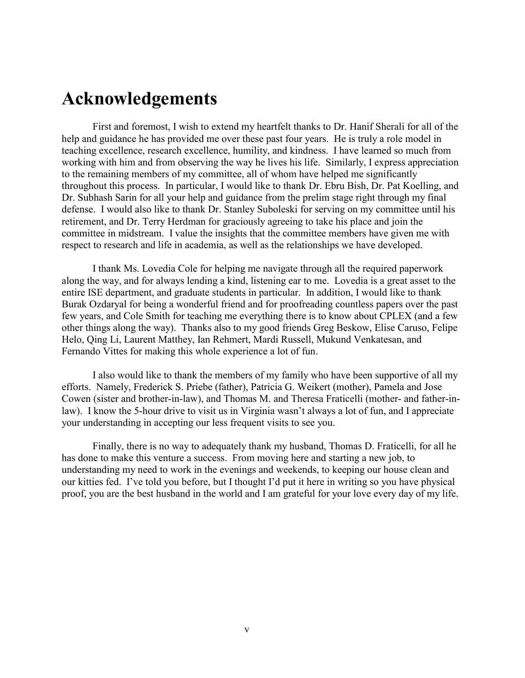## <span id="page-4-0"></span>**Acknowledgements**

First and foremost, I wish to extend my heartfelt thanks to Dr. Hanif Sherali for all of the help and guidance he has provided me over these past four years. He is truly a role model in teaching excellence, research excellence, humility, and kindness. I have learned so much from working with him and from observing the way he lives his life. Similarly, I express appreciation to the remaining members of my committee, all of whom have helped me significantly throughout this process. In particular, I would like to thank Dr. Ebru Bish, Dr. Pat Koelling, and Dr. Subhash Sarin for all your help and guidance from the prelim stage right through my final defense. I would also like to thank Dr. Stanley Suboleski for serving on my committee until his retirement, and Dr. Terry Herdman for graciously agreeing to take his place and join the committee in midstream. I value the insights that the committee members have given me with respect to research and life in academia, as well as the relationships we have developed.

I thank Ms. Lovedia Cole for helping me navigate through all the required paperwork along the way, and for always lending a kind, listening ear to me. Lovedia is a great asset to the entire ISE department, and graduate students in particular. In addition, I would like to thank Burak Ozdaryal for being a wonderful friend and for proofreading countless papers over the past few years, and Cole Smith for teaching me everything there is to know about CPLEX (and a few other things along the way). Thanks also to my good friends Greg Beskow, Elise Caruso, Felipe Helo, Qing Li, Laurent Matthey, Ian Rehmert, Mardi Russell, Mukund Venkatesan, and Fernando Vittes for making this whole experience a lot of fun.

I also would like to thank the members of my family who have been supportive of all my efforts. Namely, Frederick S. Priebe (father), Patricia G. Weikert (mother), Pamela and Jose Cowen (sister and brother-in-law), and Thomas M. and Theresa Fraticelli (mother- and father-inlaw). I know the 5-hour drive to visit us in Virginia wasn't always a lot of fun, and I appreciate your understanding in accepting our less frequent visits to see you.

Finally, there is no way to adequately thank my husband, Thomas D. Fraticelli, for all he has done to make this venture a success. From moving here and starting a new job, to understanding my need to work in the evenings and weekends, to keeping our house clean and our kitties fed. I've told you before, but I thought I'd put it here in writing so you have physical proof, you are the best husband in the world and I am grateful for your love every day of my life.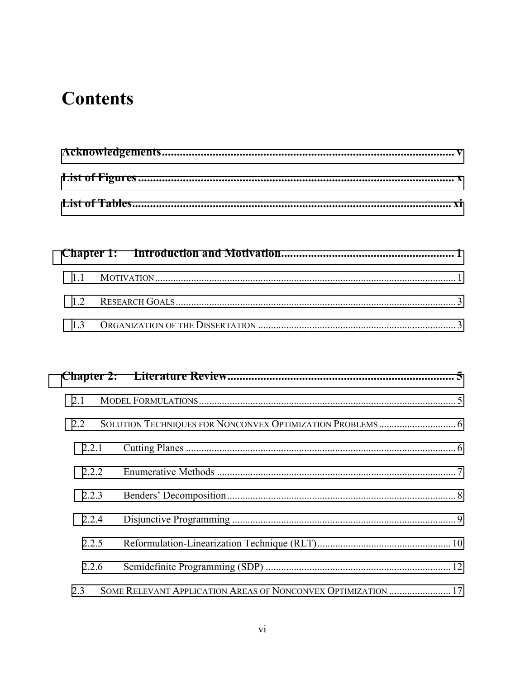# **Contents**

| 2.1   |                                                               |  |
|-------|---------------------------------------------------------------|--|
| 2.2   |                                                               |  |
| 2.2.1 |                                                               |  |
| 2.2.2 |                                                               |  |
| 2.2.3 |                                                               |  |
| 2.2.4 |                                                               |  |
| 2.2.5 |                                                               |  |
| 2.2.6 |                                                               |  |
| 2.3   | SOME RELEVANT APPLICATION AREAS OF NONCONVEX OPTIMIZATION  17 |  |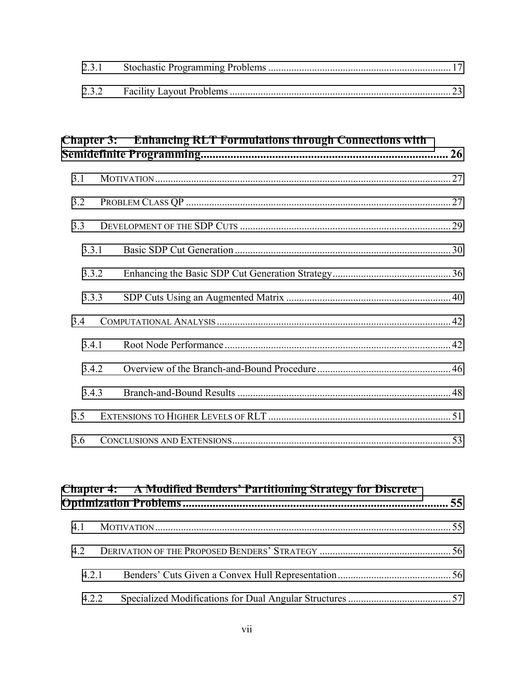## **Chapter 3: [Enhancing RLT Formulations through Connections with](#page-37-0)  [Semidefinite Programming................................................................................... 26](#page-37-0)**

| 3.1   |  |  |
|-------|--|--|
| 3.2   |  |  |
| 3.3   |  |  |
| 3.3.1 |  |  |
| 3.3.2 |  |  |
| 3.3.3 |  |  |
| 3.4   |  |  |
| 3.4.1 |  |  |
| 3.4.2 |  |  |
| 3.4.3 |  |  |
| 3.5   |  |  |
| 3.6   |  |  |

|       | <b>Chapter 4:</b> A Modified Benders' Partitioning Strategy for Discrete |  |
|-------|--------------------------------------------------------------------------|--|
| 4.1   |                                                                          |  |
| 4.2   |                                                                          |  |
| 421   |                                                                          |  |
| 4.2.2 |                                                                          |  |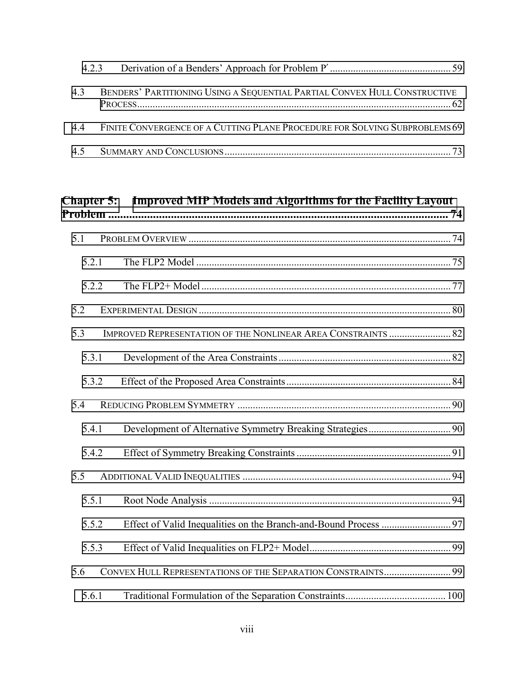| 4.3 | BENDERS' PARTITIONING USING A SEQUENTIAL PARTIAL CONVEX HULL CONSTRUCTIVE      |  |
|-----|--------------------------------------------------------------------------------|--|
|     | 4.4 FINITE CONVERGENCE OF A CUTTING PLANE PROCEDURE FOR SOLVING SUBPROBLEMS 69 |  |
|     |                                                                                |  |

| <b>Chapter 5:</b> | <b>Improved MIP Models and Algorithms for the Facility Layout</b>    |  |
|-------------------|----------------------------------------------------------------------|--|
| 5.1               |                                                                      |  |
| 5.2.1             |                                                                      |  |
| 5.2.2             |                                                                      |  |
| 5.2               |                                                                      |  |
| 5.3               | <b>IMPROVED REPRESENTATION OF THE NONLINEAR AREA CONSTRAINTS  82</b> |  |
| 5.3.1             |                                                                      |  |
| 5.3.2             |                                                                      |  |
| 5.4               |                                                                      |  |
| 5.4.1             |                                                                      |  |
| 5.4.2             |                                                                      |  |
| 5.5               |                                                                      |  |
| 5.5.1             |                                                                      |  |
| 5.5.2             |                                                                      |  |
| 5.5.3             |                                                                      |  |
| 5.6               | CONVEX HULL REPRESENTATIONS OF THE SEPARATION CONSTRAINTS 99         |  |
| 5.6.1             |                                                                      |  |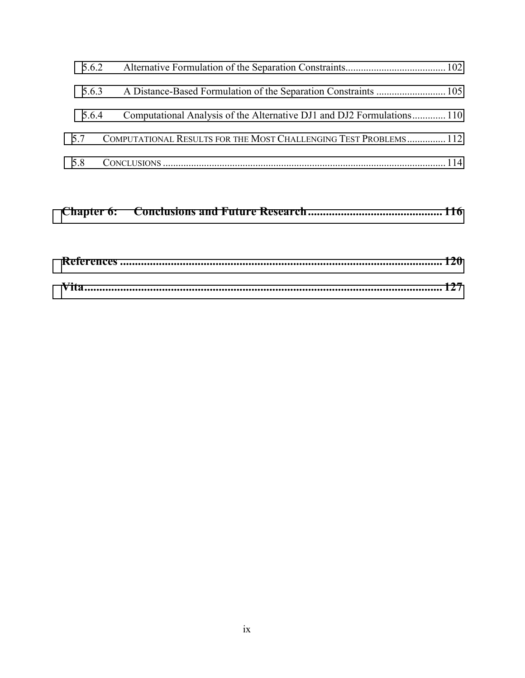| 5.6.2 |                                                                       |  |
|-------|-----------------------------------------------------------------------|--|
| 5.6.3 |                                                                       |  |
| 5.6.4 | Computational Analysis of the Alternative DJ1 and DJ2 Formulations110 |  |
| 57    | COMPUTATIONAL RESULTS FOR THE MOST CHALLENGING TEST PROBLEMS 112      |  |
| 5.8   |                                                                       |  |

|--|--|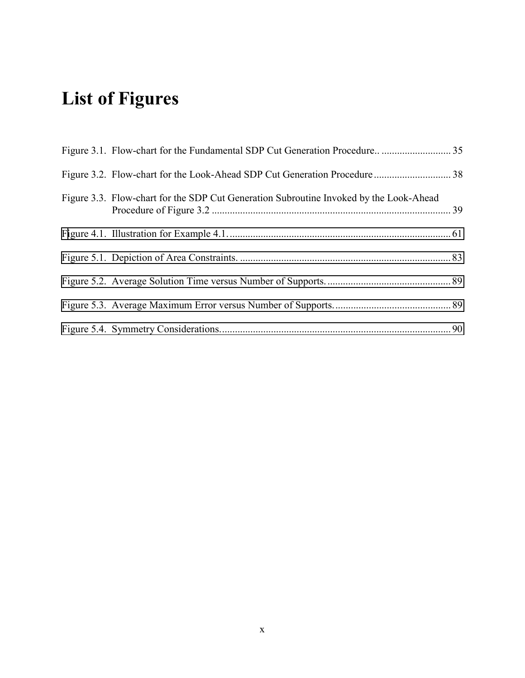# <span id="page-9-0"></span>**List of Figures**

| Figure 3.3. Flow-chart for the SDP Cut Generation Subroutine Invoked by the Look-Ahead |  |
|----------------------------------------------------------------------------------------|--|
|                                                                                        |  |
|                                                                                        |  |
|                                                                                        |  |
|                                                                                        |  |
|                                                                                        |  |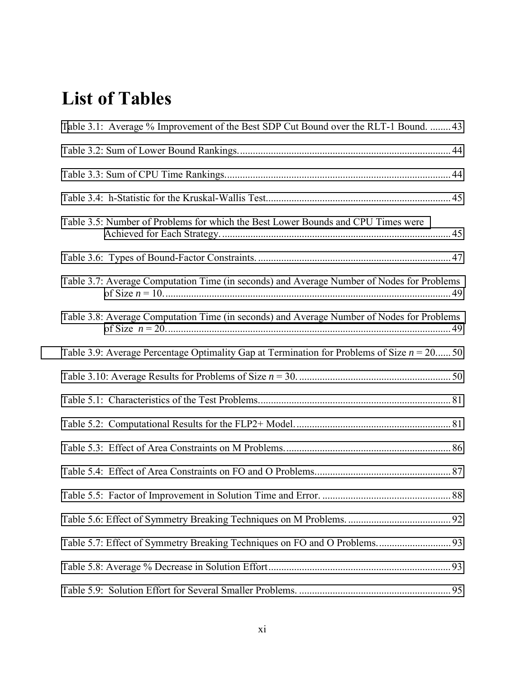# <span id="page-10-0"></span>**List of Tables**

| Table 3.1: Average % Improvement of the Best SDP Cut Bound over the RLT-1 Bound.  43         |  |
|----------------------------------------------------------------------------------------------|--|
|                                                                                              |  |
|                                                                                              |  |
|                                                                                              |  |
| Table 3.5: Number of Problems for which the Best Lower Bounds and CPU Times were             |  |
|                                                                                              |  |
| Table 3.7: Average Computation Time (in seconds) and Average Number of Nodes for Problems    |  |
| Table 3.8: Average Computation Time (in seconds) and Average Number of Nodes for Problems    |  |
| Table 3.9: Average Percentage Optimality Gap at Termination for Problems of Size $n = 20$ 50 |  |
|                                                                                              |  |
|                                                                                              |  |
|                                                                                              |  |
|                                                                                              |  |
|                                                                                              |  |
|                                                                                              |  |
|                                                                                              |  |
|                                                                                              |  |
|                                                                                              |  |
|                                                                                              |  |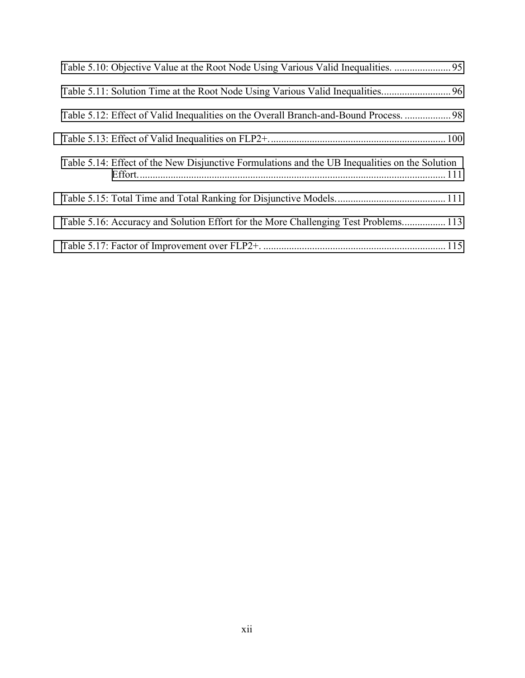| Table 5.12: Effect of Valid Inequalities on the Overall Branch-and-Bound Process.  98          |  |
|------------------------------------------------------------------------------------------------|--|
|                                                                                                |  |
| Table 5.14: Effect of the New Disjunctive Formulations and the UB Inequalities on the Solution |  |
|                                                                                                |  |
| Table 5.16: Accuracy and Solution Effort for the More Challenging Test Problems 113            |  |
|                                                                                                |  |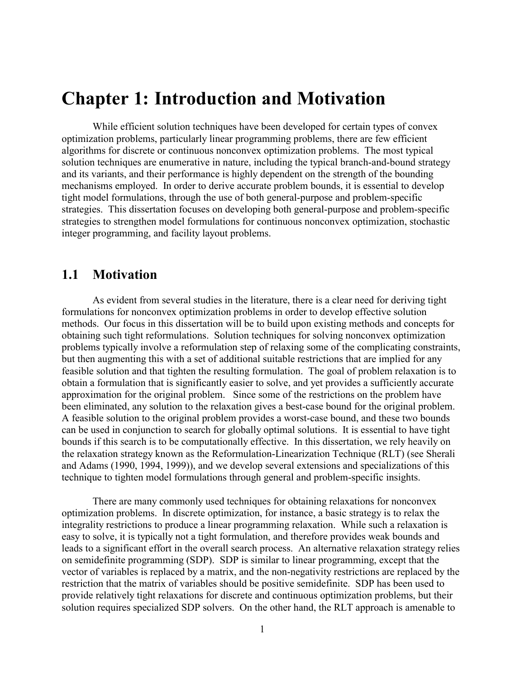## <span id="page-12-0"></span>**Chapter 1: Introduction and Motivation**

While efficient solution techniques have been developed for certain types of convex optimization problems, particularly linear programming problems, there are few efficient algorithms for discrete or continuous nonconvex optimization problems. The most typical solution techniques are enumerative in nature, including the typical branch-and-bound strategy and its variants, and their performance is highly dependent on the strength of the bounding mechanisms employed. In order to derive accurate problem bounds, it is essential to develop tight model formulations, through the use of both general-purpose and problem-specific strategies. This dissertation focuses on developing both general-purpose and problem-specific strategies to strengthen model formulations for continuous nonconvex optimization, stochastic integer programming, and facility layout problems.

### **1.1 Motivation**

 As evident from several studies in the literature, there is a clear need for deriving tight formulations for nonconvex optimization problems in order to develop effective solution methods. Our focus in this dissertation will be to build upon existing methods and concepts for obtaining such tight reformulations. Solution techniques for solving nonconvex optimization problems typically involve a reformulation step of relaxing some of the complicating constraints, but then augmenting this with a set of additional suitable restrictions that are implied for any feasible solution and that tighten the resulting formulation. The goal of problem relaxation is to obtain a formulation that is significantly easier to solve, and yet provides a sufficiently accurate approximation for the original problem. Since some of the restrictions on the problem have been eliminated, any solution to the relaxation gives a best-case bound for the original problem. A feasible solution to the original problem provides a worst-case bound, and these two bounds can be used in conjunction to search for globally optimal solutions. It is essential to have tight bounds if this search is to be computationally effective. In this dissertation, we rely heavily on the relaxation strategy known as the Reformulation-Linearization Technique (RLT) (see Sherali and Adams (1990, 1994, 1999)), and we develop several extensions and specializations of this technique to tighten model formulations through general and problem-specific insights.

There are many commonly used techniques for obtaining relaxations for nonconvex optimization problems. In discrete optimization, for instance, a basic strategy is to relax the integrality restrictions to produce a linear programming relaxation. While such a relaxation is easy to solve, it is typically not a tight formulation, and therefore provides weak bounds and leads to a significant effort in the overall search process. An alternative relaxation strategy relies on semidefinite programming (SDP). SDP is similar to linear programming, except that the vector of variables is replaced by a matrix, and the non-negativity restrictions are replaced by the restriction that the matrix of variables should be positive semidefinite. SDP has been used to provide relatively tight relaxations for discrete and continuous optimization problems, but their solution requires specialized SDP solvers. On the other hand, the RLT approach is amenable to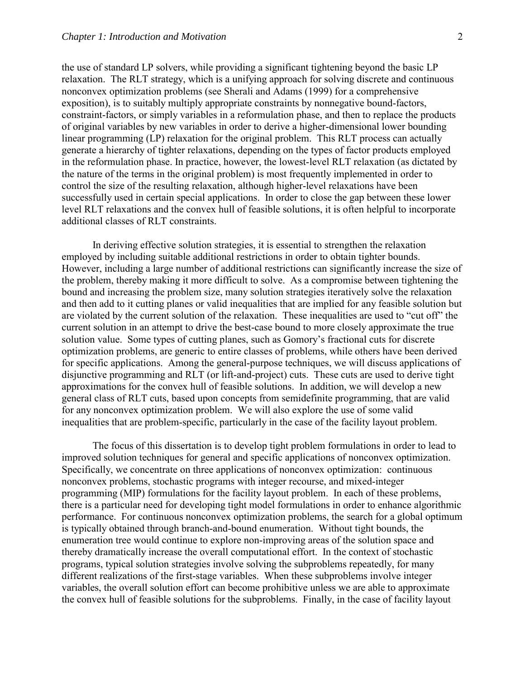the use of standard LP solvers, while providing a significant tightening beyond the basic LP relaxation. The RLT strategy, which is a unifying approach for solving discrete and continuous nonconvex optimization problems (see Sherali and Adams (1999) for a comprehensive exposition), is to suitably multiply appropriate constraints by nonnegative bound-factors, constraint-factors, or simply variables in a reformulation phase, and then to replace the products of original variables by new variables in order to derive a higher-dimensional lower bounding linear programming (LP) relaxation for the original problem. This RLT process can actually generate a hierarchy of tighter relaxations, depending on the types of factor products employed in the reformulation phase. In practice, however, the lowest-level RLT relaxation (as dictated by the nature of the terms in the original problem) is most frequently implemented in order to control the size of the resulting relaxation, although higher-level relaxations have been successfully used in certain special applications. In order to close the gap between these lower level RLT relaxations and the convex hull of feasible solutions, it is often helpful to incorporate additional classes of RLT constraints.

 In deriving effective solution strategies, it is essential to strengthen the relaxation employed by including suitable additional restrictions in order to obtain tighter bounds. However, including a large number of additional restrictions can significantly increase the size of the problem, thereby making it more difficult to solve. As a compromise between tightening the bound and increasing the problem size, many solution strategies iteratively solve the relaxation and then add to it cutting planes or valid inequalities that are implied for any feasible solution but are violated by the current solution of the relaxation. These inequalities are used to "cut off" the current solution in an attempt to drive the best-case bound to more closely approximate the true solution value. Some types of cutting planes, such as Gomory's fractional cuts for discrete optimization problems, are generic to entire classes of problems, while others have been derived for specific applications. Among the general-purpose techniques, we will discuss applications of disjunctive programming and RLT (or lift-and-project) cuts. These cuts are used to derive tight approximations for the convex hull of feasible solutions. In addition, we will develop a new general class of RLT cuts, based upon concepts from semidefinite programming, that are valid for any nonconvex optimization problem. We will also explore the use of some valid inequalities that are problem-specific, particularly in the case of the facility layout problem.

The focus of this dissertation is to develop tight problem formulations in order to lead to improved solution techniques for general and specific applications of nonconvex optimization. Specifically, we concentrate on three applications of nonconvex optimization: continuous nonconvex problems, stochastic programs with integer recourse, and mixed-integer programming (MIP) formulations for the facility layout problem. In each of these problems, there is a particular need for developing tight model formulations in order to enhance algorithmic performance. For continuous nonconvex optimization problems, the search for a global optimum is typically obtained through branch-and-bound enumeration. Without tight bounds, the enumeration tree would continue to explore non-improving areas of the solution space and thereby dramatically increase the overall computational effort. In the context of stochastic programs, typical solution strategies involve solving the subproblems repeatedly, for many different realizations of the first-stage variables. When these subproblems involve integer variables, the overall solution effort can become prohibitive unless we are able to approximate the convex hull of feasible solutions for the subproblems. Finally, in the case of facility layout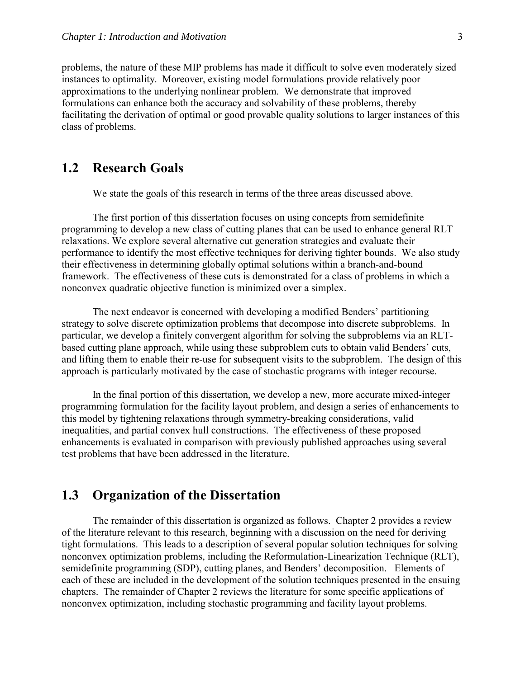<span id="page-14-0"></span>problems, the nature of these MIP problems has made it difficult to solve even moderately sized instances to optimality. Moreover, existing model formulations provide relatively poor approximations to the underlying nonlinear problem. We demonstrate that improved formulations can enhance both the accuracy and solvability of these problems, thereby facilitating the derivation of optimal or good provable quality solutions to larger instances of this class of problems.

## **1.2 Research Goals**

We state the goals of this research in terms of the three areas discussed above.

The first portion of this dissertation focuses on using concepts from semidefinite programming to develop a new class of cutting planes that can be used to enhance general RLT relaxations. We explore several alternative cut generation strategies and evaluate their performance to identify the most effective techniques for deriving tighter bounds. We also study their effectiveness in determining globally optimal solutions within a branch-and-bound framework. The effectiveness of these cuts is demonstrated for a class of problems in which a nonconvex quadratic objective function is minimized over a simplex.

The next endeavor is concerned with developing a modified Benders' partitioning strategy to solve discrete optimization problems that decompose into discrete subproblems. In particular, we develop a finitely convergent algorithm for solving the subproblems via an RLTbased cutting plane approach, while using these subproblem cuts to obtain valid Benders' cuts, and lifting them to enable their re-use for subsequent visits to the subproblem. The design of this approach is particularly motivated by the case of stochastic programs with integer recourse.

In the final portion of this dissertation, we develop a new, more accurate mixed-integer programming formulation for the facility layout problem, and design a series of enhancements to this model by tightening relaxations through symmetry-breaking considerations, valid inequalities, and partial convex hull constructions. The effectiveness of these proposed enhancements is evaluated in comparison with previously published approaches using several test problems that have been addressed in the literature.

## **1.3 Organization of the Dissertation**

The remainder of this dissertation is organized as follows. Chapter 2 provides a review of the literature relevant to this research, beginning with a discussion on the need for deriving tight formulations. This leads to a description of several popular solution techniques for solving nonconvex optimization problems, including the Reformulation-Linearization Technique (RLT), semidefinite programming (SDP), cutting planes, and Benders' decomposition. Elements of each of these are included in the development of the solution techniques presented in the ensuing chapters. The remainder of Chapter 2 reviews the literature for some specific applications of nonconvex optimization, including stochastic programming and facility layout problems.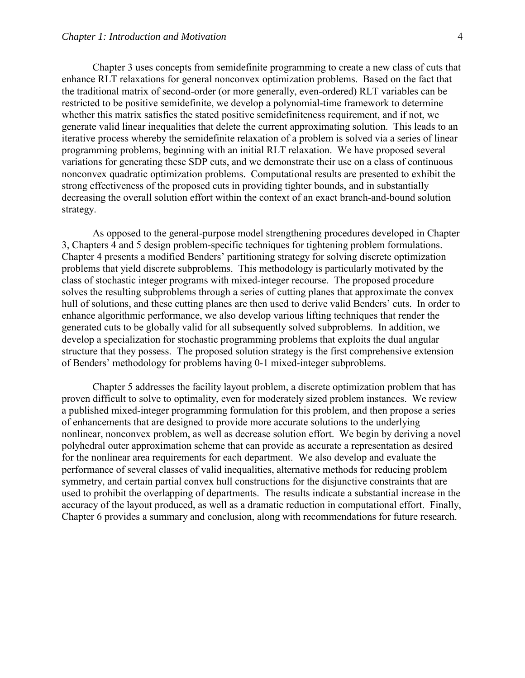Chapter 3 uses concepts from semidefinite programming to create a new class of cuts that enhance RLT relaxations for general nonconvex optimization problems. Based on the fact that the traditional matrix of second-order (or more generally, even-ordered) RLT variables can be restricted to be positive semidefinite, we develop a polynomial-time framework to determine whether this matrix satisfies the stated positive semidefiniteness requirement, and if not, we generate valid linear inequalities that delete the current approximating solution. This leads to an iterative process whereby the semidefinite relaxation of a problem is solved via a series of linear programming problems, beginning with an initial RLT relaxation. We have proposed several variations for generating these SDP cuts, and we demonstrate their use on a class of continuous nonconvex quadratic optimization problems. Computational results are presented to exhibit the strong effectiveness of the proposed cuts in providing tighter bounds, and in substantially decreasing the overall solution effort within the context of an exact branch-and-bound solution strategy.

As opposed to the general-purpose model strengthening procedures developed in Chapter 3, Chapters 4 and 5 design problem-specific techniques for tightening problem formulations. Chapter 4 presents a modified Benders' partitioning strategy for solving discrete optimization problems that yield discrete subproblems. This methodology is particularly motivated by the class of stochastic integer programs with mixed-integer recourse. The proposed procedure solves the resulting subproblems through a series of cutting planes that approximate the convex hull of solutions, and these cutting planes are then used to derive valid Benders' cuts. In order to enhance algorithmic performance, we also develop various lifting techniques that render the generated cuts to be globally valid for all subsequently solved subproblems. In addition, we develop a specialization for stochastic programming problems that exploits the dual angular structure that they possess. The proposed solution strategy is the first comprehensive extension of Bendersí methodology for problems having 0-1 mixed-integer subproblems.

Chapter 5 addresses the facility layout problem, a discrete optimization problem that has proven difficult to solve to optimality, even for moderately sized problem instances. We review a published mixed-integer programming formulation for this problem, and then propose a series of enhancements that are designed to provide more accurate solutions to the underlying nonlinear, nonconvex problem, as well as decrease solution effort. We begin by deriving a novel polyhedral outer approximation scheme that can provide as accurate a representation as desired for the nonlinear area requirements for each department. We also develop and evaluate the performance of several classes of valid inequalities, alternative methods for reducing problem symmetry, and certain partial convex hull constructions for the disjunctive constraints that are used to prohibit the overlapping of departments. The results indicate a substantial increase in the accuracy of the layout produced, as well as a dramatic reduction in computational effort. Finally, Chapter 6 provides a summary and conclusion, along with recommendations for future research.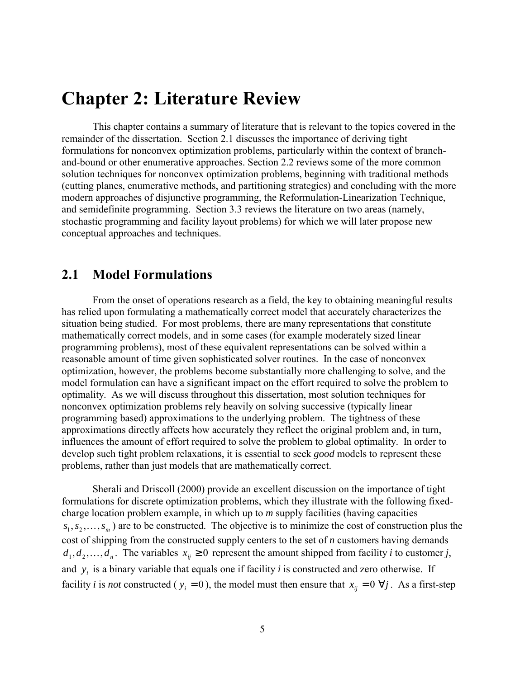## <span id="page-16-0"></span>**Chapter 2: Literature Review**

This chapter contains a summary of literature that is relevant to the topics covered in the remainder of the dissertation. Section 2.1 discusses the importance of deriving tight formulations for nonconvex optimization problems, particularly within the context of branchand-bound or other enumerative approaches. Section 2.2 reviews some of the more common solution techniques for nonconvex optimization problems, beginning with traditional methods (cutting planes, enumerative methods, and partitioning strategies) and concluding with the more modern approaches of disjunctive programming, the Reformulation-Linearization Technique, and semidefinite programming. Section 3.3 reviews the literature on two areas (namely, stochastic programming and facility layout problems) for which we will later propose new conceptual approaches and techniques.

### **2.1 Model Formulations**

 From the onset of operations research as a field, the key to obtaining meaningful results has relied upon formulating a mathematically correct model that accurately characterizes the situation being studied. For most problems, there are many representations that constitute mathematically correct models, and in some cases (for example moderately sized linear programming problems), most of these equivalent representations can be solved within a reasonable amount of time given sophisticated solver routines. In the case of nonconvex optimization, however, the problems become substantially more challenging to solve, and the model formulation can have a significant impact on the effort required to solve the problem to optimality. As we will discuss throughout this dissertation, most solution techniques for nonconvex optimization problems rely heavily on solving successive (typically linear programming based) approximations to the underlying problem. The tightness of these approximations directly affects how accurately they reflect the original problem and, in turn, influences the amount of effort required to solve the problem to global optimality. In order to develop such tight problem relaxations, it is essential to seek *good* models to represent these problems, rather than just models that are mathematically correct.

Sherali and Driscoll (2000) provide an excellent discussion on the importance of tight formulations for discrete optimization problems, which they illustrate with the following fixedcharge location problem example, in which up to *m* supply facilities (having capacities  $s_1, s_2, \ldots, s_m$ ) are to be constructed. The objective is to minimize the cost of construction plus the cost of shipping from the constructed supply centers to the set of *n* customers having demands  $d_1, d_2, \ldots, d_n$ . The variables  $x_{ii} \geq 0$  represent the amount shipped from facility *i* to customer *j*, and  $y_i$  is a binary variable that equals one if facility *i* is constructed and zero otherwise. If facility *i* is *not* constructed ( $y_i = 0$ ), the model must then ensure that  $x_{ij} = 0 \ \forall j$ . As a first-step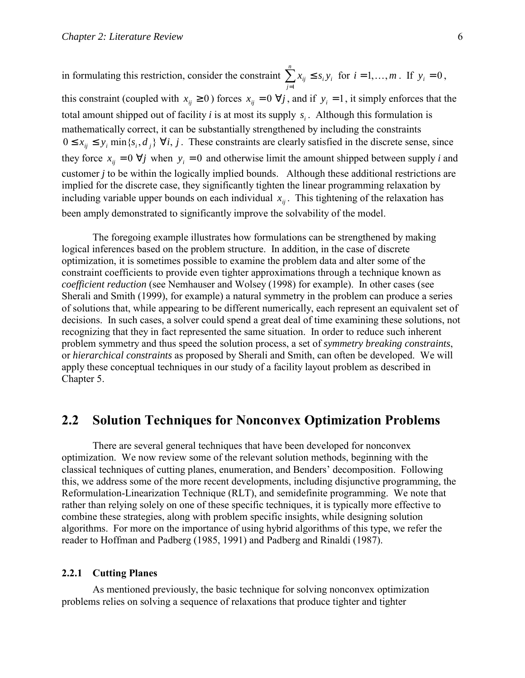<span id="page-17-0"></span>in formulating this restriction, consider the constraint  $\sum_{j=1}$ ≤ *n j*  $x_{ij} \leq s_i y_i$ 1 for  $i = 1,...,m$ . If  $y_i = 0$ , this constraint (coupled with  $x_{ij} \ge 0$ ) forces  $x_{ij} = 0 \ \forall j$ , and if  $y_i = 1$ , it simply enforces that the total amount shipped out of facility  $i$  is at most its supply  $s_i$ . Although this formulation is mathematically correct, it can be substantially strengthened by including the constraints  $0 \le x_{ii} \le y_i$  min $\{s_i, d_i\}$   $\forall i, j$ . These constraints are clearly satisfied in the discrete sense, since they force  $x_{ij} = 0 \ \forall j$  when  $y_i = 0$  and otherwise limit the amount shipped between supply *i* and customer *j* to be within the logically implied bounds. Although these additional restrictions are implied for the discrete case, they significantly tighten the linear programming relaxation by including variable upper bounds on each individual  $x_{ij}$ . This tightening of the relaxation has been amply demonstrated to significantly improve the solvability of the model.

The foregoing example illustrates how formulations can be strengthened by making logical inferences based on the problem structure. In addition, in the case of discrete optimization, it is sometimes possible to examine the problem data and alter some of the constraint coefficients to provide even tighter approximations through a technique known as *coefficient reduction* (see Nemhauser and Wolsey (1998) for example). In other cases (see Sherali and Smith (1999), for example) a natural symmetry in the problem can produce a series of solutions that, while appearing to be different numerically, each represent an equivalent set of decisions. In such cases, a solver could spend a great deal of time examining these solutions, not recognizing that they in fact represented the same situation. In order to reduce such inherent problem symmetry and thus speed the solution process, a set of *symmetry breaking constraints*, or *hierarchical constraints* as proposed by Sherali and Smith, can often be developed. We will apply these conceptual techniques in our study of a facility layout problem as described in Chapter 5.

## **2.2 Solution Techniques for Nonconvex Optimization Problems**

 There are several general techniques that have been developed for nonconvex optimization. We now review some of the relevant solution methods, beginning with the classical techniques of cutting planes, enumeration, and Benders' decomposition. Following this, we address some of the more recent developments, including disjunctive programming, the Reformulation-Linearization Technique (RLT), and semidefinite programming. We note that rather than relying solely on one of these specific techniques, it is typically more effective to combine these strategies, along with problem specific insights, while designing solution algorithms. For more on the importance of using hybrid algorithms of this type, we refer the reader to Hoffman and Padberg (1985, 1991) and Padberg and Rinaldi (1987).

### **2.2.1 Cutting Planes**

 As mentioned previously, the basic technique for solving nonconvex optimization problems relies on solving a sequence of relaxations that produce tighter and tighter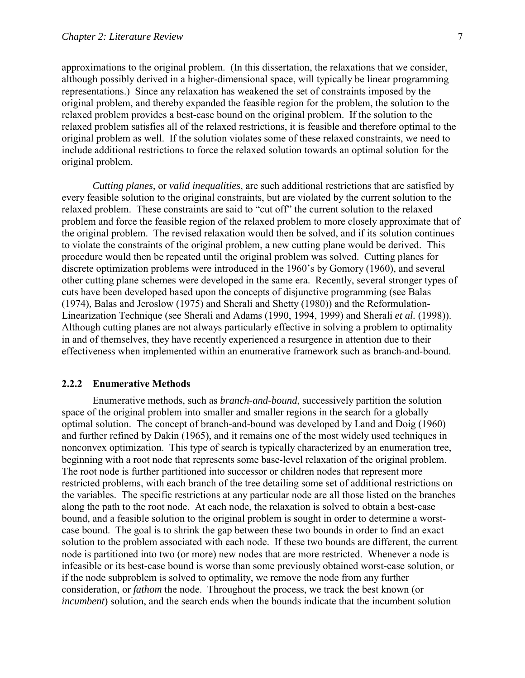<span id="page-18-0"></span>approximations to the original problem. (In this dissertation, the relaxations that we consider, although possibly derived in a higher-dimensional space, will typically be linear programming representations.) Since any relaxation has weakened the set of constraints imposed by the original problem, and thereby expanded the feasible region for the problem, the solution to the relaxed problem provides a best-case bound on the original problem. If the solution to the relaxed problem satisfies all of the relaxed restrictions, it is feasible and therefore optimal to the original problem as well. If the solution violates some of these relaxed constraints, we need to include additional restrictions to force the relaxed solution towards an optimal solution for the original problem.

*Cutting planes*, or *valid inequalities*, are such additional restrictions that are satisfied by every feasible solution to the original constraints, but are violated by the current solution to the relaxed problem. These constraints are said to "cut off" the current solution to the relaxed problem and force the feasible region of the relaxed problem to more closely approximate that of the original problem. The revised relaxation would then be solved, and if its solution continues to violate the constraints of the original problem, a new cutting plane would be derived. This procedure would then be repeated until the original problem was solved. Cutting planes for discrete optimization problems were introduced in the 1960's by Gomory (1960), and several other cutting plane schemes were developed in the same era. Recently, several stronger types of cuts have been developed based upon the concepts of disjunctive programming (see Balas (1974), Balas and Jeroslow (1975) and Sherali and Shetty (1980)) and the Reformulation-Linearization Technique (see Sherali and Adams (1990, 1994, 1999) and Sherali *et al.* (1998)). Although cutting planes are not always particularly effective in solving a problem to optimality in and of themselves, they have recently experienced a resurgence in attention due to their effectiveness when implemented within an enumerative framework such as branch-and-bound.

#### **2.2.2 Enumerative Methods**

 Enumerative methods, such as *branch-and-bound*, successively partition the solution space of the original problem into smaller and smaller regions in the search for a globally optimal solution. The concept of branch-and-bound was developed by Land and Doig (1960) and further refined by Dakin (1965), and it remains one of the most widely used techniques in nonconvex optimization. This type of search is typically characterized by an enumeration tree, beginning with a root node that represents some base-level relaxation of the original problem. The root node is further partitioned into successor or children nodes that represent more restricted problems, with each branch of the tree detailing some set of additional restrictions on the variables. The specific restrictions at any particular node are all those listed on the branches along the path to the root node. At each node, the relaxation is solved to obtain a best-case bound, and a feasible solution to the original problem is sought in order to determine a worstcase bound. The goal is to shrink the gap between these two bounds in order to find an exact solution to the problem associated with each node. If these two bounds are different, the current node is partitioned into two (or more) new nodes that are more restricted. Whenever a node is infeasible or its best-case bound is worse than some previously obtained worst-case solution, or if the node subproblem is solved to optimality, we remove the node from any further consideration, or *fathom* the node. Throughout the process, we track the best known (or *incumbent*) solution, and the search ends when the bounds indicate that the incumbent solution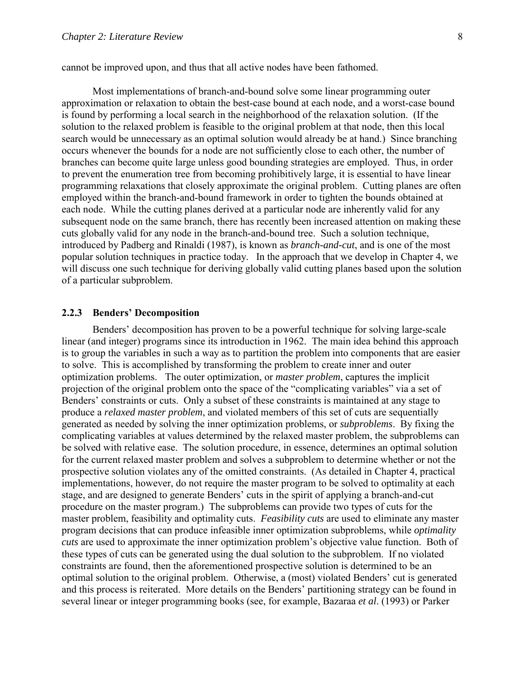<span id="page-19-0"></span>cannot be improved upon, and thus that all active nodes have been fathomed.

Most implementations of branch-and-bound solve some linear programming outer approximation or relaxation to obtain the best-case bound at each node, and a worst-case bound is found by performing a local search in the neighborhood of the relaxation solution. (If the solution to the relaxed problem is feasible to the original problem at that node, then this local search would be unnecessary as an optimal solution would already be at hand.) Since branching occurs whenever the bounds for a node are not sufficiently close to each other, the number of branches can become quite large unless good bounding strategies are employed. Thus, in order to prevent the enumeration tree from becoming prohibitively large, it is essential to have linear programming relaxations that closely approximate the original problem. Cutting planes are often employed within the branch-and-bound framework in order to tighten the bounds obtained at each node. While the cutting planes derived at a particular node are inherently valid for any subsequent node on the same branch, there has recently been increased attention on making these cuts globally valid for any node in the branch-and-bound tree. Such a solution technique, introduced by Padberg and Rinaldi (1987), is known as *branch-and-cut*, and is one of the most popular solution techniques in practice today. In the approach that we develop in Chapter 4, we will discuss one such technique for deriving globally valid cutting planes based upon the solution of a particular subproblem.

### **2.2.3 Benders' Decomposition**

Benders' decomposition has proven to be a powerful technique for solving large-scale linear (and integer) programs since its introduction in 1962. The main idea behind this approach is to group the variables in such a way as to partition the problem into components that are easier to solve. This is accomplished by transforming the problem to create inner and outer optimization problems. The outer optimization, or *master problem*, captures the implicit projection of the original problem onto the space of the "complicating variables" via a set of Benders' constraints or cuts. Only a subset of these constraints is maintained at any stage to produce a *relaxed master problem*, and violated members of this set of cuts are sequentially generated as needed by solving the inner optimization problems, or *subproblems*. By fixing the complicating variables at values determined by the relaxed master problem, the subproblems can be solved with relative ease. The solution procedure, in essence, determines an optimal solution for the current relaxed master problem and solves a subproblem to determine whether or not the prospective solution violates any of the omitted constraints. (As detailed in Chapter 4, practical implementations, however, do not require the master program to be solved to optimality at each stage, and are designed to generate Benders' cuts in the spirit of applying a branch-and-cut procedure on the master program.) The subproblems can provide two types of cuts for the master problem, feasibility and optimality cuts. *Feasibility cuts* are used to eliminate any master program decisions that can produce infeasible inner optimization subproblems, while *optimality cuts* are used to approximate the inner optimization problem's objective value function. Both of these types of cuts can be generated using the dual solution to the subproblem. If no violated constraints are found, then the aforementioned prospective solution is determined to be an optimal solution to the original problem. Otherwise, a (most) violated Benders' cut is generated and this process is reiterated. More details on the Benders' partitioning strategy can be found in several linear or integer programming books (see, for example, Bazaraa *et al*. (1993) or Parker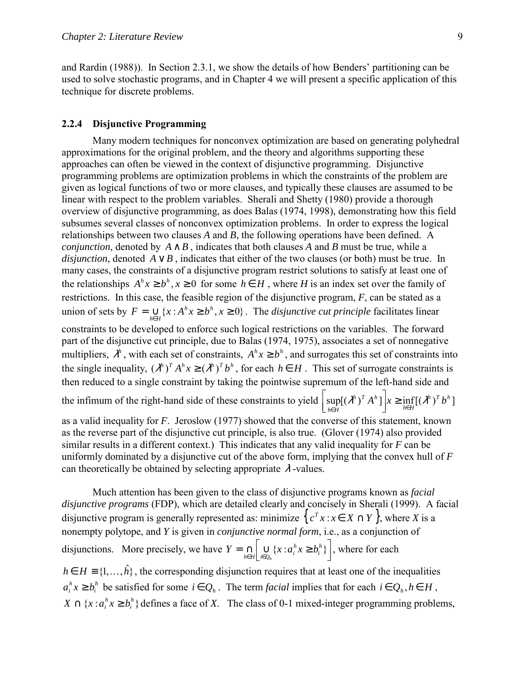<span id="page-20-0"></span>and Rardin (1988)). In Section 2.3.1, we show the details of how Benders' partitioning can be used to solve stochastic programs, and in Chapter 4 we will present a specific application of this technique for discrete problems.

### **2.2.4 Disjunctive Programming**

 Many modern techniques for nonconvex optimization are based on generating polyhedral approximations for the original problem, and the theory and algorithms supporting these approaches can often be viewed in the context of disjunctive programming. Disjunctive programming problems are optimization problems in which the constraints of the problem are given as logical functions of two or more clauses, and typically these clauses are assumed to be linear with respect to the problem variables. Sherali and Shetty (1980) provide a thorough overview of disjunctive programming, as does Balas (1974, 1998), demonstrating how this field subsumes several classes of nonconvex optimization problems. In order to express the logical relationships between two clauses *A* and *B*, the following operations have been defined. A *conjunction*, denoted by  $A \wedge B$ , indicates that both clauses A and B must be true, while a *disjunction*, denoted  $A \vee B$ , indicates that either of the two clauses (or both) must be true. In many cases, the constraints of a disjunctive program restrict solutions to satisfy at least one of the relationships  $A^{h}x \geq b^{h}$ ,  $x \geq 0$  for some  $h \in H$ , where *H* is an index set over the family of restrictions. In this case, the feasible region of the disjunctive program, *F*, can be stated as a union of sets by  $F = \bigcup_{h \in H} \{x : A^h x \ge b^h, x \ge 0\}$  $\bigcup_{h \in H} \{x : A^h x \geq b^h, x \geq 0\}$ . The *disjunctive cut principle* facilitates linear

constraints to be developed to enforce such logical restrictions on the variables. The forward part of the disjunctive cut principle, due to Balas (1974, 1975), associates a set of nonnegative multipliers,  $\lambda^h$ , with each set of constraints,  $A^h x \geq b^h$ , and surrogates this set of constraints into the single inequality,  $(\lambda^h)^T A^h x \ge (\lambda^h)^T b^h$ , for each  $h \in H$ . This set of surrogate constraints is then reduced to a single constraint by taking the pointwise supremum of the left-hand side and

the infimum of the right-hand side of these constraints to yield  $\left| \sup_{h \in H} [(\lambda^h)^T A^h] \right| x \ge \inf_{h \in H} [(\lambda^h)^T b^h]$  $h \setminus T$  *Ah*  $\left[\sup_{h \in H} [(\lambda^h)^T A^h] \right] x \ge \inf_{h \in H} [(\lambda^h)^T b]$ 

as a valid inequality for *F*. Jeroslow (1977) showed that the converse of this statement, known as the reverse part of the disjunctive cut principle, is also true. (Glover (1974) also provided similar results in a different context.) This indicates that any valid inequality for *F* can be uniformly dominated by a disjunctive cut of the above form, implying that the convex hull of *F* can theoretically be obtained by selecting appropriate  $\lambda$ -values.

Much attention has been given to the class of disjunctive programs known as *facial disjunctive programs* (FDP), which are detailed clearly and concisely in Sherali (1999). A facial disjunctive program is generally represented as: minimize  $\{ c^T x : x \in X \cap Y \}$ , where X is a nonempty polytope, and *Y* is given in *conjunctive normal form*, i.e., as a conjunction of disjunctions. More precisely, we have  $Y = \bigcap_{h \in H} \left[ \bigcup_{i \in Q_h} \{x : a_i^h x \ge b_i^h \} \right]$ *i h*  $Y = \bigcap_{h \in H} \bigcup_{i \in Q_h} \{x : a_i^h x \ge b_i^h\} \bigg]$ , where for each  $h \in H = \{1, \ldots, \hat{h}\}\$ , the corresponding disjunction requires that at least one of the inequalities

*h i*  $a_i^h x \ge b_i^h$  be satisfied for some  $i \in Q_h$ . The term *facial* implies that for each  $i \in Q_h$ ,  $h \in H$ ,  ${x : a_i^h x \ge b_i^h}$ *i*  $X \cap \{x : a_i^h x \ge b_i^h\}$  defines a face of *X*. The class of 0-1 mixed-integer programming problems,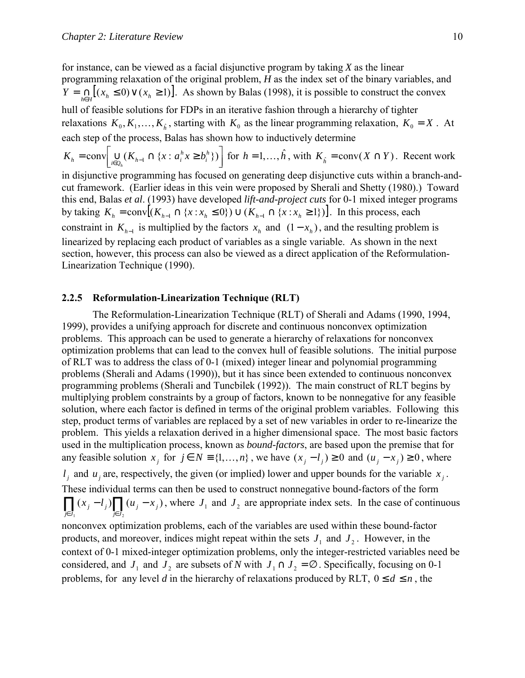<span id="page-21-0"></span>for instance, can be viewed as a facial disjunctive program by taking *X* as the linear programming relaxation of the original problem, *H* as the index set of the binary variables, and  $Y = \bigcap_{h \in H} [(x_h \le 0) \vee (x_h \ge 1)].$  As shown by Balas (1998), it is possible to construct the convex hull of feasible solutions for FDPs in an iterative fashion through a hierarchy of tighter relaxations  $K_0, K_1, \ldots, K_{\hat{k}}$ , starting with  $K_0$  as the linear programming relaxation,  $K_0 = X$ . At each step of the process, Balas has shown how to inductively determine

$$
K_h = \text{conv}\Big[\bigcup_{i \in Q_h} (K_{h-1} \cap \{x : a_i^h x \ge b_i^h\})\Big] \text{ for } h = 1, \dots, \hat{h}, \text{ with } K_{\hat{h}} = \text{conv}(X \cap Y). \text{ Recent work}
$$

in disjunctive programming has focused on generating deep disjunctive cuts within a branch-andcut framework. (Earlier ideas in this vein were proposed by Sherali and Shetty (1980).) Toward this end, Balas *et al*. (1993) have developed *lift-and-project cuts* for 0-1 mixed integer programs by taking  $K_h = \text{conv} [( K_{h-1} \cap \{ x : x_h \leq 0 \}) \cup ( K_{h-1} \cap \{ x : x_h \geq 1 \}) ]$ . In this process, each constraint in  $K_{h-1}$  is multiplied by the factors  $x_h$  and  $(1 - x_h)$ , and the resulting problem is linearized by replacing each product of variables as a single variable. As shown in the next section, however, this process can also be viewed as a direct application of the Reformulation-Linearization Technique (1990).

### **2.2.5 Reformulation-Linearization Technique (RLT)**

 The Reformulation-Linearization Technique (RLT) of Sherali and Adams (1990, 1994, 1999), provides a unifying approach for discrete and continuous nonconvex optimization problems. This approach can be used to generate a hierarchy of relaxations for nonconvex optimization problems that can lead to the convex hull of feasible solutions. The initial purpose of RLT was to address the class of 0-1 (mixed) integer linear and polynomial programming problems (Sherali and Adams (1990)), but it has since been extended to continuous nonconvex programming problems (Sherali and Tuncbilek (1992)). The main construct of RLT begins by multiplying problem constraints by a group of factors, known to be nonnegative for any feasible solution, where each factor is defined in terms of the original problem variables. Following this step, product terms of variables are replaced by a set of new variables in order to re-linearize the problem. This yields a relaxation derived in a higher dimensional space. The most basic factors used in the multiplication process, known as *bound-factors*, are based upon the premise that for any feasible solution  $x_j$  for  $j \in N \equiv \{1, ..., n\}$ , we have  $(x_j - l_j) \ge 0$  and  $(u_j - x_j) \ge 0$ , where  $l_i$  and  $u_j$  are, respectively, the given (or implied) lower and upper bounds for the variable  $x_j$ . These individual terms can then be used to construct nonnegative bound-factors of the form  $\prod_{j \in J_1} (x_j - l_j) \prod_{j \in J_2} (u_j - x_j)$ 1  $J \in J_2$ *j J*  $j - \lambda_j$ *j J*  $f(x_j - l_j)$   $\prod (u_j - x_j)$ , where  $J_1$  and  $J_2$  are appropriate index sets. In the case of continuous nonconvex optimization problems, each of the variables are used within these bound-factor products, and moreover, indices might repeat within the sets  $J_1$  and  $J_2$ . However, in the context of 0-1 mixed-integer optimization problems, only the integer-restricted variables need be considered, and  $J_1$  and  $J_2$  are subsets of *N* with  $J_1 \cap J_2 = \emptyset$ . Specifically, focusing on 0-1 problems, for any level *d* in the hierarchy of relaxations produced by RLT,  $0 \le d \le n$ , the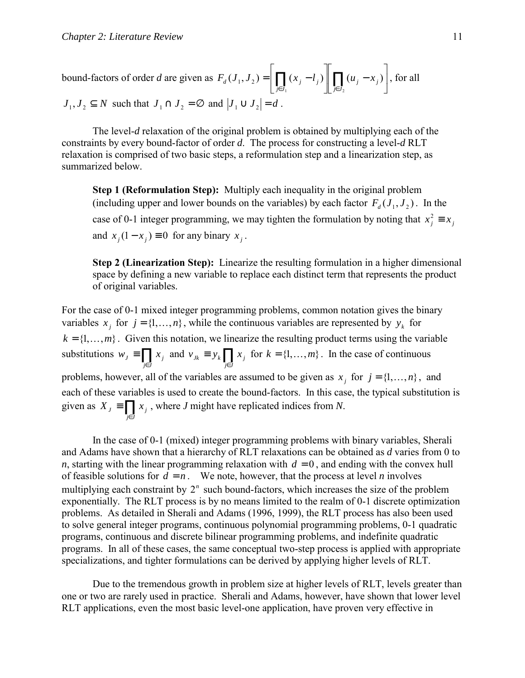bound-factors of order *d* are given as 
$$
F_d(J_1, J_2) = \left[ \prod_{j \in J_1} (x_j - l_j) \right] \left[ \prod_{j \in J_2} (u_j - x_j) \right]
$$
, for all   
  $J_1, J_2 \subseteq N$  such that  $J_1 \cap J_2 = \emptyset$  and  $|J_1 \cup J_2| = d$ .

The level-*d* relaxation of the original problem is obtained by multiplying each of the constraints by every bound-factor of order *d*. The process for constructing a level-*d* RLT relaxation is comprised of two basic steps, a reformulation step and a linearization step, as summarized below.

**Step 1 (Reformulation Step):** Multiply each inequality in the original problem (including upper and lower bounds on the variables) by each factor  $F_d(J_1, J_2)$ . In the case of 0-1 integer programming, we may tighten the formulation by noting that  $x_j^2 \equiv x_j$ and  $x_i(1 - x_i) \equiv 0$  for any binary  $x_i$ .

**Step 2 (Linearization Step):** Linearize the resulting formulation in a higher dimensional space by defining a new variable to replace each distinct term that represents the product of original variables.

For the case of 0-1 mixed integer programming problems, common notation gives the binary variables  $x_i$  for  $j = \{1, ..., n\}$ , while the continuous variables are represented by  $y_k$  for  $k = \{1, \ldots, m\}$ . Given this notation, we linearize the resulting product terms using the variable substitutions  $w_j \equiv \prod_{j \in J}$  $w_j \equiv \prod_{j \in J} x_j$  and  $v_{jk} \equiv y_k \prod_{j \in J}$ *j J*  $v_{jk} \equiv y_k \prod x_j$  for  $k = \{1, \dots, m\}$ . In the case of continuous problems, however, all of the variables are assumed to be given as  $x_i$  for  $j = \{1, \dots, n\}$ , and each of these variables is used to create the bound-factors. In this case, the typical substitution is given as  $X_j \equiv \prod_{j \in J}$ *j J*  $X_j \equiv \prod_i x_j$ , where *J* might have replicated indices from *N*.

In the case of 0-1 (mixed) integer programming problems with binary variables, Sherali and Adams have shown that a hierarchy of RLT relaxations can be obtained as *d* varies from 0 to *n*, starting with the linear programming relaxation with  $d = 0$ , and ending with the convex hull of feasible solutions for  $d = n$ . We note, however, that the process at level *n* involves multiplying each constraint by  $2^n$  such bound-factors, which increases the size of the problem exponentially. The RLT process is by no means limited to the realm of 0-1 discrete optimization problems. As detailed in Sherali and Adams (1996, 1999), the RLT process has also been used to solve general integer programs, continuous polynomial programming problems, 0-1 quadratic programs, continuous and discrete bilinear programming problems, and indefinite quadratic programs. In all of these cases, the same conceptual two-step process is applied with appropriate specializations, and tighter formulations can be derived by applying higher levels of RLT.

Due to the tremendous growth in problem size at higher levels of RLT, levels greater than one or two are rarely used in practice. Sherali and Adams, however, have shown that lower level RLT applications, even the most basic level-one application, have proven very effective in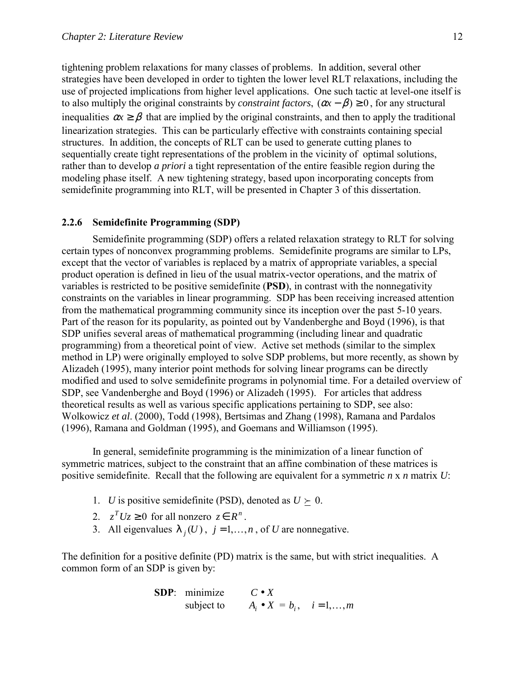<span id="page-23-0"></span>tightening problem relaxations for many classes of problems. In addition, several other strategies have been developed in order to tighten the lower level RLT relaxations, including the use of projected implications from higher level applications. One such tactic at level-one itself is to also multiply the original constraints by *constraint factors*,  $(\alpha x - \beta) \ge 0$ , for any structural inequalities  $\alpha x \ge \beta$  that are implied by the original constraints, and then to apply the traditional linearization strategies. This can be particularly effective with constraints containing special structures. In addition, the concepts of RLT can be used to generate cutting planes to sequentially create tight representations of the problem in the vicinity of optimal solutions, rather than to develop *a priori* a tight representation of the entire feasible region during the modeling phase itself. A new tightening strategy, based upon incorporating concepts from semidefinite programming into RLT, will be presented in Chapter 3 of this dissertation.

### **2.2.6 Semidefinite Programming (SDP)**

 Semidefinite programming (SDP) offers a related relaxation strategy to RLT for solving certain types of nonconvex programming problems. Semidefinite programs are similar to LPs, except that the vector of variables is replaced by a matrix of appropriate variables, a special product operation is defined in lieu of the usual matrix-vector operations, and the matrix of variables is restricted to be positive semidefinite (**PSD**), in contrast with the nonnegativity constraints on the variables in linear programming. SDP has been receiving increased attention from the mathematical programming community since its inception over the past 5-10 years. Part of the reason for its popularity, as pointed out by Vandenberghe and Boyd (1996), is that SDP unifies several areas of mathematical programming (including linear and quadratic programming) from a theoretical point of view. Active set methods (similar to the simplex method in LP) were originally employed to solve SDP problems, but more recently, as shown by Alizadeh (1995), many interior point methods for solving linear programs can be directly modified and used to solve semidefinite programs in polynomial time. For a detailed overview of SDP, see Vandenberghe and Boyd (1996) or Alizadeh (1995). For articles that address theoretical results as well as various specific applications pertaining to SDP, see also: Wolkowicz *et al*. (2000), Todd (1998), Bertsimas and Zhang (1998), Ramana and Pardalos (1996), Ramana and Goldman (1995), and Goemans and Williamson (1995).

In general, semidefinite programming is the minimization of a linear function of symmetric matrices, subject to the constraint that an affine combination of these matrices is positive semidefinite. Recall that the following are equivalent for a symmetric *n* x *n* matrix *U*:

- 1. *U* is positive semidefinite (PSD), denoted as  $U \succeq 0$ .
- 2.  $z^T Uz \ge 0$  for all nonzero  $z \in R^n$ .
- 3. All eigenvalues  $\lambda_i(U)$ ,  $j = 1,...,n$ , of *U* are nonnegative.

The definition for a positive definite (PD) matrix is the same, but with strict inequalities. A common form of an SDP is given by:

> **SDP**: minimize *C* • *X* subject to  $A_i \bullet X = b_i, \quad i = 1,...,m$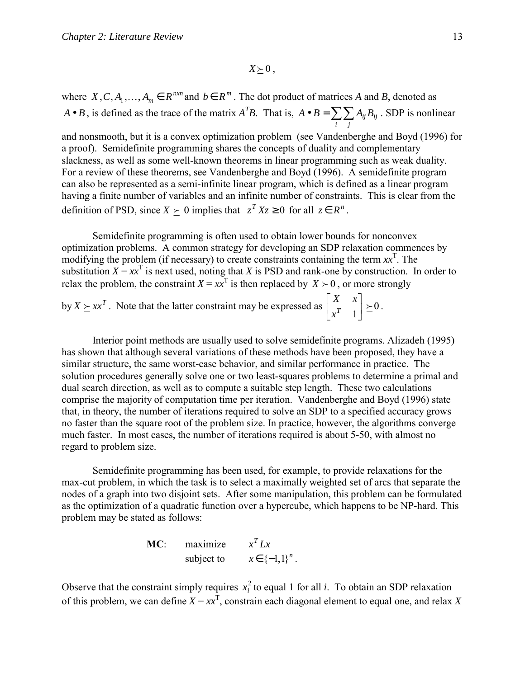$X \succeq 0$ ,

where  $X, C, A_1, \ldots, A_m \in R^{n \times n}$  and  $b \in R^m$ . The dot product of matrices *A* and *B*, denoted as *A*• *B*, is defined as the trace of the matrix *A<sup>T</sup>B*. That is, *A*• *B* =  $\sum_{i} \sum_{j}$  $A \bullet B = \sum_{i} \sum_{j} A_{ij} B_{ij}$ . SDP is nonlinear

and nonsmooth, but it is a convex optimization problem (see Vandenberghe and Boyd (1996) for a proof). Semidefinite programming shares the concepts of duality and complementary slackness, as well as some well-known theorems in linear programming such as weak duality. For a review of these theorems, see Vandenberghe and Boyd (1996). A semidefinite program can also be represented as a semi-infinite linear program, which is defined as a linear program having a finite number of variables and an infinite number of constraints. This is clear from the definition of PSD, since  $X \succ 0$  implies that  $z^T X z \ge 0$  for all  $z \in R^n$ .

 Semidefinite programming is often used to obtain lower bounds for nonconvex optimization problems. A common strategy for developing an SDP relaxation commences by modifying the problem (if necessary) to create constraints containing the term  $xx^T$ . The substitution  $X = xx^T$  is next used, noting that *X* is PSD and rank-one by construction. In order to relax the problem, the constraint  $X = xx^T$  is then replaced by  $X \succeq 0$ , or more strongly

by  $X \succeq xx^T$ . Note that the latter constraint may be expressed as  $\begin{vmatrix} x & x \\ x^T & 1 \end{vmatrix} \succeq 0$ J  $\begin{vmatrix} X & x \\ x^T & 1 \end{vmatrix}$ L  $\mathsf{L}$  $x^T$  $\begin{bmatrix} X & x \\ r & 1 \end{bmatrix} \succeq 0$ .

 Interior point methods are usually used to solve semidefinite programs. Alizadeh (1995) has shown that although several variations of these methods have been proposed, they have a similar structure, the same worst-case behavior, and similar performance in practice. The solution procedures generally solve one or two least-squares problems to determine a primal and dual search direction, as well as to compute a suitable step length. These two calculations comprise the majority of computation time per iteration. Vandenberghe and Boyd (1996) state that, in theory, the number of iterations required to solve an SDP to a specified accuracy grows no faster than the square root of the problem size. In practice, however, the algorithms converge much faster. In most cases, the number of iterations required is about 5-50, with almost no regard to problem size.

 Semidefinite programming has been used, for example, to provide relaxations for the max-cut problem, in which the task is to select a maximally weighted set of arcs that separate the nodes of a graph into two disjoint sets. After some manipulation, this problem can be formulated as the optimization of a quadratic function over a hypercube, which happens to be NP-hard. This problem may be stated as follows:

**MC**: maximize  $x^T L x$ subject to  $x \in \{-1,1\}^n$ .

Observe that the constraint simply requires  $x_i^2$  to equal 1 for all *i*. To obtain an SDP relaxation of this problem, we can define  $X = xx^T$ , constrain each diagonal element to equal one, and relax X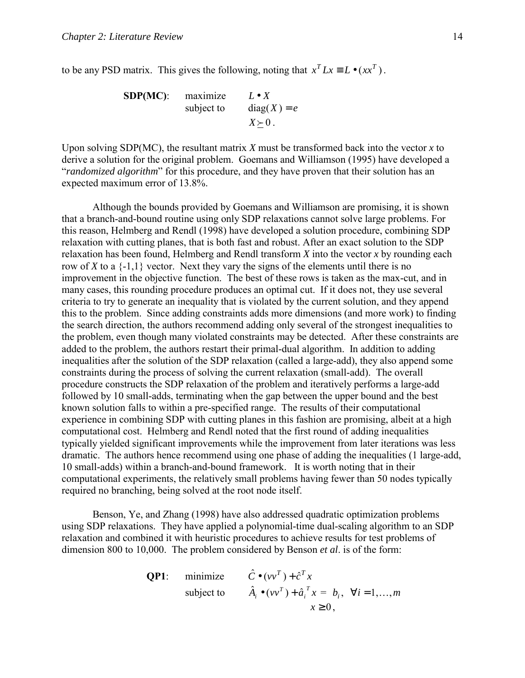to be any PSD matrix. This gives the following, noting that  $x^T Lx \equiv L \bullet (xx^T)$ .

**SDP(MC)**: maximize 
$$
L \bullet X
$$
  
subject to  $diag(X) = e$   
 $X \succeq 0$ .

Upon solving SDP(MC), the resultant matrix *X* must be transformed back into the vector *x* to derive a solution for the original problem. Goemans and Williamson (1995) have developed a *<sup><i>'*randomized algorithm' for this procedure, and they have proven that their solution has an</sup> expected maximum error of 13.8%.

 Although the bounds provided by Goemans and Williamson are promising, it is shown that a branch-and-bound routine using only SDP relaxations cannot solve large problems. For this reason, Helmberg and Rendl (1998) have developed a solution procedure, combining SDP relaxation with cutting planes, that is both fast and robust. After an exact solution to the SDP relaxation has been found, Helmberg and Rendl transform *X* into the vector *x* by rounding each row of *X* to a  $\{-1,1\}$  vector. Next they vary the signs of the elements until there is no improvement in the objective function. The best of these rows is taken as the max-cut, and in many cases, this rounding procedure produces an optimal cut. If it does not, they use several criteria to try to generate an inequality that is violated by the current solution, and they append this to the problem. Since adding constraints adds more dimensions (and more work) to finding the search direction, the authors recommend adding only several of the strongest inequalities to the problem, even though many violated constraints may be detected. After these constraints are added to the problem, the authors restart their primal-dual algorithm. In addition to adding inequalities after the solution of the SDP relaxation (called a large-add), they also append some constraints during the process of solving the current relaxation (small-add). The overall procedure constructs the SDP relaxation of the problem and iteratively performs a large-add followed by 10 small-adds, terminating when the gap between the upper bound and the best known solution falls to within a pre-specified range. The results of their computational experience in combining SDP with cutting planes in this fashion are promising, albeit at a high computational cost. Helmberg and Rendl noted that the first round of adding inequalities typically yielded significant improvements while the improvement from later iterations was less dramatic. The authors hence recommend using one phase of adding the inequalities (1 large-add, 10 small-adds) within a branch-and-bound framework. It is worth noting that in their computational experiments, the relatively small problems having fewer than 50 nodes typically required no branching, being solved at the root node itself.

 Benson, Ye, and Zhang (1998) have also addressed quadratic optimization problems using SDP relaxations. They have applied a polynomial-time dual-scaling algorithm to an SDP relaxation and combined it with heuristic procedures to achieve results for test problems of dimension 800 to 10,000. The problem considered by Benson *et al*. is of the form:

**QP1:** minimize 
$$
\hat{C} \cdot (vv^T) + \hat{c}^T x
$$
  
subject to  $\hat{A}_i \cdot (vv^T) + \hat{a}_i^T x = b_i, \forall i = 1,..., m$   
 $x \ge 0$ ,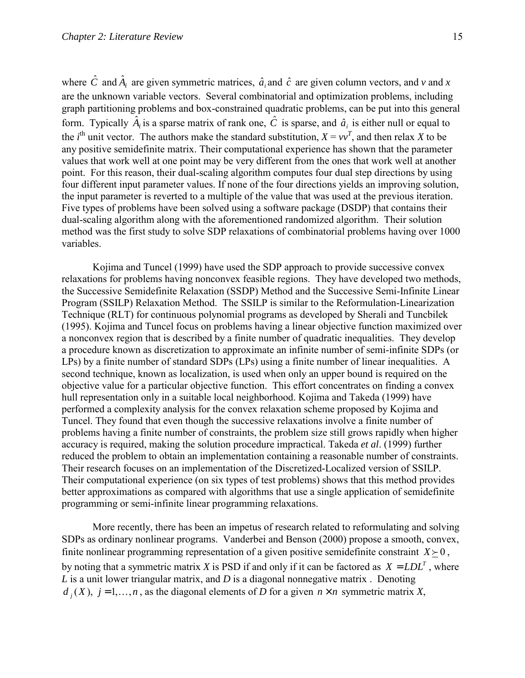where  $\hat{C}$  and  $\hat{A}_i$  are given symmetric matrices,  $\hat{a}_i$  and  $\hat{c}$  are given column vectors, and *v* and *x* are the unknown variable vectors. Several combinatorial and optimization problems, including graph partitioning problems and box-constrained quadratic problems, can be put into this general form. Typically  $\hat{A}_i$  is a sparse matrix of rank one,  $\hat{C}$  is sparse, and  $\hat{a}_i$  is either null or equal to the *i*<sup>th</sup> unit vector. The authors make the standard substitution,  $X = vv^T$ , and then relax *X* to be any positive semidefinite matrix. Their computational experience has shown that the parameter values that work well at one point may be very different from the ones that work well at another point. For this reason, their dual-scaling algorithm computes four dual step directions by using four different input parameter values. If none of the four directions yields an improving solution, the input parameter is reverted to a multiple of the value that was used at the previous iteration. Five types of problems have been solved using a software package (DSDP) that contains their dual-scaling algorithm along with the aforementioned randomized algorithm. Their solution method was the first study to solve SDP relaxations of combinatorial problems having over 1000 variables.

 Kojima and Tuncel (1999) have used the SDP approach to provide successive convex relaxations for problems having nonconvex feasible regions. They have developed two methods, the Successive Semidefinite Relaxation (SSDP) Method and the Successive Semi-Infinite Linear Program (SSILP) Relaxation Method. The SSILP is similar to the Reformulation-Linearization Technique (RLT) for continuous polynomial programs as developed by Sherali and Tuncbilek (1995). Kojima and Tuncel focus on problems having a linear objective function maximized over a nonconvex region that is described by a finite number of quadratic inequalities. They develop a procedure known as discretization to approximate an infinite number of semi-infinite SDPs (or LPs) by a finite number of standard SDPs (LPs) using a finite number of linear inequalities. A second technique, known as localization, is used when only an upper bound is required on the objective value for a particular objective function. This effort concentrates on finding a convex hull representation only in a suitable local neighborhood. Kojima and Takeda (1999) have performed a complexity analysis for the convex relaxation scheme proposed by Kojima and Tuncel. They found that even though the successive relaxations involve a finite number of problems having a finite number of constraints, the problem size still grows rapidly when higher accuracy is required, making the solution procedure impractical. Takeda *et al*. (1999) further reduced the problem to obtain an implementation containing a reasonable number of constraints. Their research focuses on an implementation of the Discretized-Localized version of SSILP. Their computational experience (on six types of test problems) shows that this method provides better approximations as compared with algorithms that use a single application of semidefinite programming or semi-infinite linear programming relaxations.

 More recently, there has been an impetus of research related to reformulating and solving SDPs as ordinary nonlinear programs. Vanderbei and Benson (2000) propose a smooth, convex, finite nonlinear programming representation of a given positive semidefinite constraint  $X \succeq 0$ , by noting that a symmetric matrix *X* is PSD if and only if it can be factored as  $X = LDL^T$ , where *L* is a unit lower triangular matrix, and *D* is a diagonal nonnegative matrix . Denoting  $d_i(X)$ ,  $j = 1,...,n$ , as the diagonal elements of *D* for a given  $n \times n$  symmetric matrix *X*,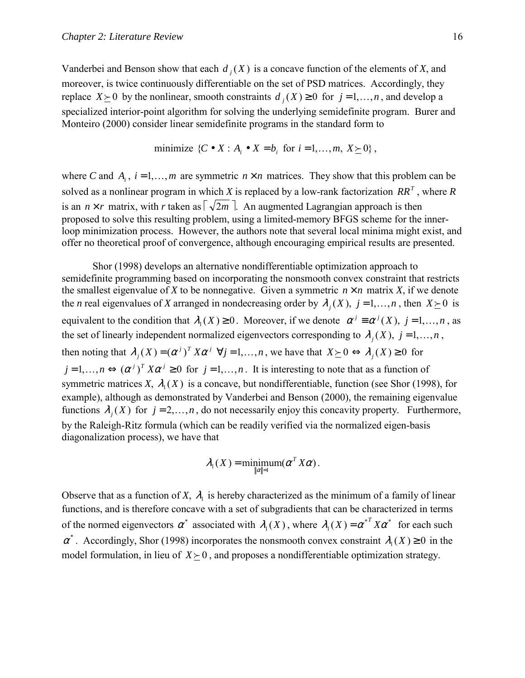Vanderbei and Benson show that each  $d_i(X)$  is a concave function of the elements of *X*, and moreover, is twice continuously differentiable on the set of PSD matrices. Accordingly, they replace *X*  $\ge$  0 by the nonlinear, smooth constraints *d* { (*X*) ≥ 0 for *j* = 1, ..., *n*, and develop a specialized interior-point algorithm for solving the underlying semidefinite program. Burer and Monteiro (2000) consider linear semidefinite programs in the standard form to

minimize 
$$
\{C \bullet X : A_i \bullet X = b_i \text{ for } i = 1, ..., m, X \succeq 0\}
$$
,

where *C* and *A<sub>i</sub>*,  $i = 1,...,m$  are symmetric  $n \times n$  matrices. They show that this problem can be solved as a nonlinear program in which *X* is replaced by a low-rank factorization  $RR^T$ , where *R* is an  $n \times r$  matrix, with *r* taken as  $\lceil \sqrt{2m} \rceil$ . An augmented Lagrangian approach is then proposed to solve this resulting problem, using a limited-memory BFGS scheme for the innerloop minimization process. However, the authors note that several local minima might exist, and offer no theoretical proof of convergence, although encouraging empirical results are presented.

 Shor (1998) develops an alternative nondifferentiable optimization approach to semidefinite programming based on incorporating the nonsmooth convex constraint that restricts the smallest eigenvalue of *X* to be nonnegative. Given a symmetric  $n \times n$  matrix *X*, if we denote the *n* real eigenvalues of *X* arranged in nondecreasing order by  $\lambda_i(X)$ ,  $j = 1,...,n$ , then  $X \succeq 0$  is equivalent to the condition that  $\lambda_1(X) \geq 0$ . Moreover, if we denote  $\alpha^j \equiv \alpha^j(X)$ ,  $j = 1,...,n$ , as the set of linearly independent normalized eigenvectors corresponding to  $\lambda_i(X)$ ,  $j = 1,...,n$ , then noting that  $\lambda_j(X) = (\alpha^j)^T X \alpha^j \ \forall j = 1, ..., n$ , we have that  $X \succeq 0 \Leftrightarrow \lambda_j(X) \ge 0$  for  $j = 1,...,n \Leftrightarrow (\alpha^{j})^{T} X \alpha^{j} \ge 0$  for  $j = 1,...,n$ . It is interesting to note that as a function of symmetric matrices *X*,  $\lambda_1(X)$  is a concave, but nondifferentiable, function (see Shor (1998), for example), although as demonstrated by Vanderbei and Benson (2000), the remaining eigenvalue functions  $\lambda_i(X)$  for  $j = 2, \dots, n$ , do not necessarily enjoy this concavity property. Furthermore, by the Raleigh-Ritz formula (which can be readily verified via the normalized eigen-basis diagonalization process), we have that

$$
\lambda_1(X) = \min_{\|\alpha\|=1} \operatorname{sum}(\alpha^T X \alpha).
$$

Observe that as a function of *X*,  $\lambda_1$  is hereby characterized as the minimum of a family of linear functions, and is therefore concave with a set of subgradients that can be characterized in terms of the normed eigenvectors  $\alpha^*$  associated with  $\lambda_1(X)$ , where  $\lambda_1(X) = {\alpha^*}^T X \alpha^*$  for each such  $\alpha^*$ . Accordingly, Shor (1998) incorporates the nonsmooth convex constraint  $\lambda_1(X) \ge 0$  in the model formulation, in lieu of  $X \geq 0$ , and proposes a nondifferentiable optimization strategy.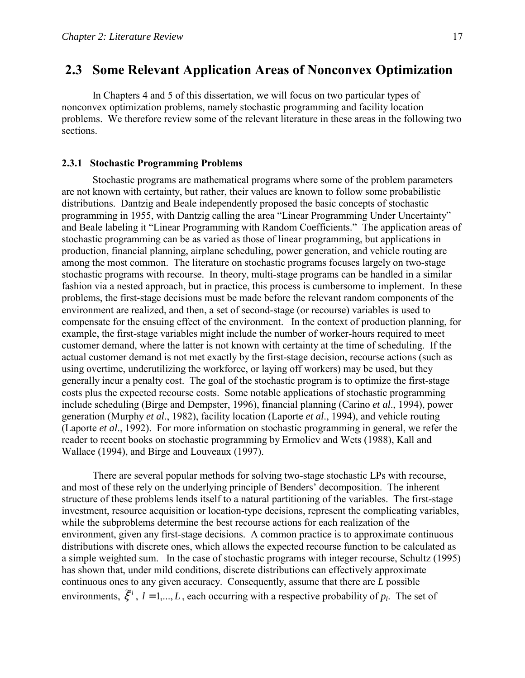## <span id="page-28-0"></span> **2.3 Some Relevant Application Areas of Nonconvex Optimization**

 In Chapters 4 and 5 of this dissertation, we will focus on two particular types of nonconvex optimization problems, namely stochastic programming and facility location problems. We therefore review some of the relevant literature in these areas in the following two sections.

### **2.3.1 Stochastic Programming Problems**

Stochastic programs are mathematical programs where some of the problem parameters are not known with certainty, but rather, their values are known to follow some probabilistic distributions. Dantzig and Beale independently proposed the basic concepts of stochastic programming in 1955, with Dantzig calling the area "Linear Programming Under Uncertainty" and Beale labeling it "Linear Programming with Random Coefficients." The application areas of stochastic programming can be as varied as those of linear programming, but applications in production, financial planning, airplane scheduling, power generation, and vehicle routing are among the most common. The literature on stochastic programs focuses largely on two-stage stochastic programs with recourse. In theory, multi-stage programs can be handled in a similar fashion via a nested approach, but in practice, this process is cumbersome to implement. In these problems, the first-stage decisions must be made before the relevant random components of the environment are realized, and then, a set of second-stage (or recourse) variables is used to compensate for the ensuing effect of the environment. In the context of production planning, for example, the first-stage variables might include the number of worker-hours required to meet customer demand, where the latter is not known with certainty at the time of scheduling. If the actual customer demand is not met exactly by the first-stage decision, recourse actions (such as using overtime, underutilizing the workforce, or laying off workers) may be used, but they generally incur a penalty cost. The goal of the stochastic program is to optimize the first-stage costs plus the expected recourse costs. Some notable applications of stochastic programming include scheduling (Birge and Dempster, 1996), financial planning (Carino *et al*., 1994), power generation (Murphy *et al*., 1982), facility location (Laporte *et al*., 1994), and vehicle routing (Laporte *et al*., 1992). For more information on stochastic programming in general, we refer the reader to recent books on stochastic programming by Ermoliev and Wets (1988), Kall and Wallace (1994), and Birge and Louveaux (1997).

There are several popular methods for solving two-stage stochastic LPs with recourse, and most of these rely on the underlying principle of Benders' decomposition. The inherent structure of these problems lends itself to a natural partitioning of the variables. The first-stage investment, resource acquisition or location-type decisions, represent the complicating variables, while the subproblems determine the best recourse actions for each realization of the environment, given any first-stage decisions. A common practice is to approximate continuous distributions with discrete ones, which allows the expected recourse function to be calculated as a simple weighted sum. In the case of stochastic programs with integer recourse, Schultz (1995) has shown that, under mild conditions, discrete distributions can effectively approximate continuous ones to any given accuracy. Consequently, assume that there are *L* possible environments,  $\tilde{\xi}^i$ ,  $l = 1,...,L$ , each occurring with a respective probability of  $p_l$ . The set of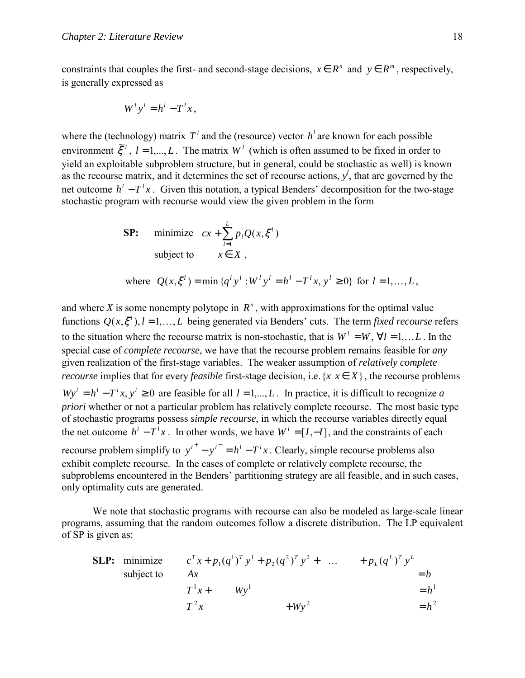constraints that couples the first- and second-stage decisions,  $x \in R^n$  and  $y \in R^m$ , respectively, is generally expressed as

$$
W^l y^l = h^l - T^l x,
$$

where the (technology) matrix  $T<sup>i</sup>$  and the (resource) vector  $h<sup>i</sup>$  are known for each possible environment  $\tilde{\xi}^i$ ,  $l = 1,...,L$ . The matrix  $W^l$  (which is often assumed to be fixed in order to yield an exploitable subproblem structure, but in general, could be stochastic as well) is known as the recourse matrix, and it determines the set of recourse actions,  $y^l$ , that are governed by the net outcome  $h^{l} - T^{l}x$ . Given this notation, a typical Benders' decomposition for the two-stage stochastic program with recourse would view the given problem in the form

**SP:** minimize 
$$
cx + \sum_{l=1}^{L} p_l Q(x, \xi^l)
$$
 subject to  $x \in X$ ,

where 
$$
Q(x, \xi^l) = \min \{q^l y^l : W^l y^l = h^l - T^l x, y^l \ge 0\}
$$
 for  $l = 1, ..., L$ ,

and where *X* is some nonempty polytope in  $R<sup>n</sup>$ , with approximations for the optimal value functions  $Q(x, \xi^l)$ ,  $l = 1, ..., L$  being generated via Benders' cuts. The term *fixed recourse* refers to the situation where the recourse matrix is non-stochastic, that is  $W' = W$ ,  $\forall l = 1,...L$ . In the special case of *complete recourse*, we have that the recourse problem remains feasible for *any* given realization of the first-stage variables. The weaker assumption of *relatively complete recourse* implies that for every *feasible* first-stage decision, i.e.  $\{x | x \in X\}$ , the recourse problems  $Wy' = h' - T'x, y' \ge 0$  are feasible for all  $l = 1,..., L$ . In practice, it is difficult to recognize *a priori* whether or not a particular problem has relatively complete recourse. The most basic type of stochastic programs possess *simple recourse*, in which the recourse variables directly equal the net outcome  $h^{l} - T^{l}x$ . In other words, we have  $W^{l} = [I, -I]$ , and the constraints of each recourse problem simplify to  $y^{i^+} - y^{i^-} = h^i - T^i x$ . Clearly, simple recourse problems also exhibit complete recourse. In the cases of complete or relatively complete recourse, the subproblems encountered in the Benders' partitioning strategy are all feasible, and in such cases, only optimality cuts are generated.

We note that stochastic programs with recourse can also be modeled as large-scale linear programs, assuming that the random outcomes follow a discrete distribution. The LP equivalent of SP is given as:

**SLP:** minimize 
$$
c^T x + p_1 (q^1)^T y^1 + p_2 (q^2)^T y^2 + \dots + p_L (q^L)^T y^L = b
$$

\nsubject to  $Ax = b$ 

\n
$$
T^1 x + W y^1 = h^1
$$
\n
$$
T^2 x + W y^2 = h^2
$$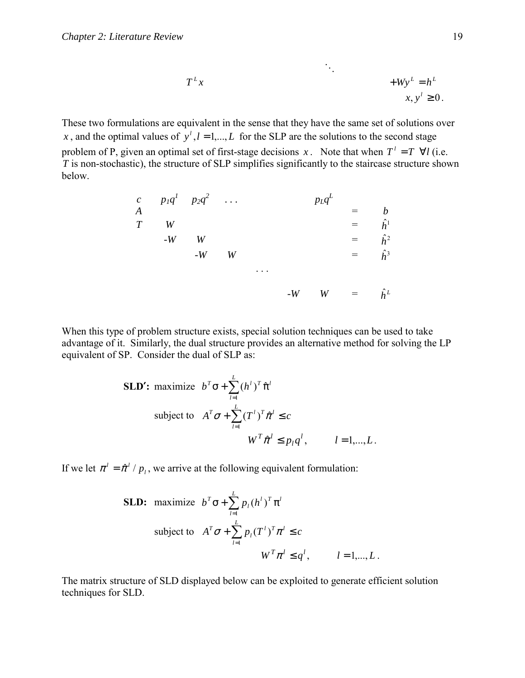$$
T^{L}x + Wy^{L} = h^{L}
$$

$$
x, y' \ge 0.
$$

These two formulations are equivalent in the sense that they have the same set of solutions over *x*, and the optimal values of  $y^{l}$ ,  $l = 1,..., L$  for the SLP are the solutions to the second stage problem of P, given an optimal set of first-stage decisions *x*. Note that when  $T^{\perp} = T \ \forall l$  (i.e.  $\overline{T}$  is non-stochastic), the structure of SLP simplifies significantly to the staircase structure shown below.

|                | c $p_1q^1$ $p_2q^2$ |      |   |      | $p_L q^L$ |     |             |
|----------------|---------------------|------|---|------|-----------|-----|-------------|
| $\overline{A}$ |                     |      |   |      |           |     |             |
| T              |                     |      |   |      |           | $=$ | $\hat{h}^1$ |
|                | $-W$                | W    |   |      |           |     | $\hat{h}^2$ |
|                |                     | $-W$ | W |      |           | $=$ | $\hat{h}^3$ |
|                |                     |      |   |      |           |     |             |
|                |                     |      |   |      |           | $=$ |             |
|                |                     |      |   | $-W$ | W         |     | $\hat{h}^L$ |

When this type of problem structure exists, special solution techniques can be used to take advantage of it. Similarly, the dual structure provides an alternative method for solving the LP equivalent of SP. Consider the dual of SLP as:

**SLD':** maximize 
$$
b^{T} \sigma + \sum_{l=1}^{L} (h^{l})^{T} \hat{\pi}^{l}
$$

\nsubject to 
$$
A^{T} \sigma + \sum_{l=1}^{L} (T^{l})^{T} \hat{\pi}^{l} \leq c
$$

\n
$$
W^{T} \hat{\pi}^{l} \leq p_{l} q^{l}, \qquad l = 1, \ldots, L.
$$

If we let  $\pi^l = \hat{\pi}^l / p_l$ , we arrive at the following equivalent formulation:

**SLD:** maximize 
$$
b^T \sigma + \sum_{l=1}^{L} p_l (h^l)^T \pi^l
$$

\nsubject to 
$$
A^T \sigma + \sum_{l=1}^{L} p_l (T^l)^T \pi^l \leq c
$$

\n
$$
W^T \pi^l \leq q^l, \qquad l = 1, \dots, L.
$$

The matrix structure of SLD displayed below can be exploited to generate efficient solution techniques for SLD.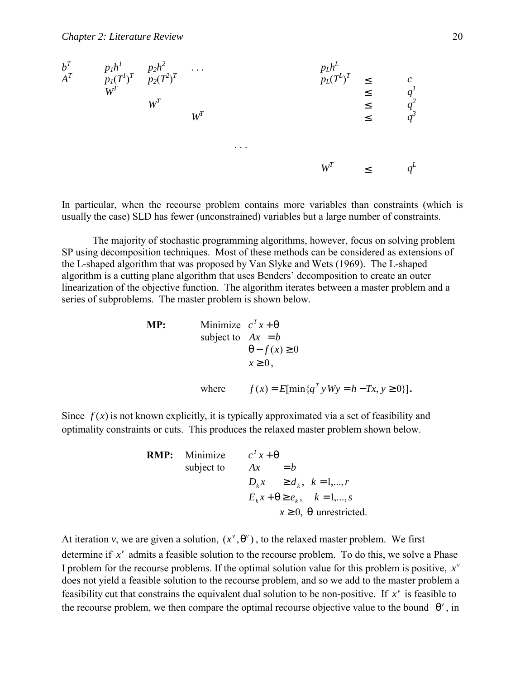

In particular, when the recourse problem contains more variables than constraints (which is usually the case) SLD has fewer (unconstrained) variables but a large number of constraints.

 The majority of stochastic programming algorithms, however, focus on solving problem SP using decomposition techniques. Most of these methods can be considered as extensions of the L-shaped algorithm that was proposed by Van Slyke and Wets (1969). The L-shaped algorithm is a cutting plane algorithm that uses Benders' decomposition to create an outer linearization of the objective function. The algorithm iterates between a master problem and a series of subproblems. The master problem is shown below.

$$
\begin{aligned}\n\mathbf{MP:} \qquad & \text{Minimize} \quad c^T x + \theta \\
& \text{subject to} \quad Ax = b \\
& \theta - f(x) \ge 0 \\
& x \ge 0, \\
\text{where} \qquad f(x) = E[\min\{q^T y | Wy = h - Tx, y \ge 0\}].\n\end{aligned}
$$

Since  $f(x)$  is not known explicitly, it is typically approximated via a set of feasibility and optimality constraints or cuts. This produces the relaxed master problem shown below.

**RMP:** Minimize 
$$
c^T x + \theta
$$
  
subject to  $Ax = b$   
 $D_k x \ge d_k, k = 1,...,r$   
 $E_k x + \theta \ge e_k, k = 1,...,s$   
 $x \ge 0, \theta$  unrestricted.

At iteration *v*, we are given a solution,  $(x^{\nu}, \theta^{\nu})$ , to the relaxed master problem. We first determine if  $x^{\nu}$  admits a feasible solution to the recourse problem. To do this, we solve a Phase I problem for the recourse problems. If the optimal solution value for this problem is positive,  $x^{\nu}$ does not yield a feasible solution to the recourse problem, and so we add to the master problem a feasibility cut that constrains the equivalent dual solution to be non-positive. If  $x^v$  is feasible to the recourse problem, we then compare the optimal recourse objective value to the bound  $\theta^{\nu}$ , in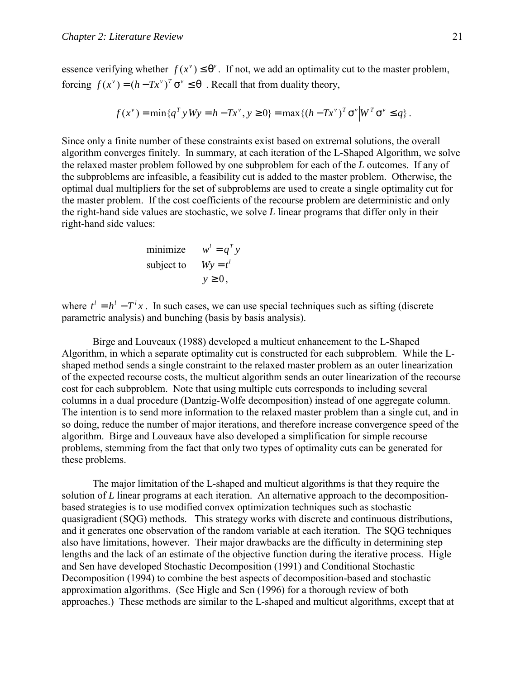essence verifying whether  $f(x^{\nu}) \leq \theta^{\nu}$ . If not, we add an optimality cut to the master problem, forcing  $f(x^{\nu}) = (h - Tx^{\nu})^T \sigma^{\nu} \leq \theta$ . Recall that from duality theory,

$$
f(x^{\nu}) = \min \{ q^{T} y | W y = h - T x^{\nu}, y \ge 0 \} = \max \{ (h - T x^{\nu})^{T} \sigma^{\nu} | W^{T} \sigma^{\nu} \le q \}.
$$

Since only a finite number of these constraints exist based on extremal solutions, the overall algorithm converges finitely. In summary, at each iteration of the L-Shaped Algorithm, we solve the relaxed master problem followed by one subproblem for each of the *L* outcomes. If any of the subproblems are infeasible, a feasibility cut is added to the master problem. Otherwise, the optimal dual multipliers for the set of subproblems are used to create a single optimality cut for the master problem. If the cost coefficients of the recourse problem are deterministic and only the right-hand side values are stochastic, we solve *L* linear programs that differ only in their right-hand side values:

minimize 
$$
w^l = q^T y
$$
  
subject to  $Wy = t^l$   
 $y \ge 0$ ,

where  $t^i = h^i - T^i x$ . In such cases, we can use special techniques such as sifting (discrete parametric analysis) and bunching (basis by basis analysis).

Birge and Louveaux (1988) developed a multicut enhancement to the L-Shaped Algorithm, in which a separate optimality cut is constructed for each subproblem. While the Lshaped method sends a single constraint to the relaxed master problem as an outer linearization of the expected recourse costs, the multicut algorithm sends an outer linearization of the recourse cost for each subproblem. Note that using multiple cuts corresponds to including several columns in a dual procedure (Dantzig-Wolfe decomposition) instead of one aggregate column. The intention is to send more information to the relaxed master problem than a single cut, and in so doing, reduce the number of major iterations, and therefore increase convergence speed of the algorithm. Birge and Louveaux have also developed a simplification for simple recourse problems, stemming from the fact that only two types of optimality cuts can be generated for these problems.

 The major limitation of the L-shaped and multicut algorithms is that they require the solution of *L* linear programs at each iteration. An alternative approach to the decompositionbased strategies is to use modified convex optimization techniques such as stochastic quasigradient (SQG) methods. This strategy works with discrete and continuous distributions, and it generates one observation of the random variable at each iteration. The SQG techniques also have limitations, however. Their major drawbacks are the difficulty in determining step lengths and the lack of an estimate of the objective function during the iterative process. Higle and Sen have developed Stochastic Decomposition (1991) and Conditional Stochastic Decomposition (1994) to combine the best aspects of decomposition-based and stochastic approximation algorithms. (See Higle and Sen (1996) for a thorough review of both approaches.) These methods are similar to the L-shaped and multicut algorithms, except that at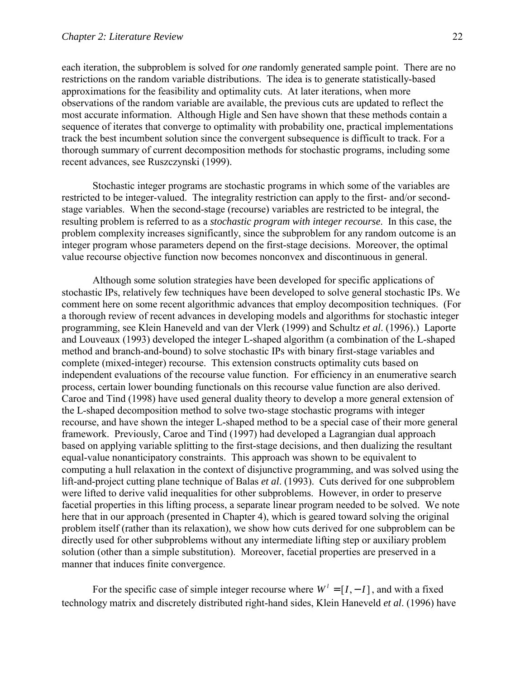each iteration, the subproblem is solved for *one* randomly generated sample point. There are no restrictions on the random variable distributions. The idea is to generate statistically-based approximations for the feasibility and optimality cuts. At later iterations, when more observations of the random variable are available, the previous cuts are updated to reflect the most accurate information. Although Higle and Sen have shown that these methods contain a sequence of iterates that converge to optimality with probability one, practical implementations track the best incumbent solution since the convergent subsequence is difficult to track. For a thorough summary of current decomposition methods for stochastic programs, including some recent advances, see Ruszczynski (1999).

 Stochastic integer programs are stochastic programs in which some of the variables are restricted to be integer-valued. The integrality restriction can apply to the first- and/or secondstage variables. When the second-stage (recourse) variables are restricted to be integral, the resulting problem is referred to as a *stochastic program with integer recourse*. In this case, the problem complexity increases significantly, since the subproblem for any random outcome is an integer program whose parameters depend on the first-stage decisions. Moreover, the optimal value recourse objective function now becomes nonconvex and discontinuous in general.

Although some solution strategies have been developed for specific applications of stochastic IPs, relatively few techniques have been developed to solve general stochastic IPs. We comment here on some recent algorithmic advances that employ decomposition techniques. (For a thorough review of recent advances in developing models and algorithms for stochastic integer programming, see Klein Haneveld and van der Vlerk (1999) and Schultz *et al*. (1996).) Laporte and Louveaux (1993) developed the integer L-shaped algorithm (a combination of the L-shaped method and branch-and-bound) to solve stochastic IPs with binary first-stage variables and complete (mixed-integer) recourse. This extension constructs optimality cuts based on independent evaluations of the recourse value function. For efficiency in an enumerative search process, certain lower bounding functionals on this recourse value function are also derived. Caroe and Tind (1998) have used general duality theory to develop a more general extension of the L-shaped decomposition method to solve two-stage stochastic programs with integer recourse, and have shown the integer L-shaped method to be a special case of their more general framework. Previously, Caroe and Tind (1997) had developed a Lagrangian dual approach based on applying variable splitting to the first-stage decisions, and then dualizing the resultant equal-value nonanticipatory constraints. This approach was shown to be equivalent to computing a hull relaxation in the context of disjunctive programming, and was solved using the lift-and-project cutting plane technique of Balas *et al*. (1993). Cuts derived for one subproblem were lifted to derive valid inequalities for other subproblems. However, in order to preserve facetial properties in this lifting process, a separate linear program needed to be solved. We note here that in our approach (presented in Chapter 4), which is geared toward solving the original problem itself (rather than its relaxation), we show how cuts derived for one subproblem can be directly used for other subproblems without any intermediate lifting step or auxiliary problem solution (other than a simple substitution). Moreover, facetial properties are preserved in a manner that induces finite convergence.

For the specific case of simple integer recourse where  $W^l = [I, -I]$ , and with a fixed technology matrix and discretely distributed right-hand sides, Klein Haneveld *et al*. (1996) have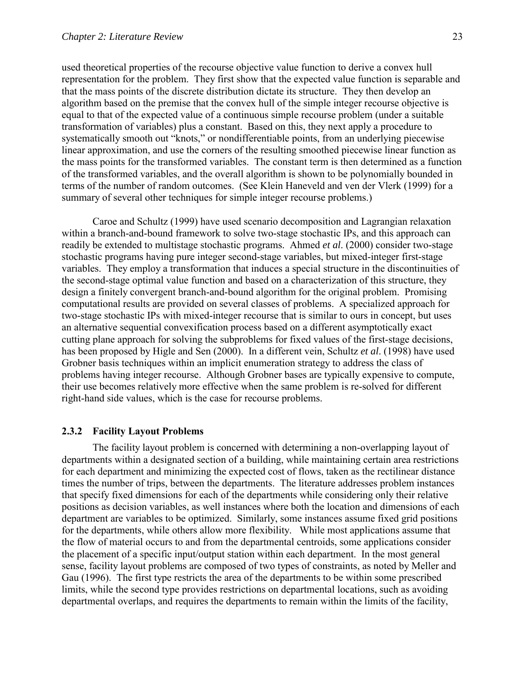<span id="page-34-0"></span>used theoretical properties of the recourse objective value function to derive a convex hull representation for the problem. They first show that the expected value function is separable and that the mass points of the discrete distribution dictate its structure. They then develop an algorithm based on the premise that the convex hull of the simple integer recourse objective is equal to that of the expected value of a continuous simple recourse problem (under a suitable transformation of variables) plus a constant. Based on this, they next apply a procedure to systematically smooth out "knots," or nondifferentiable points, from an underlying piecewise linear approximation, and use the corners of the resulting smoothed piecewise linear function as the mass points for the transformed variables. The constant term is then determined as a function of the transformed variables, and the overall algorithm is shown to be polynomially bounded in terms of the number of random outcomes. (See Klein Haneveld and ven der Vlerk (1999) for a summary of several other techniques for simple integer recourse problems.)

Caroe and Schultz (1999) have used scenario decomposition and Lagrangian relaxation within a branch-and-bound framework to solve two-stage stochastic IPs, and this approach can readily be extended to multistage stochastic programs. Ahmed *et al*. (2000) consider two-stage stochastic programs having pure integer second-stage variables, but mixed-integer first-stage variables. They employ a transformation that induces a special structure in the discontinuities of the second-stage optimal value function and based on a characterization of this structure, they design a finitely convergent branch-and-bound algorithm for the original problem. Promising computational results are provided on several classes of problems. A specialized approach for two-stage stochastic IPs with mixed-integer recourse that is similar to ours in concept, but uses an alternative sequential convexification process based on a different asymptotically exact cutting plane approach for solving the subproblems for fixed values of the first-stage decisions, has been proposed by Higle and Sen (2000). In a different vein, Schultz *et al*. (1998) have used Grobner basis techniques within an implicit enumeration strategy to address the class of problems having integer recourse. Although Grobner bases are typically expensive to compute, their use becomes relatively more effective when the same problem is re-solved for different right-hand side values, which is the case for recourse problems.

#### **2.3.2 Facility Layout Problems**

 The facility layout problem is concerned with determining a non-overlapping layout of departments within a designated section of a building, while maintaining certain area restrictions for each department and minimizing the expected cost of flows, taken as the rectilinear distance times the number of trips, between the departments. The literature addresses problem instances that specify fixed dimensions for each of the departments while considering only their relative positions as decision variables, as well instances where both the location and dimensions of each department are variables to be optimized. Similarly, some instances assume fixed grid positions for the departments, while others allow more flexibility. While most applications assume that the flow of material occurs to and from the departmental centroids, some applications consider the placement of a specific input/output station within each department. In the most general sense, facility layout problems are composed of two types of constraints, as noted by Meller and Gau (1996). The first type restricts the area of the departments to be within some prescribed limits, while the second type provides restrictions on departmental locations, such as avoiding departmental overlaps, and requires the departments to remain within the limits of the facility,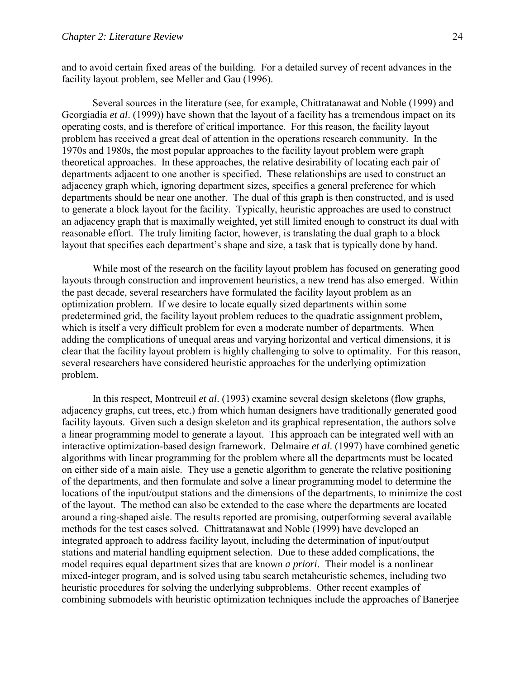and to avoid certain fixed areas of the building. For a detailed survey of recent advances in the facility layout problem, see Meller and Gau (1996).

 Several sources in the literature (see, for example, Chittratanawat and Noble (1999) and Georgiadia *et al*. (1999)) have shown that the layout of a facility has a tremendous impact on its operating costs, and is therefore of critical importance. For this reason, the facility layout problem has received a great deal of attention in the operations research community. In the 1970s and 1980s, the most popular approaches to the facility layout problem were graph theoretical approaches. In these approaches, the relative desirability of locating each pair of departments adjacent to one another is specified. These relationships are used to construct an adjacency graph which, ignoring department sizes, specifies a general preference for which departments should be near one another. The dual of this graph is then constructed, and is used to generate a block layout for the facility. Typically, heuristic approaches are used to construct an adjacency graph that is maximally weighted, yet still limited enough to construct its dual with reasonable effort. The truly limiting factor, however, is translating the dual graph to a block layout that specifies each department's shape and size, a task that is typically done by hand.

While most of the research on the facility layout problem has focused on generating good layouts through construction and improvement heuristics, a new trend has also emerged. Within the past decade, several researchers have formulated the facility layout problem as an optimization problem. If we desire to locate equally sized departments within some predetermined grid, the facility layout problem reduces to the quadratic assignment problem, which is itself a very difficult problem for even a moderate number of departments. When adding the complications of unequal areas and varying horizontal and vertical dimensions, it is clear that the facility layout problem is highly challenging to solve to optimality. For this reason, several researchers have considered heuristic approaches for the underlying optimization problem.

In this respect, Montreuil *et al*. (1993) examine several design skeletons (flow graphs, adjacency graphs, cut trees, etc.) from which human designers have traditionally generated good facility layouts. Given such a design skeleton and its graphical representation, the authors solve a linear programming model to generate a layout. This approach can be integrated well with an interactive optimization-based design framework. Delmaire *et al*. (1997) have combined genetic algorithms with linear programming for the problem where all the departments must be located on either side of a main aisle. They use a genetic algorithm to generate the relative positioning of the departments, and then formulate and solve a linear programming model to determine the locations of the input/output stations and the dimensions of the departments, to minimize the cost of the layout. The method can also be extended to the case where the departments are located around a ring-shaped aisle. The results reported are promising, outperforming several available methods for the test cases solved. Chittratanawat and Noble (1999) have developed an integrated approach to address facility layout, including the determination of input/output stations and material handling equipment selection. Due to these added complications, the model requires equal department sizes that are known *a priori*. Their model is a nonlinear mixed-integer program, and is solved using tabu search metaheuristic schemes, including two heuristic procedures for solving the underlying subproblems. Other recent examples of combining submodels with heuristic optimization techniques include the approaches of Banerjee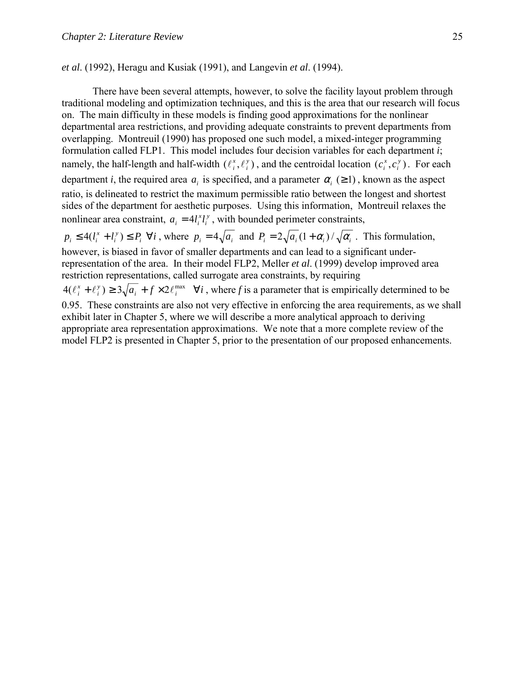*et al*. (1992), Heragu and Kusiak (1991), and Langevin *et al*. (1994).

There have been several attempts, however, to solve the facility layout problem through traditional modeling and optimization techniques, and this is the area that our research will focus on. The main difficulty in these models is finding good approximations for the nonlinear departmental area restrictions, and providing adequate constraints to prevent departments from overlapping. Montreuil (1990) has proposed one such model, a mixed-integer programming formulation called FLP1. This model includes four decision variables for each department *i*; namely, the half-length and half-width  $(\ell_i^x, \ell_j^y)$ *i*  $\ell_i^x, \ell_i^y$ ), and the centroidal location  $(c_i^x, c_i^y)$ *i*  $c_i^x$ ,  $c_i^y$ ). For each department *i*, the required area  $a_i$  is specified, and a parameter  $\alpha_i$  ( $\geq$  1), known as the aspect ratio, is delineated to restrict the maximum permissible ratio between the longest and shortest sides of the department for aesthetic purposes. Using this information, Montreuil relaxes the nonlinear area constraint,  $a_i = 4l_i^x l_i^y$  $a_i = 4l_i^x l_i^y$ , with bounded perimeter constraints,

 $p_i \leq 4(l_i^x + l_i^y) \leq P_i \ \forall i$ *i*  $p_i \leq 4(l_i^x + l_i^y) \leq P_i \quad \forall i$ , where  $p_i = 4\sqrt{a_i}$  and  $P_i = 2\sqrt{a_i}(1 + \alpha_i)/\sqrt{\alpha_i}$ . This formulation, however, is biased in favor of smaller departments and can lead to a significant underrepresentation of the area. In their model FLP2, Meller *et al*. (1999) develop improved area restriction representations, called surrogate area constraints, by requiring

 $\mathcal{A}_{i}^{y}$ )  $\geq 3\sqrt{a_{i} + f \times 2\ell_{i}^{max}}$   $\forall i$ *i*  $4(\ell_i^x + \ell_i^y) \ge 3\sqrt{a_i + f \times 2\ell_i^{max} \quad \forall i}$ , where *f* is a parameter that is empirically determined to be 0.95. These constraints are also not very effective in enforcing the area requirements, as we shall exhibit later in Chapter 5, where we will describe a more analytical approach to deriving appropriate area representation approximations. We note that a more complete review of the model FLP2 is presented in Chapter 5, prior to the presentation of our proposed enhancements.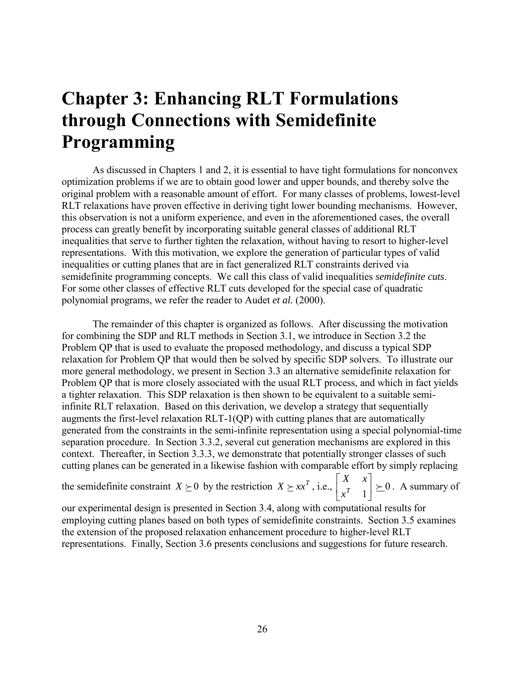# **Chapter 3: Enhancing RLT Formulations through Connections with Semidefinite Programming**

As discussed in Chapters 1 and 2, it is essential to have tight formulations for nonconvex optimization problems if we are to obtain good lower and upper bounds, and thereby solve the original problem with a reasonable amount of effort. For many classes of problems, lowest-level RLT relaxations have proven effective in deriving tight lower bounding mechanisms. However, this observation is not a uniform experience, and even in the aforementioned cases, the overall process can greatly benefit by incorporating suitable general classes of additional RLT inequalities that serve to further tighten the relaxation, without having to resort to higher-level representations. With this motivation, we explore the generation of particular types of valid inequalities or cutting planes that are in fact generalized RLT constraints derived via semidefinite programming concepts. We call this class of valid inequalities *semidefinite cuts*. For some other classes of effective RLT cuts developed for the special case of quadratic polynomial programs, we refer the reader to Audet *et al.* (2000).

The remainder of this chapter is organized as follows. After discussing the motivation for combining the SDP and RLT methods in Section 3.1, we introduce in Section 3.2 the Problem QP that is used to evaluate the proposed methodology, and discuss a typical SDP relaxation for Problem QP that would then be solved by specific SDP solvers. To illustrate our more general methodology, we present in Section 3.3 an alternative semidefinite relaxation for Problem QP that is more closely associated with the usual RLT process, and which in fact yields a tighter relaxation. This SDP relaxation is then shown to be equivalent to a suitable semiinfinite RLT relaxation. Based on this derivation, we develop a strategy that sequentially augments the first-level relaxation RLT-1(QP) with cutting planes that are automatically generated from the constraints in the semi-infinite representation using a special polynomial-time separation procedure. In Section 3.3.2, several cut generation mechanisms are explored in this context. Thereafter, in Section 3.3.3, we demonstrate that potentially stronger classes of such cutting planes can be generated in a likewise fashion with comparable effort by simply replacing

the semidefinite constraint  $X \succeq 0$  by the restriction  $X \succeq xx^T$ , i.e.,  $\begin{bmatrix} x & x \\ x^T & 1 \end{bmatrix} \succeq 0$  $\begin{vmatrix} X & x \\ x^T & 1 \end{vmatrix}$ L L *T x*  $\begin{bmatrix} X & x \\ \overline{x} & x \end{bmatrix} \succeq 0$ . A summary of

our experimental design is presented in Section 3.4, along with computational results for employing cutting planes based on both types of semidefinite constraints. Section 3.5 examines the extension of the proposed relaxation enhancement procedure to higher-level RLT representations. Finally, Section 3.6 presents conclusions and suggestions for future research.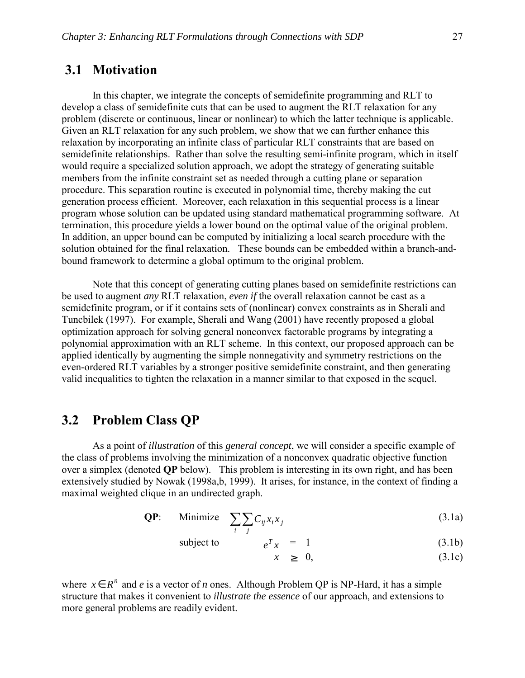# **3.1 Motivation**

 In this chapter, we integrate the concepts of semidefinite programming and RLT to develop a class of semidefinite cuts that can be used to augment the RLT relaxation for any problem (discrete or continuous, linear or nonlinear) to which the latter technique is applicable. Given an RLT relaxation for any such problem, we show that we can further enhance this relaxation by incorporating an infinite class of particular RLT constraints that are based on semidefinite relationships. Rather than solve the resulting semi-infinite program, which in itself would require a specialized solution approach, we adopt the strategy of generating suitable members from the infinite constraint set as needed through a cutting plane or separation procedure. This separation routine is executed in polynomial time, thereby making the cut generation process efficient. Moreover, each relaxation in this sequential process is a linear program whose solution can be updated using standard mathematical programming software. At termination, this procedure yields a lower bound on the optimal value of the original problem. In addition, an upper bound can be computed by initializing a local search procedure with the solution obtained for the final relaxation. These bounds can be embedded within a branch-andbound framework to determine a global optimum to the original problem.

 Note that this concept of generating cutting planes based on semidefinite restrictions can be used to augment *any* RLT relaxation, *even if* the overall relaxation cannot be cast as a semidefinite program, or if it contains sets of (nonlinear) convex constraints as in Sherali and Tuncbilek (1997). For example, Sherali and Wang (2001) have recently proposed a global optimization approach for solving general nonconvex factorable programs by integrating a polynomial approximation with an RLT scheme. In this context, our proposed approach can be applied identically by augmenting the simple nonnegativity and symmetry restrictions on the even-ordered RLT variables by a stronger positive semidefinite constraint, and then generating valid inequalities to tighten the relaxation in a manner similar to that exposed in the sequel.

# **3.2 Problem Class QP**

 As a point of *illustration* of this *general concept*, we will consider a specific example of the class of problems involving the minimization of a nonconvex quadratic objective function over a simplex (denoted **QP** below). This problem is interesting in its own right, and has been extensively studied by Nowak (1998a,b, 1999). It arises, for instance, in the context of finding a maximal weighted clique in an undirected graph.

$$
\textbf{QP:} \qquad \text{Minimize} \quad \sum_{i} \sum_{j} C_{ij} x_i x_j \tag{3.1a}
$$

subject to  $e^T x = 1$  (3.1b)

$$
x \geq 0, \tag{3.1c}
$$

where  $x \in R^n$  and *e* is a vector of *n* ones. Although Problem OP is NP-Hard, it has a simple structure that makes it convenient to *illustrate the essence* of our approach, and extensions to more general problems are readily evident.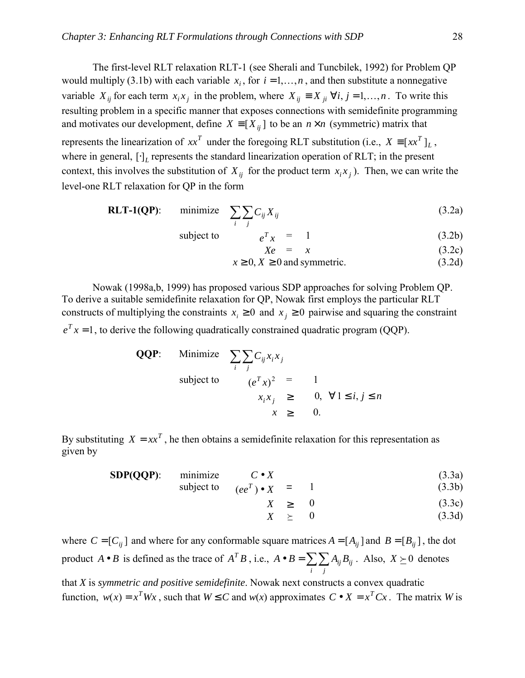The first-level RLT relaxation RLT-1 (see Sherali and Tuncbilek, 1992) for Problem QP would multiply (3.1b) with each variable  $x_i$ , for  $i = 1,...,n$ , and then substitute a nonnegative variable  $X_{ii}$  for each term  $x_i x_j$  in the problem, where  $X_{ii} \equiv X_{ii} \ \forall i, j = 1,...,n$ . To write this resulting problem in a specific manner that exposes connections with semidefinite programming and motivates our development, define  $X = [X_{ii}]$  to be an  $n \times n$  (symmetric) matrix that represents the linearization of  $xx^T$  under the foregoing RLT substitution (i.e.,  $X = [xx^T]_L$ , where in general,  $[\cdot]_l$  represents the standard linearization operation of RLT; in the present context, this involves the substitution of  $X_{ij}$  for the product term  $x_i x_j$ ). Then, we can write the level-one RLT relaxation for QP in the form

**RLT-1(QP)**: minimize 
$$
\sum_{i} \sum_{j} C_{ij} X_{ij}
$$
 (3.2a)

subject to 
$$
e^T x = 1
$$
 (3.2b)

$$
Xe = x \tag{3.2c}
$$

$$
x \ge 0, X \ge 0 \text{ and symmetric.} \tag{3.2d}
$$

 Nowak (1998a,b, 1999) has proposed various SDP approaches for solving Problem QP. To derive a suitable semidefinite relaxation for QP, Nowak first employs the particular RLT constructs of multiplying the constraints  $x_i \geq 0$  and  $x_j \geq 0$  pairwise and squaring the constraint  $e^T x = 1$ , to derive the following quadratically constrained quadratic program (QQP).

**QQP:** Minimize 
$$
\sum_{i} \sum_{j} C_{ij} x_{i} x_{j}
$$
subject to 
$$
(e^{T} x)^{2} = 1
$$

$$
x_{i} x_{j} \geq 0, \forall 1 \leq i, j \leq n
$$

$$
x \geq 0.
$$

By substituting  $X = xx^T$ , he then obtains a semidefinite relaxation for this representation as given by

**SDP(QQP)**: minimize  $C \bullet X$  (3.3a)

subject to  $(ee^T) \bullet X = 1$  (3.3b)

$$
X \geq 0 \tag{3.3c}
$$

$$
X \geq 0 \tag{3.3d}
$$

where  $C = [C_{ij}]$  and where for any conformable square matrices  $A = [A_{ij}]$  and  $B = [B_{ij}]$ , the dot product *A* • *B* is defined as the trace of  $A^T B$ , i.e.,  $A \bullet B = \sum_i \sum_j$  $A \bullet B = \sum_{i} \sum_{j} A_{ij} B_{ij}$ . Also,  $X \succeq 0$  denotes

that *X* is *symmetric and positive semidefinite*. Nowak next constructs a convex quadratic function,  $w(x) = x^T Wx$ , such that  $W \le C$  and  $w(x)$  approximates  $C \cdot X = x^T C x$ . The matrix *W* is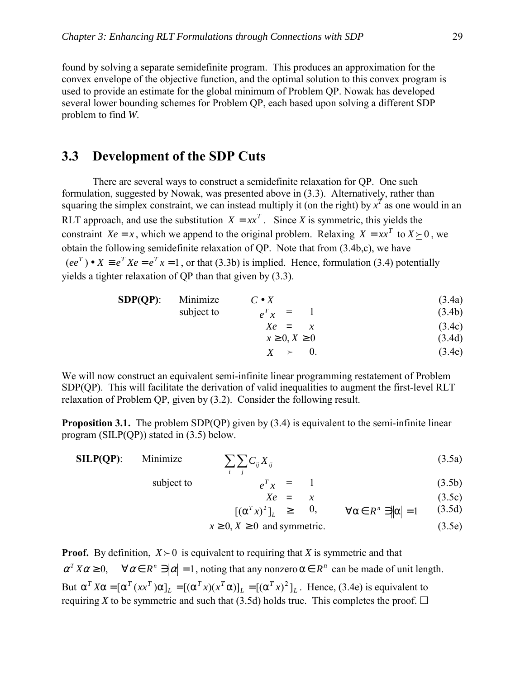found by solving a separate semidefinite program. This produces an approximation for the convex envelope of the objective function, and the optimal solution to this convex program is used to provide an estimate for the global minimum of Problem QP. Nowak has developed several lower bounding schemes for Problem QP, each based upon solving a different SDP problem to find *W*.

# **3.3 Development of the SDP Cuts**

There are several ways to construct a semidefinite relaxation for QP. One such formulation, suggested by Nowak, was presented above in (3.3). Alternatively, rather than squaring the simplex constraint, we can instead multiply it (on the right) by  $x^T$  as one would in an RLT approach, and use the substitution  $X = xx^T$ . Since *X* is symmetric, this yields the constraint *Xe* = *x*, which we append to the original problem. Relaxing *X* =  $xx^T$  to *X*  $> 0$ , we obtain the following semidefinite relaxation of QP. Note that from (3.4b,c), we have  $(ee^T) \bullet X \equiv e^T X e = e^T x = 1$ , or that (3.3b) is implied. Hence, formulation (3.4) potentially yields a tighter relaxation of QP than that given by (3.3).

| $SDP(QP)$ : | Minimize   | $C \bullet X$        | (3.4a) |
|-------------|------------|----------------------|--------|
|             | subject to | $e^T x =$            | (3.4b) |
|             |            | $Xe = x$             | (3.4c) |
|             |            | $x \geq 0, X \geq 0$ | (3.4d) |

 $X \rightarrow 0.$  (3.4e)

We will now construct an equivalent semi-infinite linear programming restatement of Problem SDP(QP). This will facilitate the derivation of valid inequalities to augment the first-level RLT relaxation of Problem QP, given by (3.2). Consider the following result.

**Proposition 3.1.** The problem SDP(QP) given by (3.4) is equivalent to the semi-infinite linear program (SILP(QP)) stated in (3.5) below.

| $SLP(QP)$ : | Minimize   | $\sum \sum C_{ij} X_{ij}$ | (3.5a) |
|-------------|------------|---------------------------|--------|
|             | subject to | $e^T x =$                 | (3.5b) |

$$
Xe = x \t(3.5c)
$$

$$
[(\alpha^T x)^2]_L \geq 0, \qquad \forall \alpha \in R^n \ni \|\alpha\| = 1 \qquad (3.5d)
$$

$$
x \ge 0, X \ge 0 \text{ and symmetric.}
$$
 (3.5e)

**Proof.** By definition,  $X \succ 0$  is equivalent to requiring that *X* is symmetric and that  $\alpha^T X \alpha \ge 0$ ,  $\forall \alpha \in R^n$   $\exists |\alpha| = 1$ , noting that any nonzero  $\alpha \in R^n$  can be made of unit length. But  $\alpha^T X \alpha = [\alpha^T (xx^T) \alpha]_L = [(\alpha^T x)(x^T \alpha)]_L = [(\alpha^T x)^2]_L$ *L*  $T_{\nu}$  $\sim$ *T*  $\alpha^T X \alpha = [\alpha^T (xx^T) \alpha]_L = [(\alpha^T x)(x^T \alpha)]_L = [(\alpha^T x)^2]_L$ . Hence, (3.4e) is equivalent to requiring *X* to be symmetric and such that (3.5d) holds true. This completes the proof.  $\Box$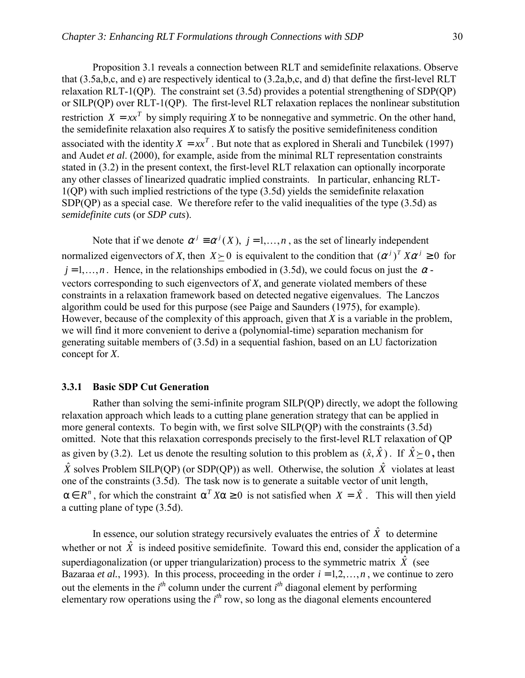Proposition 3.1 reveals a connection between RLT and semidefinite relaxations. Observe that (3.5a,b,c, and e) are respectively identical to (3.2a,b,c, and d) that define the first-level RLT relaxation RLT-1(QP). The constraint set (3.5d) provides a potential strengthening of SDP(QP) or SILP(QP) over RLT-1(QP). The first-level RLT relaxation replaces the nonlinear substitution restriction  $X = xx^T$  by simply requiring X to be nonnegative and symmetric. On the other hand, the semidefinite relaxation also requires *X* to satisfy the positive semidefiniteness condition associated with the identity  $X = xx^T$ . But note that as explored in Sherali and Tuncbilek (1997) and Audet *et al*. (2000), for example, aside from the minimal RLT representation constraints stated in (3.2) in the present context, the first-level RLT relaxation can optionally incorporate any other classes of linearized quadratic implied constraints. In particular, enhancing RLT-1(QP) with such implied restrictions of the type (3.5d) yields the semidefinite relaxation SDP(OP) as a special case. We therefore refer to the valid inequalities of the type (3.5d) as *semidefinite cuts* (or *SDP cuts*).

Note that if we denote  $\alpha^{j} \equiv \alpha^{j}(X)$ ,  $j = 1,...,n$ , as the set of linearly independent normalized eigenvectors of *X*, then  $X \succeq 0$  is equivalent to the condition that  $(\alpha^j)^T X \alpha^j \geq 0$  for  $j = 1, \ldots, n$ . Hence, in the relationships embodied in (3.5d), we could focus on just the  $\alpha$ vectors corresponding to such eigenvectors of *X*, and generate violated members of these constraints in a relaxation framework based on detected negative eigenvalues. The Lanczos algorithm could be used for this purpose (see Paige and Saunders (1975), for example). However, because of the complexity of this approach, given that *X* is a variable in the problem, we will find it more convenient to derive a (polynomial-time) separation mechanism for generating suitable members of (3.5d) in a sequential fashion, based on an LU factorization concept for *X*.

### **3.3.1 Basic SDP Cut Generation**

 Rather than solving the semi-infinite program SILP(QP) directly, we adopt the following relaxation approach which leads to a cutting plane generation strategy that can be applied in more general contexts. To begin with, we first solve SILP(QP) with the constraints (3.5d) omitted. Note that this relaxation corresponds precisely to the first-level RLT relaxation of QP as given by (3.2). Let us denote the resulting solution to this problem as  $(\hat{x}, \hat{X})$ . If  $\hat{X} \succ 0$ , then  $\hat{X}$  solves Problem SILP(OP) (or SDP(OP)) as well. Otherwise, the solution  $\hat{X}$  violates at least one of the constraints (3.5d). The task now is to generate a suitable vector of unit length,  $\alpha \in R^n$ , for which the constraint  $\alpha^T X \alpha \ge 0$  is not satisfied when  $X = \hat{X}$ . This will then yield a cutting plane of type (3.5d).

In essence, our solution strategy recursively evaluates the entries of  $\hat{X}$  to determine whether or not  $\hat{X}$  is indeed positive semidefinite. Toward this end, consider the application of a superdiagonalization (or upper triangularization) process to the symmetric matrix  $\hat{X}$  (see Bazaraa *et al.*, 1993). In this process, proceeding in the order  $i = 1, 2, \ldots, n$ , we continue to zero out the elements in the  $i<sup>th</sup>$  column under the current  $i<sup>th</sup>$  diagonal element by performing elementary row operations using the *i th* row, so long as the diagonal elements encountered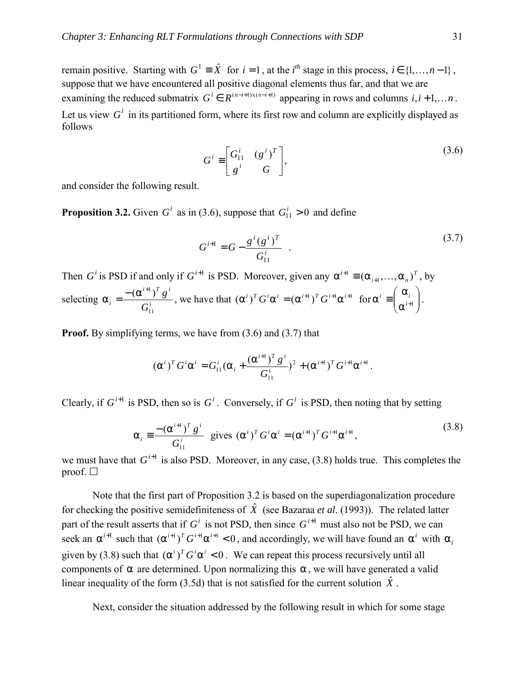remain positive. Starting with  $G^1 \equiv \hat{X}$  for  $i = 1$ , at the  $i^{th}$  stage in this process,  $i \in \{1, ..., n-1\}$ , suppose that we have encountered all positive diagonal elements thus far, and that we are examining the reduced submatrix  $G^i \in R^{(n-i+1)x(n-i+1)}$  appearing in rows and columns  $i, i+1,...,n$ . Let us view  $G^i$  in its partitioned form, where its first row and column are explicitly displayed as follows

$$
G^i \equiv \begin{bmatrix} G^i_{11} & (g^i)^T \\ g^i & G \end{bmatrix},\tag{3.6}
$$

and consider the following result.

**Proposition 3.2.** Given  $G^i$  as in (3.6), suppose that  $G^i_{11} > 0$  and define

$$
G^{i+1} = G - \frac{g^{i}(g^{i})^{T}}{G_{11}^{i}} \t\t(3.7)
$$

Then *G*<sup>*i*</sup> is PSD if and only if *G*<sup>*i*+1</sup> is PSD. Moreover, given any  $\alpha^{i+1} \equiv (\alpha_{i+1}, ..., \alpha_n)^T$ , by selecting  $\alpha_i = \frac{(\alpha_i)^i}{\alpha_i}$  $i+1 \setminus T$   $i$  $i = G$ *g* 11  $\alpha_i = \frac{-\left(\alpha^{i+1}\right)^T g^i}{G^i}$ , we have that  $(\alpha^i)^T G^i \alpha^i = (\alpha^{i+1})^T G^{i+1} \alpha^{i+1}$  for  $\alpha^i \equiv \begin{pmatrix} \alpha_i \\ \alpha^{i+1} \end{pmatrix}$ J  $\setminus$  $\overline{\phantom{a}}$  $\setminus$ ſ α α  $\alpha^i \equiv \left| \begin{array}{c} \alpha_i \\ \alpha^{i+1} \end{array} \right|.$ 

**Proof.** By simplifying terms, we have from  $(3.6)$  and  $(3.7)$  that

$$
(\alpha^{i})^T G^i \alpha^i = G_{11}^i (\alpha_i + \frac{(\alpha^{i+1})^T g^i}{G_{11}^i})^2 + (\alpha^{i+1})^T G^{i+1} \alpha^{i+1}.
$$

Clearly, if  $G^{i+1}$  is PSD, then so is  $G^i$ . Conversely, if  $G^i$  is PSD, then noting that by setting

$$
\alpha_{i} = \frac{- (\alpha^{i+1})^{T} g^{i}}{G_{11}^{i}} \text{ gives } (\alpha^{i})^{T} G^{i} \alpha^{i} = (\alpha^{i+1})^{T} G^{i+1} \alpha^{i+1},
$$
\n(3.8)

we must have that  $G^{i+1}$  is also PSD. Moreover, in any case, (3.8) holds true. This completes the proof.  $\Box$ 

 Note that the first part of Proposition 3.2 is based on the superdiagonalization procedure for checking the positive semidefiniteness of  $\hat{X}$  (see Bazaraa *et al.* (1993)). The related latter part of the result asserts that if  $G^i$  is not PSD, then since  $G^{i+1}$  must also not be PSD, we can seek an  $\alpha^{i+1}$  such that  $(\alpha^{i+1})^T G^{i+1} \alpha^{i+1} < 0$ , and accordingly, we will have found an  $\alpha^i$  with  $\alpha_i$ given by (3.8) such that  $(\alpha^i)^T G^i \alpha^i < 0$ . We can repeat this process recursively until all components of  $\alpha$  are determined. Upon normalizing this  $\alpha$ , we will have generated a valid linear inequality of the form (3.5d) that is not satisfied for the current solution  $\hat{X}$ .

Next, consider the situation addressed by the following result in which for some stage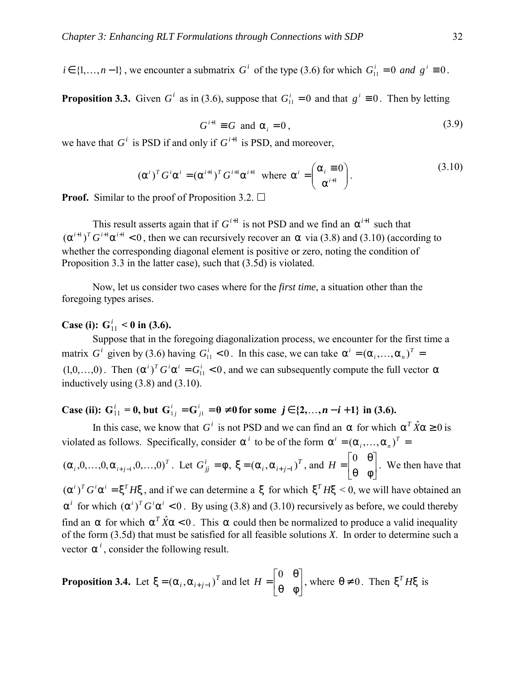$i \in \{1,\ldots,n-1\}$ , we encounter a submatrix *G*<sup>*i*</sup> of the type (3.6) for which  $G_{11}^i = 0$  *and*  $g^i \equiv 0$ .

**Proposition 3.3.** Given  $G^i$  as in (3.6), suppose that  $G^i_{11} = 0$  and that  $g^i \equiv 0$ . Then by letting

$$
G^{i+1} \equiv G \text{ and } \alpha_i = 0, \tag{3.9}
$$

we have that  $G^i$  is PSD if and only if  $G^{i+1}$  is PSD, and moreover,

$$
(\alpha^{i})^{T} G^{i} \alpha^{i} = (\alpha^{i+1})^{T} G^{i+1} \alpha^{i+1} \text{ where } \alpha^{i} = \begin{pmatrix} \alpha_{i} \equiv 0 \\ \alpha^{i+1} \end{pmatrix}.
$$
 (3.10)

**Proof.** Similar to the proof of Proposition 3.2.  $\Box$ 

This result asserts again that if  $G^{i+1}$  is not PSD and we find an  $\alpha^{i+1}$  such that  $({\alpha}^{i+1})^T G^{i+1} {\alpha}^{i+1} < 0$ , then we can recursively recover an  $\alpha$  via (3.8) and (3.10) (according to whether the corresponding diagonal element is positive or zero, noting the condition of Proposition 3.3 in the latter case), such that (3.5d) is violated.

 Now, let us consider two cases where for the *first time*, a situation other than the foregoing types arises.

## **Case (i):**  $G_{11}^i < 0$  in (3.6).

Suppose that in the foregoing diagonalization process, we encounter for the first time a matrix *G*<sup>*i*</sup> given by (3.6) having  $G_{11}^i < 0$ . In this case, we can take  $\alpha^i = (\alpha_i, ..., \alpha_n)^T =$  $(1,0,\ldots,0)$ . Then  $(\alpha^i)^T G^i \alpha^i = G^i_{1,1} < 0$ , and we can subsequently compute the full vector  $\alpha$ inductively using (3.8) and (3.10).

**Case (ii):**  $G_{11}^i = 0$ , but  $G_{1j}^i = G_{j1}^i = \theta \neq 0$  $j$ <sup>*i*</sup><sub>1</sub> = **0** ≠ **0** for some *j* ∈ {2,...,*n* − *i* + 1} in (3.6).

In this case, we know that *G*<sup>*i*</sup> is not PSD and we can find an  $\alpha$  for which  $\alpha^T \hat{X} \alpha \ge 0$  is violated as follows. Specifically, consider  $\alpha^{i}$  to be of the form  $\alpha^{i} = (\alpha_{i}, \dots, \alpha_{n})^{T} =$ 

 $(\alpha_i, 0, \ldots, 0, \alpha_{i+j-1}, 0, \ldots, 0)^T$ . Let  $G_{ij}^i = \phi$ ,  $\xi = (\alpha_i, \alpha_{i+j-1})^T$ , and  $H = \begin{bmatrix} 0 & 0 \\ 0 & 0 \end{bmatrix}$  $\rfloor$  $\begin{vmatrix} 0 & \theta \\ \theta & \phi \end{vmatrix}$ L  $\overline{ }$ θ φ  $H = \begin{bmatrix} 0 & \theta \\ \theta & \theta \end{bmatrix}$ . We then have that  $(\alpha^i)^T G^i \alpha^i = \xi^T H \xi$ , and if we can determine a  $\xi$  for which  $\xi^T H \xi < 0$ , we will have obtained an  $\alpha^i$  for which  $(\alpha^i)^T G^i \alpha^i < 0$ . By using (3.8) and (3.10) recursively as before, we could thereby find an  $\alpha$  for which  $\alpha^T \hat{X} \alpha < 0$ . This  $\alpha$  could then be normalized to produce a valid inequality of the form (3.5d) that must be satisfied for all feasible solutions *X*. In order to determine such a vector  $\alpha^{i}$ , consider the following result.

**Proposition 3.4.** Let 
$$
\xi = (\alpha_i, \alpha_{i+j-1})^T
$$
 and let  $H = \begin{bmatrix} 0 & \theta \\ \theta & \phi \end{bmatrix}$ , where  $\theta \neq 0$ . Then  $\xi^T H \xi$  is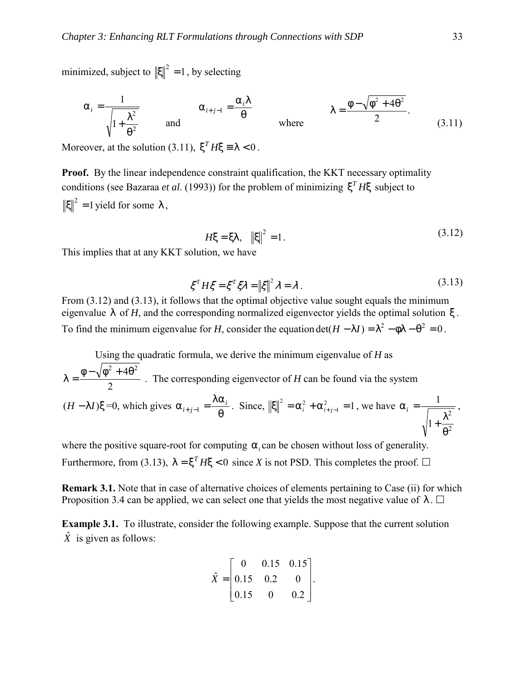minimized, subject to  $\|\xi\|^2 = 1$ , by selecting

$$
\alpha_{i} = \frac{1}{\sqrt{1 + \frac{\lambda^{2}}{\theta^{2}}}}
$$
 and 
$$
\alpha_{i+j-1} = \frac{\alpha_{i}\lambda}{\theta}
$$
 where  $\lambda = \frac{\phi - \sqrt{\phi^{2} + 4\theta^{2}}}{2}$ . (3.11)

Moreover, at the solution (3.11),  $\xi^T H \xi = \lambda < 0$ .

**Proof.** By the linear independence constraint qualification, the KKT necessary optimality conditions (see Bazaraa *et al.* (1993)) for the problem of minimizing  $\xi^T H \xi$  subject to  $\|\xi\|^2 = 1$  yield for some  $\lambda$ ,

$$
H\xi = \xi \lambda, \quad \|\xi\|^2 = 1. \tag{3.12}
$$

This implies that at any KKT solution, we have

$$
\xi^T H \xi = \xi^T \xi \lambda = \left\| \xi \right\|^2 \lambda = \lambda \,. \tag{3.13}
$$

From  $(3.12)$  and  $(3.13)$ , it follows that the optimal objective value sought equals the minimum eigenvalue  $\lambda$  of *H*, and the corresponding normalized eigenvector yields the optimal solution  $\xi$ . To find the minimum eigenvalue for *H*, consider the equation det( $H - \lambda I$ ) =  $\lambda^2 - \phi \lambda - \theta^2 = 0$ .

 Using the quadratic formula, we derive the minimum eigenvalue of *H* as 2  $\lambda = \frac{\phi - \sqrt{\phi^2 + 4\theta^2}}{2}$ . The corresponding eigenvector of *H* can be found via the system  $(H - \lambda I)\xi = 0$ , which gives  $\alpha_{i+j-1} = \frac{\lambda \alpha_i}{\theta}$ . Since,  $\|\xi\|^2 = \alpha_i^2 + \alpha_{i+j-1}^2 = 1$  $|\xi|^2 = \alpha_i^2 + \alpha_{i+j-1}^2 = 1$ , we have 2 2 1 1 θ  $+\frac{\lambda}{2}$  $\alpha_i = \frac{1}{\sqrt{1 - \frac{1}{\sqrt{2}}}}$ ,

where the positive square-root for computing  $\alpha_i$  can be chosen without loss of generality. Furthermore, from (3.13),  $\lambda = \xi^T H \xi < 0$  since *X* is not PSD. This completes the proof.  $\Box$ 

**Remark 3.1.** Note that in case of alternative choices of elements pertaining to Case (ii) for which Proposition 3.4 can be applied, we can select one that yields the most negative value of  $\lambda$ .  $\Box$ 

**Example 3.1.** To illustrate, consider the following example. Suppose that the current solution  $\hat{X}$  is given as follows:

$$
\hat{X} = \begin{bmatrix} 0 & 0.15 & 0.15 \\ 0.15 & 0.2 & 0 \\ 0.15 & 0 & 0.2 \end{bmatrix}.
$$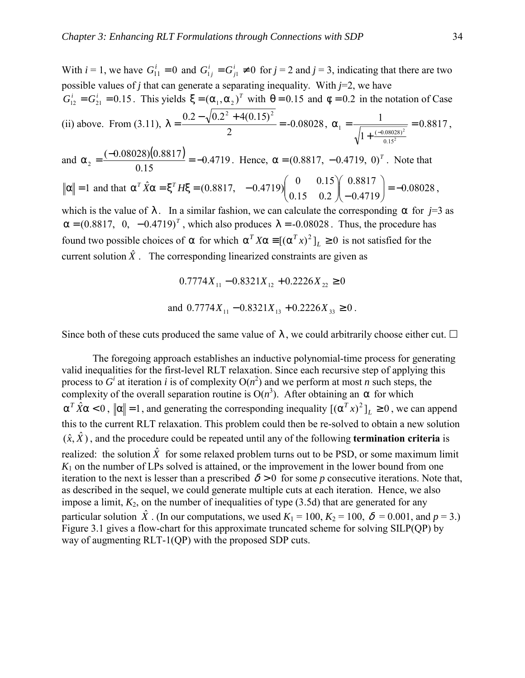With  $i = 1$ , we have  $G_{11}^i = 0$  and  $G_{1j}^i = G_{j1}^i \neq 0$  for  $j = 2$  and  $j = 3$ , indicating that there are two possible values of *j* that can generate a separating inequality. With  $j=2$ , we have  $G_{12}^i = G_{21}^i = 0.15$ . This yields  $\xi = (\alpha_1, \alpha_2)^T$  with  $\theta = 0.15$  and  $\phi = 0.2$  in the notation of Case (ii) above. From (3.11),  $\lambda = \frac{0.2 \times 10^{10}}{2} = -0.08028$ 2  $\lambda = \frac{0.2 - \sqrt{0.2^2 + 4(0.15)^2}}{2} = -0.08028$ ,  $\alpha_1 = \frac{1}{\sqrt{0.025}} = 0.8817$ 1 1 2 2 0.15  $\frac{1}{\sqrt{1+(\frac{-0.08028}{c^2})^2}} =$ +  $\alpha_1 = \frac{1}{\sqrt{1+(\frac{-0.08028}{a})^2}} = 0.8817$ and  $\alpha_2 = \frac{(-0.08028)(0.8817)}{0.15} = -0.4719$ 0.15  $\alpha_2 = \frac{(-0.08028)(0.8817)}{0.15} = -0.4719$ . Hence,  $\alpha = (0.8817, -0.4719, 0)^T$ . Note that  $\alpha$  = 1 and that  $\alpha^T \dot{X} \alpha = \xi^T H \xi = (0.8817, -0.4719) \begin{bmatrix} 0.15 & 0.2 \end{bmatrix} \begin{bmatrix} 0.8817 \\ -0.4719 \end{bmatrix} = -0.08028$ 0.8817 0.15 0.2  $\hat{K}\alpha = \xi^T H \xi = (0.8817, -0.4719) \begin{pmatrix} 0 & 0.15 \\ 0.15 & 0.2 \end{pmatrix} \begin{pmatrix} 0.8817 \\ -0.4719 \end{pmatrix} = -$ J  $\backslash$  $\overline{\phantom{a}}$  $\setminus$ ſ ∫− J  $\backslash$  $\overline{\phantom{a}}$  $\setminus$  $\alpha^T \hat{X} \alpha = \xi^T H \xi = (0.8817, -0.4719) \begin{pmatrix} 0 & 0.15 \\ 0.15 & 0.8817 \end{pmatrix} = -0.08028$ , which is the value of  $\lambda$ . In a similar fashion, we can calculate the corresponding  $\alpha$  for *j*=3 as  $\alpha = (0.8817, 0, -0.4719)^T$ , which also produces  $\lambda = -0.08028$ . Thus, the procedure has found two possible choices of α for which  $\alpha^T X \alpha \equiv [(\alpha^T x)^2]_L \ge 0$  is not satisfied for the current solution  $\hat{X}$ . The corresponding linearized constraints are given as

$$
0.7774X_{11} - 0.8321X_{12} + 0.2226X_{22} \ge 0
$$
  
and 
$$
0.7774X_{11} - 0.8321X_{13} + 0.2226X_{33} \ge 0
$$
.

Since both of these cuts produced the same value of  $\lambda$ , we could arbitrarily choose either cut.  $\Box$ 

 The foregoing approach establishes an inductive polynomial-time process for generating valid inequalities for the first-level RLT relaxation. Since each recursive step of applying this process to  $G^i$  at iteration *i* is of complexity  $O(n^2)$  and we perform at most *n* such steps, the complexity of the overall separation routine is  $O(n^3)$ . After obtaining an  $\alpha$  for which  $\alpha^T \hat{X} \alpha < 0$ ,  $\|\alpha\| = 1$ , and generating the corresponding inequality  $[(\alpha^T x)^2]_L \ge 0$ , we can append this to the current RLT relaxation. This problem could then be re-solved to obtain a new solution  $(\hat{x}, \hat{X})$ , and the procedure could be repeated until any of the following **termination criteria** is realized: the solution  $\hat{X}$  for some relaxed problem turns out to be PSD, or some maximum limit  $K_1$  on the number of LPs solved is attained, or the improvement in the lower bound from one iteration to the next is lesser than a prescribed  $\delta > 0$  for some *p* consecutive iterations. Note that, as described in the sequel, we could generate multiple cuts at each iteration. Hence, we also impose a limit,  $K_2$ , on the number of inequalities of type  $(3.5d)$  that are generated for any particular solution  $\hat{X}$ . (In our computations, we used  $K_1 = 100$ ,  $K_2 = 100$ ,  $\delta = 0.001$ , and  $p = 3$ .) Figure 3.1 gives a flow-chart for this approximate truncated scheme for solving SILP(QP) by way of augmenting RLT-1(QP) with the proposed SDP cuts.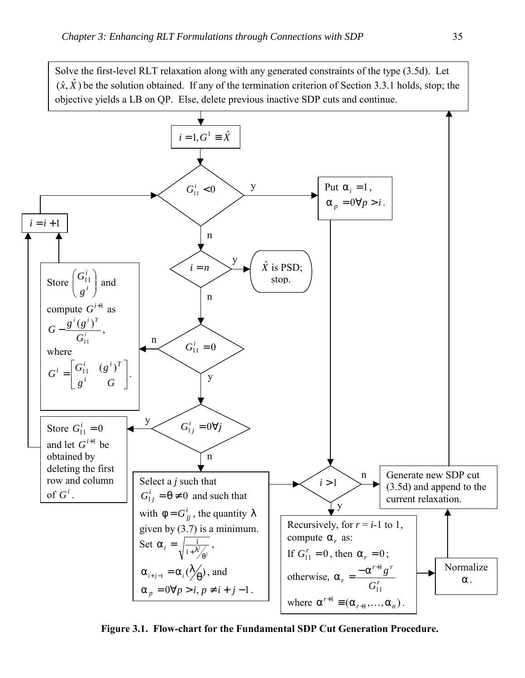Solve the first-level RLT relaxation along with any generated constraints of the type (3.5d). Let  $(\hat{x}, \hat{X})$  be the solution obtained. If any of the termination criterion of Section 3.3.1 holds, stop; the objective yields a LB on QP. Else, delete previous inactive SDP cuts and continue.



**Figure 3.1. Flow-chart for the Fundamental SDP Cut Generation Procedure.**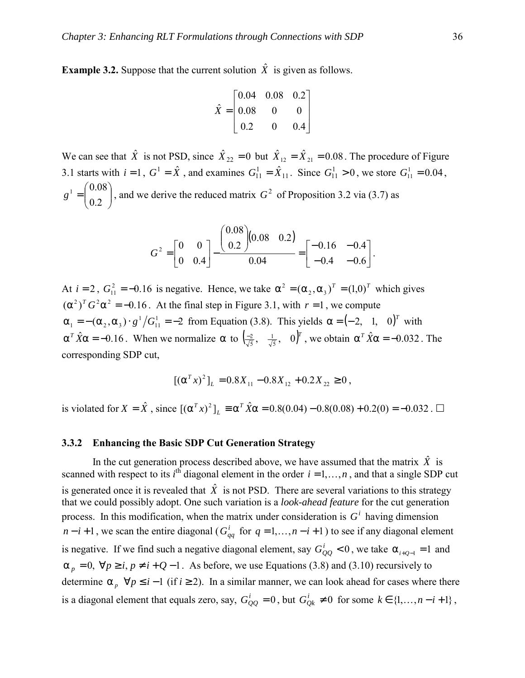**Example 3.2.** Suppose that the current solution  $\hat{X}$  is given as follows.

$$
\hat{X} = \begin{bmatrix} 0.04 & 0.08 & 0.2 \\ 0.08 & 0 & 0 \\ 0.2 & 0 & 0.4 \end{bmatrix}
$$

We can see that  $\hat{X}$  is not PSD, since  $\hat{X}_{22} = 0$  but  $\hat{X}_{12} = \hat{X}_{21} = 0.08$ . The procedure of Figure 3.1 starts with  $i = 1$ ,  $G^1 = \hat{X}$ , and examines  $G_{11}^1 = \hat{X}_{11}$ . Since  $G_{11}^1 > 0$ , we store  $G_{11}^1 = 0.04$ ,  $\overline{\phantom{a}}$ J  $\backslash$  $\overline{\phantom{a}}$  $g' = \begin{pmatrix} 0.08 \\ 0.2 \end{pmatrix}$ , and we derive the reduced matrix  $G^2$  of Proposition 3.2 via (3.7) as

$$
G^{2} = \begin{bmatrix} 0 & 0 \\ 0 & 0.4 \end{bmatrix} - \frac{\begin{pmatrix} 0.08 \\ 0.2 \end{pmatrix} (0.08 \quad 0.2)}{0.04} = \begin{bmatrix} -0.16 & -0.4 \\ -0.4 & -0.6 \end{bmatrix}.
$$

At  $i = 2$ ,  $G_{11}^2 = -0.16$  is negative. Hence, we take  $\alpha^2 = (\alpha_2, \alpha_3)^T = (1,0)^T$  which gives  $({\alpha}^2)^T G^2 {\alpha}^2 = -0.16$ . At the final step in Figure 3.1, with  $r = 1$ , we compute  $\alpha_1 = -(\alpha_2, \alpha_3) \cdot g^1/G_{11}^1 = -2$  from Equation (3.8). This yields  $\alpha = (-2, 1, 0)^T$  with  $\alpha^T \hat{X} \alpha = -0.16$ . When we normalize  $\alpha$  to  $\left(\frac{-2}{\sqrt{5}}, \frac{1}{\sqrt{5}}, 0\right)^T$ 1  $\frac{-2}{\sqrt{5}}, \frac{1}{\sqrt{5}}, 0)^T$ , we obtain  $\alpha^T \hat{X} \alpha = -0.032$ . The corresponding SDP cut,

$$
[(\alpha^T x)^2]_L = 0.8X_{11} - 0.8X_{12} + 0.2X_{22} \ge 0,
$$

is violated for  $X = \hat{X}$ , since  $[(\alpha^T x)^2]_L \equiv \alpha^T \hat{X} \alpha = 0.8(0.04) - 0.8(0.08) + 0.2(0) = -0.032$ .  $\Box$ 

### **3.3.2 Enhancing the Basic SDP Cut Generation Strategy**

In the cut generation process described above, we have assumed that the matrix  $\hat{X}$  is scanned with respect to its  $i^{\text{th}}$  diagonal element in the order  $i = 1, ..., n$ , and that a single SDP cut is generated once it is revealed that  $\hat{X}$  is not PSD. There are several variations to this strategy that we could possibly adopt. One such variation is a *look-ahead feature* for the cut generation process. In this modification, when the matrix under consideration is  $G^i$  having dimension *n* − *i* + 1, we scan the entire diagonal ( $G_{qq}^i$  for  $q = 1,...,n-i+1$ ) to see if any diagonal element is negative. If we find such a negative diagonal element, say  $G_{QQ}^i < 0$ , we take  $\alpha_{i+Q-1} = 1$  and  $\alpha_p = 0$ ,  $\forall p \ge i$ ,  $p \ne i + Q - 1$ . As before, we use Equations (3.8) and (3.10) recursively to determine  $\alpha_{p}$   $\forall p \leq i-1$  (if *i* ≥ 2). In a similar manner, we can look ahead for cases where there is a diagonal element that equals zero, say,  $G_{QQ}^i = 0$ , but  $G_{Qk}^i \neq 0$  for some  $k \in \{1, ..., n - i + 1\}$ ,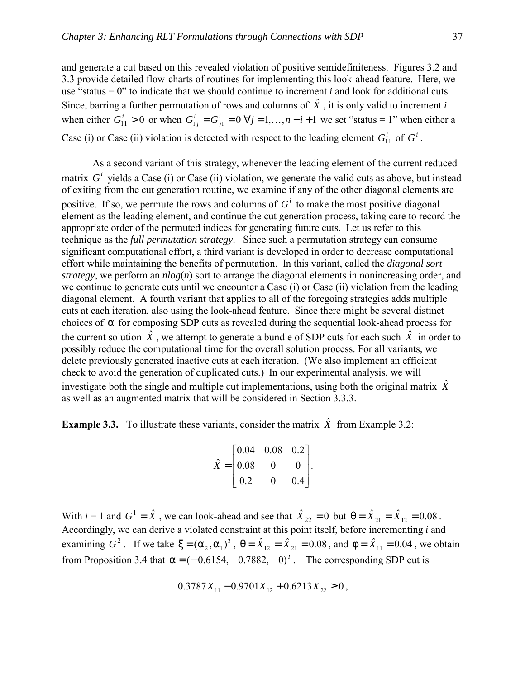and generate a cut based on this revealed violation of positive semidefiniteness. Figures 3.2 and 3.3 provide detailed flow-charts of routines for implementing this look-ahead feature. Here, we use "status  $= 0$ " to indicate that we should continue to increment *i* and look for additional cuts. Since, barring a further permutation of rows and columns of  $\hat{X}$ , it is only valid to increment *i* when either  $G_{11}^i > 0$  or when  $G_{1j}^i = G_{j1}^i = 0 \ \forall j = 1,\dots, n-i+1$  we set "status = 1" when either a

Case (i) or Case (ii) violation is detected with respect to the leading element  $G_{11}^i$  of  $G^i$ .

As a second variant of this strategy, whenever the leading element of the current reduced matrix  $G<sup>i</sup>$  vields a Case (i) or Case (ii) violation, we generate the valid cuts as above, but instead of exiting from the cut generation routine, we examine if any of the other diagonal elements are positive. If so, we permute the rows and columns of  $G<sup>i</sup>$  to make the most positive diagonal element as the leading element, and continue the cut generation process, taking care to record the appropriate order of the permuted indices for generating future cuts. Let us refer to this technique as the *full permutation strategy*. Since such a permutation strategy can consume significant computational effort, a third variant is developed in order to decrease computational effort while maintaining the benefits of permutation. In this variant, called the *diagonal sort strategy*, we perform an *nlog*(*n*) sort to arrange the diagonal elements in nonincreasing order, and we continue to generate cuts until we encounter a Case (i) or Case (ii) violation from the leading diagonal element. A fourth variant that applies to all of the foregoing strategies adds multiple cuts at each iteration, also using the look-ahead feature. Since there might be several distinct choices of  $\alpha$  for composing SDP cuts as revealed during the sequential look-ahead process for the current solution  $\hat{X}$ , we attempt to generate a bundle of SDP cuts for each such  $\hat{X}$  in order to possibly reduce the computational time for the overall solution process. For all variants, we delete previously generated inactive cuts at each iteration. (We also implement an efficient check to avoid the generation of duplicated cuts.) In our experimental analysis, we will investigate both the single and multiple cut implementations, using both the original matrix  $\hat{X}$ as well as an augmented matrix that will be considered in Section 3.3.3.

**Example 3.3.** To illustrate these variants, consider the matrix  $\hat{X}$  from Example 3.2:

$$
\hat{X} = \begin{bmatrix} 0.04 & 0.08 & 0.2 \\ 0.08 & 0 & 0 \\ 0.2 & 0 & 0.4 \end{bmatrix}.
$$

With  $i = 1$  and  $G^1 = \hat{X}$ , we can look-ahead and see that  $\hat{X}_{22} = 0$  but  $\theta = \hat{X}_{21} = \hat{X}_{12} = 0.08$ . Accordingly, we can derive a violated constraint at this point itself, before incrementing *i* and examining  $G^2$ . If we take  $\xi = (\alpha_2, \alpha_1)^T$ ,  $\theta = \hat{X}_{12} = \hat{X}_{21} = 0.08$ , and  $\phi = \hat{X}_{11} = 0.04$ , we obtain from Proposition 3.4 that  $\alpha = (-0.6154, 0.7882, 0)^T$ . The corresponding SDP cut is

$$
0.3787X_{11} - 0.9701X_{12} + 0.6213X_{22} \ge 0,
$$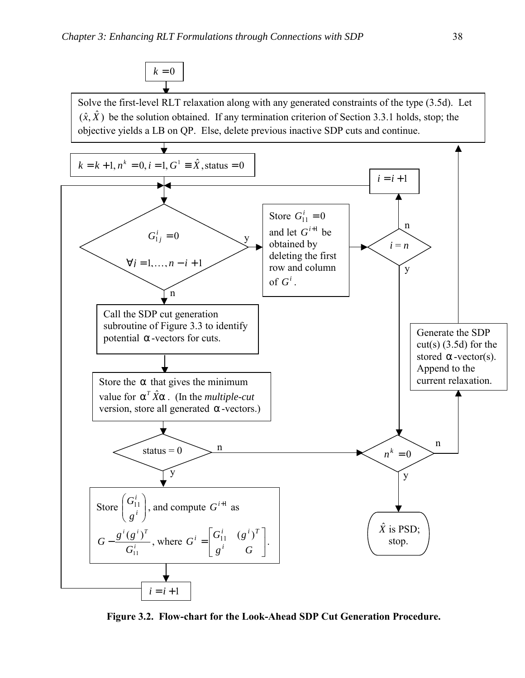

**Figure 3.2. Flow-chart for the Look-Ahead SDP Cut Generation Procedure.**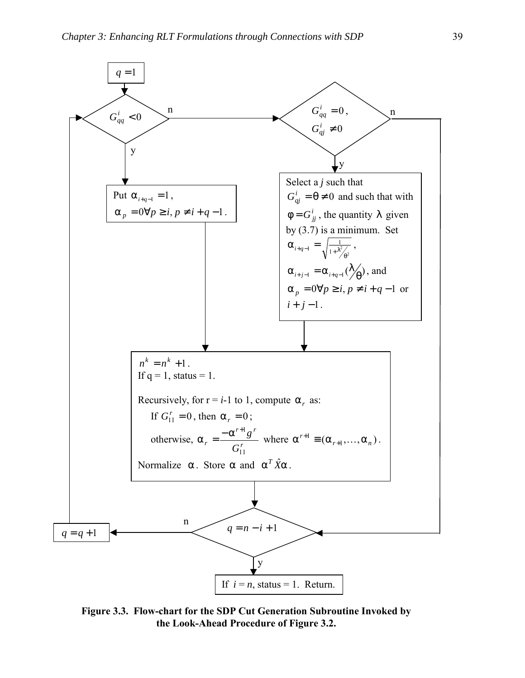

**Figure 3.3. Flow-chart for the SDP Cut Generation Subroutine Invoked by the Look-Ahead Procedure of Figure 3.2.**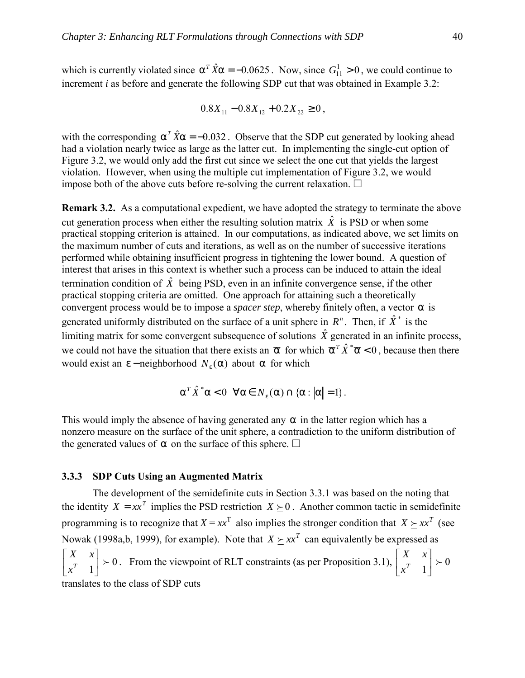which is currently violated since  $\alpha^T \hat{X} \alpha = -0.0625$ . Now, since  $G_{11}^1 > 0$ , we could continue to increment *i* as before and generate the following SDP cut that was obtained in Example 3.2:

$$
0.8X_{11} - 0.8X_{12} + 0.2X_{22} \ge 0
$$

with the corresponding  $\alpha^T \hat{X} \alpha = -0.032$ . Observe that the SDP cut generated by looking ahead had a violation nearly twice as large as the latter cut. In implementing the single-cut option of Figure 3.2, we would only add the first cut since we select the one cut that yields the largest violation. However, when using the multiple cut implementation of Figure 3.2, we would impose both of the above cuts before re-solving the current relaxation.  $\Box$ 

**Remark 3.2.** As a computational expedient, we have adopted the strategy to terminate the above cut generation process when either the resulting solution matrix  $\hat{X}$  is PSD or when some practical stopping criterion is attained. In our computations, as indicated above, we set limits on the maximum number of cuts and iterations, as well as on the number of successive iterations performed while obtaining insufficient progress in tightening the lower bound. A question of interest that arises in this context is whether such a process can be induced to attain the ideal termination condition of  $\hat{X}$  being PSD, even in an infinite convergence sense, if the other practical stopping criteria are omitted. One approach for attaining such a theoretically convergent process would be to impose a *spacer step*, whereby finitely often, a vector  $\alpha$  is generated uniformly distributed on the surface of a unit sphere in  $R^n$ . Then, if  $\hat{X}^*$  is the limiting matrix for some convergent subsequence of solutions  $\hat{X}$  generated in an infinite process, we could not have the situation that there exists an  $\bar{\alpha}$  for which  $\bar{\alpha}^T \hat{X}^* \bar{\alpha} < 0$ , because then there would exist an  $\varepsilon$  – neighborhood  $N_{\varepsilon}(\overline{\alpha})$  about  $\overline{\alpha}$  for which

$$
\alpha^T \hat{X}^* \alpha < 0 \quad \forall \alpha \in N_{\varepsilon}(\overline{\alpha}) \cap \{\alpha : ||\alpha|| = 1\}.
$$

This would imply the absence of having generated any  $\alpha$  in the latter region which has a nonzero measure on the surface of the unit sphere, a contradiction to the uniform distribution of the generated values of  $\alpha$  on the surface of this sphere.  $\Box$ 

### **3.3.3 SDP Cuts Using an Augmented Matrix**

The development of the semidefinite cuts in Section 3.3.1 was based on the noting that the identity  $X = xx^T$  implies the PSD restriction  $X \succ 0$ . Another common tactic in semidefinite programming is to recognize that  $X = xx^T$  also implies the stronger condition that  $X \succeq xx^T$  (see Nowak (1998a,b, 1999), for example). Note that  $X \succ x^T$  can equivalently be expressed as  $\begin{bmatrix} 1 \\ 1 \end{bmatrix} \succeq 0$  $\begin{vmatrix} X & x \\ x^T & 1 \end{vmatrix}$ L  $\mathsf{L}$ *T x X x* From the viewpoint of RLT constraints (as per Proposition 3.1),  $\begin{bmatrix} 1 & 0 \\ x^T & 1 \end{bmatrix} \succeq 0$  $\begin{vmatrix} X & x \\ x^T & 1 \end{vmatrix}$ L L *T x X x* translates to the class of SDP cuts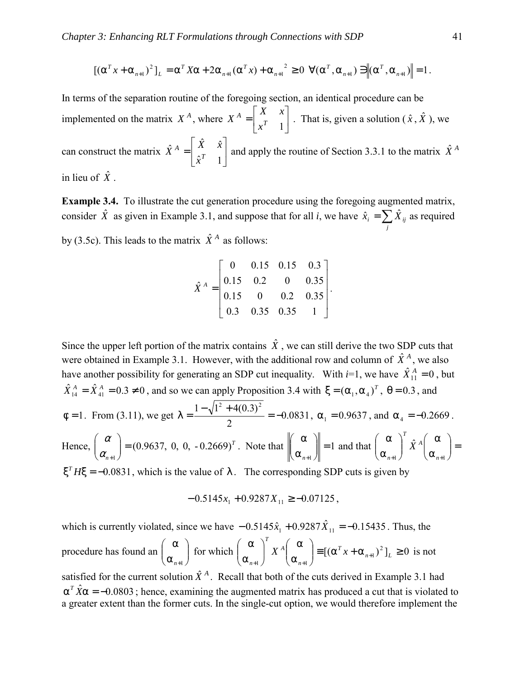$$
\left[\left(\alpha^T x + \alpha_{n+1}\right)^2\right]_L = \alpha^T X \alpha + 2\alpha_{n+1}(\alpha^T x) + \alpha_{n+1}^2 \ge 0 \ \ \forall (\alpha^T, \alpha_{n+1}) \ni \left\|(\alpha^T, \alpha_{n+1})\right\| = 1.
$$

In terms of the separation routine of the foregoing section, an identical procedure can be implemented on the matrix  $X^A$ , where  $X^A = \begin{bmatrix} X & X \\ X^T & 1 \end{bmatrix}$  $\begin{vmatrix} X & x \\ x^T & 1 \end{vmatrix}$ L  $A = \begin{bmatrix} X \\ x^T \end{bmatrix}$ *x*  $X^{A} = \begin{bmatrix} X & x \\ r & 1 \end{bmatrix}$ . That is, given a solution  $(\hat{x}, \hat{X})$ , we can construct the matrix  $\overrightarrow{X}^A = \begin{bmatrix} 1 & x \\ \hat{x}^T & 1 \end{bmatrix}$  $\hat{X}^{A} = \begin{bmatrix} \hat{X} & \hat{x} \\ \hat{X} & \hat{x} \end{bmatrix}$ 」  $\begin{vmatrix} \hat{X} & \hat{x} \\ \hat{x} & \hat{x} \end{vmatrix}$ L  $A = \begin{bmatrix} \hat{X} \\ \hat{X} \end{bmatrix}$ *x*  $\hat{X}^{A} = \begin{bmatrix} \hat{X} & \hat{x} \\ x^{T} & \hat{x} \end{bmatrix}$  and apply the routine of Section 3.3.1 to the matrix  $\hat{X}^{A}$ in lieu of  $\hat{X}$ .

**Example 3.4.** To illustrate the cut generation procedure using the foregoing augmented matrix, consider  $\hat{X}$  as given in Example 3.1, and suppose that for all *i*, we have  $\hat{x}_i = \sum_j$  $\hat{x}_i = \sum \hat{X}_{ij}$  as required by (3.5c). This leads to the matrix  $\hat{X}^A$  as follows:

$$
\hat{X}^{A} = \begin{bmatrix} 0 & 0.15 & 0.15 & 0.3 \\ 0.15 & 0.2 & 0 & 0.35 \\ 0.15 & 0 & 0.2 & 0.35 \\ 0.3 & 0.35 & 0.35 & 1 \end{bmatrix}.
$$

Since the upper left portion of the matrix contains  $\hat{X}$ , we can still derive the two SDP cuts that were obtained in Example 3.1. However, with the additional row and column of  $\hat{X}^A$ , we also have another possibility for generating an SDP cut inequality. With  $i=1$ , we have  $\hat{X}_{11}^{A} = 0$ , but  $\hat{X}_{14}^A = \hat{X}_{41}^A = 0.3 \neq 0$ , and so we can apply Proposition 3.4 with  $\xi = (\alpha_1, \alpha_4)^T$ ,  $\theta = 0.3$ , and  $\phi = 1$ . From (3.11), we get  $\lambda = \frac{V_1 + V_2 + V_3 + V_4}{2} = -0.0831$ 2  $\lambda = \frac{1 - \sqrt{1^2 + 4(0.3)^2}}{2} = -0.0831$ ,  $\alpha_1 = 0.9637$ , and  $\alpha_4 = -0.2669$ . Hence,  $\begin{vmatrix} a \\ c \end{vmatrix}$  = (0.9637, 0, 0, -0.2669)<sup>T</sup> *n*  $(0.9637, 0, 0, -0.2669)$  $\bigg| =$  $\bigg)$  $\setminus$  $\overline{\phantom{a}}$  $\setminus$ ſ  $\alpha_{\scriptscriptstyle n+}^{}$  $\alpha \mid (0.9637, 0, 0, -0.2669)^T$ . Note that  $\begin{bmatrix} \alpha \\ \alpha \end{bmatrix} = 1$  $\| =$ J  $\backslash$  $\overline{\phantom{a}}$  $\setminus$ ſ α α  $\left\| \begin{matrix} a_{n+1} \\ b_{n+1} \end{matrix} \right\| = 1$  and that  $\left\{ \begin{matrix} a_{n+1} \\ a_{n+1} \end{matrix} \right\}$   $\left\| \begin{matrix} a_{n+1} \\ a_{n+1} \end{matrix} \right\| = 1$ J  $\setminus$  $\overline{\phantom{a}}$  $\setminus$ ſ α α  $\overline{\phantom{a}}$ J  $\backslash$  $\overline{\phantom{a}}$  $\setminus$ ſ α α  $+1$   $\mathcal{L}_{n+1}$ à *n A T n X*  $ξ<sup>T</sup>Hξ = -0.0831$ , which is the value of  $λ$ . The corresponding SDP cuts is given by

$$
-0.5145x_1 + 0.9287X_{11} \ge -0.07125
$$

which is currently violated, since we have  $-0.5145\hat{x}_1 + 0.9287\hat{X}_{11} = -0.15435$ . Thus, the procedure has found an  $\Big| \begin{array}{c} \infty \\ \infty \end{array} \Big|$ J  $\backslash$  $\overline{\phantom{a}}$  $\setminus$ ſ α α *n*+1 for which  $\begin{vmatrix} 0 & x \\ y & y \end{vmatrix}$   $X^A \begin{vmatrix} 0 & x \\ y & y \end{vmatrix} = [(\alpha^T x + \alpha_{n+1})^2]_L \ge 0$  $\left[\begin{array}{cc} X^A & \alpha \\ \alpha & \beta \end{array}\right] \equiv \left[\left(\alpha^T x + \alpha_{n+1}\right)^2\right]_L \geq$  $\bigg)$  $\backslash$  $\overline{\phantom{a}}$  $\setminus$ ſ α α  $\overline{\phantom{a}}$ J  $\backslash$  $\overline{\phantom{a}}$  $\setminus$ ſ α α +  $+1$   $\mathcal{L}_{n+}$  $n+1$   $L$ *T n A T n*  $X^A$   $=$   $[(\alpha^T x + \alpha_{n+1})^2]_L \ge 0$  is not

satisfied for the current solution  $\hat{X}^A$ . Recall that both of the cuts derived in Example 3.1 had  $\alpha^T \hat{X} \alpha = -0.0803$ ; hence, examining the augmented matrix has produced a cut that is violated to a greater extent than the former cuts. In the single-cut option, we would therefore implement the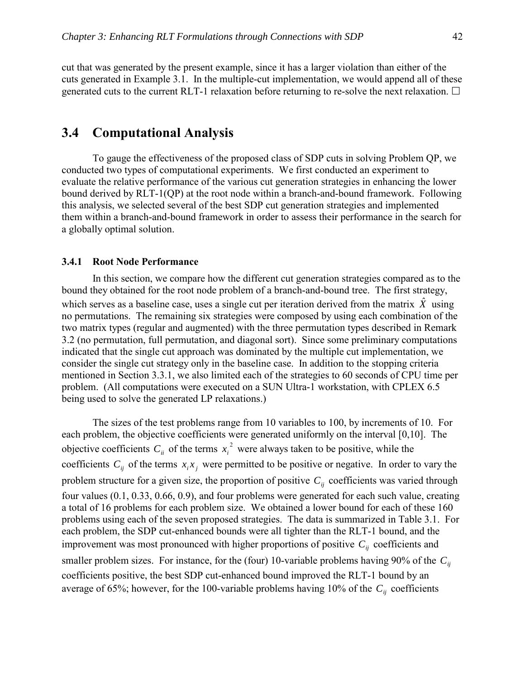cut that was generated by the present example, since it has a larger violation than either of the cuts generated in Example 3.1. In the multiple-cut implementation, we would append all of these generated cuts to the current RLT-1 relaxation before returning to re-solve the next relaxation.  $\Box$ 

# **3.4 Computational Analysis**

To gauge the effectiveness of the proposed class of SDP cuts in solving Problem QP, we conducted two types of computational experiments. We first conducted an experiment to evaluate the relative performance of the various cut generation strategies in enhancing the lower bound derived by RLT-1(QP) at the root node within a branch-and-bound framework. Following this analysis, we selected several of the best SDP cut generation strategies and implemented them within a branch-and-bound framework in order to assess their performance in the search for a globally optimal solution.

### **3.4.1 Root Node Performance**

In this section, we compare how the different cut generation strategies compared as to the bound they obtained for the root node problem of a branch-and-bound tree. The first strategy, which serves as a baseline case, uses a single cut per iteration derived from the matrix  $\hat{X}$  using no permutations. The remaining six strategies were composed by using each combination of the two matrix types (regular and augmented) with the three permutation types described in Remark 3.2 (no permutation, full permutation, and diagonal sort). Since some preliminary computations indicated that the single cut approach was dominated by the multiple cut implementation, we consider the single cut strategy only in the baseline case. In addition to the stopping criteria mentioned in Section 3.3.1, we also limited each of the strategies to 60 seconds of CPU time per problem. (All computations were executed on a SUN Ultra-1 workstation, with CPLEX 6.5 being used to solve the generated LP relaxations.)

The sizes of the test problems range from 10 variables to 100, by increments of 10. For each problem, the objective coefficients were generated uniformly on the interval [0,10]. The objective coefficients  $C_{ii}$  of the terms  $x_i^2$  were always taken to be positive, while the coefficients  $C_{ij}$  of the terms  $x_i x_j$  were permitted to be positive or negative. In order to vary the problem structure for a given size, the proportion of positive  $C_{ii}$  coefficients was varied through four values (0.1, 0.33, 0.66, 0.9), and four problems were generated for each such value, creating a total of 16 problems for each problem size. We obtained a lower bound for each of these 160 problems using each of the seven proposed strategies. The data is summarized in Table 3.1. For each problem, the SDP cut-enhanced bounds were all tighter than the RLT-1 bound, and the improvement was most pronounced with higher proportions of positive  $C_{ij}$  coefficients and smaller problem sizes. For instance, for the (four) 10-variable problems having 90% of the  $C_{ii}$ coefficients positive, the best SDP cut-enhanced bound improved the RLT-1 bound by an average of 65%; however, for the 100-variable problems having 10% of the  $C_{ij}$  coefficients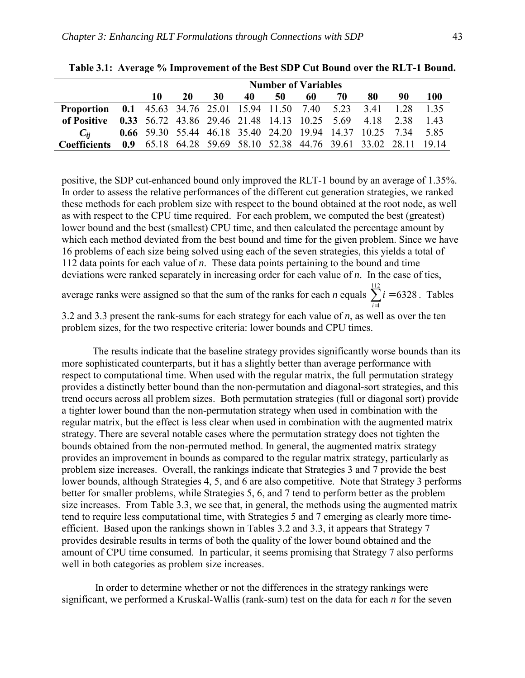|                                                                              | <b>Number of Variables</b> |                                                                 |    |    |    |    |      |    |    |     |
|------------------------------------------------------------------------------|----------------------------|-----------------------------------------------------------------|----|----|----|----|------|----|----|-----|
|                                                                              | 10                         | 20                                                              | 30 | 40 | 50 | 60 | - 70 | 80 | 90 | 100 |
| <b>Proportion</b> 0.1 45.63 34.76 25.01 15.94 11.50 7.40 5.23 3.41 1.28 1.35 |                            |                                                                 |    |    |    |    |      |    |    |     |
| of Positive 0.33 56.72 43.86 29.46 21.48 14.13 10.25 5.69 4.18 2.38 1.43     |                            |                                                                 |    |    |    |    |      |    |    |     |
| $C_{ii}$                                                                     |                            | 0.66 59.30 55.44 46.18 35.40 24.20 19.94 14.37 10.25 7.34 5.85  |    |    |    |    |      |    |    |     |
| <b>Coefficients</b>                                                          |                            | 0.9 65.18 64.28 59.69 58.10 52.38 44.76 39.61 33.02 28.11 19.14 |    |    |    |    |      |    |    |     |

**Table 3.1: Average % Improvement of the Best SDP Cut Bound over the RLT-1 Bound.** 

positive, the SDP cut-enhanced bound only improved the RLT-1 bound by an average of 1.35%. In order to assess the relative performances of the different cut generation strategies, we ranked these methods for each problem size with respect to the bound obtained at the root node, as well as with respect to the CPU time required. For each problem, we computed the best (greatest) lower bound and the best (smallest) CPU time, and then calculated the percentage amount by which each method deviated from the best bound and time for the given problem. Since we have 16 problems of each size being solved using each of the seven strategies, this yields a total of 112 data points for each value of *n*. These data points pertaining to the bound and time deviations were ranked separately in increasing order for each value of *n*. In the case of ties,

average ranks were assigned so that the sum of the ranks for each *n* equals  $\sum_{i=1}^{n} i = 6328$  $\sum_{i=1}^{112} i = 6328$ . Tables 1

3.2 and 3.3 present the rank-sums for each strategy for each value of *n*, as well as over the ten problem sizes, for the two respective criteria: lower bounds and CPU times.

The results indicate that the baseline strategy provides significantly worse bounds than its more sophisticated counterparts, but it has a slightly better than average performance with respect to computational time. When used with the regular matrix, the full permutation strategy provides a distinctly better bound than the non-permutation and diagonal-sort strategies, and this trend occurs across all problem sizes. Both permutation strategies (full or diagonal sort) provide a tighter lower bound than the non-permutation strategy when used in combination with the regular matrix, but the effect is less clear when used in combination with the augmented matrix strategy. There are several notable cases where the permutation strategy does not tighten the bounds obtained from the non-permuted method. In general, the augmented matrix strategy provides an improvement in bounds as compared to the regular matrix strategy, particularly as problem size increases. Overall, the rankings indicate that Strategies 3 and 7 provide the best lower bounds, although Strategies 4, 5, and 6 are also competitive. Note that Strategy 3 performs better for smaller problems, while Strategies 5, 6, and 7 tend to perform better as the problem size increases. From Table 3.3, we see that, in general, the methods using the augmented matrix tend to require less computational time, with Strategies 5 and 7 emerging as clearly more timeefficient. Based upon the rankings shown in Tables 3.2 and 3.3, it appears that Strategy 7 provides desirable results in terms of both the quality of the lower bound obtained and the amount of CPU time consumed. In particular, it seems promising that Strategy 7 also performs well in both categories as problem size increases.

 In order to determine whether or not the differences in the strategy rankings were significant, we performed a Kruskal-Wallis (rank-sum) test on the data for each *n* for the seven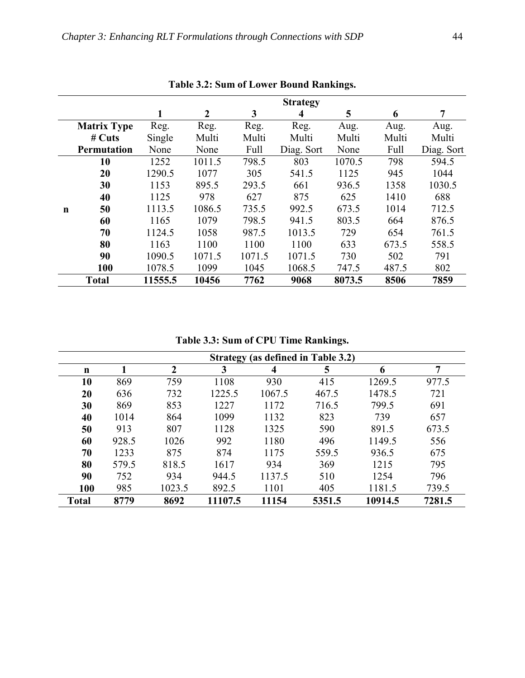|             |                    |         |                |        | <b>Strategy</b> |        |       |            |
|-------------|--------------------|---------|----------------|--------|-----------------|--------|-------|------------|
|             |                    | 1       | $\overline{2}$ | 3      | 4               | 5      | 6     | 7          |
|             | <b>Matrix Type</b> | Reg.    | Reg.           | Reg.   | Reg.            | Aug.   | Aug.  | Aug.       |
|             | $#$ Cuts           | Single  | Multi          | Multi  | Multi           | Multi  | Multi | Multi      |
|             | <b>Permutation</b> | None    | None           | Full   | Diag. Sort      | None   | Full  | Diag. Sort |
|             | 10                 | 1252    | 1011.5         | 798.5  | 803             | 1070.5 | 798   | 594.5      |
|             | 20                 | 1290.5  | 1077           | 305    | 541.5           | 1125   | 945   | 1044       |
|             | 30                 | 1153    | 895.5          | 293.5  | 661             | 936.5  | 1358  | 1030.5     |
|             | 40                 | 1125    | 978            | 627    | 875             | 625    | 1410  | 688        |
| $\mathbf n$ | 50                 | 1113.5  | 1086.5         | 735.5  | 992.5           | 673.5  | 1014  | 712.5      |
|             | 60                 | 1165    | 1079           | 798.5  | 941.5           | 803.5  | 664   | 876.5      |
|             | 70                 | 1124.5  | 1058           | 987.5  | 1013.5          | 729    | 654   | 761.5      |
|             | 80                 | 1163    | 1100           | 1100   | 1100            | 633    | 673.5 | 558.5      |
|             | 90                 | 1090.5  | 1071.5         | 1071.5 | 1071.5          | 730    | 502   | 791        |
|             | 100                | 1078.5  | 1099           | 1045   | 1068.5          | 747.5  | 487.5 | 802        |
|             | <b>Total</b>       | 11555.5 | 10456          | 7762   | 9068            | 8073.5 | 8506  | 7859       |

**Table 3.2: Sum of Lower Bound Rankings.** 

**Table 3.3: Sum of CPU Time Rankings.** 

|              |       |             |         |        | <b>Strategy (as defined in Table 3.2)</b> |         |        |
|--------------|-------|-------------|---------|--------|-------------------------------------------|---------|--------|
| $\mathbf n$  |       | $\mathbf 2$ | 3       | 4      | 5                                         | 6       | 7      |
| 10           | 869   | 759         | 1108    | 930    | 415                                       | 1269.5  | 977.5  |
| 20           | 636   | 732         | 1225.5  | 1067.5 | 467.5                                     | 1478.5  | 721    |
| 30           | 869   | 853         | 1227    | 1172   | 716.5                                     | 799.5   | 691    |
| 40           | 1014  | 864         | 1099    | 1132   | 823                                       | 739     | 657    |
| 50           | 913   | 807         | 1128    | 1325   | 590                                       | 891.5   | 673.5  |
| 60           | 928.5 | 1026        | 992     | 1180   | 496                                       | 1149.5  | 556    |
| 70           | 1233  | 875         | 874     | 1175   | 559.5                                     | 936.5   | 675    |
| 80           | 579.5 | 818.5       | 1617    | 934    | 369                                       | 1215    | 795    |
| 90           | 752   | 934         | 944.5   | 1137.5 | 510                                       | 1254    | 796    |
| 100          | 985   | 1023.5      | 892.5   | 1101   | 405                                       | 1181.5  | 739.5  |
| <b>Total</b> | 8779  | 8692        | 11107.5 | 11154  | 5351.5                                    | 10914.5 | 7281.5 |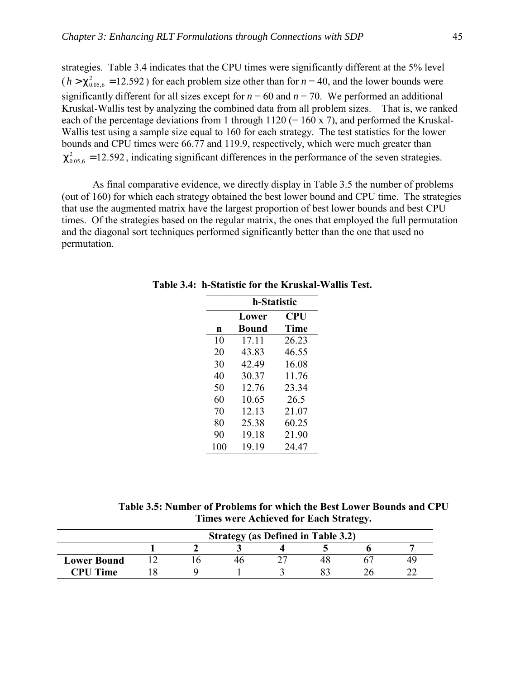strategies. Table 3.4 indicates that the CPU times were significantly different at the 5% level  $(h > \chi_{0.056}^2 = 12.592)$  for each problem size other than for  $n = 40$ , and the lower bounds were significantly different for all sizes except for  $n = 60$  and  $n = 70$ . We performed an additional Kruskal-Wallis test by analyzing the combined data from all problem sizes. That is, we ranked each of the percentage deviations from 1 through  $1120 (= 160 \times 7)$ , and performed the Kruskal-Wallis test using a sample size equal to 160 for each strategy. The test statistics for the lower bounds and CPU times were 66.77 and 119.9, respectively, which were much greater than  $\chi^2_{0.05.6}$  = 12.592, indicating significant differences in the performance of the seven strategies.

As final comparative evidence, we directly display in Table 3.5 the number of problems (out of 160) for which each strategy obtained the best lower bound and CPU time. The strategies that use the augmented matrix have the largest proportion of best lower bounds and best CPU times. Of the strategies based on the regular matrix, the ones that employed the full permutation and the diagonal sort techniques performed significantly better than the one that used no permutation.

|     | h-Statistic  |       |
|-----|--------------|-------|
|     | Lower        | CPU   |
| n   | <b>Bound</b> | Time  |
| 10  | 17.11        | 26.23 |
| 20  | 43.83        | 46.55 |
| 30  | 42.49        | 16.08 |
| 40  | 30.37        | 11.76 |
| 50  | 12.76        | 23.34 |
| 60  | 10.65        | 26.5  |
| 70  | 12.13        | 21.07 |
| 80  | 25.38        | 60.25 |
| 90  | 19.18        | 21.90 |
| 100 | 19.19        | 24 47 |

**Table 3.4: h-Statistic for the Kruskal-Wallis Test.** 

**Table 3.5: Number of Problems for which the Best Lower Bounds and CPU Times were Achieved for Each Strategy.** 

|                    | <b>Strategy (as Defined in Table 3.2)</b> |  |  |  |  |  |  |  |  |  |
|--------------------|-------------------------------------------|--|--|--|--|--|--|--|--|--|
|                    |                                           |  |  |  |  |  |  |  |  |  |
| <b>Lower Bound</b> |                                           |  |  |  |  |  |  |  |  |  |
| <b>CPU Time</b>    |                                           |  |  |  |  |  |  |  |  |  |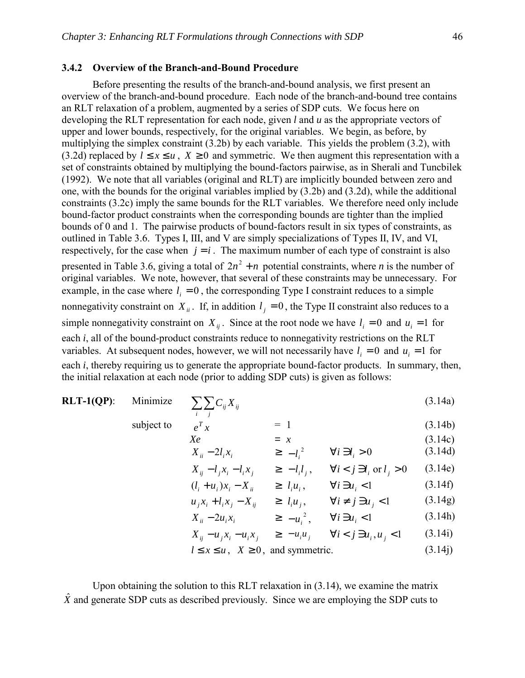### **3.4.2 Overview of the Branch-and-Bound Procedure**

subject to

Before presenting the results of the branch-and-bound analysis, we first present an overview of the branch-and-bound procedure. Each node of the branch-and-bound tree contains an RLT relaxation of a problem, augmented by a series of SDP cuts. We focus here on developing the RLT representation for each node, given *l* and *u* as the appropriate vectors of upper and lower bounds, respectively, for the original variables. We begin, as before, by multiplying the simplex constraint (3.2b) by each variable. This yields the problem (3.2), with (3.2d) replaced by  $l \le x \le u$ ,  $X \ge 0$  and symmetric. We then augment this representation with a set of constraints obtained by multiplying the bound-factors pairwise, as in Sherali and Tuncbilek (1992). We note that all variables (original and RLT) are implicitly bounded between zero and one, with the bounds for the original variables implied by (3.2b) and (3.2d), while the additional constraints (3.2c) imply the same bounds for the RLT variables. We therefore need only include bound-factor product constraints when the corresponding bounds are tighter than the implied bounds of 0 and 1. The pairwise products of bound-factors result in six types of constraints, as outlined in Table 3.6. Types I, III, and V are simply specializations of Types II, IV, and VI, respectively, for the case when  $j = i$ . The maximum number of each type of constraint is also presented in Table 3.6, giving a total of  $2n^2 + n$  potential constraints, where *n* is the number of original variables. We note, however, that several of these constraints may be unnecessary. For example, in the case where  $l_i = 0$ , the corresponding Type I constraint reduces to a simple nonnegativity constraint on  $X_{ii}$ . If, in addition  $l_i = 0$ , the Type II constraint also reduces to a simple nonnegativity constraint on  $X_{ii}$ . Since at the root node we have  $l_i = 0$  and  $u_i = 1$  for each *i*, all of the bound-product constraints reduce to nonnegativity restrictions on the RLT variables. At subsequent nodes, however, we will not necessarily have  $l_i = 0$  and  $u_i = 1$  for each *i*, thereby requiring us to generate the appropriate bound-factor products. In summary, then, the initial relaxation at each node (prior to adding SDP cuts) is given as follows:

#### **RLT-1(QP)**: Minimize *i j*  $C_{ij} X_{ij}$  (3.14a)

 $T_x$  = 1 (3.14b)

$$
Xe = x
$$
(3.14c)  

$$
X_{ii} - 2l_i x_i \ge -l_i^2 \qquad \forall i \ni l_i > 0
$$
(3.14d)

$$
X_{ij} - l_j x_i - l_i x_j \qquad \geq -l_i l_j, \qquad \forall i < j \text{ s } l_i \text{ or } l_j > 0 \qquad (3.14e)
$$

$$
(l_i + u_i)x_i - X_{ii} \ge l_i u_i, \qquad \forall i \exists u_i < 1 \tag{3.14f}
$$

$$
u_j x_i + l_i x_j - X_{ij} \quad \geq l_i u_j, \quad \forall i \neq j \; \mathfrak{d} \; u_j < 1 \tag{3.14g}
$$

$$
X_{ii} - 2u_i x_i \qquad \geq -u_i^2, \qquad \forall i \; \exists \; u_i < 1 \tag{3.14h}
$$

$$
X_{ij} - u_j x_i - u_i x_j \quad \geq -u_i u_j \quad \forall i < j \; \text{in } u_i, u_j < 1 \quad (3.14i)
$$

$$
l \le x \le u
$$
,  $X \ge 0$ , and symmetric. (3.14j)

Upon obtaining the solution to this RLT relaxation in (3.14), we examine the matrix  $\hat{X}$  and generate SDP cuts as described previously. Since we are employing the SDP cuts to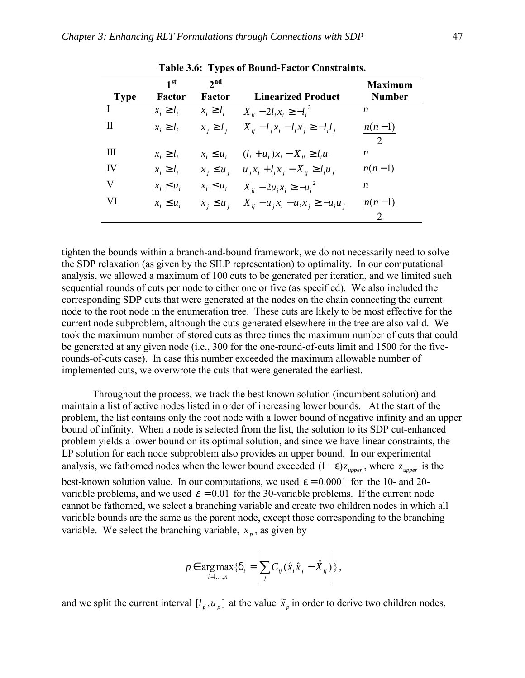|             | 1 <sup>st</sup> | $2^{\text{nd}}$ |                                                          | <b>Maximum</b> |
|-------------|-----------------|-----------------|----------------------------------------------------------|----------------|
| <b>Type</b> | Factor          | Factor          | <b>Linearized Product</b>                                | <b>Number</b>  |
|             | $x_i \geq l_i$  | $x_i \geq l_i$  | $X_{ii} - 2l_i x_i \ge -l_i^2$                           | n              |
| H           | $x_i \geq l_i$  | $x_i \ge l_i$   | $X_{ii} - l_i x_i - l_i x_j \ge -l_i l_i$                | $n(n-1)$       |
|             |                 |                 |                                                          | 2              |
| Ш           | $x_i \geq l_i$  | $x_i \leq u_i$  | $(l_i + u_i)x_i - X_{ii} \ge l_i u_i$                    | n              |
| IV          | $x_i \geq l_i$  |                 | $x_i \le u_i$ , $u_i x_i + l_i x_i - X_{ii} \ge l_i u_i$ | $n(n-1)$       |
| V           | $x_i \leq u_i$  |                 | $x_i \le u_i$ $X_{ii} - 2u_i x_i \ge -u_i^2$             | n              |
| VI          | $x_i \leq u_i$  | $x_i \leq u_i$  | $X_{ii} - u_i x_i - u_i x_i \ge -u_i u_i$                | $n(n-1)$       |
|             |                 |                 |                                                          | $\mathcal{L}$  |

**Table 3.6: Types of Bound-Factor Constraints.** 

tighten the bounds within a branch-and-bound framework, we do not necessarily need to solve the SDP relaxation (as given by the SILP representation) to optimality. In our computational analysis, we allowed a maximum of 100 cuts to be generated per iteration, and we limited such sequential rounds of cuts per node to either one or five (as specified). We also included the corresponding SDP cuts that were generated at the nodes on the chain connecting the current node to the root node in the enumeration tree. These cuts are likely to be most effective for the current node subproblem, although the cuts generated elsewhere in the tree are also valid. We took the maximum number of stored cuts as three times the maximum number of cuts that could be generated at any given node (i.e., 300 for the one-round-of-cuts limit and 1500 for the fiverounds-of-cuts case). In case this number exceeded the maximum allowable number of implemented cuts, we overwrote the cuts that were generated the earliest.

Throughout the process, we track the best known solution (incumbent solution) and maintain a list of active nodes listed in order of increasing lower bounds. At the start of the problem, the list contains only the root node with a lower bound of negative infinity and an upper bound of infinity. When a node is selected from the list, the solution to its SDP cut-enhanced problem yields a lower bound on its optimal solution, and since we have linear constraints, the LP solution for each node subproblem also provides an upper bound. In our experimental analysis, we fathomed nodes when the lower bound exceeded  $(1-\varepsilon)z_{\text{upper}}$ , where  $z_{\text{upper}}$  is the best-known solution value. In our computations, we used  $\varepsilon = 0.0001$  for the 10- and 20variable problems, and we used  $\varepsilon = 0.01$  for the 30-variable problems. If the current node cannot be fathomed, we select a branching variable and create two children nodes in which all variable bounds are the same as the parent node, except those corresponding to the branching variable. We select the branching variable,  $x_p$ , as given by

$$
p \in \underset{i=1,\dots,n}{\arg \max} \{ \delta_i = \left| \sum_j C_{ij} (\hat{x}_i \hat{x}_j - \hat{X}_{ij}) \right| \},
$$

and we split the current interval  $[l_p, u_p]$  at the value  $\tilde{x}_p$  in order to derive two children nodes,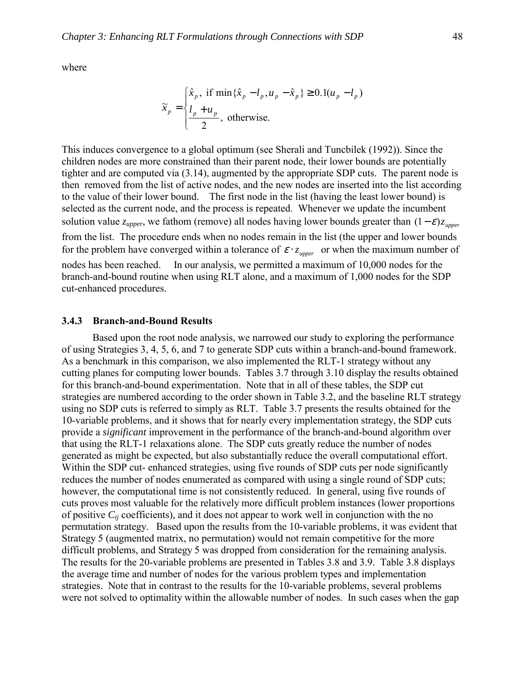where

$$
\widetilde{x}_p = \begin{cases} \hat{x}_p, & \text{if } \min\{\hat{x}_p - l_p, u_p - \hat{x}_p\} \ge 0.1(u_p - l_p) \\ \frac{l_p + u_p}{2}, & \text{otherwise.} \end{cases}
$$

This induces convergence to a global optimum (see Sherali and Tuncbilek (1992)). Since the children nodes are more constrained than their parent node, their lower bounds are potentially tighter and are computed via (3.14), augmented by the appropriate SDP cuts. The parent node is then removed from the list of active nodes, and the new nodes are inserted into the list according to the value of their lower bound. The first node in the list (having the least lower bound) is selected as the current node, and the process is repeated. Whenever we update the incumbent solution value *z<sub>upper</sub>*, we fathom (remove) all nodes having lower bounds greater than  $(1 - \varepsilon)z_{\text{upper}}$ from the list. The procedure ends when no nodes remain in the list (the upper and lower bounds for the problem have converged within a tolerance of  $\varepsilon \cdot z_{\text{upper}}$  or when the maximum number of nodes has been reached. In our analysis, we permitted a maximum of 10,000 nodes for the branch-and-bound routine when using RLT alone, and a maximum of 1,000 nodes for the SDP cut-enhanced procedures.

### **3.4.3 Branch-and-Bound Results**

Based upon the root node analysis, we narrowed our study to exploring the performance of using Strategies 3, 4, 5, 6, and 7 to generate SDP cuts within a branch-and-bound framework. As a benchmark in this comparison, we also implemented the RLT-1 strategy without any cutting planes for computing lower bounds. Tables 3.7 through 3.10 display the results obtained for this branch-and-bound experimentation. Note that in all of these tables, the SDP cut strategies are numbered according to the order shown in Table 3.2, and the baseline RLT strategy using no SDP cuts is referred to simply as RLT. Table 3.7 presents the results obtained for the 10-variable problems, and it shows that for nearly every implementation strategy, the SDP cuts provide a *significant* improvement in the performance of the branch-and-bound algorithm over that using the RLT-1 relaxations alone. The SDP cuts greatly reduce the number of nodes generated as might be expected, but also substantially reduce the overall computational effort. Within the SDP cut- enhanced strategies, using five rounds of SDP cuts per node significantly reduces the number of nodes enumerated as compared with using a single round of SDP cuts; however, the computational time is not consistently reduced. In general, using five rounds of cuts proves most valuable for the relatively more difficult problem instances (lower proportions of positive *Cij* coefficients), and it does not appear to work well in conjunction with the no permutation strategy. Based upon the results from the 10-variable problems, it was evident that Strategy 5 (augmented matrix, no permutation) would not remain competitive for the more difficult problems, and Strategy 5 was dropped from consideration for the remaining analysis. The results for the 20-variable problems are presented in Tables 3.8 and 3.9. Table 3.8 displays the average time and number of nodes for the various problem types and implementation strategies. Note that in contrast to the results for the 10-variable problems, several problems were not solved to optimality within the allowable number of nodes. In such cases when the gap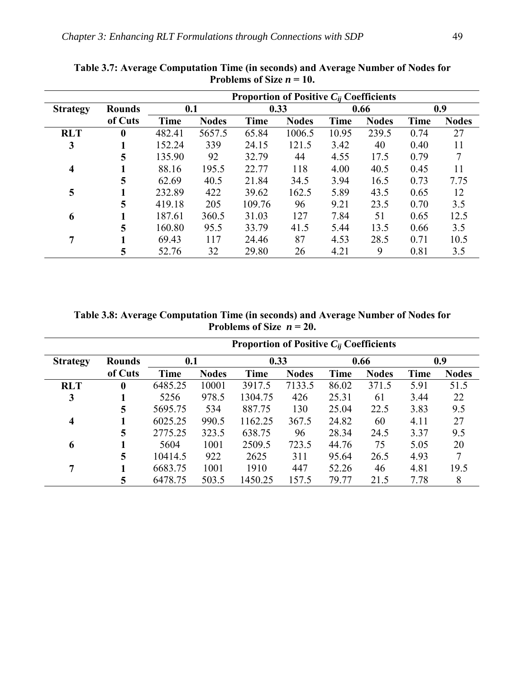|                 | <b>Proportion of Positive <math>C_{ii}</math> Coefficients</b> |             |              |             |              |             |              |             |              |  |
|-----------------|----------------------------------------------------------------|-------------|--------------|-------------|--------------|-------------|--------------|-------------|--------------|--|
| <b>Strategy</b> | <b>Rounds</b>                                                  |             | 0.1          |             | 0.33         |             | 0.66         |             | 0.9          |  |
|                 | of Cuts                                                        | <b>Time</b> | <b>Nodes</b> | <b>Time</b> | <b>Nodes</b> | <b>Time</b> | <b>Nodes</b> | <b>Time</b> | <b>Nodes</b> |  |
| <b>RLT</b>      | $\mathbf{0}$                                                   | 482.41      | 5657.5       | 65.84       | 1006.5       | 10.95       | 239.5        | 0.74        | 27           |  |
| 3               |                                                                | 152.24      | 339          | 24.15       | 121.5        | 3.42        | 40           | 0.40        | 11           |  |
|                 | 5                                                              | 135.90      | 92           | 32.79       | 44           | 4.55        | 17.5         | 0.79        |              |  |
| 4               |                                                                | 88.16       | 195.5        | 22.77       | 118          | 4.00        | 40.5         | 0.45        |              |  |
|                 | 5                                                              | 62.69       | 40.5         | 21.84       | 34.5         | 3.94        | 16.5         | 0.73        | 7.75         |  |
| 5               |                                                                | 232.89      | 422          | 39.62       | 162.5        | 5.89        | 43.5         | 0.65        | 12           |  |
|                 | 5                                                              | 419.18      | 205          | 109.76      | 96           | 9.21        | 23.5         | 0.70        | 3.5          |  |
| 6               |                                                                | 187.61      | 360.5        | 31.03       | 127          | 7.84        | 51           | 0.65        | 12.5         |  |
|                 | 5                                                              | 160.80      | 95.5         | 33.79       | 41.5         | 5.44        | 13.5         | 0.66        | 3.5          |  |
| 7               |                                                                | 69.43       | 117          | 24.46       | 87           | 4.53        | 28.5         | 0.71        | 10.5         |  |
|                 | 5                                                              | 52.76       | 32           | 29.80       | 26           | 4.21        | 9            | 0.81        | 3.5          |  |

**Table 3.7: Average Computation Time (in seconds) and Average Number of Nodes for**  Problems of Size  $n = 10$ .

**Table 3.8: Average Computation Time (in seconds) and Average Number of Nodes for**  Problems of Size  $n = 20$ .

| Proportion of Positive $C_{ii}$ Coefficients |               |         |              |         |              |             |              |      |              |  |
|----------------------------------------------|---------------|---------|--------------|---------|--------------|-------------|--------------|------|--------------|--|
| <b>Strategy</b>                              | <b>Rounds</b> | 0.1     |              |         | 0.33         |             | 0.66         |      | 0.9          |  |
|                                              | of Cuts       | Time    | <b>Nodes</b> | Time    | <b>Nodes</b> | <b>Time</b> | <b>Nodes</b> | Time | <b>Nodes</b> |  |
| <b>RLT</b>                                   | $\bf{0}$      | 6485.25 | 10001        | 3917.5  | 7133.5       | 86.02       | 371.5        | 5.91 | 51.5         |  |
| 3                                            |               | 5256    | 978.5        | 1304.75 | 426          | 25.31       | 61           | 3.44 | 22           |  |
|                                              | 5             | 5695.75 | 534          | 887.75  | 130          | 25.04       | 22.5         | 3.83 | 9.5          |  |
| $\overline{\bf{4}}$                          |               | 6025.25 | 990.5        | 1162.25 | 367.5        | 24.82       | 60           | 4.11 | 27           |  |
|                                              | 5             | 2775.25 | 323.5        | 638.75  | 96           | 28.34       | 24.5         | 3.37 | 9.5          |  |
| 6                                            |               | 5604    | 1001         | 2509.5  | 723.5        | 44.76       | 75           | 5.05 | 20           |  |
|                                              | 5             | 10414.5 | 922          | 2625    | 311          | 95.64       | 26.5         | 4.93 | 7            |  |
| 7                                            |               | 6683.75 | 1001         | 1910    | 447          | 52.26       | 46           | 4.81 | 19.5         |  |
|                                              | 5             | 6478.75 | 503.5        | 1450.25 | 157.5        | 79.77       | 21.5         | 7.78 | 8            |  |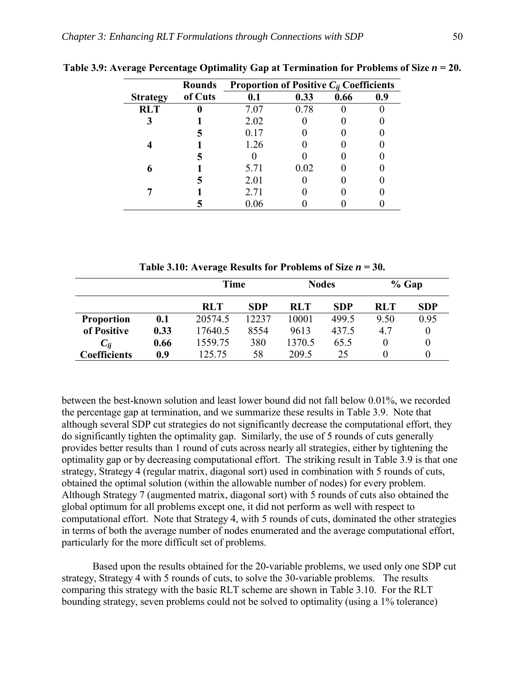|                 | <b>Rounds</b> | Proportion of Positive $C_{ii}$ Coefficients |      |      |     |  |  |
|-----------------|---------------|----------------------------------------------|------|------|-----|--|--|
| <b>Strategy</b> | of Cuts       | 0.1                                          | 0.33 | 0.66 | 0.9 |  |  |
| <b>RLT</b>      |               | 7.07                                         | 0.78 |      |     |  |  |
|                 |               | 2.02                                         |      |      |     |  |  |
|                 |               | 0.17                                         |      |      |     |  |  |
|                 |               | 1.26                                         |      |      |     |  |  |
|                 |               |                                              |      |      |     |  |  |
|                 |               | 5.71                                         | 0.02 |      |     |  |  |
|                 |               | 2.01                                         |      |      |     |  |  |
|                 |               | 2.71                                         |      |      |     |  |  |
|                 |               | 0.06                                         |      |      |     |  |  |

Table 3.9: Average Percentage Optimality Gap at Termination for Problems of Size  $n = 20$ .

Table 3.10: Average Results for Problems of Size  $n = 30$ .

|                     |      | <b>Time</b> |            | <b>Nodes</b> |       | $%$ Gap    |            |
|---------------------|------|-------------|------------|--------------|-------|------------|------------|
|                     |      | <b>RLT</b>  | <b>SDP</b> | <b>RLT</b>   | SDP   | <b>RLT</b> | <b>SDP</b> |
| <b>Proportion</b>   | 0.1  | 20574.5     | 12237      | 10001        | 499.5 | 9.50       | 0.95       |
| of Positive         | 0.33 | 17640.5     | 8554       | 9613         | 437.5 | 4.7        |            |
| $C_{ii}$            | 0.66 | 1559.75     | 380        | 1370.5       | 65.5  | 0          |            |
| <b>Coefficients</b> | 0.9  | 125.75      | 58         | 209.5        | 25    | 0          |            |

between the best-known solution and least lower bound did not fall below 0.01%, we recorded the percentage gap at termination, and we summarize these results in Table 3.9. Note that although several SDP cut strategies do not significantly decrease the computational effort, they do significantly tighten the optimality gap. Similarly, the use of 5 rounds of cuts generally provides better results than 1 round of cuts across nearly all strategies, either by tightening the optimality gap or by decreasing computational effort. The striking result in Table 3.9 is that one strategy, Strategy 4 (regular matrix, diagonal sort) used in combination with 5 rounds of cuts, obtained the optimal solution (within the allowable number of nodes) for every problem. Although Strategy 7 (augmented matrix, diagonal sort) with 5 rounds of cuts also obtained the global optimum for all problems except one, it did not perform as well with respect to computational effort. Note that Strategy 4, with 5 rounds of cuts, dominated the other strategies in terms of both the average number of nodes enumerated and the average computational effort, particularly for the more difficult set of problems.

Based upon the results obtained for the 20-variable problems, we used only one SDP cut strategy, Strategy 4 with 5 rounds of cuts, to solve the 30-variable problems. The results comparing this strategy with the basic RLT scheme are shown in Table 3.10. For the RLT bounding strategy, seven problems could not be solved to optimality (using a 1% tolerance)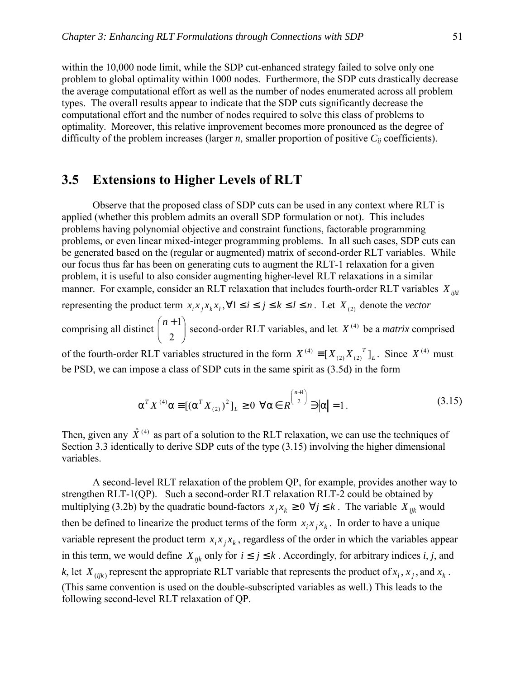within the 10,000 node limit, while the SDP cut-enhanced strategy failed to solve only one problem to global optimality within 1000 nodes. Furthermore, the SDP cuts drastically decrease the average computational effort as well as the number of nodes enumerated across all problem types. The overall results appear to indicate that the SDP cuts significantly decrease the computational effort and the number of nodes required to solve this class of problems to optimality. Moreover, this relative improvement becomes more pronounced as the degree of difficulty of the problem increases (larger  $n$ , smaller proportion of positive  $C_{ii}$  coefficients).

# **3.5 Extensions to Higher Levels of RLT**

 Observe that the proposed class of SDP cuts can be used in any context where RLT is applied (whether this problem admits an overall SDP formulation or not). This includes problems having polynomial objective and constraint functions, factorable programming problems, or even linear mixed-integer programming problems. In all such cases, SDP cuts can be generated based on the (regular or augmented) matrix of second-order RLT variables. While our focus thus far has been on generating cuts to augment the RLT-1 relaxation for a given problem, it is useful to also consider augmenting higher-level RLT relaxations in a similar manner. For example, consider an RLT relaxation that includes fourth-order RLT variables  $X_{ijkl}$ representing the product term  $x_i x_j x_k x_l$ ,  $\forall 1 \le i \le j \le k \le l \le n$ . Let  $X_{(2)}$  denote the *vector* comprising all distinct  $\begin{bmatrix} 1 & 1 \\ 2 & 1 \end{bmatrix}$ J  $\setminus$  $\overline{\phantom{a}}$  $\setminus$  $\left(n +\right)$ 2  ${n+1 \choose 2}$  second-order RLT variables, and let  $X^{(4)}$  be a *matrix* comprised

of the fourth-order RLT variables structured in the form  $X^{(4)} \equiv [X_{(2)}X_{(2)}^T]_L$ . Since  $X^{(4)}$  must be PSD, we can impose a class of SDP cuts in the same spirit as (3.5d) in the form

$$
\alpha^T X^{(4)} \alpha \equiv [(\alpha^T X_{(2)})^2]_L \ge 0 \ \forall \alpha \in R^{\binom{n+1}{2}} \ni \|\alpha\| = 1.
$$
 (3.15)

Then, given any  $\hat{X}^{(4)}$  as part of a solution to the RLT relaxation, we can use the techniques of Section 3.3 identically to derive SDP cuts of the type (3.15) involving the higher dimensional variables.

A second-level RLT relaxation of the problem QP, for example, provides another way to strengthen RLT-1(QP). Such a second-order RLT relaxation RLT-2 could be obtained by multiplying (3.2b) by the quadratic bound-factors  $x_j x_k \ge 0 \ \forall j \le k$ . The variable  $X_{ijk}$  would then be defined to linearize the product terms of the form  $x_i x_j x_k$ . In order to have a unique variable represent the product term  $x_i x_j x_k$ , regardless of the order in which the variables appear in this term, we would define  $X_{ijk}$  only for  $i \leq j \leq k$ . Accordingly, for arbitrary indices *i*, *j*, and *k*, let  $X_{(ijk)}$  represent the appropriate RLT variable that represents the product of  $x_i$ ,  $x_j$ , and  $x_k$ . (This same convention is used on the double-subscripted variables as well.) This leads to the following second-level RLT relaxation of QP.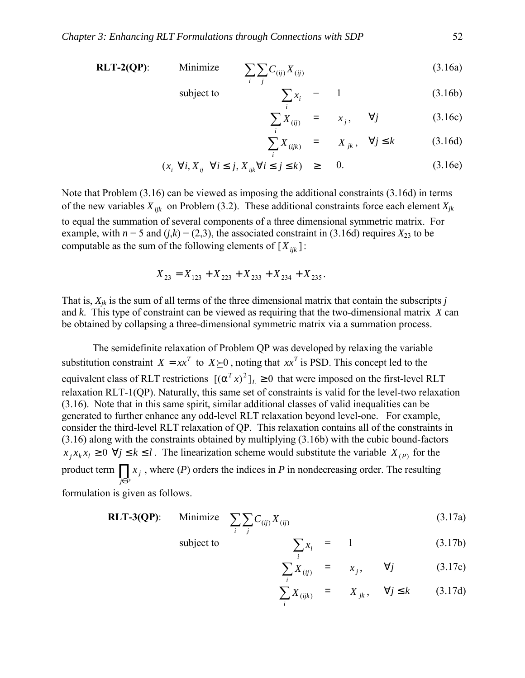**RLT-2(QP):** Minimize 
$$
\sum_{i} \sum_{j} C_{(ij)} X_{(ij)}
$$
 (3.16a)

subject to 
$$
\sum x_i = 1
$$
 (3.16b)

$$
\sum_{i}^{i} X_{(ij)} = x_j, \quad \forall j \tag{3.16c}
$$

$$
\sum_{i} X_{(ijk)} = X_{jk}, \quad \forall j \le k \tag{3.16d}
$$

$$
(x_i \ \forall i, X_{ij} \ \forall i \le j, X_{ijk} \forall i \le j \le k) \ge 0. \tag{3.16e}
$$

Note that Problem (3.16) can be viewed as imposing the additional constraints (3.16d) in terms of the new variables  $X_{ijk}$  on Problem (3.2). These additional constraints force each element  $X_{jk}$ to equal the summation of several components of a three dimensional symmetric matrix. For example, with  $n = 5$  and  $(j, k) = (2, 3)$ , the associated constraint in (3.16d) requires  $X_{23}$  to be computable as the sum of the following elements of  $[X_{ijk}]$ :

$$
X_{23} = X_{123} + X_{223} + X_{233} + X_{234} + X_{235}.
$$

That is,  $X_{ik}$  is the sum of all terms of the three dimensional matrix that contain the subscripts *j* and *k*. This type of constraint can be viewed as requiring that the two-dimensional matrix *X* can be obtained by collapsing a three-dimensional symmetric matrix via a summation process.

 The semidefinite relaxation of Problem QP was developed by relaxing the variable substitution constraint  $X = xx^T$  to  $X \succeq 0$ , noting that  $xx^T$  is PSD. This concept led to the equivalent class of RLT restrictions  $[(\alpha^T x)^2]_L \ge 0$  that were imposed on the first-level RLT relaxation RLT-1(QP). Naturally, this same set of constraints is valid for the level-two relaxation (3.16). Note that in this same spirit, similar additional classes of valid inequalities can be generated to further enhance any odd-level RLT relaxation beyond level-one. For example, consider the third-level RLT relaxation of QP. This relaxation contains all of the constraints in (3.16) along with the constraints obtained by multiplying (3.16b) with the cubic bound-factors  $x_i x_k x_l \geq 0 \ \forall j \leq k \leq l$ . The linearization scheme would substitute the variable  $X_{(P)}$  for the product term  $\prod x_j$ , where (*P*) orders the indices in *P* in nondecreasing order. The resulting *j*∈*P*

formulation is given as follows.

$$
RLT-3(QP): \quad \text{Minimize} \quad \sum_{i} \sum_{j} C_{(ij)} X_{(ij)} \tag{3.17a}
$$

subject to

$$
\sum_{i} x_i = 1 \tag{3.17b}
$$

$$
\sum_{i} X_{(ij)} = x_j, \qquad \forall j \tag{3.17c}
$$

$$
\sum_{i}^{I} X_{(ijk)} = X_{jk}, \quad \forall j \le k \quad (3.17d)
$$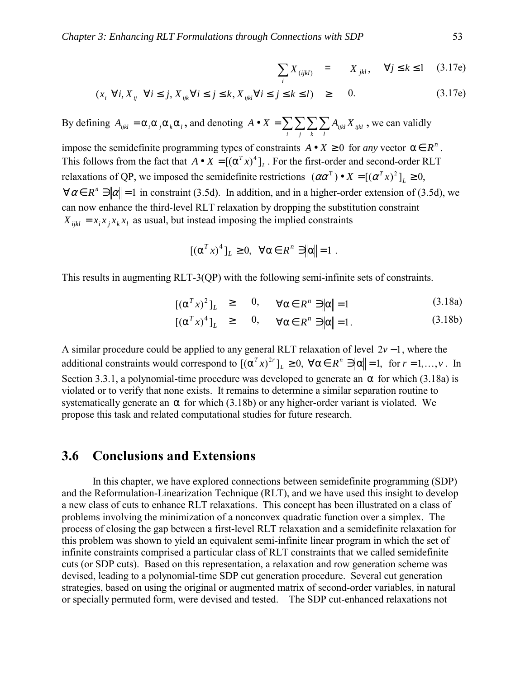$$
\sum_{i} X_{(ijkl)} = X_{jkl}, \quad \forall j \le k \le 1 \quad (3.17e)
$$

$$
(x_i \ \forall i, X_{ij} \ \forall i \le j, X_{ijk} \ \forall i \le j \le k, X_{ijkl} \ \forall i \le j \le k \le l) \ge 0. \tag{3.17e}
$$

By defining  $A_{ijkl} = \alpha_i \alpha_j \alpha_k \alpha_l$ , and denoting  $A \bullet X = \sum_i \sum_j \sum_k \sum_l$  $A \bullet X = \sum \sum \sum A_{ijkl} X_{ijkl}$ , we can validly

impose the semidefinite programming types of constraints  $A \bullet X \ge 0$  for *any* vector  $\alpha \in R^n$ . This follows from the fact that  $A \bullet X = [(\alpha^T x)^4]_L$ . For the first-order and second-order RLT relaxations of QP, we imposed the semidefinite restrictions  $(\alpha \alpha^T) \bullet X = [(\alpha^T x)^2]_L \ge 0$ ,  $\forall \alpha \in R^n$   $\exists |\alpha| = 1$  in constraint (3.5d). In addition, and in a higher-order extension of (3.5d), we can now enhance the third-level RLT relaxation by dropping the substitution constraint  $X_{ijkl} = x_i x_j x_k x_l$  as usual, but instead imposing the implied constraints

$$
[(\alpha^T x)^4]_L \ge 0, \quad \forall \alpha \in R^n \ni \|\alpha\| = 1.
$$

This results in augmenting RLT-3(QP) with the following semi-infinite sets of constraints.

$$
[(\alpha^T x)^2]_L \geq 0, \quad \forall \alpha \in R^n \ni \|\alpha\| = 1 \tag{3.18a}
$$

$$
[(\alpha^T x)^4]_L \geq 0, \quad \forall \alpha \in R^n \ni \|\alpha\| = 1. \tag{3.18b}
$$

A similar procedure could be applied to any general RLT relaxation of level 2*v* −1, where the additional constraints would correspond to  $[(\alpha^T x)^{2r}]_L \ge 0$ ,  $\forall \alpha \in R^n$   $\exists ||\alpha|| = 1$ , for  $r = 1,...,v$ . In Section 3.3.1, a polynomial-time procedure was developed to generate an  $\alpha$  for which (3.18a) is violated or to verify that none exists. It remains to determine a similar separation routine to systematically generate an  $\alpha$  for which (3.18b) or any higher-order variant is violated. We propose this task and related computational studies for future research.

# **3.6 Conclusions and Extensions**

In this chapter, we have explored connections between semidefinite programming (SDP) and the Reformulation-Linearization Technique (RLT), and we have used this insight to develop a new class of cuts to enhance RLT relaxations. This concept has been illustrated on a class of problems involving the minimization of a nonconvex quadratic function over a simplex. The process of closing the gap between a first-level RLT relaxation and a semidefinite relaxation for this problem was shown to yield an equivalent semi-infinite linear program in which the set of infinite constraints comprised a particular class of RLT constraints that we called semidefinite cuts (or SDP cuts). Based on this representation, a relaxation and row generation scheme was devised, leading to a polynomial-time SDP cut generation procedure. Several cut generation strategies, based on using the original or augmented matrix of second-order variables, in natural or specially permuted form, were devised and tested. The SDP cut-enhanced relaxations not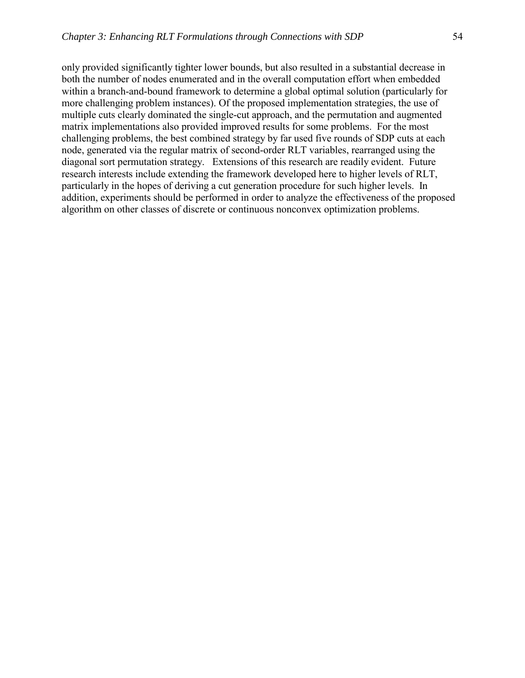only provided significantly tighter lower bounds, but also resulted in a substantial decrease in both the number of nodes enumerated and in the overall computation effort when embedded within a branch-and-bound framework to determine a global optimal solution (particularly for more challenging problem instances). Of the proposed implementation strategies, the use of multiple cuts clearly dominated the single-cut approach, and the permutation and augmented matrix implementations also provided improved results for some problems. For the most challenging problems, the best combined strategy by far used five rounds of SDP cuts at each node, generated via the regular matrix of second-order RLT variables, rearranged using the diagonal sort permutation strategy. Extensions of this research are readily evident. Future research interests include extending the framework developed here to higher levels of RLT, particularly in the hopes of deriving a cut generation procedure for such higher levels. In addition, experiments should be performed in order to analyze the effectiveness of the proposed algorithm on other classes of discrete or continuous nonconvex optimization problems.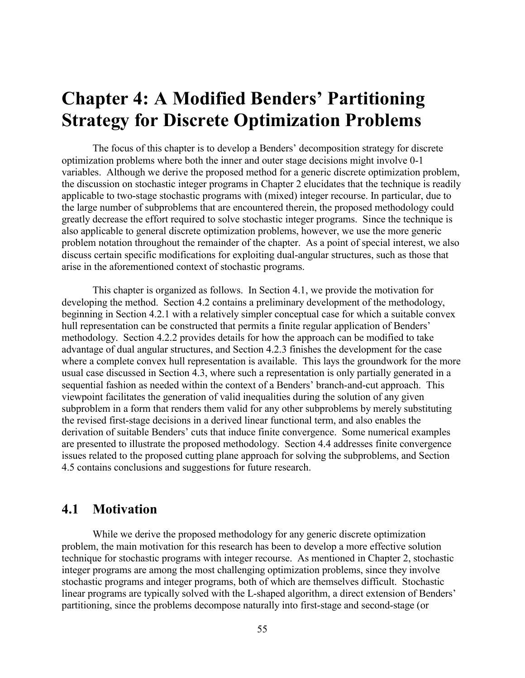# **Chapter 4: A Modified Benders' Partitioning Strategy for Discrete Optimization Problems**

The focus of this chapter is to develop a Benders' decomposition strategy for discrete optimization problems where both the inner and outer stage decisions might involve 0-1 variables. Although we derive the proposed method for a generic discrete optimization problem, the discussion on stochastic integer programs in Chapter 2 elucidates that the technique is readily applicable to two-stage stochastic programs with (mixed) integer recourse. In particular, due to the large number of subproblems that are encountered therein, the proposed methodology could greatly decrease the effort required to solve stochastic integer programs. Since the technique is also applicable to general discrete optimization problems, however, we use the more generic problem notation throughout the remainder of the chapter. As a point of special interest, we also discuss certain specific modifications for exploiting dual-angular structures, such as those that arise in the aforementioned context of stochastic programs.

This chapter is organized as follows. In Section 4.1, we provide the motivation for developing the method. Section 4.2 contains a preliminary development of the methodology, beginning in Section 4.2.1 with a relatively simpler conceptual case for which a suitable convex hull representation can be constructed that permits a finite regular application of Benders<sup>7</sup> methodology. Section 4.2.2 provides details for how the approach can be modified to take advantage of dual angular structures, and Section 4.2.3 finishes the development for the case where a complete convex hull representation is available. This lays the groundwork for the more usual case discussed in Section 4.3, where such a representation is only partially generated in a sequential fashion as needed within the context of a Benders' branch-and-cut approach. This viewpoint facilitates the generation of valid inequalities during the solution of any given subproblem in a form that renders them valid for any other subproblems by merely substituting the revised first-stage decisions in a derived linear functional term, and also enables the derivation of suitable Benders' cuts that induce finite convergence. Some numerical examples are presented to illustrate the proposed methodology. Section 4.4 addresses finite convergence issues related to the proposed cutting plane approach for solving the subproblems, and Section 4.5 contains conclusions and suggestions for future research.

# **4.1 Motivation**

 While we derive the proposed methodology for any generic discrete optimization problem, the main motivation for this research has been to develop a more effective solution technique for stochastic programs with integer recourse. As mentioned in Chapter 2, stochastic integer programs are among the most challenging optimization problems, since they involve stochastic programs and integer programs, both of which are themselves difficult. Stochastic linear programs are typically solved with the L-shaped algorithm, a direct extension of Benders' partitioning, since the problems decompose naturally into first-stage and second-stage (or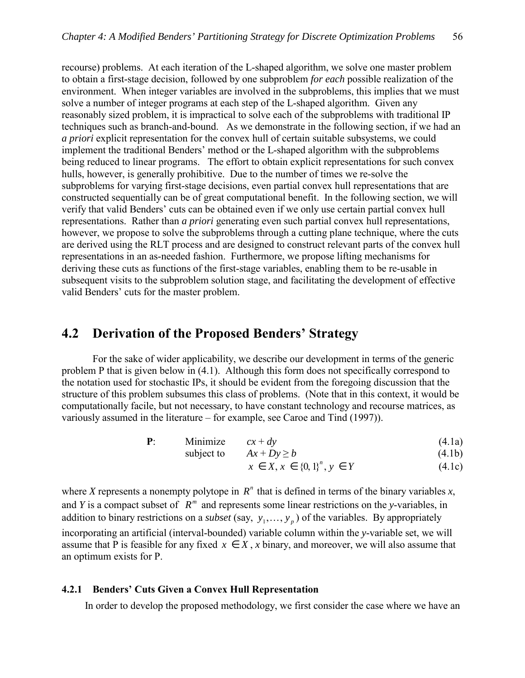recourse) problems. At each iteration of the L-shaped algorithm, we solve one master problem to obtain a first-stage decision, followed by one subproblem *for each* possible realization of the environment. When integer variables are involved in the subproblems, this implies that we must solve a number of integer programs at each step of the L-shaped algorithm. Given any reasonably sized problem, it is impractical to solve each of the subproblems with traditional IP techniques such as branch-and-bound. As we demonstrate in the following section, if we had an *a priori* explicit representation for the convex hull of certain suitable subsystems, we could implement the traditional Benders' method or the L-shaped algorithm with the subproblems being reduced to linear programs. The effort to obtain explicit representations for such convex hulls, however, is generally prohibitive. Due to the number of times we re-solve the subproblems for varying first-stage decisions, even partial convex hull representations that are constructed sequentially can be of great computational benefit. In the following section, we will verify that valid Benders' cuts can be obtained even if we only use certain partial convex hull representations. Rather than *a priori* generating even such partial convex hull representations, however, we propose to solve the subproblems through a cutting plane technique, where the cuts are derived using the RLT process and are designed to construct relevant parts of the convex hull representations in an as-needed fashion. Furthermore, we propose lifting mechanisms for deriving these cuts as functions of the first-stage variables, enabling them to be re-usable in subsequent visits to the subproblem solution stage, and facilitating the development of effective valid Benders' cuts for the master problem.

# **4.2 Derivation of the Proposed Benders' Strategy**

For the sake of wider applicability, we describe our development in terms of the generic problem P that is given below in (4.1). Although this form does not specifically correspond to the notation used for stochastic IPs, it should be evident from the foregoing discussion that the structure of this problem subsumes this class of problems. (Note that in this context, it would be computationally facile, but not necessary, to have constant technology and recourse matrices, as variously assumed in the literature  $-$  for example, see Caroe and Tind (1997)).

| D.<br>Minimize | $cx + dy$ | (4.1a) |
|----------------|-----------|--------|
|----------------|-----------|--------|

subject to  $Ax + Dy \ge b$  (4.1b)

$$
x \in X, x \in \{0, 1\}^n, y \in Y \tag{4.1c}
$$

where *X* represents a nonempty polytope in  $R^n$  that is defined in terms of the binary variables *x*, and *Y* is a compact subset of  $R^m$  and represents some linear restrictions on the *y*-variables, in addition to binary restrictions on a *subset* (say,  $y_1, \ldots, y_p$ ) of the variables. By appropriately incorporating an artificial (interval-bounded) variable column within the *y*-variable set, we will assume that P is feasible for any fixed  $x \in X$ , *x* binary, and moreover, we will also assume that an optimum exists for P.

## **4.2.1 Bendersí Cuts Given a Convex Hull Representation**

In order to develop the proposed methodology, we first consider the case where we have an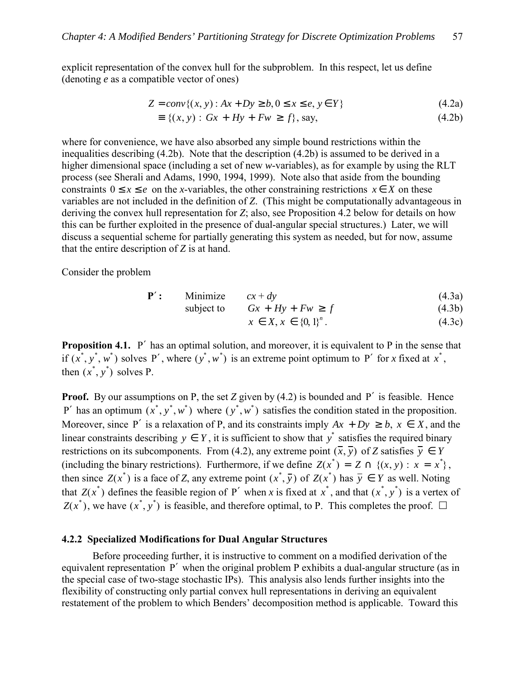explicit representation of the convex hull for the subproblem. In this respect, let us define (denoting *e* as a compatible vector of ones)

$$
Z = conv\{(x, y) : Ax + Dy \ge b, 0 \le x \le e, y \in Y\}
$$
\n(4.2a)

$$
\equiv \{(x, y) : Gx + Hy + Fw \ge f\}, \text{say},\tag{4.2b}
$$

where for convenience, we have also absorbed any simple bound restrictions within the inequalities describing (4.2b). Note that the description (4.2b) is assumed to be derived in a higher dimensional space (including a set of new *w*-variables), as for example by using the RLT process (see Sherali and Adams, 1990, 1994, 1999). Note also that aside from the bounding constraints  $0 \le x \le e$  on the *x*-variables, the other constraining restrictions  $x \in X$  on these variables are not included in the definition of *Z*. (This might be computationally advantageous in deriving the convex hull representation for *Z*; also, see Proposition 4.2 below for details on how this can be further exploited in the presence of dual-angular special structures.) Later, we will discuss a sequential scheme for partially generating this system as needed, but for now, assume that the entire description of *Z* is at hand.

Consider the problem

$$
P': \qquad \text{Minimize} \qquad cx + dy \tag{4.3a}
$$

$$
subject to \tGx + Hy + Fw \ge f \t(4.3b)
$$

$$
x \in X, x \in \{0, 1\}^n. \tag{4.3c}
$$

**Proposition 4.1.** P' has an optimal solution, and moreover, it is equivalent to P in the sense that if  $(x^*, y^*, w^*)$  solves P', where  $(y^*, w^*)$  is an extreme point optimum to P' for *x* fixed at  $x^*$ , then  $(x^*, y^*)$  solves P.

**Proof.** By our assumptions on P, the set *Z* given by (4.2) is bounded and P' is feasible. Hence P' has an optimum  $(x^*, y^*, w^*)$  where  $(y^*, w^*)$  satisfies the condition stated in the proposition. Moreover, since P' is a relaxation of P, and its constraints imply  $Ax + Dy \ge b$ ,  $x \in X$ , and the linear constraints describing  $y \in Y$ , it is sufficient to show that  $y^*$  satisfies the required binary restrictions on its subcomponents. From (4.2), any extreme point  $(\overline{x}, \overline{y})$  of *Z* satisfies  $\overline{y} \in Y$ (including the binary restrictions). Furthermore, if we define  $Z(x^*) = Z \cap \{(x, y) : x = x^*\}$ , then since  $Z(x^*)$  is a face of *Z*, any extreme point  $(x^*, \overline{y})$  of  $Z(x^*)$  has  $\overline{y} \in Y$  as well. Noting that  $Z(x^*)$  defines the feasible region of P' when *x* is fixed at  $x^*$ , and that  $(x^*, y^*)$  is a vertex of  $Z(x^*)$ , we have  $(x^*, y^*)$  is feasible, and therefore optimal, to P. This completes the proof.  $\Box$ 

### **4.2.2 Specialized Modifications for Dual Angular Structures**

 Before proceeding further, it is instructive to comment on a modified derivation of the equivalent representation P′ when the original problem P exhibits a dual-angular structure (as in the special case of two-stage stochastic IPs). This analysis also lends further insights into the flexibility of constructing only partial convex hull representations in deriving an equivalent restatement of the problem to which Benders' decomposition method is applicable. Toward this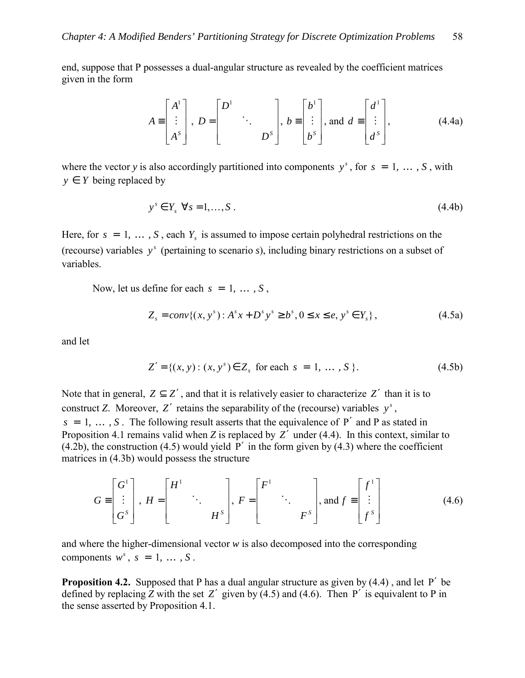end, suppose that P possesses a dual-angular structure as revealed by the coefficient matrices given in the form

$$
A \equiv \begin{bmatrix} A^1 \\ \vdots \\ A^s \end{bmatrix}, D = \begin{bmatrix} D^1 & & \\ & \ddots & \\ & & D^s \end{bmatrix}, b \equiv \begin{bmatrix} b^1 \\ \vdots \\ b^s \end{bmatrix}, \text{ and } d \equiv \begin{bmatrix} d^1 \\ \vdots \\ d^s \end{bmatrix}, \tag{4.4a}
$$

where the vector *y* is also accordingly partitioned into components  $y^s$ , for  $s = 1, \ldots, S$ , with  $y \in Y$  being replaced by

$$
y^s \in Y_s \quad \forall s = 1, \dots, S \tag{4.4b}
$$

Here, for  $s = 1, \ldots, S$ , each  $Y_s$  is assumed to impose certain polyhedral restrictions on the (recourse) variables *<sup>s</sup> y* (pertaining to scenario *s*), including binary restrictions on a subset of variables.

Now, let us define for each  $s = 1, \ldots, S$ ,

$$
Z_s = conv\{(x, y^s) : A^s x + D^s y^s \ge b^s, 0 \le x \le e, y^s \in Y_s\},\tag{4.5a}
$$

and let

$$
Z' = \{(x, y) : (x, y^s) \in Z_s \text{ for each } s = 1, ..., S \}.
$$
 (4.5b)

Note that in general,  $Z \subseteq Z'$ , and that it is relatively easier to characterize  $Z'$  than it is to construct *Z*. Moreover, *Z'* retains the separability of the (recourse) variables  $y^s$ ,  $s = 1, \ldots, S$ . The following result asserts that the equivalence of P' and P as stated in Proposition 4.1 remains valid when *Z* is replaced by *Z*′ under (4.4). In this context, similar to  $(4.2b)$ , the construction  $(4.5)$  would yield P' in the form given by  $(4.3)$  where the coefficient matrices in (4.3b) would possess the structure

$$
G \equiv \begin{bmatrix} G^1 \\ \vdots \\ G^s \end{bmatrix}, H = \begin{bmatrix} H^1 & & \\ & \ddots & \\ & & H^s \end{bmatrix}, F = \begin{bmatrix} F^1 & & \\ & \ddots & \\ & & F^s \end{bmatrix}, \text{and } f \equiv \begin{bmatrix} f^1 \\ \vdots \\ f^s \end{bmatrix}
$$
(4.6)

and where the higher-dimensional vector *w* is also decomposed into the corresponding components  $w^s$ ,  $s = 1, \ldots, S$ .

**Proposition 4.2.** Supposed that P has a dual angular structure as given by (4.4) , and let P′ be defined by replacing *Z* with the set *Z'* given by  $(4.5)$  and  $(4.6)$ . Then P' is equivalent to P in the sense asserted by Proposition 4.1.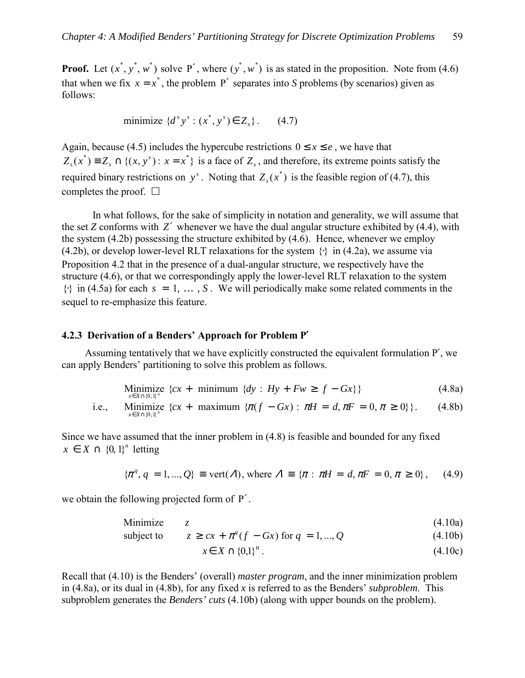**Proof.** Let  $(x^*, y^*, w^*)$  solve P', where  $(y^*, w^*)$  is as stated in the proposition. Note from (4.6) that when we fix  $x = x^*$ , the problem P' separates into *S* problems (by scenarios) given as follows:

 $\text{minimize } \{d^s y^s : (x^*, y^s) \in Z_s\}.$  (4.7)

Again, because (4.5) includes the hypercube restrictions  $0 \le x \le e$ , we have that  $Z_s(x^*) \equiv Z_s \cap \{(x, y^*) : x = x^*\}$  is a face of  $Z_s$ , and therefore, its extreme points satisfy the required binary restrictions on  $y^s$ . Noting that  $Z_s(x^*)$  is the feasible region of (4.7), this completes the proof.  $\Box$ 

 In what follows, for the sake of simplicity in notation and generality, we will assume that the set *Z* conforms with *Z*′ whenever we have the dual angular structure exhibited by (4.4), with the system (4.2b) possessing the structure exhibited by (4.6). Hence, whenever we employ (4.2b), or develop lower-level RLT relaxations for the system  $\{\cdot\}$  in (4.2a), we assume via Proposition 4.2 that in the presence of a dual-angular structure, we respectively have the structure (4.6), or that we correspondingly apply the lower-level RLT relaxation to the system  $\{\cdot\}$  in (4.5a) for each  $s = 1, \ldots, S$ . We will periodically make some related comments in the sequel to re-emphasize this feature.

### **4.2.3 Derivation of a Bendersí Approach for Problem P**′

Assuming tentatively that we have explicitly constructed the equivalent formulation P′, we can apply Benders' partitioning to solve this problem as follows.

$$
\underset{x \in X \cap \{0,1\}^n}{\text{Minimize}} \ \{cx + \text{minimum} \ \{dy : Hy + Fw \ge f - Gx\} \} \tag{4.8a}
$$

i.e., Minimize 
$$
\{cx + \text{ maximum } \{\pi(f - Gx) : \pi H = d, \pi F = 0, \pi \ge 0\}\}\.
$$
 (4.8b)

Since we have assumed that the inner problem in (4.8) is feasible and bounded for any fixed  $x \in X \cap \{0, 1\}^n$  letting

$$
\{\pi^q, q = 1, ..., Q\} \equiv \text{vert}(A), \text{ where } A \equiv \{\pi : \pi H = d, \pi F = 0, \pi \ge 0\}, \quad (4.9)
$$

we obtain the following projected form of P′ .

Minimize *z* (4.10a)

subject to  $z \geq cx + \pi^q(f - Gx)$  for  $q = 1, ..., Q$  (4.10b)

$$
x \in X \cap \{0,1\}^n. \tag{4.10c}
$$

Recall that (4.10) is the Benders' (overall) *master program*, and the inner minimization problem in (4.8a), or its dual in (4.8b), for any fixed *x* is referred to as the Benders' *subproblem*. This subproblem generates the *Benders' cuts* (4.10b) (along with upper bounds on the problem).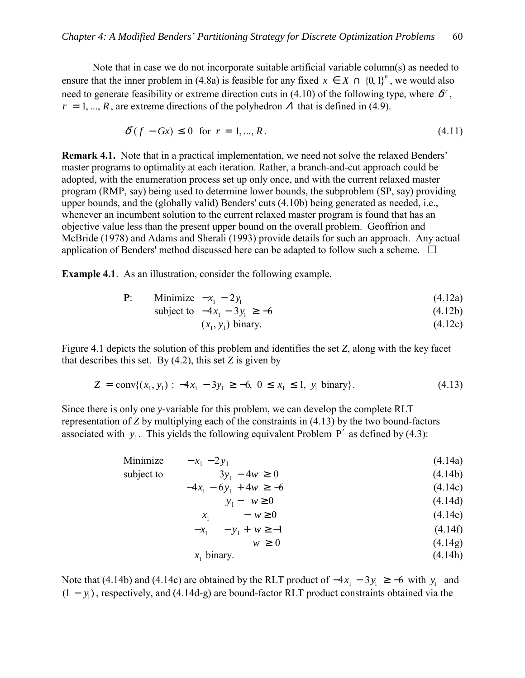Note that in case we do not incorporate suitable artificial variable column(s) as needed to ensure that the inner problem in (4.8a) is feasible for any fixed  $x \in X \cap \{0, 1\}^n$ , we would also need to generate feasibility or extreme direction cuts in (4.10) of the following type, where  $\delta^r$ ,  $r = 1, ..., R$ , are extreme directions of the polyhedron  $\Lambda$  that is defined in (4.9).

$$
\delta'(f - Gx) \le 0 \quad \text{for} \quad r = 1, \dots, R. \tag{4.11}
$$

**Remark 4.1.** Note that in a practical implementation, we need not solve the relaxed Benders' master programs to optimality at each iteration. Rather, a branch-and-cut approach could be adopted, with the enumeration process set up only once, and with the current relaxed master program (RMP, say) being used to determine lower bounds, the subproblem (SP, say) providing upper bounds, and the (globally valid) Benders' cuts (4.10b) being generated as needed, i.e., whenever an incumbent solution to the current relaxed master program is found that has an objective value less than the present upper bound on the overall problem. Geoffrion and McBride (1978) and Adams and Sherali (1993) provide details for such an approach. Any actual application of Benders' method discussed here can be adapted to follow such a scheme.  $\Box$ 

**Example 4.1**. As an illustration, consider the following example.

**P**: Minimize 
$$
-x_1 - 2y_1
$$
 (4.12a)

subject to 
$$
-4x_1 - 3y_1 \ge -6
$$
 (4.12b)

$$
(x_1, y_1) \text{ binary.} \tag{4.12c}
$$

Figure 4.1 depicts the solution of this problem and identifies the set *Z*, along with the key facet that describes this set. By  $(4.2)$ , this set *Z* is given by

$$
Z = \text{conv}\{(x_1, y_1) : -4x_1 - 3y_1 \ge -6, 0 \le x_1 \le 1, y_1 \text{ binary}\}. \tag{4.13}
$$

Since there is only one *y*-variable for this problem, we can develop the complete RLT representation of *Z* by multiplying each of the constraints in (4.13) by the two bound-factors associated with  $y_1$ . This yields the following equivalent Problem P<sup>'</sup> as defined by (4.3):

Minimize

\n
$$
-x_{1} - 2y_{1}
$$
\n(4.14a)

\nsubject to

\n
$$
3y_{1} - 4w \ge 0
$$
\n
$$
-4x_{1} - 6y_{1} + 4w \ge -6
$$
\n
$$
y_{1} - w \ge 0
$$
\n
$$
x_{1} - w \ge 0
$$
\n
$$
-x_{1} - y_{1} + w \ge -1
$$
\n
$$
w \ge 0
$$
\n(4.14b)

\n
$$
(4.14c)
$$
\n
$$
x_{1} - w \ge 0
$$
\n
$$
(4.14e)
$$
\n
$$
y_{1} - w \ge 0
$$
\n
$$
(4.14f)
$$
\n
$$
(4.14g)
$$
\n
$$
x_{1} \text{ binary.}
$$
\n(4.14h)

Note that (4.14b) and (4.14c) are obtained by the RLT product of  $-4x_1 - 3y_1 \ge -6$  with *y*<sub>1</sub> and (1 − *y*1) , respectively, and (4.14d-g) are bound-factor RLT product constraints obtained via the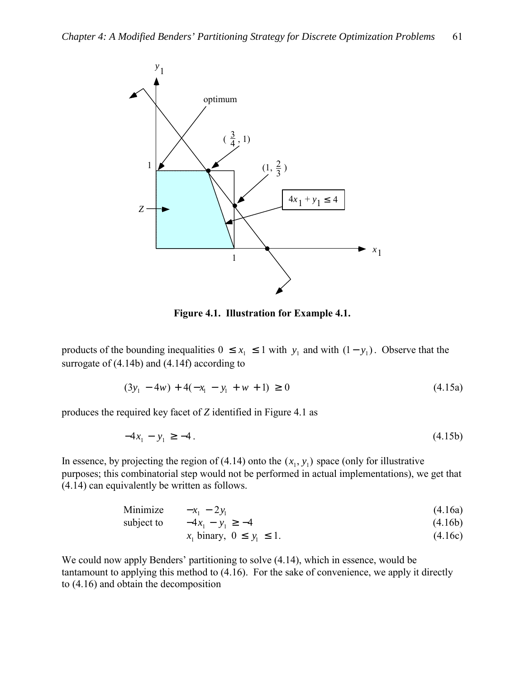

**Figure 4.1. Illustration for Example 4.1.** 

products of the bounding inequalities  $0 \le x_1 \le 1$  with  $y_1$  and with  $(1 - y_1)$ . Observe that the surrogate of (4.14b) and (4.14f) according to

$$
(3y1 - 4w) + 4(-x1 - y1 + w + 1) \ge 0
$$
\n(4.15a)

produces the required key facet of *Z* identified in Figure 4.1 as

$$
-4x_1 - y_1 \ge -4. \tag{4.15b}
$$

In essence, by projecting the region of (4.14) onto the  $(x_1, y_1)$  space (only for illustrative purposes; this combinatorial step would not be performed in actual implementations), we get that (4.14) can equivalently be written as follows.

Minimize  $-x_1 - 2y_1$  (4.16a)

subject to 
$$
-4x_1 - y_1 \ge -4
$$
 (4.16b)

$$
x_1 \text{ binary}, \ 0 \le y_1 \le 1. \tag{4.16c}
$$

We could now apply Benders' partitioning to solve  $(4.14)$ , which in essence, would be tantamount to applying this method to (4.16). For the sake of convenience, we apply it directly to (4.16) and obtain the decomposition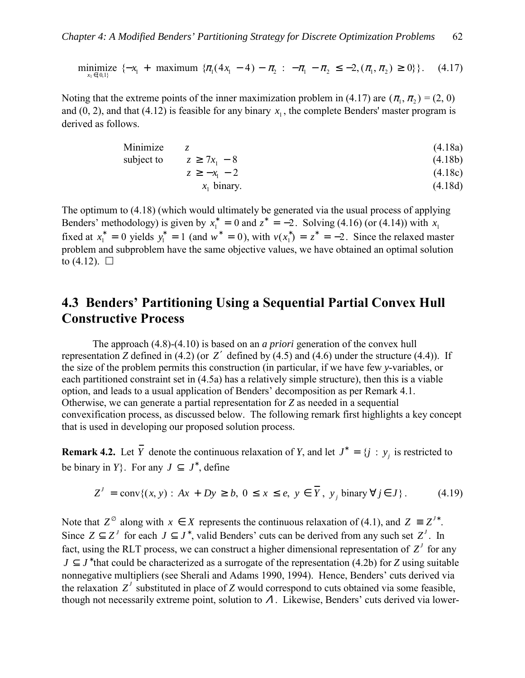minimize  $\{-x_1 + \text{maximum } \{\pi_1(4x_1 - 4) - \pi_2 : -\pi_1 - \pi_2 \leq -2, (\pi_1, \pi_2) \geq 0\}\}\.$  (4.17)

Noting that the extreme points of the inner maximization problem in (4.17) are  $(\pi_1, \pi_2) = (2, 0)$ and (0, 2), and that (4.12) is feasible for any binary  $x_1$ , the complete Benders' master program is derived as follows.

Minimize 
$$
z
$$
 (4.18a)

\nsubject to  $z \geq 7x_1 - 8$  (4.18b)

\n $z \geq -x_1 - 2$  (4.18c)

\n $x_1$  binary.

\n(4.18c)

\n(4.18d)

The optimum to (4.18) (which would ultimately be generated via the usual process of applying Benders' methodology) is given by  $x_1^* = 0$  and  $z^* = -2$ . Solving (4.16) (or (4.14)) with  $x_1$ fixed at  $x_1^* = 0$  yields  $y_1^* = 1$  (and  $w^* = 0$ ), with  $v(x_1^*) = z^* = -2$ . Since the relaxed master problem and subproblem have the same objective values, we have obtained an optimal solution to  $(4.12)$ .  $\Box$ 

# **4.3 Benders' Partitioning Using a Sequential Partial Convex Hull Constructive Process**

 The approach (4.8)-(4.10) is based on an *a priori* generation of the convex hull representation *Z* defined in (4.2) (or *Z*′ defined by (4.5) and (4.6) under the structure (4.4)). If the size of the problem permits this construction (in particular, if we have few *y*-variables, or each partitioned constraint set in (4.5a) has a relatively simple structure), then this is a viable option, and leads to a usual application of Benders' decomposition as per Remark 4.1. Otherwise, we can generate a partial representation for *Z* as needed in a sequential convexification process, as discussed below. The following remark first highlights a key concept that is used in developing our proposed solution process.

**Remark 4.2.** Let  $\overline{Y}$  denote the continuous relaxation of *Y*, and let  $J^* = \{j : y_j \text{ is restricted to } j\}$ be binary in *Y*}. For any  $J \subseteq J^*$ , define

$$
Z' = \text{conv}\{(x, y) : Ax + Dy \ge b, 0 \le x \le e, y \in Y, y_j \text{ binary } \forall j \in J\}. \tag{4.19}
$$

Note that  $Z^{\emptyset}$  along with  $x \in X$  represents the continuous relaxation of (4.1), and  $Z = Z^{J^*}$ . Since  $Z \subseteq Z^J$  for each  $J \subseteq J^*$ , valid Benders' cuts can be derived from any such set  $Z^J$ . In fact, using the RLT process, we can construct a higher dimensional representation of  $Z<sup>J</sup>$  for any  $J \subset J^*$  that could be characterized as a surrogate of the representation (4.2b) for *Z* using suitable nonnegative multipliers (see Sherali and Adams 1990, 1994). Hence, Benders' cuts derived via the relaxation  $Z^J$  substituted in place of *Z* would correspond to cuts obtained via some feasible, though not necessarily extreme point, solution to  $\Lambda$ . Likewise, Benders' cuts derived via lower-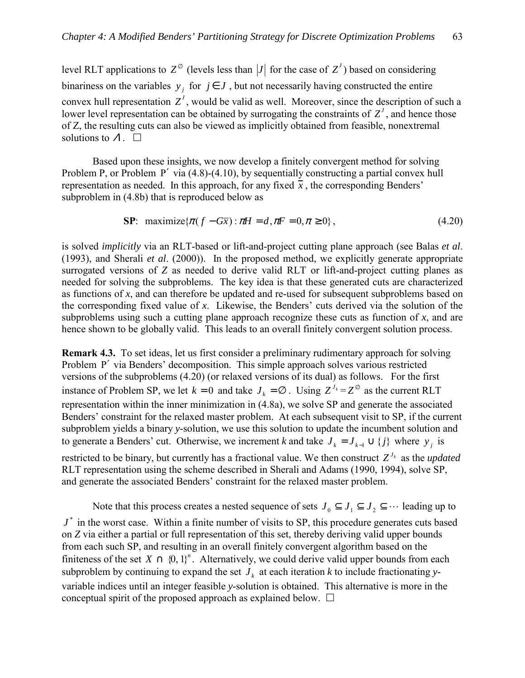level RLT applications to  $Z^{\emptyset}$  (levels less than  $|J|$  for the case of  $Z^J$ ) based on considering binariness on the variables  $y_i$  for  $j \in J$ , but not necessarily having constructed the entire convex hull representation  $Z<sup>J</sup>$ , would be valid as well. Moreover, since the description of such a lower level representation can be obtained by surrogating the constraints of  $Z<sup>J</sup>$ , and hence those of Z, the resulting cuts can also be viewed as implicitly obtained from feasible, nonextremal solutions to  $\Lambda$ .  $\square$ 

Based upon these insights, we now develop a finitely convergent method for solving Problem P, or Problem P′ via (4.8)-(4.10), by sequentially constructing a partial convex hull representation as needed. In this approach, for any fixed  $\bar{x}$ , the corresponding Benders' subproblem in (4.8b) that is reproduced below as

$$
\mathbf{SP:} \quad \text{maximize} \{ \pi(f - G\overline{x}) : \pi H = d, \pi F = 0, \pi \ge 0 \}, \tag{4.20}
$$

is solved *implicitly* via an RLT-based or lift-and-project cutting plane approach (see Balas *et al*. (1993), and Sherali *et al*. (2000)). In the proposed method, we explicitly generate appropriate surrogated versions of *Z* as needed to derive valid RLT or lift-and-project cutting planes as needed for solving the subproblems. The key idea is that these generated cuts are characterized as functions of *x*, and can therefore be updated and re-used for subsequent subproblems based on the corresponding fixed value of  $x$ . Likewise, the Benders' cuts derived via the solution of the subproblems using such a cutting plane approach recognize these cuts as function of  $x$ , and are hence shown to be globally valid. This leads to an overall finitely convergent solution process.

**Remark 4.3.** To set ideas, let us first consider a preliminary rudimentary approach for solving Problem P' via Benders' decomposition. This simple approach solves various restricted versions of the subproblems (4.20) (or relaxed versions of its dual) as follows. For the first instance of Problem SP, we let  $k = 0$  and take  $J_k = \emptyset$ . Using  $Z^{J_k} = Z^{\emptyset}$  as the current RLT representation within the inner minimization in (4.8a), we solve SP and generate the associated Benders' constraint for the relaxed master problem. At each subsequent visit to SP, if the current subproblem yields a binary *y*-solution, we use this solution to update the incumbent solution and to generate a Benders' cut. Otherwise, we increment *k* and take  $J_k = J_{k-1} \cup \{j\}$  where  $y_j$  is

restricted to be binary, but currently has a fractional value. We then construct  $Z^{J_k}$  as the *updated* RLT representation using the scheme described in Sherali and Adams (1990, 1994), solve SP, and generate the associated Benders' constraint for the relaxed master problem.

Note that this process creates a nested sequence of sets  $J_0 \subseteq J_1 \subseteq J_2 \subseteq \cdots$  leading up to  $J^*$  in the worst case. Within a finite number of visits to SP, this procedure generates cuts based on *Z* via either a partial or full representation of this set, thereby deriving valid upper bounds from each such SP, and resulting in an overall finitely convergent algorithm based on the finiteness of the set  $X \cap \{0, 1\}^n$ . Alternatively, we could derive valid upper bounds from each subproblem by continuing to expand the set  $J_k$  at each iteration  $k$  to include fractionating *y*variable indices until an integer feasible *y*-solution is obtained. This alternative is more in the conceptual spirit of the proposed approach as explained below.  $\Box$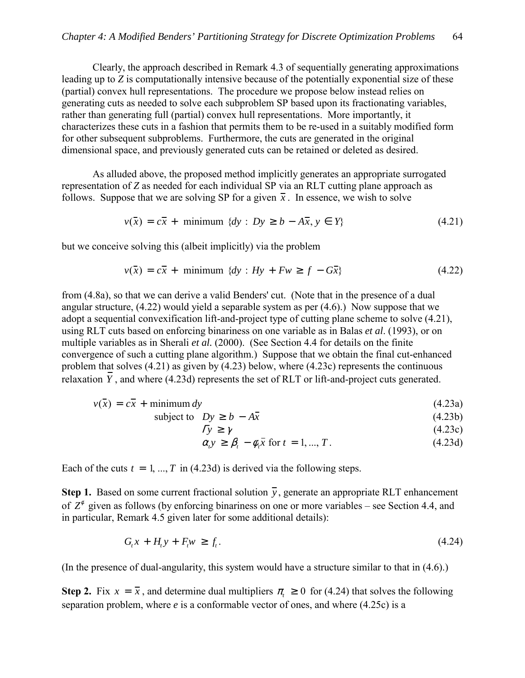Clearly, the approach described in Remark 4.3 of sequentially generating approximations leading up to *Z* is computationally intensive because of the potentially exponential size of these (partial) convex hull representations. The procedure we propose below instead relies on generating cuts as needed to solve each subproblem SP based upon its fractionating variables, rather than generating full (partial) convex hull representations. More importantly, it characterizes these cuts in a fashion that permits them to be re-used in a suitably modified form for other subsequent subproblems. Furthermore, the cuts are generated in the original dimensional space, and previously generated cuts can be retained or deleted as desired.

 As alluded above, the proposed method implicitly generates an appropriate surrogated representation of *Z* as needed for each individual SP via an RLT cutting plane approach as follows. Suppose that we are solving SP for a given  $\overline{x}$ . In essence, we wish to solve

$$
v(\overline{x}) = c\overline{x} + \text{minimum } \{dy : Dy \ge b - A\overline{x}, y \in Y\} \tag{4.21}
$$

but we conceive solving this (albeit implicitly) via the problem

$$
v(\overline{x}) = c\overline{x} + \text{minimum } \{dy : Hy + Fw \ge f - G\overline{x}\}
$$
 (4.22)

from (4.8a), so that we can derive a valid Benders' cut. (Note that in the presence of a dual angular structure, (4.22) would yield a separable system as per (4.6).) Now suppose that we adopt a sequential convexification lift-and-project type of cutting plane scheme to solve (4.21), using RLT cuts based on enforcing binariness on one variable as in Balas *et al*. (1993), or on multiple variables as in Sherali *et al.* (2000). (See Section 4.4 for details on the finite convergence of such a cutting plane algorithm.) Suppose that we obtain the final cut-enhanced problem that solves (4.21) as given by (4.23) below, where (4.23c) represents the continuous relaxation  $\overline{Y}$ , and where (4.23d) represents the set of RLT or lift-and-project cuts generated.

$$
v(\bar{x}) = c\bar{x} + \text{minimum } dy \tag{4.23a}
$$

$$
subject to \quad Dy \ge b - A\overline{x} \tag{4.23b}
$$

$$
\Gamma y \ge \gamma \tag{4.23c}
$$

$$
\alpha_i y \ge \beta_i - \phi_i \bar{x} \text{ for } t = 1, ..., T. \tag{4.23d}
$$

Each of the cuts  $t = 1, ..., T$  in (4.23d) is derived via the following steps.

**Step 1.** Based on some current fractional solution  $\overline{y}$ , generate an appropriate RLT enhancement of  $Z^{\phi}$  given as follows (by enforcing binariness on one or more variables – see Section 4.4, and in particular, Remark 4.5 given later for some additional details):

$$
G_t x + H_t y + F_t w \ge f_t. \tag{4.24}
$$

(In the presence of dual-angularity, this system would have a structure similar to that in (4.6).)

**Step 2.** Fix  $x = \overline{x}$ , and determine dual multipliers  $\pi \ge 0$  for (4.24) that solves the following separation problem, where *e* is a conformable vector of ones, and where (4.25c) is a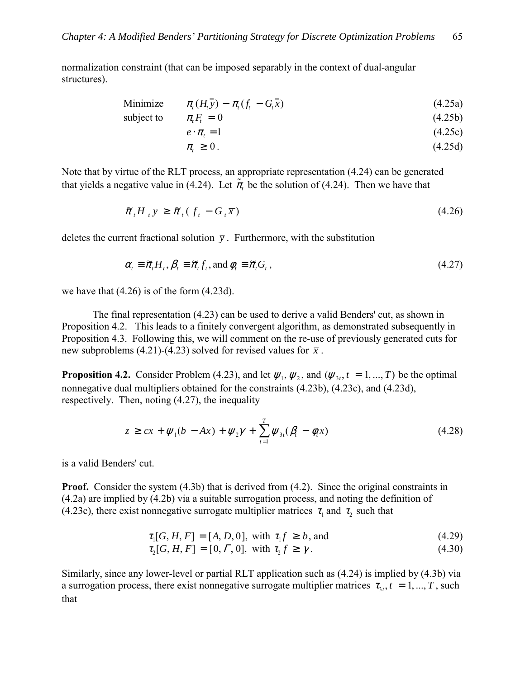normalization constraint (that can be imposed separably in the context of dual-angular structures).

$$
\text{Minimize} \qquad \pi_t(H_t \bar{y}) - \pi_t(f_t - G_t \bar{x}) \tag{4.25a}
$$

subject to  $\pi F_t = 0$  (4.25b)

$$
e \cdot \pi_t = 1 \tag{4.25c}
$$

$$
\pi_{t} \geq 0. \tag{4.25d}
$$

Note that by virtue of the RLT process, an appropriate representation (4.24) can be generated that yields a negative value in (4.24). Let  $\tilde{\pi}_{\tau}$  be the solution of (4.24). Then we have that

$$
\tilde{\pi}_t H_{\tau} y \ge \tilde{\pi}_t (f_t - G_t \overline{x}) \tag{4.26}
$$

deletes the current fractional solution  $\bar{y}$ . Furthermore, with the substitution

$$
\alpha_{t} \equiv \widetilde{\pi}_{t} H_{t}, \beta_{t} \equiv \widetilde{\pi}_{t} f_{t}, \text{and } \phi_{t} \equiv \widetilde{\pi}_{t} G_{t}, \qquad (4.27)
$$

we have that (4.26) is of the form (4.23d).

 The final representation (4.23) can be used to derive a valid Benders' cut, as shown in Proposition 4.2. This leads to a finitely convergent algorithm, as demonstrated subsequently in Proposition 4.3. Following this, we will comment on the re-use of previously generated cuts for new subproblems (4.21)-(4.23) solved for revised values for  $\bar{x}$ .

**Proposition 4.2.** Consider Problem (4.23), and let  $\psi_1, \psi_2$ , and ( $\psi_3, t = 1, ..., T$ ) be the optimal nonnegative dual multipliers obtained for the constraints (4.23b), (4.23c), and (4.23d), respectively. Then, noting (4.27), the inequality

$$
z \geq cx + \psi_1(b - Ax) + \psi_2 \gamma + \sum_{t=1}^T \psi_{3t}(\beta_t - \phi_t x)
$$
\n(4.28)

is a valid Benders' cut.

**Proof.** Consider the system (4.3b) that is derived from (4.2). Since the original constraints in (4.2a) are implied by (4.2b) via a suitable surrogation process, and noting the definition of (4.23c), there exist nonnegative surrogate multiplier matrices  $\tau_1$  and  $\tau_2$  such that

$$
\tau_1[G, H, F] = [A, D, 0], \text{ with } \tau_1 f \ge b, \text{ and} \tag{4.29}
$$

$$
\tau_2[G, H, F] = [0, \Gamma, 0], \text{ with } \tau_2 f \ge \gamma. \tag{4.30}
$$

Similarly, since any lower-level or partial RLT application such as (4.24) is implied by (4.3b) via a surrogation process, there exist nonnegative surrogate multiplier matrices  $\tau_{3t}$ ,  $t = 1, ..., T$ , such that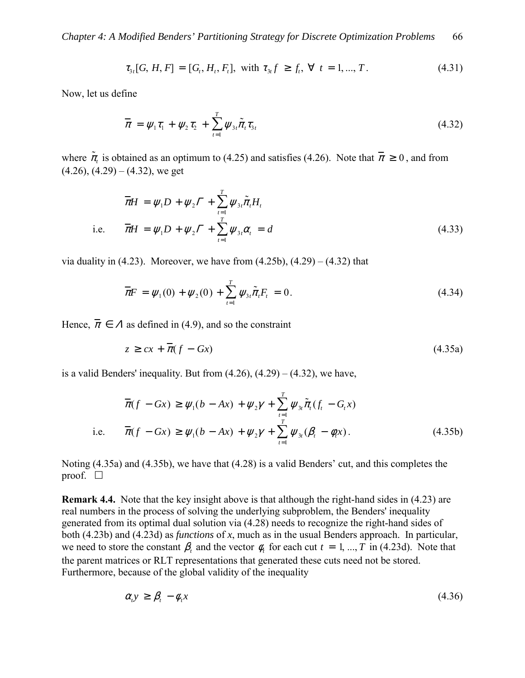$$
\tau_{3t}[G, H, F] = [G_t, H_t, F_t], \text{ with } \tau_{3t}f \ge f_t, \forall t = 1, ..., T. \tag{4.31}
$$

Now, let us define

$$
\overline{\pi} = \psi_1 \tau_1 + \psi_2 \tau_2 + \sum_{t=1}^T \psi_{3t} \tilde{\pi}_t \tau_{3t}
$$
\n(4.32)

where  $\tilde{\pi}$  is obtained as an optimum to (4.25) and satisfies (4.26). Note that  $\bar{\pi} \ge 0$ , and from  $(4.26)$ ,  $(4.29) - (4.32)$ , we get

$$
\overline{\pi}H = \psi_1 D + \psi_2 \Gamma + \sum_{t=1}^{T} \psi_{3t} \overline{\tilde{\pi}}_t H_t
$$
  
i.e. 
$$
\overline{\pi}H = \psi_1 D + \psi_2 \Gamma + \sum_{t=1}^{T} \psi_{3t} \alpha_t = d
$$
(4.33)

via duality in (4.23). Moreover, we have from  $(4.25b)$ ,  $(4.29) - (4.32)$  that

$$
\overline{\pi}F = \psi_1(0) + \psi_2(0) + \sum_{t=1}^T \psi_{3t} \tilde{\pi}_t F_t = 0.
$$
 (4.34)

Hence,  $\overline{\pi} \in A$  as defined in (4.9), and so the constraint

$$
z \geq cx + \overline{x}(f - Gx) \tag{4.35a}
$$

is a valid Benders' inequality. But from  $(4.26)$ ,  $(4.29) - (4.32)$ , we have,

$$
\overline{\pi}(f - Gx) \ge \psi_1(b - Ax) + \psi_2 \gamma + \sum_{t=1}^T \psi_{3t} \tilde{\pi}_t(f_t - G_t x)
$$
  
i.e. 
$$
\overline{\pi}(f - Gx) \ge \psi_1(b - Ax) + \psi_2 \gamma + \sum_{t=1}^T \psi_{3t} (\beta_t - \phi_t x).
$$
 (4.35b)

Noting  $(4.35a)$  and  $(4.35b)$ , we have that  $(4.28)$  is a valid Benders' cut, and this completes the proof.  $\Box$ 

**Remark 4.4.** Note that the key insight above is that although the right-hand sides in (4.23) are real numbers in the process of solving the underlying subproblem, the Benders' inequality generated from its optimal dual solution via (4.28) needs to recognize the right-hand sides of both (4.23b) and (4.23d) as *functions* of *x*, much as in the usual Benders approach. In particular, we need to store the constant  $\beta$ , and the vector  $\phi$ , for each cut  $t = 1, ..., T$  in (4.23d). Note that the parent matrices or RLT representations that generated these cuts need not be stored. Furthermore, because of the global validity of the inequality

$$
\alpha_t y \ge \beta_t - \phi_t x \tag{4.36}
$$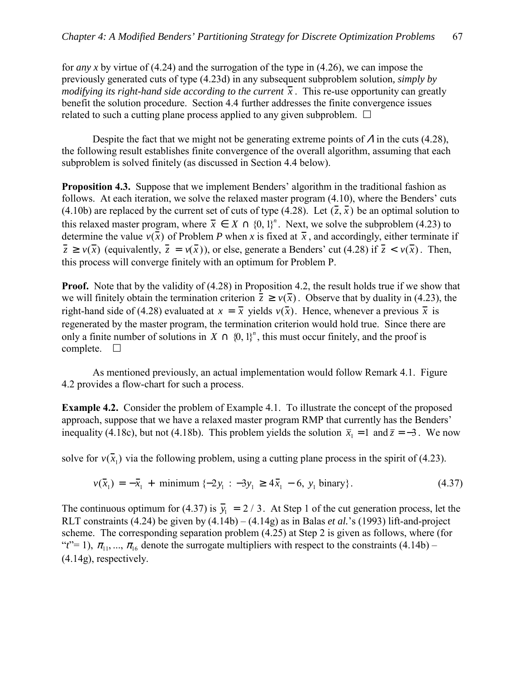for *any x* by virtue of (4.24) and the surrogation of the type in (4.26), we can impose the previously generated cuts of type (4.23d) in any subsequent subproblem solution*, simply by modifying its right-hand side according to the current*  $\bar{x}$ . This re-use opportunity can greatly benefit the solution procedure. Section 4.4 further addresses the finite convergence issues related to such a cutting plane process applied to any given subproblem.  $\Box$ 

Despite the fact that we might not be generating extreme points of  $\Lambda$  in the cuts (4.28), the following result establishes finite convergence of the overall algorithm, assuming that each subproblem is solved finitely (as discussed in Section 4.4 below).

**Proposition 4.3.** Suppose that we implement Benders' algorithm in the traditional fashion as follows. At each iteration, we solve the relaxed master program  $(4.10)$ , where the Benders' cuts (4.10b) are replaced by the current set of cuts of type (4.28). Let  $(\bar{z}, \bar{x})$  be an optimal solution to this relaxed master program, where  $\bar{x} \in X \cap \{0, 1\}^n$ . Next, we solve the subproblem (4.23) to determine the value  $v(\bar{x})$  of Problem *P* when *x* is fixed at  $\bar{x}$ , and accordingly, either terminate if  $\overline{z} \ge v(\overline{x})$  (equivalently,  $\overline{z} = v(\overline{x})$ ), or else, generate a Benders' cut (4.28) if  $\overline{z} < v(\overline{x})$ . Then, this process will converge finitely with an optimum for Problem P.

**Proof.** Note that by the validity of (4.28) in Proposition 4.2, the result holds true if we show that we will finitely obtain the termination criterion  $\overline{z} \ge v(\overline{x})$ . Observe that by duality in (4.23), the right-hand side of (4.28) evaluated at  $x = \overline{x}$  yields  $v(\overline{x})$ . Hence, whenever a previous  $\overline{x}$  is regenerated by the master program, the termination criterion would hold true. Since there are only a finite number of solutions in  $X \cap \{0, 1\}^n$ , this must occur finitely, and the proof is complete.  $\Box$ 

 As mentioned previously, an actual implementation would follow Remark 4.1. Figure 4.2 provides a flow-chart for such a process.

**Example 4.2.** Consider the problem of Example 4.1. To illustrate the concept of the proposed approach, suppose that we have a relaxed master program RMP that currently has the Benders<sup>'</sup> inequality (4.18c), but not (4.18b). This problem yields the solution  $\bar{x}_1 = 1$  and  $\bar{z} = -3$ . We now

solve for  $v(\bar{x}_1)$  via the following problem, using a cutting plane process in the spirit of (4.23).

$$
v(\bar{x}_1) = -\bar{x}_1 + \text{minimum } \{-2y_1 : -3y_1 \ge 4\bar{x}_1 - 6, y_1 \text{ binary} \}. \tag{4.37}
$$

The continuous optimum for (4.37) is  $\overline{y_1} = 2 / 3$ . At Step 1 of the cut generation process, let the RLT constraints (4.24) be given by  $(4.14b) - (4.14g)$  as in Balas *et al.*<sup>s</sup> (1993) lift-and-project scheme. The corresponding separation problem (4.25) at Step 2 is given as follows, where (for <sup>*t*</sup> $t$ <sup> $\in$ </sup> = 1),  $\pi$ <sub>11</sub>, ...,  $\pi$ <sub>16</sub> denote the surrogate multipliers with respect to the constraints (4.14b) – (4.14g), respectively.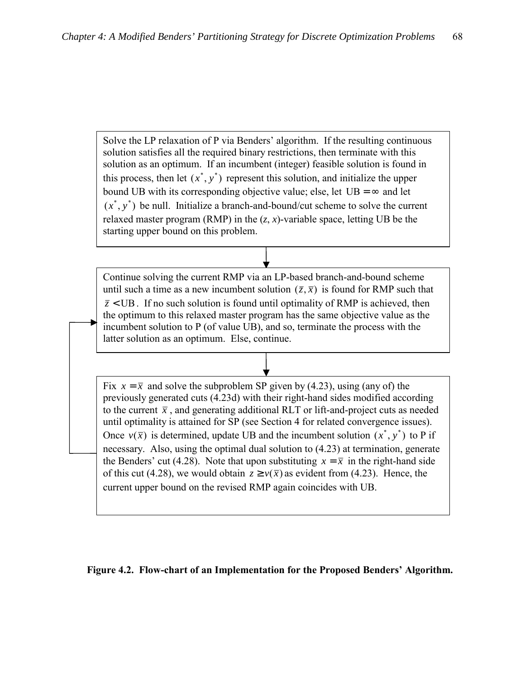Solve the LP relaxation of P via Benders' algorithm. If the resulting continuous solution satisfies all the required binary restrictions, then terminate with this solution as an optimum. If an incumbent (integer) feasible solution is found in this process, then let  $(x^*, y^*)$  represent this solution, and initialize the upper bound UB with its corresponding objective value; else, let  $UB = \infty$  and let  $(x^*, y^*)$  be null. Initialize a branch-and-bound/cut scheme to solve the current relaxed master program (RMP) in the  $(z, x)$ -variable space, letting UB be the starting upper bound on this problem.

Continue solving the current RMP via an LP-based branch-and-bound scheme until such a time as a new incumbent solution  $(\bar{z}, \bar{x})$  is found for RMP such that  $\overline{z}$  < UB. If no such solution is found until optimality of RMP is achieved, then the optimum to this relaxed master program has the same objective value as the incumbent solution to P (of value UB), and so, terminate the process with the latter solution as an optimum. Else, continue.

Fix  $x = \overline{x}$  and solve the subproblem SP given by (4.23), using (any of) the previously generated cuts (4.23d) with their right-hand sides modified according to the current  $\bar{x}$ , and generating additional RLT or lift-and-project cuts as needed until optimality is attained for SP (see Section 4 for related convergence issues). Once  $v(\bar{x})$  is determined, update UB and the incumbent solution  $(x^*, y^*)$  to P if necessary. Also, using the optimal dual solution to (4.23) at termination, generate the Benders' cut (4.28). Note that upon substituting  $x = \overline{x}$  in the right-hand side of this cut (4.28), we would obtain  $z \ge v(\bar{x})$  as evident from (4.23). Hence, the current upper bound on the revised RMP again coincides with UB.

### Figure 4.2. Flow-chart of an Implementation for the Proposed Benders' Algorithm.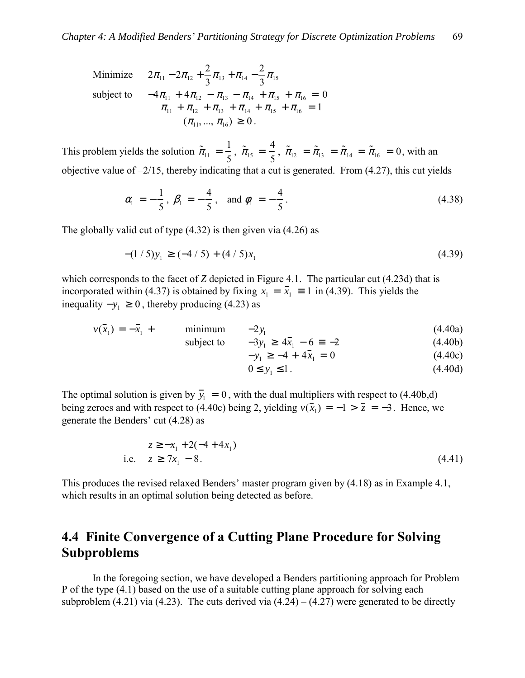Minimize 
$$
2\pi_{11} - 2\pi_{12} + \frac{2}{3}\pi_{13} + \pi_{14} - \frac{2}{3}\pi_{15}
$$
  
\nsubject to  $-4\pi_{11} + 4\pi_{12} - \pi_{13} - \pi_{14} + \pi_{15} + \pi_{16} = 0$   
\n $\pi_{11} + \pi_{12} + \pi_{13} + \pi_{14} + \pi_{15} + \pi_{16} = 1$   
\n $(\pi_{11}, ..., \pi_{16}) \ge 0$ .

This problem yields the solution  $\tilde{\pi}_{11} = \frac{1}{5}$ ,  $\tilde{\pi}_{15} = \frac{4}{5}$ ,  $\tilde{\pi}_{12} = \tilde{\pi}_{13} = \tilde{\pi}_{14} = \tilde{\pi}_{16} = 0$ , with an objective value of  $-2/15$ , thereby indicating that a cut is generated. From (4.27), this cut yields

$$
\alpha_1 = -\frac{1}{5}, \beta_1 = -\frac{4}{5}, \text{ and } \phi_1 = -\frac{4}{5}.
$$
\n(4.38)

The globally valid cut of type (4.32) is then given via (4.26) as

$$
-(1/5)y_1 \geq (-4/5) + (4/5)x_1 \tag{4.39}
$$

which corresponds to the facet of *Z* depicted in Figure 4.1. The particular cut (4.23d) that is incorporated within (4.37) is obtained by fixing  $x_1 = \overline{x}_1 \equiv 1$  in (4.39). This yields the inequality  $-y_1 ≥ 0$ , thereby producing (4.23) as

$$
v(\bar{x}_1) = -\bar{x}_1 + \text{minimum} \quad -2y_1
$$
 (4.40a)

subject to 
$$
-3y_1 \ge 4\bar{x}_1 - 6 = -2
$$
 (4.40b)

$$
-y_1 \ge -4 + 4\bar{x}_1 = 0 \tag{4.40c}
$$

$$
0 \le y_1 \le 1. \tag{4.40d}
$$

The optimal solution is given by  $\overline{y}_1 = 0$ , with the dual multipliers with respect to (4.40b,d) being zeroes and with respect to (4.40c) being 2, yielding  $v(\overline{x}_1) = -1 > \overline{z} = -3$ . Hence, we generate the Benders' cut  $(4.28)$  as

$$
z \ge -x_1 + 2(-4 + 4x_1)
$$
  
i.e.  $z \ge 7x_1 - 8$ . (4.41)

This produces the revised relaxed Benders' master program given by (4.18) as in Example 4.1, which results in an optimal solution being detected as before.

# **4.4 Finite Convergence of a Cutting Plane Procedure for Solving Subproblems**

 In the foregoing section, we have developed a Benders partitioning approach for Problem P of the type (4.1) based on the use of a suitable cutting plane approach for solving each subproblem (4.21) via (4.23). The cuts derived via  $(4.24) - (4.27)$  were generated to be directly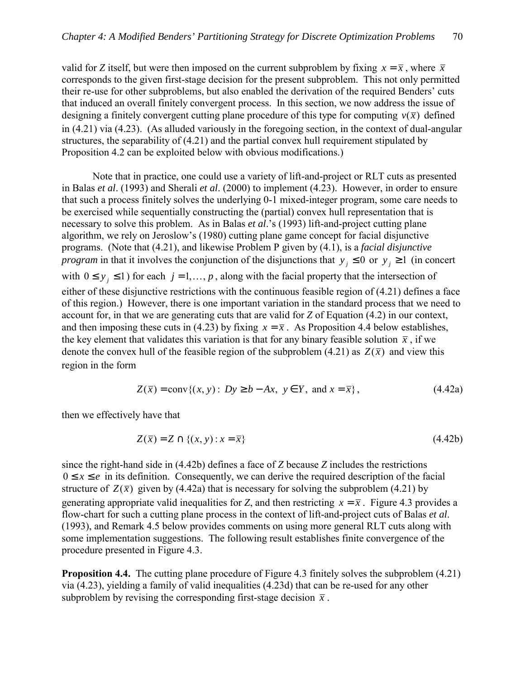valid for *Z* itself, but were then imposed on the current subproblem by fixing  $x = \overline{x}$ , where  $\overline{x}$ corresponds to the given first-stage decision for the present subproblem. This not only permitted their re-use for other subproblems, but also enabled the derivation of the required Benders' cuts that induced an overall finitely convergent process. In this section, we now address the issue of designing a finitely convergent cutting plane procedure of this type for computing  $v(\bar{x})$  defined in (4.21) via (4.23). (As alluded variously in the foregoing section, in the context of dual-angular structures, the separability of (4.21) and the partial convex hull requirement stipulated by Proposition 4.2 can be exploited below with obvious modifications.)

 Note that in practice, one could use a variety of lift-and-project or RLT cuts as presented in Balas *et al*. (1993) and Sherali *et al*. (2000) to implement (4.23). However, in order to ensure that such a process finitely solves the underlying 0-1 mixed-integer program, some care needs to be exercised while sequentially constructing the (partial) convex hull representation that is necessary to solve this problem. As in Balas *et al.* s (1993) lift-and-project cutting plane algorithm, we rely on Jeroslow's (1980) cutting plane game concept for facial disjunctive programs. (Note that (4.21), and likewise Problem P given by (4.1), is a *facial disjunctive program* in that it involves the conjunction of the disjunctions that  $y_i \leq 0$  or  $y_i \geq 1$  (in concert with  $0 \le y_j \le 1$  for each  $j = 1, ..., p$ , along with the facial property that the intersection of either of these disjunctive restrictions with the continuous feasible region of (4.21) defines a face of this region.) However, there is one important variation in the standard process that we need to account for, in that we are generating cuts that are valid for *Z* of Equation (4.2) in our context, and then imposing these cuts in (4.23) by fixing  $x = \overline{x}$ . As Proposition 4.4 below establishes, the key element that validates this variation is that for any binary feasible solution  $\bar{x}$ , if we denote the convex hull of the feasible region of the subproblem (4.21) as  $Z(\bar{x})$  and view this region in the form

$$
Z(\overline{x}) = \text{conv}\{(x, y): Dy \ge b - Ax, y \in Y, \text{ and } x = \overline{x}\},\tag{4.42a}
$$

then we effectively have that

$$
Z(\overline{x}) = Z \cap \{(x, y) : x = \overline{x}\}\tag{4.42b}
$$

since the right-hand side in (4.42b) defines a face of *Z* because *Z* includes the restrictions  $0 \le x \le e$  in its definition. Consequently, we can derive the required description of the facial structure of  $Z(\bar{x})$  given by (4.42a) that is necessary for solving the subproblem (4.21) by generating appropriate valid inequalities for *Z*, and then restricting  $x = \overline{x}$ . Figure 4.3 provides a flow-chart for such a cutting plane process in the context of lift-and-project cuts of Balas *et al*. (1993), and Remark 4.5 below provides comments on using more general RLT cuts along with some implementation suggestions. The following result establishes finite convergence of the procedure presented in Figure 4.3.

**Proposition 4.4.** The cutting plane procedure of Figure 4.3 finitely solves the subproblem (4.21) via (4.23), yielding a family of valid inequalities (4.23d) that can be re-used for any other subproblem by revising the corresponding first-stage decision  $\bar{x}$ .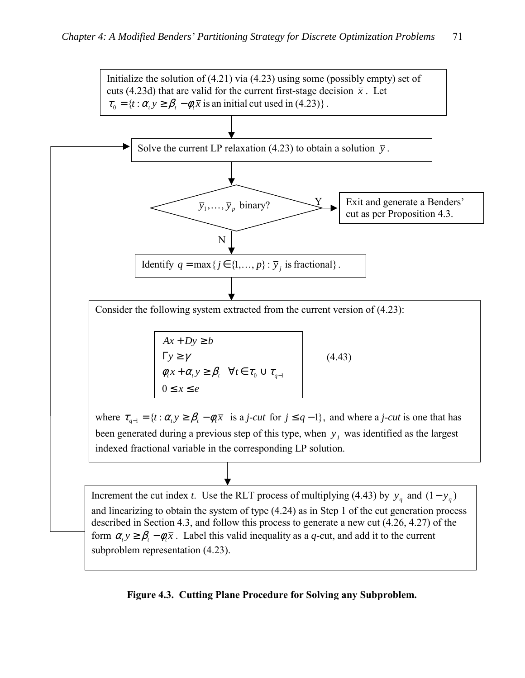

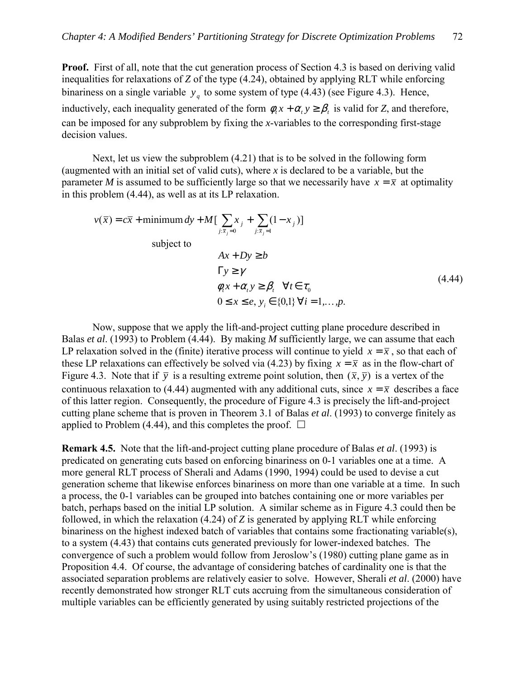**Proof.** First of all, note that the cut generation process of Section 4.3 is based on deriving valid inequalities for relaxations of *Z* of the type (4.24), obtained by applying RLT while enforcing binariness on a single variable  $y_q$  to some system of type (4.43) (see Figure 4.3). Hence, inductively, each inequality generated of the form  $\phi$ ,  $x + \alpha$ ,  $y \ge \beta$ , is valid for *Z*, and therefore, can be imposed for any subproblem by fixing the *x*-variables to the corresponding first-stage decision values.

 Next, let us view the subproblem (4.21) that is to be solved in the following form (augmented with an initial set of valid cuts), where *x* is declared to be a variable, but the parameter *M* is assumed to be sufficiently large so that we necessarily have  $x = \overline{x}$  at optimality in this problem (4.44), as well as at its LP relaxation.

$$
v(\overline{x}) = c\overline{x} + \text{minimum } dy + M[\sum_{j:\overline{x}_j=0} x_j + \sum_{j:\overline{x}_j=1} (1 - x_j)]
$$
  
subject to  

$$
Ax + Dy \ge b
$$

$$
\Gamma y \ge \gamma
$$

$$
\phi_i x + \alpha_i y \ge \beta_i \quad \forall t \in \tau_0
$$

$$
0 \le x \le e, y_i \in \{0,1\} \forall i = 1,...,p.
$$

$$
(4.44)
$$

Now, suppose that we apply the lift-and-project cutting plane procedure described in Balas *et al*. (1993) to Problem (4.44). By making *M* sufficiently large, we can assume that each LP relaxation solved in the (finite) iterative process will continue to yield  $x = \overline{x}$ , so that each of these LP relaxations can effectively be solved via (4.23) by fixing  $x = \overline{x}$  as in the flow-chart of Figure 4.3. Note that if  $\bar{y}$  is a resulting extreme point solution, then  $(\bar{x}, \bar{y})$  is a vertex of the continuous relaxation to (4.44) augmented with any additional cuts, since  $x = \overline{x}$  describes a face of this latter region. Consequently, the procedure of Figure 4.3 is precisely the lift-and-project cutting plane scheme that is proven in Theorem 3.1 of Balas *et al*. (1993) to converge finitely as applied to Problem (4.44), and this completes the proof.  $\Box$ 

**Remark 4.5.** Note that the lift-and-project cutting plane procedure of Balas *et al*. (1993) is predicated on generating cuts based on enforcing binariness on 0-1 variables one at a time. A more general RLT process of Sherali and Adams (1990, 1994) could be used to devise a cut generation scheme that likewise enforces binariness on more than one variable at a time. In such a process, the 0-1 variables can be grouped into batches containing one or more variables per batch, perhaps based on the initial LP solution. A similar scheme as in Figure 4.3 could then be followed, in which the relaxation (4.24) of *Z* is generated by applying RLT while enforcing binariness on the highest indexed batch of variables that contains some fractionating variable(s), to a system (4.43) that contains cuts generated previously for lower-indexed batches. The convergence of such a problem would follow from Jeroslow's (1980) cutting plane game as in Proposition 4.4. Of course, the advantage of considering batches of cardinality one is that the associated separation problems are relatively easier to solve. However, Sherali *et al*. (2000) have recently demonstrated how stronger RLT cuts accruing from the simultaneous consideration of multiple variables can be efficiently generated by using suitably restricted projections of the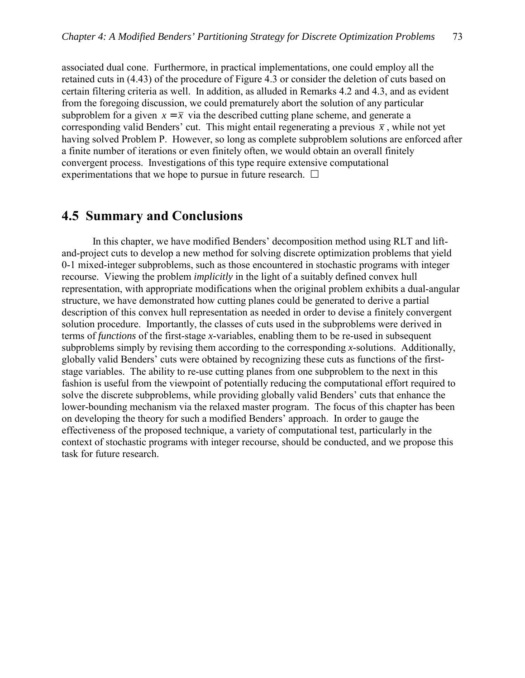associated dual cone. Furthermore, in practical implementations, one could employ all the retained cuts in (4.43) of the procedure of Figure 4.3 or consider the deletion of cuts based on certain filtering criteria as well. In addition, as alluded in Remarks 4.2 and 4.3, and as evident from the foregoing discussion, we could prematurely abort the solution of any particular subproblem for a given  $x = \overline{x}$  via the described cutting plane scheme, and generate a corresponding valid Benders' cut. This might entail regenerating a previous  $\bar{x}$ , while not yet having solved Problem P. However, so long as complete subproblem solutions are enforced after a finite number of iterations or even finitely often, we would obtain an overall finitely convergent process. Investigations of this type require extensive computational experimentations that we hope to pursue in future research.  $\Box$ 

### **4.5 Summary and Conclusions**

In this chapter, we have modified Benders' decomposition method using RLT and liftand-project cuts to develop a new method for solving discrete optimization problems that yield 0-1 mixed-integer subproblems, such as those encountered in stochastic programs with integer recourse. Viewing the problem *implicitly* in the light of a suitably defined convex hull representation, with appropriate modifications when the original problem exhibits a dual-angular structure, we have demonstrated how cutting planes could be generated to derive a partial description of this convex hull representation as needed in order to devise a finitely convergent solution procedure. Importantly, the classes of cuts used in the subproblems were derived in terms of *functions* of the first-stage *x*-variables, enabling them to be re-used in subsequent subproblems simply by revising them according to the corresponding *x*-solutions. Additionally, globally valid Benders' cuts were obtained by recognizing these cuts as functions of the firststage variables. The ability to re-use cutting planes from one subproblem to the next in this fashion is useful from the viewpoint of potentially reducing the computational effort required to solve the discrete subproblems, while providing globally valid Benders' cuts that enhance the lower-bounding mechanism via the relaxed master program. The focus of this chapter has been on developing the theory for such a modified Benders' approach. In order to gauge the effectiveness of the proposed technique, a variety of computational test, particularly in the context of stochastic programs with integer recourse, should be conducted, and we propose this task for future research.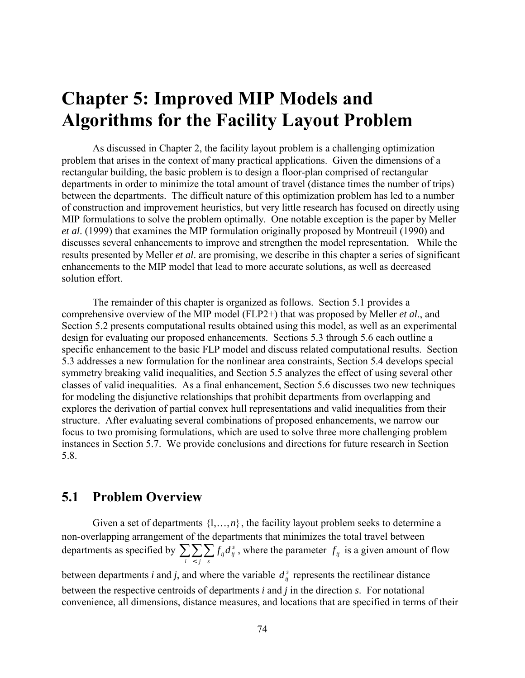# **Chapter 5: Improved MIP Models and Algorithms for the Facility Layout Problem**

As discussed in Chapter 2, the facility layout problem is a challenging optimization problem that arises in the context of many practical applications. Given the dimensions of a rectangular building, the basic problem is to design a floor-plan comprised of rectangular departments in order to minimize the total amount of travel (distance times the number of trips) between the departments. The difficult nature of this optimization problem has led to a number of construction and improvement heuristics, but very little research has focused on directly using MIP formulations to solve the problem optimally. One notable exception is the paper by Meller *et al*. (1999) that examines the MIP formulation originally proposed by Montreuil (1990) and discusses several enhancements to improve and strengthen the model representation. While the results presented by Meller *et al*. are promising, we describe in this chapter a series of significant enhancements to the MIP model that lead to more accurate solutions, as well as decreased solution effort.

The remainder of this chapter is organized as follows. Section 5.1 provides a comprehensive overview of the MIP model (FLP2+) that was proposed by Meller *et al*., and Section 5.2 presents computational results obtained using this model, as well as an experimental design for evaluating our proposed enhancements. Sections 5.3 through 5.6 each outline a specific enhancement to the basic FLP model and discuss related computational results. Section 5.3 addresses a new formulation for the nonlinear area constraints, Section 5.4 develops special symmetry breaking valid inequalities, and Section 5.5 analyzes the effect of using several other classes of valid inequalities. As a final enhancement, Section 5.6 discusses two new techniques for modeling the disjunctive relationships that prohibit departments from overlapping and explores the derivation of partial convex hull representations and valid inequalities from their structure. After evaluating several combinations of proposed enhancements, we narrow our focus to two promising formulations, which are used to solve three more challenging problem instances in Section 5.7. We provide conclusions and directions for future research in Section 5.8.

### **5.1 Problem Overview**

Given a set of departments  $\{1,\ldots,n\}$ , the facility layout problem seeks to determine a non-overlapping arrangement of the departments that minimizes the total travel between departments as specified by  $\sum_{i} \sum_{j} \sum_{s}$  $f_{ij}d_{ij}^s$ , where the parameter  $f_{ij}$  is a given amount of flow

between departments *i* and *j*, and where the variable  $d_i^s$  represents the rectilinear distance between the respective centroids of departments *i* and *j* in the direction *s*. For notational convenience, all dimensions, distance measures, and locations that are specified in terms of their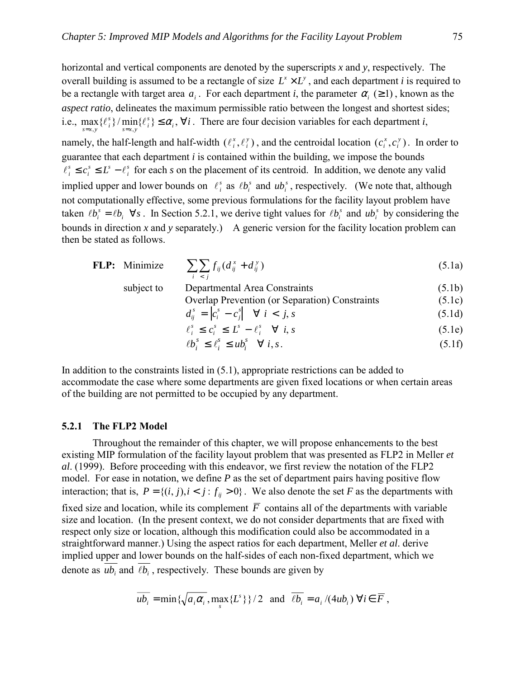horizontal and vertical components are denoted by the superscripts *x* and *y*, respectively. The overall building is assumed to be a rectangle of size  $L^x \times L^y$ , and each department *i* is required to be a rectangle with target area  $a_i$ . For each department *i*, the parameter  $\alpha_i$  ( $\geq$  1), known as the *aspect ratio*, delineates the maximum permissible ratio between the longest and shortest sides; i.e.,  $\max{\{\ell_i^s\}}/\min{\{\ell_i^s\}} \leq \alpha_i, \forall i$  $\lim_{s=x,y}$ *s*  $\max_{s=x,y} \{\ell_i^s\} / \min_{s=x,y} \{\ell_i^s\} \leq \alpha_i$ ,  $\forall i$ . There are four decision variables for each department *i*, namely, the half-length and half-width  $(\ell_i^x, \ell_j^y)$ *i*  $\ell_i^x, \ell_i^y$ ), and the centroidal location  $(c_i^x, c_i^y)$ *i*  $c_i^x$ ,  $c_i^y$ ). In order to guarantee that each department *i* is contained within the building, we impose the bounds *s i*  $s$  *s*  $\overline{I}$ *s*  $l_i^s \leq c_i^s \leq L^s - l_i^s$  for each *s* on the placement of its centroid. In addition, we denote any valid implied upper and lower bounds on  $\ell_i^s$  as  $\ell b_i^s$  and  $u b_i^s$ , respectively. (We note that, although not computationally effective, some previous formulations for the facility layout problem have taken  $\ell b_i^s = \ell b_i \quad \forall s$ . In Section 5.2.1, we derive tight values for  $\ell b_i^s$  and  $u b_i^s$  by considering the bounds in direction *x* and *y* separately.) A generic version for the facility location problem can then be stated as follows.

**FLP:** Minimize 
$$
\sum_{i} \sum_{j} f_{ij} (d_{ij}^{x} + d_{ij}^{y})
$$
(5.1a)  
subject to Departmental Area Constraints (5.1b)

Overlap Prevention (or Separation) Constraints

\n
$$
d_{ij}^s = \left| c_i^s - c_j^s \right| \quad \forall \ i < j, s \tag{5.1d}
$$

$$
\begin{aligned}\n\mathbf{S}_j &= \begin{bmatrix} c_i^s - c_j^s \end{bmatrix} \quad \forall \ i < j, s\n\end{aligned}\n\tag{5.1d}
$$

$$
\ell_i^s \le c_i^s \le L^s - \ell_i^s \quad \forall \ i, s \tag{5.1e}
$$

$$
\ell b_i^s \le \ell_i^s \le u b_i^s \quad \forall \ i, s. \tag{5.1f}
$$

In addition to the constraints listed in (5.1), appropriate restrictions can be added to accommodate the case where some departments are given fixed locations or when certain areas of the building are not permitted to be occupied by any department.

#### **5.2.1 The FLP2 Model**

Throughout the remainder of this chapter, we will propose enhancements to the best existing MIP formulation of the facility layout problem that was presented as FLP2 in Meller *et al*. (1999). Before proceeding with this endeavor, we first review the notation of the FLP2 model. For ease in notation, we define *P* as the set of department pairs having positive flow interaction; that is,  $P = \{(i, j), i < j : f_{ii} > 0\}$ . We also denote the set *F* as the departments with fixed size and location, while its complement  $\overline{F}$  contains all of the departments with variable size and location. (In the present context, we do not consider departments that are fixed with respect only size or location, although this modification could also be accommodated in a straightforward manner.) Using the aspect ratios for each department, Meller *et al*. derive implied upper and lower bounds on the half-sides of each non-fixed department, which we denote as  $\overline{ub_i}$  and  $\overline{lb_i}$ , respectively. These bounds are given by

$$
\overline{ub_i} = \min\left\{\sqrt{a_i \alpha_i}, \max_s \{L^s\}\right\} / 2 \text{ and } \overline{\ell b_i} = a_i / (4ub_i) \ \forall i \in \overline{F},
$$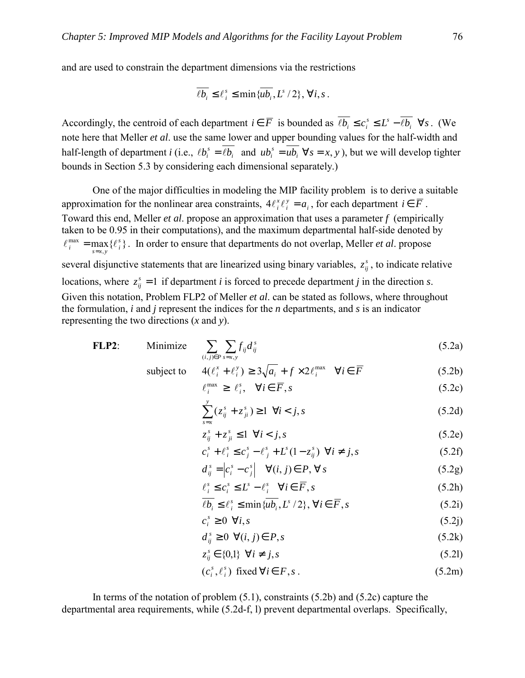and are used to constrain the department dimensions via the restrictions

$$
\overline{\ell b_i} \leq \ell_i^s \leq \min \{ \overline{ub_i}, L^s/2 \}, \, \forall i, s \, .
$$

Accordingly, the centroid of each department  $i \in \overline{F}$  is bounded as  $\overline{\ell b_i} \le c_i^s \le L^s - \overline{\ell b_i} \quad \forall s$ . (We note here that Meller *et al*. use the same lower and upper bounding values for the half-width and half-length of department *i* (i.e.,  $\ell b_i^s = \overline{\ell b_i}$  and  $u b_i^s = \overline{u b_i} \ \forall s = x, y$ *i* and  $uv_i$  $\ell b_i^s = \overline{\ell b_i}$  and  $u b_i^s = \overline{u b_i} \ \forall s = x, y$ , but we will develop tighter bounds in Section 5.3 by considering each dimensional separately.)

One of the major difficulties in modeling the MIP facility problem is to derive a suitable approximation for the nonlinear area constraints,  $4\ell_i^x \ell_j^y = a_i$ *i*  $4\ell_i^x \ell_i^y = a_i$ , for each department  $i \in \overline{F}$ . Toward this end, Meller *et al*. propose an approximation that uses a parameter *f* (empirically taken to be 0.95 in their computations), and the maximum departmental half-side denoted by  $\sum_{i}^{\max} = \max_{s=x,y} \{ \ell_i^s \}$  $\ell_i^{\max} = \max_{s=x,y} {\ell_i^s}$ . In order to ensure that departments do not overlap, Meller *et al.* propose several disjunctive statements that are linearized using binary variables,  $z_{ij}^s$ , to indicate relative locations, where  $z_{ij}^s = 1$  if department *i* is forced to precede department *j* in the direction *s*. Given this notation, Problem FLP2 of Meller *et al*. can be stated as follows, where throughout the formulation, *i* and *j* represent the indices for the *n* departments, and *s* is an indicator representing the two directions (*x* and *y*).

FLP2: Minimize 
$$
\sum_{(i,j)\in P} \sum_{s=x,y} f_{ij} d_{ij}^s
$$
 (5.2a)

subject to  $4(\ell_i^x + \ell_i^y) \ge 3\sqrt{a_i} + f \times 2\ell_i^{max} \quad \forall i \in \overline{F}$ 

subject to 
$$
4(\ell_i^x + \ell_i^y) \ge 3\sqrt{a_i} + f \times 2\ell_i^{\max} \quad \forall i \in \overline{F}
$$
(5.2b)  

$$
\ell_i^{\max} \ge \ell_i^s, \quad \forall i \in \overline{F}, s
$$
(5.2c)

$$
\sum_{s=x}^{y} (z_{ij}^{s} + z_{ji}^{s}) \ge 1 \quad \forall i < j, s
$$
 (5.2d)

$$
z_{ij}^s + z_{ji}^s \le 1 \quad \forall i < j, s \tag{5.2e}
$$

$$
c_i^s + \ell_i^s \le c_j^s - \ell_j^s + L^s(1 - z_{ij}^s) \quad \forall i \ne j, s \tag{5.2f}
$$

$$
d_{ij}^s = \left| c_i^s - c_j^s \right| \quad \forall (i, j) \in P, \, \forall s \tag{5.2g}
$$

$$
\ell_i^s \le c_i^s \le L^s - \ell_i^s \quad \forall i \in \overline{F}, s \tag{5.2h}
$$

$$
\overline{\ell b_i} \le \ell_i^s \le \min \{ \overline{u b_i}, L^s / 2 \}, \ \forall i \in \overline{F}, s \tag{5.2i}
$$

$$
c_i^s \ge 0 \quad \forall i, s \tag{5.2j}
$$

$$
d_{ij}^s \ge 0 \ \ \forall (i,j) \in P, s \tag{5.2k}
$$

$$
z_{ij}^s \in \{0,1\} \quad \forall i \neq j, s \tag{5.21}
$$

$$
(c_i^s, \ell_i^s) \text{ fixed } \forall i \in F, s \, . \tag{5.2m}
$$

In terms of the notation of problem (5.1), constraints (5.2b) and (5.2c) capture the departmental area requirements, while (5.2d-f, l) prevent departmental overlaps. Specifically,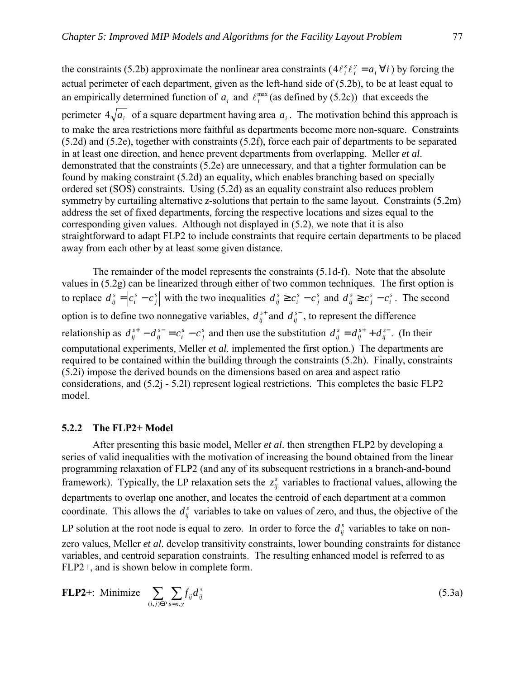the constraints (5.2b) approximate the nonlinear area constraints ( $4\ell_i^x \ell_i^y = a_i \forall i$  $4\ell_i^x \ell_i^y = a_i \,\forall i$  ) by forcing the actual perimeter of each department, given as the left-hand side of (5.2b), to be at least equal to an empirically determined function of  $a_i$  and  $\ell_i^{\max}$  (as defined by (5.2c)) that exceeds the perimeter  $4\sqrt{a_i}$  of a square department having area  $a_i$ . The motivation behind this approach is to make the area restrictions more faithful as departments become more non-square. Constraints (5.2d) and (5.2e), together with constraints (5.2f), force each pair of departments to be separated in at least one direction, and hence prevent departments from overlapping. Meller *et al*. demonstrated that the constraints (5.2e) are unnecessary, and that a tighter formulation can be found by making constraint (5.2d) an equality, which enables branching based on specially ordered set (SOS) constraints. Using (5.2d) as an equality constraint also reduces problem symmetry by curtailing alternative *z*-solutions that pertain to the same layout. Constraints (5.2m) address the set of fixed departments, forcing the respective locations and sizes equal to the corresponding given values. Although not displayed in (5.2), we note that it is also straightforward to adapt FLP2 to include constraints that require certain departments to be placed

The remainder of the model represents the constraints (5.1d-f). Note that the absolute values in (5.2g) can be linearized through either of two common techniques. The first option is to replace  $d_{ij}^s = c_j^s - c_j^s$ *s i*  $d_{ij}^s = \left| c_i^s - c_j^s \right|$  with the two inequalities  $d_{ij}^s \ge c_i^s - c_j^s$ *s i*  $d_{ij}^s \ge c_i^s - c_j^s$  and  $d_{ij}^s \ge c_j^s - c_i^s$ *s j*  $d_{ij}^s \ge c_j^s - c_i^s$ . The second option is to define two nonnegative variables,  $d_{ij}^{s+}$  and  $d_{ij}^{s-}$ , to represent the difference relationship as  $d_{ij}^{s+} - d_{ij}^{s-} = c_i^s - c_j^s$ *s i s ij*  $d_{ij}^{s+} - d_{ij}^{s-} = c_i^s - c_j^s$  and then use the substitution  $d_{ij}^{s} = d_{ij}^{s+} + d_{ij}^{s-}$ *s*  $d_{ij}^s = d_{ij}^{s+} + d_{ij}^{s-}$ . (In their computational experiments, Meller *et al*. implemented the first option.) The departments are required to be contained within the building through the constraints (5.2h). Finally, constraints (5.2i) impose the derived bounds on the dimensions based on area and aspect ratio considerations, and (5.2j - 5.2l) represent logical restrictions. This completes the basic FLP2 model.

#### **5.2.2 The FLP2+ Model**

away from each other by at least some given distance.

After presenting this basic model, Meller *et al*. then strengthen FLP2 by developing a series of valid inequalities with the motivation of increasing the bound obtained from the linear programming relaxation of FLP2 (and any of its subsequent restrictions in a branch-and-bound framework). Typically, the LP relaxation sets the  $z_{ij}^s$  variables to fractional values, allowing the departments to overlap one another, and locates the centroid of each department at a common coordinate. This allows the  $d_{ij}^s$  variables to take on values of zero, and thus, the objective of the LP solution at the root node is equal to zero. In order to force the  $d_i^s$  variables to take on nonzero values, Meller *et al*. develop transitivity constraints, lower bounding constraints for distance variables, and centroid separation constraints. The resulting enhanced model is referred to as FLP2+, and is shown below in complete form.

FLP2+: Minimize 
$$
\sum_{(i,j)\in P} \sum_{s=x,y} f_{ij} d_{ij}^s
$$
 (5.3a)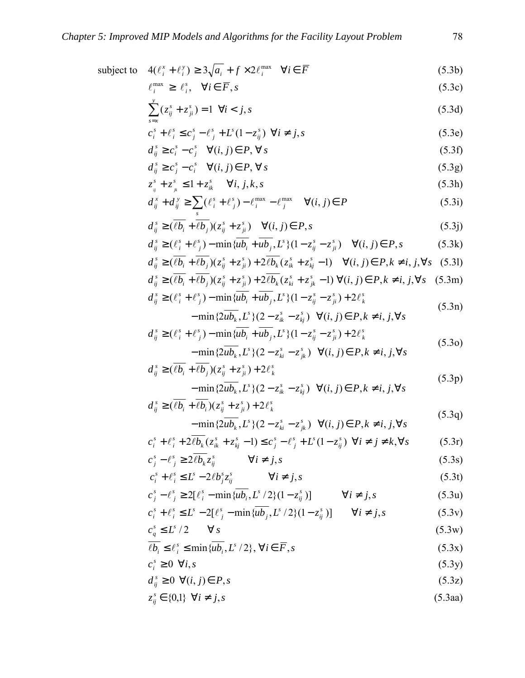subject to 
$$
4(\ell_i^x + \ell_i^y) \ge 3\sqrt{a_i} + f \times 2\ell_i^{\max} \quad \forall i \in \overline{F}
$$
 (5.3b)

$$
\ell_i^{\max} \ge \ell_i^s, \quad \forall i \in \overline{F}, s \tag{5.3c}
$$

$$
\sum_{s=x}^{y} (z_{ij}^{s} + z_{ji}^{s}) = 1 \quad \forall i < j, s \tag{5.3d}
$$

$$
c_i^s + \ell_i^s \le c_j^s - \ell_j^s + L^s(1 - z_{ij}^s) \quad \forall i \ne j, s \tag{5.3e}
$$

$$
d_{ij}^s \ge c_i^s - c_j^s \quad \forall (i, j) \in P, \forall s \tag{5.3f}
$$

$$
d_{ij}^s \ge c_j^s - c_i^s \quad \forall (i, j) \in P, \forall s \tag{5.3g}
$$

$$
z_{ij}^s + z_{jk}^s \le 1 + z_{ik}^s \quad \forall i, j, k, s \tag{5.3h}
$$

$$
d_{ij}^x + d_{ij}^y \ge \sum_s (\ell_i^s + \ell_j^s) - \ell_i^{\max} - \ell_j^{\max} \quad \forall (i, j) \in P
$$
\n(5.3i)

$$
d_{ij}^s \geq (\overline{\ell b_i} + \overline{\ell b_j})(z_{ij}^s + z_{ji}^s) \quad \forall (i, j) \in P, s
$$
\n
$$
(5.3j)
$$

$$
d_{ij}^s \geq (\ell_i^s + \ell_j^s) - \min \{ \overline{u b_i} + \overline{u b_j}, L^s \} (1 - z_{ij}^s - z_{ji}^s) \quad \forall (i, j) \in P, s
$$
 (5.3k)

$$
d_{ij}^s \geq (\overline{\ell b_i} + \overline{\ell b_j})(z_{ij}^s + z_{ji}^s) + 2\overline{\ell b_k}(z_{ik}^s + z_{kj}^s - 1) \quad \forall (i, j) \in P, k \neq i, j, \forall s \quad (5.31)
$$
  

$$
d_{ij}^s \geq (\overline{\ell b_k} + \overline{\ell b_k})(z_{ij}^s + z_{ij}^s) + 2\overline{\ell b_k}(z_{ik}^s + z_{ij}^s - 1) \quad \forall (i, j) \in P, k \neq i, j, \forall s \quad (5.31)
$$

$$
d_{ij}^{s} \geq (\overline{\ell b_{i}} + \overline{\ell b_{j}})(z_{ij}^{s} + z_{ji}^{s}) + 2\overline{\ell b_{k}}(z_{ki}^{s} + z_{jk}^{s} - 1) \ \forall (i, j) \in P, k \neq i, j, \forall s \quad (5.3m)
$$
  

$$
d_{ij}^{s} \geq (\ell_{i}^{s} + \ell_{j}^{s}) - \min \{ \overline{u b_{i}} + \overline{u b_{j}}, L^{s} \} (1 - z_{ij}^{s} - z_{ji}^{s}) + 2\ell_{k}^{s}
$$

$$
-\min\{2\overline{ub_k}, L^s\}(2-z_{ik}^s-z_{kj}^s) \quad \forall (i, j) \in P, k \neq i, j, \forall s
$$
\n(5.3n)

$$
d_{ij}^{s} \ge (\ell_{i}^{s} + \ell_{j}^{s}) - \min \{ \overline{u b_{i}} + \overline{u b_{j}}, L^{s} \} (1 - z_{ij}^{s} - z_{ji}^{s}) + 2 \ell_{k}^{s}
$$
  
- 
$$
- \min \{ 2 \overline{u b_{k}}, L^{s} \} (2 - z_{ki}^{s} - z_{jk}^{s}) \quad \forall (i, j) \in P, k \ne i, j, \forall s
$$
 (5.30)

$$
d_{ij}^s \geq (\overline{\ell b_i} + \overline{\ell b_j})(z_{ij}^s + z_{ji}^s) + 2\ell_k^s
$$
  
- min{2*ub*<sub>k</sub>, *L*<sup>s</sup>}(2 - z\_{ik}^s - z\_{kj}^s)  $\forall (i, j) \in P, k \neq i, j, \forall s$  (5.3p)

$$
d_{ij}^s \geq (\overline{\ell b_i} + \overline{\ell b_i})(z_{ij}^s + z_{ji}^s) + 2\ell_k^s
$$
\n
$$
(5.3q)
$$

$$
-\min\{2\overline{ub_k}, L^s\}(2 - z_{ki}^s - z_{jk}^s) \quad \forall (i, j) \in P, k \neq i, j, \forall s
$$
\n(5.3q)

$$
c_i^s + \ell_i^s + 2\overline{\ell b_k}(z_{ik}^s + z_{kj}^s - 1) \le c_j^s - \ell_j^s + L^s(1 - z_{ij}^s) \quad \forall i \ne j \ne k, \forall s
$$
 (5.3r)

$$
c_j^s - \ell_j^s \ge 2\overline{\ell b_k} z_{ij}^s \qquad \forall i \neq j, s \qquad (5.3s)
$$

$$
c_i^s + \ell_i^s \le L^s - 2\ell b_j^s z_{ij}^s \qquad \forall i \ne j, s
$$
 (5.3t)

$$
c_j^s - \ell_j^s \ge 2[\ell_i^s - \min\{u\overline{b_i}, L^s/2\}(1 - z_{ij}^s)] \qquad \forall i \neq j, s
$$
 (5.3u)

$$
c_i^s + \ell_i^s \le L^s - 2[\ell_j^s - \min\{u b_j, L^s / 2\}(1 - z_{ij}^s)] \qquad \forall i \ne j, s
$$
 (5.3v)

$$
c_g^s \le E^s / 2 \qquad \forall s
$$
\n
$$
\frac{c_g^s}{\sqrt{b}} \le \frac{e^s}{\sqrt{b}} \le \min\{\frac{b}{\sqrt{b}} \quad I^s / 2\} \quad \forall i \in \overline{E} \tag{5.3w}
$$

$$
\overline{\ell b_i} \le \ell_i^s \le \min \{ \overline{u b_i}, L^s / 2 \}, \forall i \in \overline{F}, s
$$
\n
$$
c^s \ge 0 \quad \forall i \in \mathcal{F}.
$$
\n(5.3x)

$$
c_i^s \ge 0 \quad \forall i, s \tag{5.3y}
$$

$$
d_{ij}^s \ge 0 \ \forall (i,j) \in P, s \tag{5.3z}
$$

$$
z_{ij}^s \in \{0,1\} \quad \forall i \neq j, s \tag{5.3aa}
$$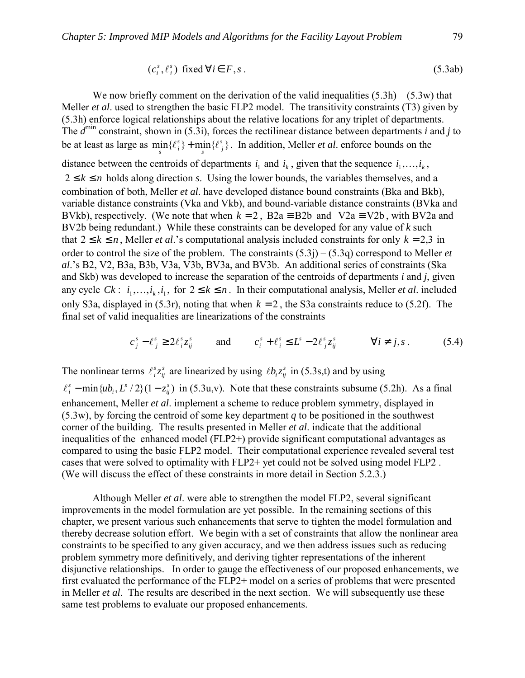$$
(c_i^s, \ell_i^s) \text{ fixed } \forall i \in F, s \,.
$$

We now briefly comment on the derivation of the valid inequalities  $(5.3h) - (5.3w)$  that Meller *et al*. used to strengthen the basic FLP2 model. The transitivity constraints (T3) given by (5.3h) enforce logical relationships about the relative locations for any triplet of departments. The  $d^{min}$  constraint, shown in (5.3i), forces the rectilinear distance between departments *i* and *j* to be at least as large as  $\min_{s} {\{\ell_i^s\}} + \min_{s} {\{\ell_j^s\}}$  $\lim_{s}$  { $\ell_i^s$ } +  $\min_{s}$  { $\ell_j^s$ }. In addition, Meller *et al*. enforce bounds on the distance between the centroids of departments  $i_1$  and  $i_k$ , given that the sequence  $i_1, \ldots, i_k$ ,  $2 \le k \le n$  holds along direction *s*. Using the lower bounds, the variables themselves, and a combination of both, Meller *et al*. have developed distance bound constraints (Bka and Bkb), variable distance constraints (Vka and Vkb), and bound-variable distance constraints (BVka and BVkb), respectively. (We note that when  $k = 2$ ,  $B2a = B2b$  and  $V2a = V2b$ , with BV2a and BV2b being redundant.) While these constraints can be developed for any value of *k* such that  $2 \le k \le n$ , Meller *et al*.'s computational analysis included constraints for only  $k = 2, 3$  in order to control the size of the problem. The constraints  $(5.3j) - (5.3q)$  correspond to Meller *et al*.ís B2, V2, B3a, B3b, V3a, V3b, BV3a, and BV3b. An additional series of constraints (Ska and Skb) was developed to increase the separation of the centroids of departments *i* and *j*, given any cycle  $C_k$ :  $i_1, ..., i_k, i_1$ , for  $2 \le k \le n$ . In their computational analysis, Meller *et al.* included only S3a, displayed in  $(5.3r)$ , noting that when  $k = 2$ , the S3a constraints reduce to  $(5.2f)$ . The final set of valid inequalities are linearizations of the constraints

$$
c_j^s - \ell_j^s \ge 2\ell_i^s z_{ij}^s \qquad \text{and} \qquad c_i^s + \ell_i^s \le L^s - 2\ell_j^s z_{ij}^s \qquad \forall i \ne j, s \,.
$$

The nonlinear terms  $\ell_i^s z_{ij}^s$  $\ell_i^s z_{ij}^s$  are linearized by using  $\ell b_i z_{ij}^s$  in (5.3s,t) and by using

 $\min \{ub_i, L^s / 2\} (1 - z_{ii}^s)$ *ij s i*  $\ell_i^s$  – min $\{ub_i, L^s/2\}(1-z_{ij}^s)$  in (5.3u,v). Note that these constraints subsume (5.2h). As a final enhancement, Meller *et al*. implement a scheme to reduce problem symmetry, displayed in (5.3w), by forcing the centroid of some key department *q* to be positioned in the southwest corner of the building. The results presented in Meller *et al*. indicate that the additional inequalities of the enhanced model (FLP2+) provide significant computational advantages as compared to using the basic FLP2 model. Their computational experience revealed several test cases that were solved to optimality with FLP2+ yet could not be solved using model FLP2 . (We will discuss the effect of these constraints in more detail in Section 5.2.3.)

Although Meller *et al*. were able to strengthen the model FLP2, several significant improvements in the model formulation are yet possible. In the remaining sections of this chapter, we present various such enhancements that serve to tighten the model formulation and thereby decrease solution effort. We begin with a set of constraints that allow the nonlinear area constraints to be specified to any given accuracy, and we then address issues such as reducing problem symmetry more definitively, and deriving tighter representations of the inherent disjunctive relationships. In order to gauge the effectiveness of our proposed enhancements, we first evaluated the performance of the FLP2+ model on a series of problems that were presented in Meller *et al*. The results are described in the next section. We will subsequently use these same test problems to evaluate our proposed enhancements.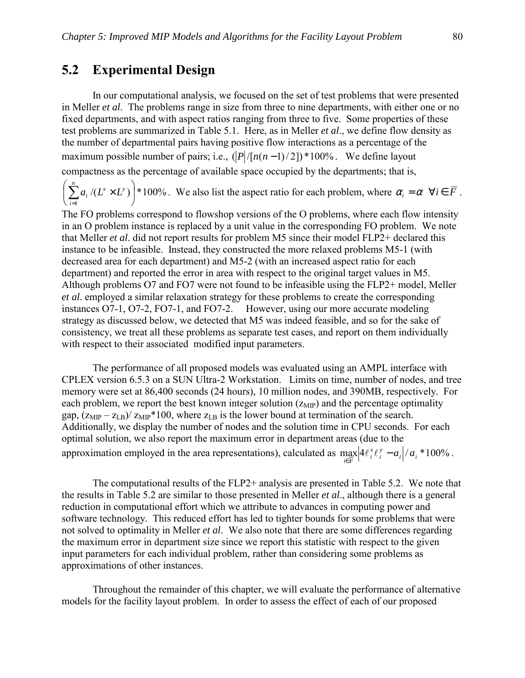### **5.2 Experimental Design**

 In our computational analysis, we focused on the set of test problems that were presented in Meller *et al*. The problems range in size from three to nine departments, with either one or no fixed departments, and with aspect ratios ranging from three to five. Some properties of these test problems are summarized in Table 5.1. Here, as in Meller *et al*., we define flow density as the number of departmental pairs having positive flow interactions as a percentage of the maximum possible number of pairs; i.e.,  $(|P|/[n(n-1)/2])$  \*100%. We define layout compactness as the percentage of available space occupied by the departments; that is,

 $\langle (L^{\mathrm{x}} \!\times\! L^{\mathrm{y}}) \, | *100\% \rangle$ 1  $\overline{\phantom{a}}$ J  $\left(\sum_{i=1}^n a_i/(L^x \times L^y)\right)$  $\setminus$  $\biggl( \sum_{i=1}^n a_i\, /(L^x \times$  $\sum_{x=1}^n (I^x \times I^y))$ *i*  $a_i / (L^x \times L^y)$  \*100%. We also list the aspect ratio for each problem, where  $\alpha_i = \alpha \ \forall i \in \overline{F}$ .

The FO problems correspond to flowshop versions of the O problems, where each flow intensity in an O problem instance is replaced by a unit value in the corresponding FO problem. We note that Meller *et al*. did not report results for problem M5 since their model FLP2+ declared this instance to be infeasible. Instead, they constructed the more relaxed problems M5-1 (with decreased area for each department) and M5-2 (with an increased aspect ratio for each department) and reported the error in area with respect to the original target values in M5. Although problems O7 and FO7 were not found to be infeasible using the FLP2+ model, Meller *et al*. employed a similar relaxation strategy for these problems to create the corresponding instances O7-1, O7-2, FO7-1, and FO7-2. However, using our more accurate modeling strategy as discussed below, we detected that M5 was indeed feasible, and so for the sake of consistency, we treat all these problems as separate test cases, and report on them individually with respect to their associated modified input parameters.

The performance of all proposed models was evaluated using an AMPL interface with CPLEX version 6.5.3 on a SUN Ultra-2 Workstation. Limits on time, number of nodes, and tree memory were set at 86,400 seconds (24 hours), 10 million nodes, and 390MB, respectively. For each problem, we report the best known integer solution  $(z<sub>MP</sub>)$  and the percentage optimality gap,  $(z_{\text{MIP}} - z_{\text{LB}})/z_{\text{MIP}} * 100$ , where  $z_{\text{LB}}$  is the lower bound at termination of the search. Additionally, we display the number of nodes and the solution time in CPU seconds. For each optimal solution, we also report the maximum error in department areas (due to the approximation employed in the area representations), calculated as  $\max_{i} |4\ell_i^x \ell_i^y - a_i|/a_i * 100\%$ *x*  $\max_{i \in F} \left| 4\ell_i^x \ell_i^y - a_i \right| / a_i^* 100\%$ .

The computational results of the FLP2+ analysis are presented in Table 5.2. We note that the results in Table 5.2 are similar to those presented in Meller *et al*., although there is a general reduction in computational effort which we attribute to advances in computing power and software technology. This reduced effort has led to tighter bounds for some problems that were not solved to optimality in Meller *et al*. We also note that there are some differences regarding the maximum error in department size since we report this statistic with respect to the given input parameters for each individual problem, rather than considering some problems as approximations of other instances.

Throughout the remainder of this chapter, we will evaluate the performance of alternative models for the facility layout problem. In order to assess the effect of each of our proposed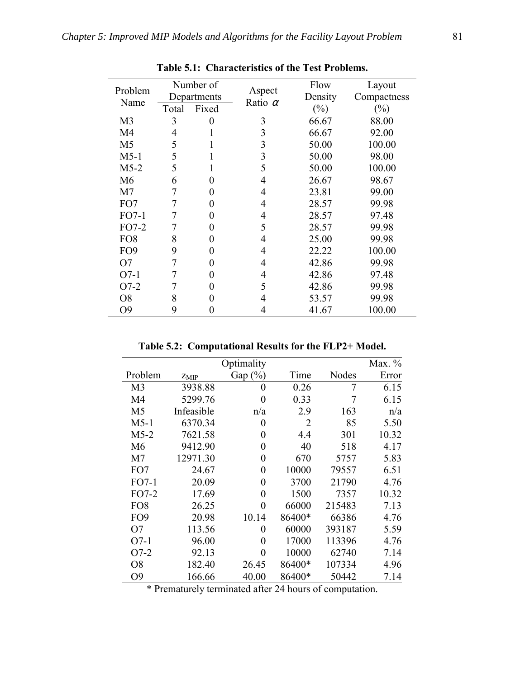| Problem         | Number of<br>Departments |                   | Aspect         | Flow              | Layout                |
|-----------------|--------------------------|-------------------|----------------|-------------------|-----------------------|
| Name            | Total                    | Fixed             | Ratio $\alpha$ | Density<br>$(\%)$ | Compactness<br>$(\%)$ |
|                 |                          |                   |                |                   |                       |
| M <sub>3</sub>  | 3                        | 0                 | 3              | 66.67             | 88.00                 |
| M4              | 4                        |                   | 3              | 66.67             | 92.00                 |
| M <sub>5</sub>  | 5                        |                   | 3              | 50.00             | 100.00                |
| $M5-1$          | 5                        |                   | 3              | 50.00             | 98.00                 |
| $M5-2$          | 5                        |                   | 5              | 50.00             | 100.00                |
| M6              | 6                        | 0                 | 4              | 26.67             | 98.67                 |
| M <sub>7</sub>  | 7                        | $\mathbf{\Omega}$ | 4              | 23.81             | 99.00                 |
| FO7             | 7                        | 0                 | 4              | 28.57             | 99.98                 |
| $FO7-1$         | 7                        | 0                 | 4              | 28.57             | 97.48                 |
| $FO7-2$         | 7                        | 0                 | 5              | 28.57             | 99.98                 |
| FO <sub>8</sub> | 8                        | 0                 | 4              | 25.00             | 99.98                 |
| FO <sub>9</sub> | 9                        | $_{0}$            | 4              | 22.22             | 100.00                |
| O7              | 7                        | 0                 | 4              | 42.86             | 99.98                 |
| $O7-1$          | 7                        | 0                 | 4              | 42.86             | 97.48                 |
| $O7-2$          | 7                        | 0                 | 5              | 42.86             | 99.98                 |
| O8              | 8                        |                   | 4              | 53.57             | 99.98                 |
| О9              | 9                        |                   |                | 41.67             | 100.00                |

**Table 5.1: Characteristics of the Test Problems.** 

**Table 5.2: Computational Results for the FLP2+ Model.** 

|                 |            | Optimality |                |        | Max. % |
|-----------------|------------|------------|----------------|--------|--------|
| Problem         | $Z_{MIP}$  | Gap $(\%)$ | Time           | Nodes  | Error  |
| M <sub>3</sub>  | 3938.88    | 0          | 0.26           | 7      | 6.15   |
| M4              | 5299.76    | 0          | 0.33           | 7      | 6.15   |
| M <sub>5</sub>  | Infeasible | n/a        | 2.9            | 163    | n/a    |
| $M5-1$          | 6370.34    | 0          | $\overline{2}$ | 85     | 5.50   |
| $M5-2$          | 7621.58    | 0          | 4.4            | 301    | 10.32  |
| M6              | 9412.90    | $\theta$   | 40             | 518    | 4.17   |
| M <sub>7</sub>  | 12971.30   | 0          | 670            | 5757   | 5.83   |
| FO7             | 24.67      | 0          | 10000          | 79557  | 6.51   |
| $FO7-1$         | 20.09      | 0          | 3700           | 21790  | 4.76   |
| FO7-2           | 17.69      | 0          | 1500           | 7357   | 10.32  |
| FO <sub>8</sub> | 26.25      | 0          | 66000          | 215483 | 7.13   |
| FO <sub>9</sub> | 20.98      | 10.14      | 86400*         | 66386  | 4.76   |
| O7              | 113.56     | 0          | 60000          | 393187 | 5.59   |
| $O7-1$          | 96.00      | 0          | 17000          | 113396 | 4.76   |
| $O7-2$          | 92.13      | 0          | 10000          | 62740  | 7.14   |
| O <sub>8</sub>  | 182.40     | 26.45      | 86400*         | 107334 | 4.96   |
| O <sub>9</sub>  | 166.66     | 40.00      | 86400*         | 50442  | 7.14   |

\* Prematurely terminated after 24 hours of computation.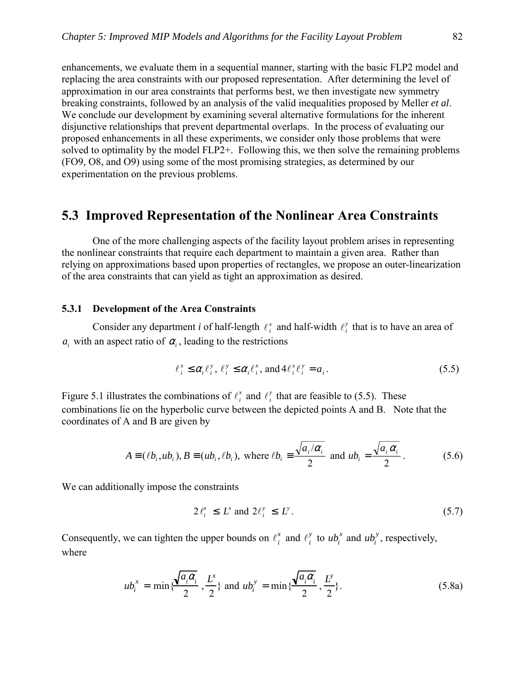enhancements, we evaluate them in a sequential manner, starting with the basic FLP2 model and replacing the area constraints with our proposed representation. After determining the level of approximation in our area constraints that performs best, we then investigate new symmetry breaking constraints, followed by an analysis of the valid inequalities proposed by Meller *et al*. We conclude our development by examining several alternative formulations for the inherent disjunctive relationships that prevent departmental overlaps. In the process of evaluating our proposed enhancements in all these experiments, we consider only those problems that were solved to optimality by the model FLP2+. Following this, we then solve the remaining problems (FO9, O8, and O9) using some of the most promising strategies, as determined by our experimentation on the previous problems.

### **5.3 Improved Representation of the Nonlinear Area Constraints**

One of the more challenging aspects of the facility layout problem arises in representing the nonlinear constraints that require each department to maintain a given area. Rather than relying on approximations based upon properties of rectangles, we propose an outer-linearization of the area constraints that can yield as tight an approximation as desired.

### **5.3.1 Development of the Area Constraints**

Consider any department *i* of half-length  $\ell_i^x$  and half-width  $\ell_i^y$  that is to have an area of  $a_i$  with an aspect ratio of  $\alpha_i$ , leading to the restrictions

$$
\ell_i^x \leq \alpha_i \ell_i^y, \ \ell_i^y \leq \alpha_i \ell_i^x, \text{ and } 4\ell_i^x \ell_i^y = a_i. \tag{5.5}
$$

Figure 5.1 illustrates the combinations of  $\ell_i^x$  and  $\ell_i^y$  that are feasible to (5.5). These combinations lie on the hyperbolic curve between the depicted points A and B. Note that the coordinates of A and B are given by

$$
A = (\ell b_i, u b_i), B = (u b_i, \ell b_i), \text{ where } \ell b_i = \frac{\sqrt{a_i/\alpha_i}}{2} \text{ and } u b_i = \frac{\sqrt{a_i \alpha_i}}{2}.
$$
 (5.6)

We can additionally impose the constraints

$$
2\ell_i^x \le L^x \text{ and } 2\ell_i^y \le L^y. \tag{5.7}
$$

Consequently, we can tighten the upper bounds on  $\ell_i^x$  and  $\ell_i^y$  to  $ub_i^x$  and  $ub_i^y$ , respectively, where

$$
ub_i^x = \min\{\frac{\sqrt{a_i\alpha_i}}{2}, \frac{L^x}{2}\} \text{ and } ub_i^y = \min\{\frac{\sqrt{a_i\alpha_i}}{2}, \frac{L^y}{2}\}.
$$
 (5.8a)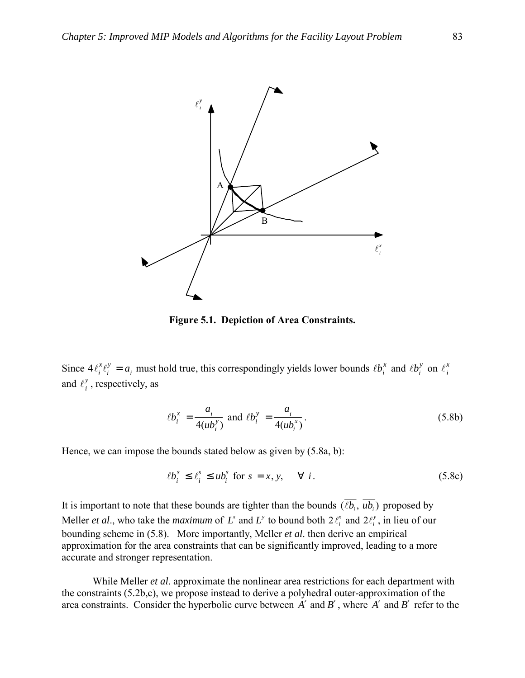

**Figure 5.1. Depiction of Area Constraints.** 

Since  $4\ell_i^x \ell_i^y = a_i$  must hold true, this correspondingly yields lower bounds  $\ell b_i^x$  and  $\ell b_i^y$  on  $\ell_i^x$ and  $\ell_i^y$ , respectively, as

$$
\ell b_i^x = \frac{a_i}{4(u b_i^y)} \text{ and } \ell b_i^y = \frac{a_i}{4(u b_i^x)}.
$$
 (5.8b)

Hence, we can impose the bounds stated below as given by (5.8a, b):

$$
\ell b_i^s \le \ell_i^s \le u b_i^s \text{ for } s = x, y, \quad \forall i. \tag{5.8c}
$$

It is important to note that these bounds are tighter than the bounds  $(\overline{\ell b_i}, \overline{ub_i})$  proposed by Meller *et al.*, who take the *maximum* of  $L^x$  and  $L^y$  to bound both  $2\ell_i^x$  and  $2\ell_i^y$ , in lieu of our bounding scheme in (5.8). More importantly, Meller *et al*. then derive an empirical approximation for the area constraints that can be significantly improved, leading to a more accurate and stronger representation.

While Meller *et al*. approximate the nonlinear area restrictions for each department with the constraints (5.2b,c), we propose instead to derive a polyhedral outer-approximation of the area constraints. Consider the hyperbolic curve between *A'* and *B'*, where *A'* and *B'* refer to the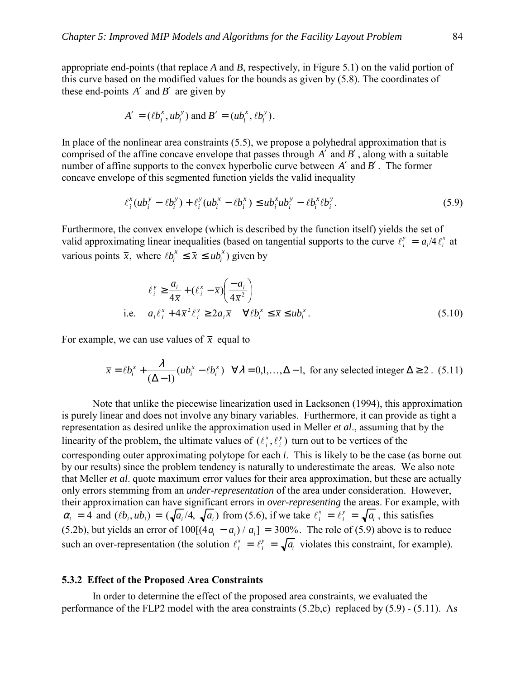appropriate end-points (that replace *A* and *B*, respectively, in Figure 5.1) on the valid portion of this curve based on the modified values for the bounds as given by (5.8). The coordinates of these end-points  $A'$  and  $B'$  are given by

$$
A' = (\ell b_i^x, u b_i^y)
$$
 and  $B' = (u b_i^x, \ell b_i^y)$ .

In place of the nonlinear area constraints (5.5), we propose a polyhedral approximation that is comprised of the affine concave envelope that passes through *A* ′ and *B*′ , along with a suitable number of affine supports to the convex hyperbolic curve between *A'* and *B'*. The former concave envelope of this segmented function yields the valid inequality

$$
\ell_i^x (ub_i^y - \ell b_i^y) + \ell_i^y (ub_i^x - \ell b_i^x) \leq ub_i^x ub_i^y - \ell b_i^x \ell b_i^y. \tag{5.9}
$$

Furthermore, the convex envelope (which is described by the function itself) yields the set of valid approximating linear inequalities (based on tangential supports to the curve  $\ell_i^y = a_i/4 \ell_i^x$  at various points  $\bar{x}$ , where  $\ell b_i^x \leq \bar{x} \leq u b_i^x$  given by

$$
\ell_i^{\mathrm{y}} \ge \frac{a_i}{4\overline{x}} + (\ell_i^{\mathrm{x}} - \overline{x}) \left( \frac{-a_i}{4\overline{x}^2} \right)
$$
  
i.e. 
$$
a_i \ell_i^{\mathrm{x}} + 4\overline{x}^2 \ell_i^{\mathrm{y}} \ge 2a_i \overline{x} \quad \forall \ell b_i^{\mathrm{x}} \le \overline{x} \le u b_i^{\mathrm{x}}.
$$
 (5.10)

For example, we can use values of  $\bar{x}$  equal to

$$
\overline{x} = \ell b_i^x + \frac{\lambda}{(\Delta - 1)} (u b_i^x - \ell b_i^x) \quad \forall \lambda = 0, 1, ..., \Delta - 1, \text{ for any selected integer } \Delta \ge 2. \tag{5.11}
$$

Note that unlike the piecewise linearization used in Lacksonen (1994), this approximation is purely linear and does not involve any binary variables. Furthermore, it can provide as tight a representation as desired unlike the approximation used in Meller *et al*., assuming that by the linearity of the problem, the ultimate values of  $(\ell_i^x, \ell_i^y)$ *i*  $\ell_i^x$ ,  $\ell_i^y$ ) turn out to be vertices of the corresponding outer approximating polytope for each *i*. This is likely to be the case (as borne out by our results) since the problem tendency is naturally to underestimate the areas. We also note that Meller *et al*. quote maximum error values for their area approximation, but these are actually only errors stemming from an *under-representation* of the area under consideration. However, their approximation can have significant errors in *over-representing* the areas. For example, with  $\alpha_i = 4$  and  $(\ell b_i, ub_i) = (\sqrt{a_i}/4, \sqrt{a_i})$  from (5.6), if we take  $\ell_i^x = \ell_i^y = \sqrt{a_i}$ , this satisfies (5.2b), but yields an error of  $100[(4a_i - a_i)/a_i] = 300\%$ . The role of (5.9) above is to reduce such an over-representation (the solution  $l_i^x = l_i^y = \sqrt{a_i}$  violates this constraint, for example).

### **5.3.2 Effect of the Proposed Area Constraints**

In order to determine the effect of the proposed area constraints, we evaluated the performance of the FLP2 model with the area constraints  $(5.2b,c)$  replaced by  $(5.9)$  -  $(5.11)$ . As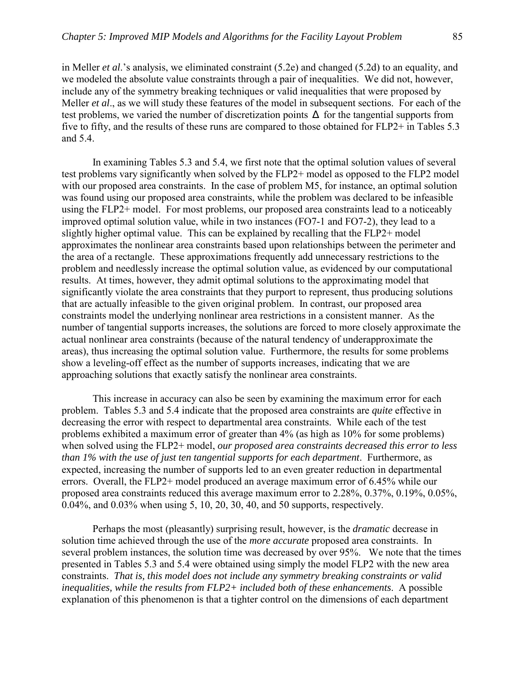in Meller *et al*.'s analysis, we eliminated constraint (5.2e) and changed (5.2d) to an equality, and we modeled the absolute value constraints through a pair of inequalities. We did not, however, include any of the symmetry breaking techniques or valid inequalities that were proposed by Meller *et al*., as we will study these features of the model in subsequent sections. For each of the test problems, we varied the number of discretization points ∆ for the tangential supports from five to fifty, and the results of these runs are compared to those obtained for FLP2+ in Tables 5.3 and 5.4.

In examining Tables 5.3 and 5.4, we first note that the optimal solution values of several test problems vary significantly when solved by the FLP2+ model as opposed to the FLP2 model with our proposed area constraints. In the case of problem M5, for instance, an optimal solution was found using our proposed area constraints, while the problem was declared to be infeasible using the FLP2+ model. For most problems, our proposed area constraints lead to a noticeably improved optimal solution value, while in two instances (FO7-1 and FO7-2), they lead to a slightly higher optimal value. This can be explained by recalling that the FLP2+ model approximates the nonlinear area constraints based upon relationships between the perimeter and the area of a rectangle. These approximations frequently add unnecessary restrictions to the problem and needlessly increase the optimal solution value, as evidenced by our computational results. At times, however, they admit optimal solutions to the approximating model that significantly violate the area constraints that they purport to represent, thus producing solutions that are actually infeasible to the given original problem. In contrast, our proposed area constraints model the underlying nonlinear area restrictions in a consistent manner. As the number of tangential supports increases, the solutions are forced to more closely approximate the actual nonlinear area constraints (because of the natural tendency of underapproximate the areas), thus increasing the optimal solution value. Furthermore, the results for some problems show a leveling-off effect as the number of supports increases, indicating that we are approaching solutions that exactly satisfy the nonlinear area constraints.

This increase in accuracy can also be seen by examining the maximum error for each problem. Tables 5.3 and 5.4 indicate that the proposed area constraints are *quite* effective in decreasing the error with respect to departmental area constraints. While each of the test problems exhibited a maximum error of greater than 4% (as high as 10% for some problems) when solved using the FLP2+ model, *our proposed area constraints decreased this error to less than 1% with the use of just ten tangential supports for each department*. Furthermore, as expected, increasing the number of supports led to an even greater reduction in departmental errors. Overall, the FLP2+ model produced an average maximum error of 6.45% while our proposed area constraints reduced this average maximum error to 2.28%, 0.37%, 0.19%, 0.05%, 0.04%, and 0.03% when using 5, 10, 20, 30, 40, and 50 supports, respectively.

Perhaps the most (pleasantly) surprising result, however, is the *dramatic* decrease in solution time achieved through the use of the *more accurate* proposed area constraints. In several problem instances, the solution time was decreased by over 95%. We note that the times presented in Tables 5.3 and 5.4 were obtained using simply the model FLP2 with the new area constraints. *That is, this model does not include any symmetry breaking constraints or valid inequalities, while the results from FLP2+ included both of these enhancements*. A possible explanation of this phenomenon is that a tighter control on the dimensions of each department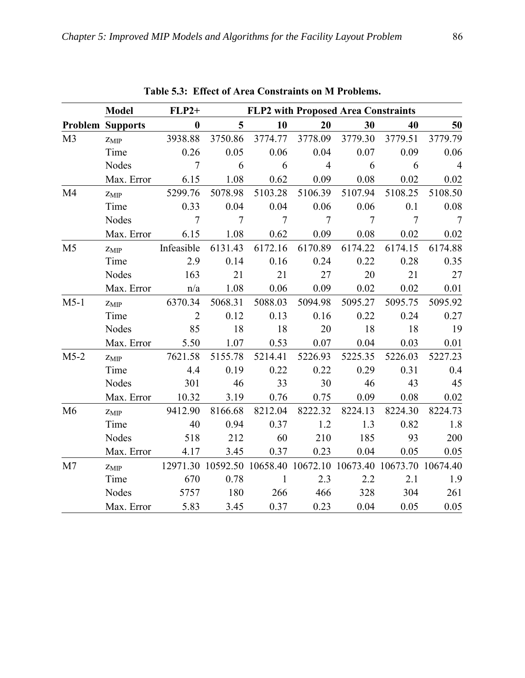|                | <b>Model</b>            | $FLP2+$        | <b>FLP2 with Proposed Area Constraints</b>                     |                |                |                |                |                 |
|----------------|-------------------------|----------------|----------------------------------------------------------------|----------------|----------------|----------------|----------------|-----------------|
|                | <b>Problem Supports</b> | $\bf{0}$       | $5\overline{)}$                                                | 10             | 20             | 30             | 40             | 50              |
| M <sub>3</sub> | $Z_{MIP}$               | 3938.88        | 3750.86                                                        | 3774.77        | 3778.09        | 3779.30        | 3779.51        | 3779.79         |
|                | Time                    | 0.26           | 0.05                                                           | 0.06           | 0.04           | 0.07           | 0.09           | 0.06            |
|                | <b>Nodes</b>            | $\tau$         | 6                                                              | 6              | $\overline{4}$ | 6              | 6              | $\overline{4}$  |
|                | Max. Error              | 6.15           | 1.08                                                           | 0.62           | 0.09           | 0.08           | 0.02           | 0.02            |
| M4             | $Z_{MIP}$               | 5299.76        | 5078.98                                                        | 5103.28        | 5106.39        | 5107.94        | 5108.25        | 5108.50         |
|                | Time                    | 0.33           | 0.04                                                           | 0.04           | 0.06           | 0.06           | 0.1            | 0.08            |
|                | <b>Nodes</b>            | $\overline{7}$ | $\overline{7}$                                                 | $\overline{7}$ | $\overline{7}$ | $\overline{7}$ | $\overline{7}$ | $7\phantom{.0}$ |
|                | Max. Error              | 6.15           | 1.08                                                           | 0.62           | 0.09           | 0.08           | 0.02           | 0.02            |
| M <sub>5</sub> | $Z_{MIP}$               | Infeasible     | 6131.43                                                        | 6172.16        | 6170.89        | 6174.22        | 6174.15        | 6174.88         |
|                | Time                    | 2.9            | 0.14                                                           | 0.16           | 0.24           | 0.22           | 0.28           | 0.35            |
|                | Nodes                   | 163            | 21                                                             | 21             | 27             | 20             | 21             | 27              |
|                | Max. Error              | n/a            | 1.08                                                           | 0.06           | 0.09           | 0.02           | 0.02           | 0.01            |
| $M5-1$         | $Z_{\rm MIP}$           | 6370.34        | 5068.31                                                        | 5088.03        | 5094.98        | 5095.27        | 5095.75        | 5095.92         |
|                | Time                    | $\overline{2}$ | 0.12                                                           | 0.13           | 0.16           | 0.22           | 0.24           | 0.27            |
|                | Nodes                   | 85             | 18                                                             | 18             | 20             | 18             | 18             | 19              |
|                | Max. Error              | 5.50           | 1.07                                                           | 0.53           | 0.07           | 0.04           | 0.03           | 0.01            |
| $M5-2$         | $Z_{\rm MIP}$           | 7621.58        | 5155.78                                                        | 5214.41        | 5226.93        | 5225.35        | 5226.03        | 5227.23         |
|                | Time                    | 4.4            | 0.19                                                           | 0.22           | 0.22           | 0.29           | 0.31           | 0.4             |
|                | <b>Nodes</b>            | 301            | 46                                                             | 33             | 30             | 46             | 43             | 45              |
|                | Max. Error              | 10.32          | 3.19                                                           | 0.76           | 0.75           | 0.09           | 0.08           | 0.02            |
| M6             | $Z_{\rm MIP}$           | 9412.90        | 8166.68                                                        | 8212.04        | 8222.32        | 8224.13        | 8224.30        | 8224.73         |
|                | Time                    | 40             | 0.94                                                           | 0.37           | 1.2            | 1.3            | 0.82           | 1.8             |
|                | Nodes                   | 518            | 212                                                            | 60             | 210            | 185            | 93             | 200             |
|                | Max. Error              | 4.17           | 3.45                                                           | 0.37           | 0.23           | 0.04           | 0.05           | 0.05            |
| M <sub>7</sub> | $Z_{MIP}$               |                | 12971.30 10592.50 10658.40 10672.10 10673.40 10673.70 10674.40 |                |                |                |                |                 |
|                | Time                    | 670            | 0.78                                                           | $\mathbf{1}$   | 2.3            | 2.2            | 2.1            | 1.9             |
|                | Nodes                   | 5757           | 180                                                            | 266            | 466            | 328            | 304            | 261             |
|                | Max. Error              | 5.83           | 3.45                                                           | 0.37           | 0.23           | 0.04           | 0.05           | 0.05            |

**Table 5.3: Effect of Area Constraints on M Problems.**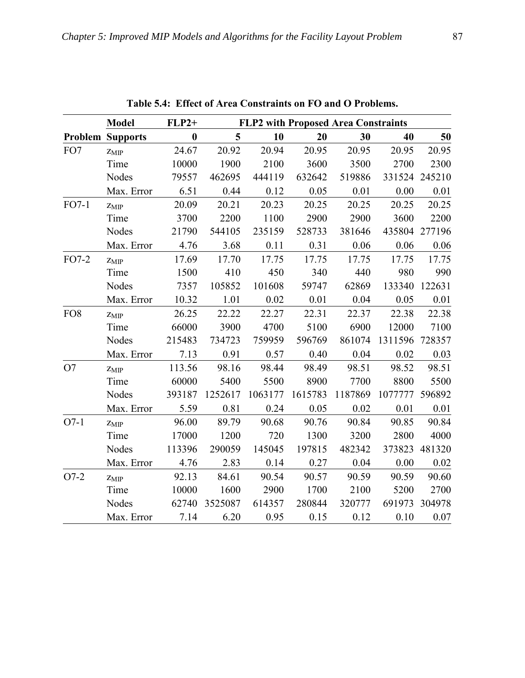|                 | <b>Model</b>            | $FLP2+$  |         |         |         | <b>FLP2 with Proposed Area Constraints</b> |         |        |
|-----------------|-------------------------|----------|---------|---------|---------|--------------------------------------------|---------|--------|
|                 | <b>Problem Supports</b> | $\bf{0}$ | 5       | 10      | 20      | 30                                         | 40      | 50     |
| FO7             | $Z_{MIP}$               | 24.67    | 20.92   | 20.94   | 20.95   | 20.95                                      | 20.95   | 20.95  |
|                 | Time                    | 10000    | 1900    | 2100    | 3600    | 3500                                       | 2700    | 2300   |
|                 | <b>Nodes</b>            | 79557    | 462695  | 444119  | 632642  | 519886                                     | 331524  | 245210 |
|                 | Max. Error              | 6.51     | 0.44    | 0.12    | 0.05    | 0.01                                       | 0.00    | 0.01   |
| $FO7-1$         | $Z_{MIP}$               | 20.09    | 20.21   | 20.23   | 20.25   | 20.25                                      | 20.25   | 20.25  |
|                 | Time                    | 3700     | 2200    | 1100    | 2900    | 2900                                       | 3600    | 2200   |
|                 | <b>Nodes</b>            | 21790    | 544105  | 235159  | 528733  | 381646                                     | 435804  | 277196 |
|                 | Max. Error              | 4.76     | 3.68    | 0.11    | 0.31    | 0.06                                       | 0.06    | 0.06   |
| $FO7-2$         | $Z_{MIP}$               | 17.69    | 17.70   | 17.75   | 17.75   | 17.75                                      | 17.75   | 17.75  |
|                 | Time                    | 1500     | 410     | 450     | 340     | 440                                        | 980     | 990    |
|                 | Nodes                   | 7357     | 105852  | 101608  | 59747   | 62869                                      | 133340  | 122631 |
|                 | Max. Error              | 10.32    | 1.01    | 0.02    | 0.01    | 0.04                                       | 0.05    | 0.01   |
| FO <sub>8</sub> | $Z_{MIP}$               | 26.25    | 22.22   | 22.27   | 22.31   | 22.37                                      | 22.38   | 22.38  |
|                 | Time                    | 66000    | 3900    | 4700    | 5100    | 6900                                       | 12000   | 7100   |
|                 | <b>Nodes</b>            | 215483   | 734723  | 759959  | 596769  | 861074                                     | 1311596 | 728357 |
|                 | Max. Error              | 7.13     | 0.91    | 0.57    | 0.40    | 0.04                                       | 0.02    | 0.03   |
| O7              | $Z_{MIP}$               | 113.56   | 98.16   | 98.44   | 98.49   | 98.51                                      | 98.52   | 98.51  |
|                 | Time                    | 60000    | 5400    | 5500    | 8900    | 7700                                       | 8800    | 5500   |
|                 | <b>Nodes</b>            | 393187   | 1252617 | 1063177 | 1615783 | 1187869                                    | 1077777 | 596892 |
|                 | Max. Error              | 5.59     | 0.81    | 0.24    | 0.05    | 0.02                                       | 0.01    | 0.01   |
| $O7-1$          | $Z_{MIP}$               | 96.00    | 89.79   | 90.68   | 90.76   | 90.84                                      | 90.85   | 90.84  |
|                 | Time                    | 17000    | 1200    | 720     | 1300    | 3200                                       | 2800    | 4000   |
|                 | <b>Nodes</b>            | 113396   | 290059  | 145045  | 197815  | 482342                                     | 373823  | 481320 |
|                 | Max. Error              | 4.76     | 2.83    | 0.14    | 0.27    | 0.04                                       | 0.00    | 0.02   |
| $O7-2$          | $Z_{MIP}$               | 92.13    | 84.61   | 90.54   | 90.57   | 90.59                                      | 90.59   | 90.60  |
|                 | Time                    | 10000    | 1600    | 2900    | 1700    | 2100                                       | 5200    | 2700   |
|                 | <b>Nodes</b>            | 62740    | 3525087 | 614357  | 280844  | 320777                                     | 691973  | 304978 |
|                 | Max. Error              | 7.14     | 6.20    | 0.95    | 0.15    | 0.12                                       | 0.10    | 0.07   |

**Table 5.4: Effect of Area Constraints on FO and O Problems.**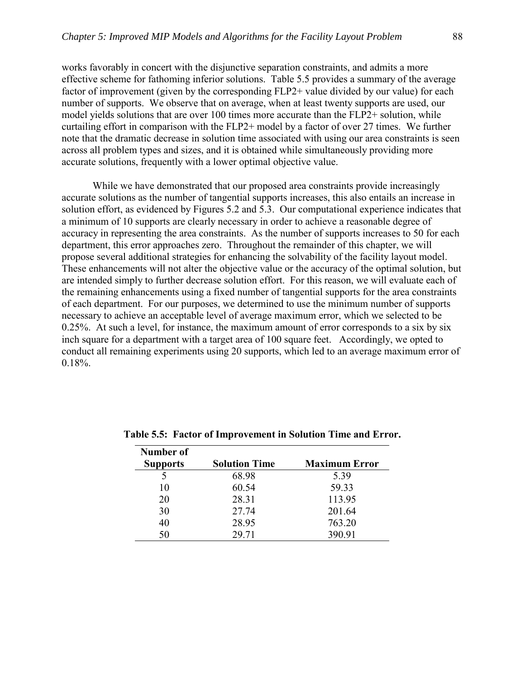works favorably in concert with the disjunctive separation constraints, and admits a more effective scheme for fathoming inferior solutions. Table 5.5 provides a summary of the average factor of improvement (given by the corresponding FLP2+ value divided by our value) for each number of supports. We observe that on average, when at least twenty supports are used, our model yields solutions that are over 100 times more accurate than the FLP2+ solution, while curtailing effort in comparison with the FLP2+ model by a factor of over 27 times. We further note that the dramatic decrease in solution time associated with using our area constraints is seen across all problem types and sizes, and it is obtained while simultaneously providing more accurate solutions, frequently with a lower optimal objective value.

 While we have demonstrated that our proposed area constraints provide increasingly accurate solutions as the number of tangential supports increases, this also entails an increase in solution effort, as evidenced by Figures 5.2 and 5.3. Our computational experience indicates that a minimum of 10 supports are clearly necessary in order to achieve a reasonable degree of accuracy in representing the area constraints. As the number of supports increases to 50 for each department, this error approaches zero. Throughout the remainder of this chapter, we will propose several additional strategies for enhancing the solvability of the facility layout model. These enhancements will not alter the objective value or the accuracy of the optimal solution, but are intended simply to further decrease solution effort. For this reason, we will evaluate each of the remaining enhancements using a fixed number of tangential supports for the area constraints of each department. For our purposes, we determined to use the minimum number of supports necessary to achieve an acceptable level of average maximum error, which we selected to be 0.25%. At such a level, for instance, the maximum amount of error corresponds to a six by six inch square for a department with a target area of 100 square feet. Accordingly, we opted to conduct all remaining experiments using 20 supports, which led to an average maximum error of 0.18%.

| Number of       |                      |                      |
|-----------------|----------------------|----------------------|
| <b>Supports</b> | <b>Solution Time</b> | <b>Maximum Error</b> |
|                 | 68.98                | 5.39                 |
| 10              | 60.54                | 59.33                |
| 20              | 28.31                | 113.95               |
| 30              | 27.74                | 201.64               |
| 40              | 28.95                | 763.20               |
| 50              | 29.71                | 390.91               |

**Table 5.5: Factor of Improvement in Solution Time and Error.**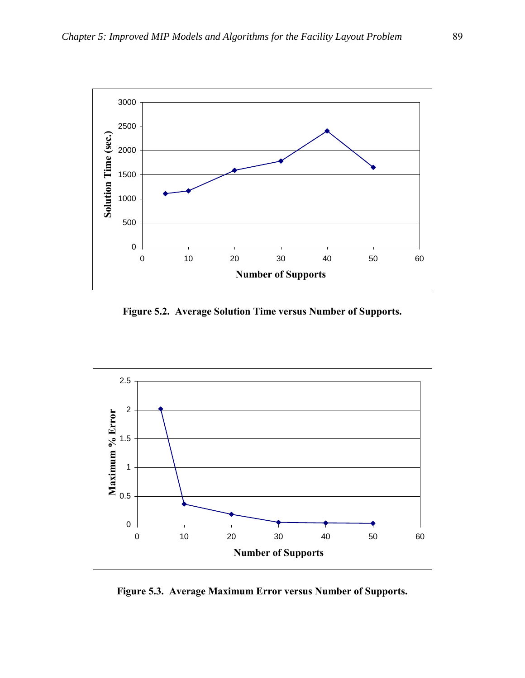

**Figure 5.2. Average Solution Time versus Number of Supports.**



**Figure 5.3. Average Maximum Error versus Number of Supports.**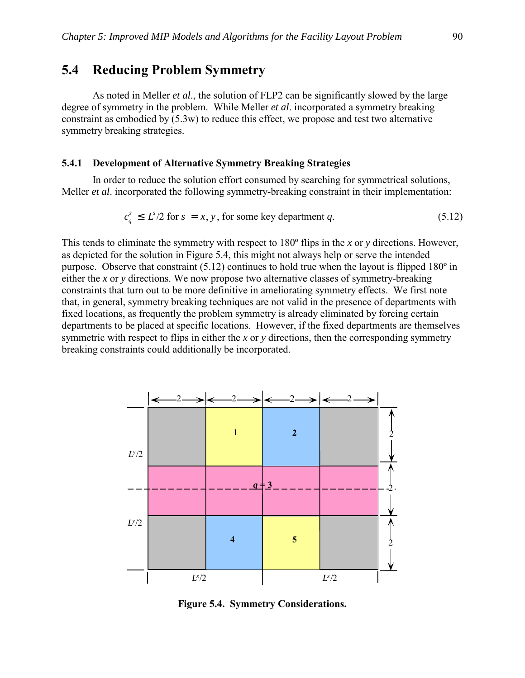### **5.4 Reducing Problem Symmetry**

 As noted in Meller *et al*., the solution of FLP2 can be significantly slowed by the large degree of symmetry in the problem. While Meller *et al*. incorporated a symmetry breaking constraint as embodied by (5.3w) to reduce this effect, we propose and test two alternative symmetry breaking strategies.

### **5.4.1 Development of Alternative Symmetry Breaking Strategies**

 In order to reduce the solution effort consumed by searching for symmetrical solutions, Meller *et al*. incorporated the following symmetry-breaking constraint in their implementation:

$$
c_q^s \le L^s/2 \text{ for } s = x, y, \text{ for some key department } q. \tag{5.12}
$$

This tends to eliminate the symmetry with respect to 180º flips in the *x* or *y* directions. However, as depicted for the solution in Figure 5.4, this might not always help or serve the intended purpose. Observe that constraint (5.12) continues to hold true when the layout is flipped 180º in either the *x* or *y* directions. We now propose two alternative classes of symmetry-breaking constraints that turn out to be more definitive in ameliorating symmetry effects. We first note that, in general, symmetry breaking techniques are not valid in the presence of departments with fixed locations, as frequently the problem symmetry is already eliminated by forcing certain departments to be placed at specific locations. However, if the fixed departments are themselves symmetric with respect to flips in either the *x* or *y* directions, then the corresponding symmetry breaking constraints could additionally be incorporated.



**Figure 5.4. Symmetry Considerations.**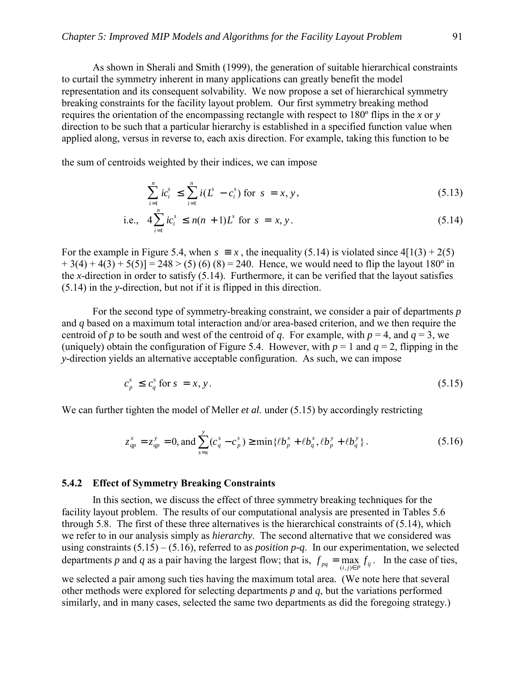As shown in Sherali and Smith (1999), the generation of suitable hierarchical constraints to curtail the symmetry inherent in many applications can greatly benefit the model representation and its consequent solvability. We now propose a set of hierarchical symmetry breaking constraints for the facility layout problem. Our first symmetry breaking method requires the orientation of the encompassing rectangle with respect to 180º flips in the *x* or *y* direction to be such that a particular hierarchy is established in a specified function value when applied along, versus in reverse to, each axis direction. For example, taking this function to be

the sum of centroids weighted by their indices, we can impose

$$
\sum_{i=1}^{n} i c_i^s \le \sum_{i=1}^{n} i (L^s - c_i^s) \text{ for } s = x, y,
$$
\n(5.13)

i.e., 
$$
4\sum_{i=1}^{n} ic_i^s \le n(n+1)L^s
$$
 for  $s = x, y$ . (5.14)

For the example in Figure 5.4, when  $s \equiv x$ , the inequality (5.14) is violated since  $4[1(3) + 2(5)$  $+ 3(4) + 4(3) + 5(5) = 248 > (5) (6) (8) = 240$ . Hence, we would need to flip the layout 180<sup>o</sup> in the *x*-direction in order to satisfy (5.14). Furthermore, it can be verified that the layout satisfies (5.14) in the *y*-direction, but not if it is flipped in this direction.

For the second type of symmetry-breaking constraint, we consider a pair of departments *p* and *q* based on a maximum total interaction and/or area-based criterion, and we then require the centroid of *p* to be south and west of the centroid of *q*. For example, with  $p = 4$ , and  $q = 3$ , we (uniquely) obtain the configuration of Figure 5.4. However, with  $p = 1$  and  $q = 2$ , flipping in the *y*-direction yields an alternative acceptable configuration. As such, we can impose

$$
c_p^s \le c_q^s \text{ for } s = x, y. \tag{5.15}
$$

We can further tighten the model of Meller *et al.* under (5.15) by accordingly restricting

$$
z_{qp}^{x} = z_{qp}^{y} = 0, \text{ and } \sum_{s=x}^{y} (c_q^{s} - c_p^{s}) \ge \min\{\ell b_p^{x} + \ell b_q^{x}, \ell b_p^{y} + \ell b_q^{y}\}.
$$
 (5.16)

#### **5.4.2 Effect of Symmetry Breaking Constraints**

In this section, we discuss the effect of three symmetry breaking techniques for the facility layout problem. The results of our computational analysis are presented in Tables 5.6 through 5.8. The first of these three alternatives is the hierarchical constraints of (5.14), which we refer to in our analysis simply as *hierarchy*. The second alternative that we considered was using constraints  $(5.15) - (5.16)$ , referred to as *position p-q*. In our experimentation, we selected departments *p* and *q* as a pair having the largest flow; that is,  $f_{pq} = \max_{(i,j)\in P} f_{ij}$ . In the case of ties,

we selected a pair among such ties having the maximum total area. (We note here that several other methods were explored for selecting departments *p* and *q*, but the variations performed similarly, and in many cases, selected the same two departments as did the foregoing strategy.)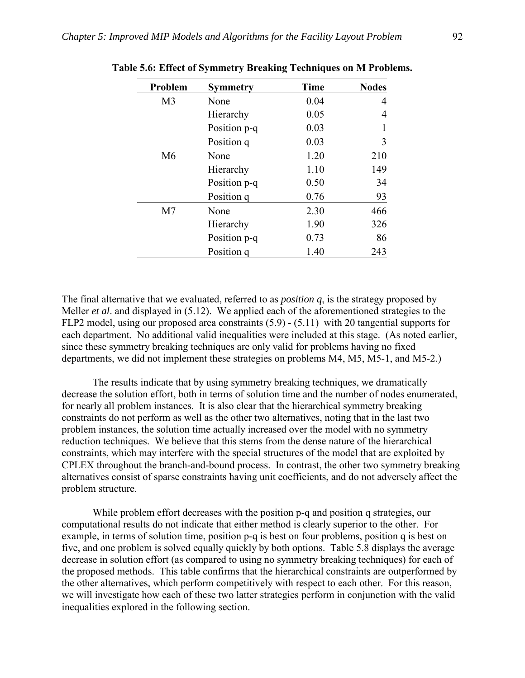| Problem        | <b>Symmetry</b> | <b>Time</b> | <b>Nodes</b> |
|----------------|-----------------|-------------|--------------|
| M <sub>3</sub> | None            | 0.04        | 4            |
|                | Hierarchy       | 0.05        | 4            |
|                | Position p-q    | 0.03        |              |
|                | Position q      | 0.03        | 3            |
| M6             | None            | 1.20        | 210          |
|                | Hierarchy       | 1.10        | 149          |
|                | Position p-q    | 0.50        | 34           |
|                | Position q      | 0.76        | 93           |
| M <sub>7</sub> | None            | 2.30        | 466          |
|                | Hierarchy       | 1.90        | 326          |
|                | Position p-q    | 0.73        | 86           |
|                | Position q      | 1.40        | 243          |

**Table 5.6: Effect of Symmetry Breaking Techniques on M Problems.** 

The final alternative that we evaluated, referred to as *position q*, is the strategy proposed by Meller *et al*. and displayed in (5.12). We applied each of the aforementioned strategies to the FLP2 model, using our proposed area constraints (5.9) - (5.11) with 20 tangential supports for each department. No additional valid inequalities were included at this stage. (As noted earlier, since these symmetry breaking techniques are only valid for problems having no fixed departments, we did not implement these strategies on problems M4, M5, M5-1, and M5-2.)

The results indicate that by using symmetry breaking techniques, we dramatically decrease the solution effort, both in terms of solution time and the number of nodes enumerated, for nearly all problem instances. It is also clear that the hierarchical symmetry breaking constraints do not perform as well as the other two alternatives, noting that in the last two problem instances, the solution time actually increased over the model with no symmetry reduction techniques. We believe that this stems from the dense nature of the hierarchical constraints, which may interfere with the special structures of the model that are exploited by CPLEX throughout the branch-and-bound process. In contrast, the other two symmetry breaking alternatives consist of sparse constraints having unit coefficients, and do not adversely affect the problem structure.

 While problem effort decreases with the position p-q and position q strategies, our computational results do not indicate that either method is clearly superior to the other. For example, in terms of solution time, position p-q is best on four problems, position q is best on five, and one problem is solved equally quickly by both options. Table 5.8 displays the average decrease in solution effort (as compared to using no symmetry breaking techniques) for each of the proposed methods. This table confirms that the hierarchical constraints are outperformed by the other alternatives, which perform competitively with respect to each other. For this reason, we will investigate how each of these two latter strategies perform in conjunction with the valid inequalities explored in the following section.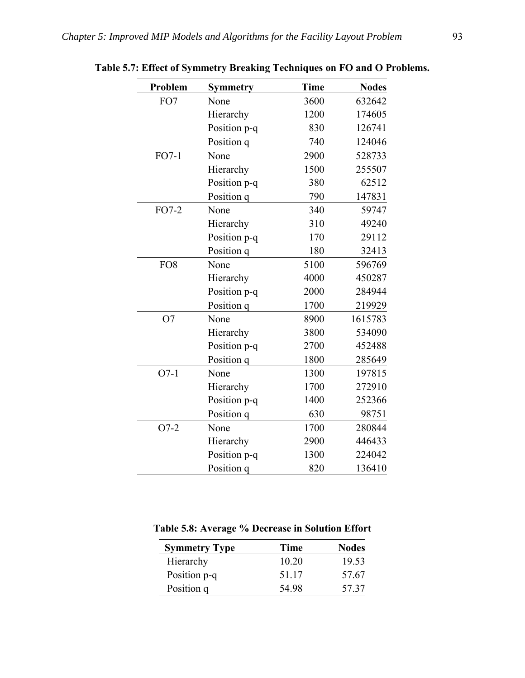| Problem         | <b>Symmetry</b> | <b>Time</b> | <b>Nodes</b> |
|-----------------|-----------------|-------------|--------------|
| FO7             | None            | 3600        | 632642       |
|                 | Hierarchy       | 1200        | 174605       |
|                 | Position p-q    | 830         | 126741       |
|                 | Position q      | 740         | 124046       |
| $FO7-1$         | None            | 2900        | 528733       |
|                 | Hierarchy       | 1500        | 255507       |
|                 | Position p-q    | 380         | 62512        |
|                 | Position q      | 790         | 147831       |
| FO7-2           | None            | 340         | 59747        |
|                 | Hierarchy       | 310         | 49240        |
|                 | Position p-q    | 170         | 29112        |
|                 | Position q      | 180         | 32413        |
| FO <sub>8</sub> | None            | 5100        | 596769       |
|                 | Hierarchy       | 4000        | 450287       |
|                 | Position p-q    | 2000        | 284944       |
|                 | Position q      | 1700        | 219929       |
| O <sub>7</sub>  | None            | 8900        | 1615783      |
|                 | Hierarchy       | 3800        | 534090       |
|                 | Position p-q    | 2700        | 452488       |
|                 | Position q      | 1800        | 285649       |
| $O7-1$          | None            | 1300        | 197815       |
|                 | Hierarchy       | 1700        | 272910       |
|                 | Position p-q    | 1400        | 252366       |
|                 | Position q      | 630         | 98751        |
| $O7-2$          | None            | 1700        | 280844       |
|                 | Hierarchy       | 2900        | 446433       |
|                 | Position p-q    | 1300        | 224042       |
|                 | Position q      | 820         | 136410       |

**Table 5.7: Effect of Symmetry Breaking Techniques on FO and O Problems.** 

**Table 5.8: Average % Decrease in Solution Effort** 

| <b>Symmetry Type</b> | Time  | <b>Nodes</b> |
|----------------------|-------|--------------|
| Hierarchy            | 10 20 | 19.53        |
| Position p-q         | 51 17 | 57.67        |
| Position q           | 54.98 | 57 37        |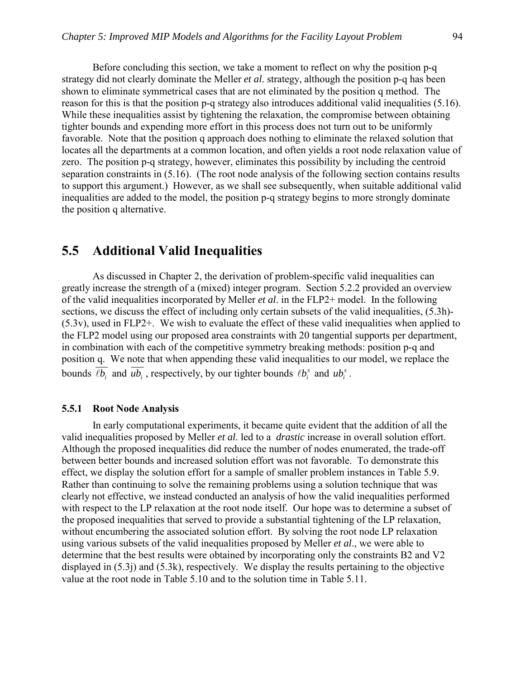Before concluding this section, we take a moment to reflect on why the position p-q strategy did not clearly dominate the Meller *et al*. strategy, although the position p-q has been shown to eliminate symmetrical cases that are not eliminated by the position q method. The reason for this is that the position p-q strategy also introduces additional valid inequalities (5.16). While these inequalities assist by tightening the relaxation, the compromise between obtaining tighter bounds and expending more effort in this process does not turn out to be uniformly favorable. Note that the position q approach does nothing to eliminate the relaxed solution that locates all the departments at a common location, and often yields a root node relaxation value of zero. The position p-q strategy, however, eliminates this possibility by including the centroid separation constraints in (5.16). (The root node analysis of the following section contains results to support this argument.) However, as we shall see subsequently, when suitable additional valid inequalities are added to the model, the position p-q strategy begins to more strongly dominate the position q alternative.

## **5.5 Additional Valid Inequalities**

As discussed in Chapter 2, the derivation of problem-specific valid inequalities can greatly increase the strength of a (mixed) integer program. Section 5.2.2 provided an overview of the valid inequalities incorporated by Meller *et al*. in the FLP2+ model. In the following sections, we discuss the effect of including only certain subsets of the valid inequalities, (5.3h)-(5.3v), used in FLP2+. We wish to evaluate the effect of these valid inequalities when applied to the FLP2 model using our proposed area constraints with 20 tangential supports per department, in combination with each of the competitive symmetry breaking methods: position p-q and position q. We note that when appending these valid inequalities to our model, we replace the bounds  $\overline{\ell b_i}$  and  $\overline{u b_i}$ , respectively, by our tighter bounds  $\ell b_i^s$  and  $u b_i^s$ .

#### **5.5.1 Root Node Analysis**

In early computational experiments, it became quite evident that the addition of all the valid inequalities proposed by Meller *et al*. led to a *drastic* increase in overall solution effort. Although the proposed inequalities did reduce the number of nodes enumerated, the trade-off between better bounds and increased solution effort was not favorable. To demonstrate this effect, we display the solution effort for a sample of smaller problem instances in Table 5.9. Rather than continuing to solve the remaining problems using a solution technique that was clearly not effective, we instead conducted an analysis of how the valid inequalities performed with respect to the LP relaxation at the root node itself. Our hope was to determine a subset of the proposed inequalities that served to provide a substantial tightening of the LP relaxation, without encumbering the associated solution effort. By solving the root node LP relaxation using various subsets of the valid inequalities proposed by Meller *et al*., we were able to determine that the best results were obtained by incorporating only the constraints B2 and V2 displayed in (5.3j) and (5.3k), respectively. We display the results pertaining to the objective value at the root node in Table 5.10 and to the solution time in Table 5.11.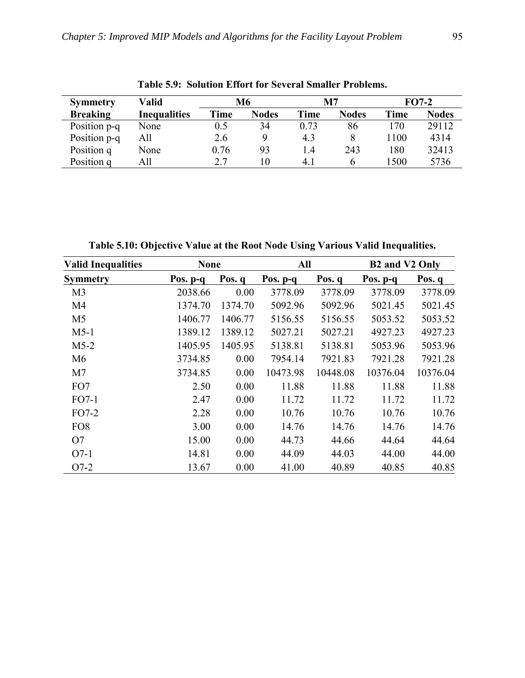| Valid<br><b>Symmetry</b> |                     | M6   |              | M7   |              | $FO7-2$ |              |
|--------------------------|---------------------|------|--------------|------|--------------|---------|--------------|
| <b>Breaking</b>          | <b>Inequalities</b> | Time | <b>Nodes</b> | Time | <b>Nodes</b> | Time    | <b>Nodes</b> |
| Position p-q             | None                | 0.5  | 34           | 0.73 | 86           | 170     | 29112        |
| Position p-q             | All                 | 2.6  | 9            | 4.3  | 8            | 1100    | 4314         |
| Position q               | None                | 0.76 | 93           | 14   | 243          | 180     | 32413        |
| Position q               | All                 | 2.7  | 10           | 4.1  | O            | 1500    | 5736         |

**Table 5.9: Solution Effort for Several Smaller Problems.** 

**Table 5.10: Objective Value at the Root Node Using Various Valid Inequalities.** 

| <b>Valid Inequalities</b> | <b>None</b> |         | All      |          | B2 and V2 Only |          |
|---------------------------|-------------|---------|----------|----------|----------------|----------|
| <b>Symmetry</b>           | Pos. p-q    | Pos. q  | Pos. p-q | Pos. q   | Pos. $p-q$     | Pos. q   |
| M <sub>3</sub>            | 2038.66     | 0.00    | 3778.09  | 3778.09  | 3778.09        | 3778.09  |
| M4                        | 1374.70     | 1374.70 | 5092.96  | 5092.96  | 5021.45        | 5021.45  |
| M <sub>5</sub>            | 1406.77     | 1406.77 | 5156.55  | 5156.55  | 5053.52        | 5053.52  |
| $M5-1$                    | 1389.12     | 1389.12 | 5027.21  | 5027.21  | 4927.23        | 4927.23  |
| $M5-2$                    | 1405.95     | 1405.95 | 5138.81  | 5138.81  | 5053.96        | 5053.96  |
| M <sub>6</sub>            | 3734.85     | 0.00    | 7954.14  | 7921.83  | 7921.28        | 7921.28  |
| M <sub>7</sub>            | 3734.85     | 0.00    | 10473.98 | 10448.08 | 10376.04       | 10376.04 |
| FO7                       | 2.50        | 0.00    | 11.88    | 11.88    | 11.88          | 11.88    |
| $FO7-1$                   | 2.47        | 0.00    | 11.72    | 11.72    | 11.72          | 11.72    |
| $FO7-2$                   | 2.28        | 0.00    | 10.76    | 10.76    | 10.76          | 10.76    |
| FO <sub>8</sub>           | 3.00        | 0.00    | 14.76    | 14.76    | 14.76          | 14.76    |
| O7                        | 15.00       | 0.00    | 44.73    | 44.66    | 44.64          | 44.64    |
| $O7-1$                    | 14.81       | 0.00    | 44.09    | 44.03    | 44.00          | 44.00    |
| $O7-2$                    | 13.67       | 0.00    | 41.00    | 40.89    | 40.85          | 40.85    |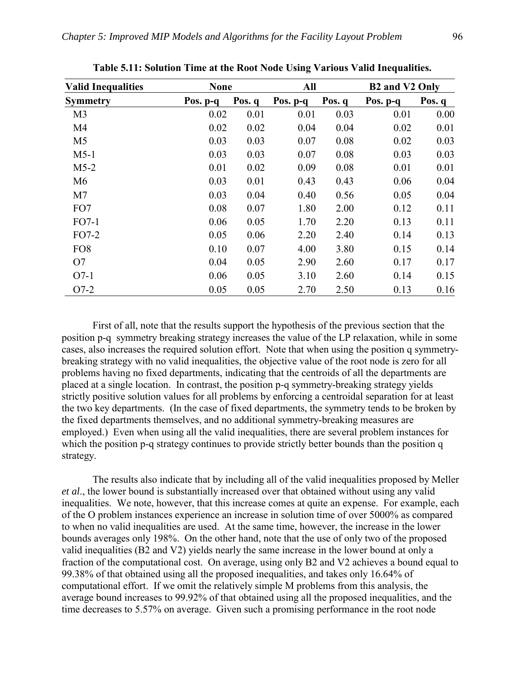| <b>Valid Inequalities</b> | <b>None</b> |        | All      |        | <b>B2</b> and V2 Only |          |  |
|---------------------------|-------------|--------|----------|--------|-----------------------|----------|--|
| <b>Symmetry</b>           | Pos. $p-q$  | Pos. q | Pos. p-q | Pos. q | Pos. p-q              | Pos. $q$ |  |
| M <sub>3</sub>            | 0.02        | 0.01   | 0.01     | 0.03   | 0.01                  | 0.00     |  |
| M <sub>4</sub>            | 0.02        | 0.02   | 0.04     | 0.04   | 0.02                  | 0.01     |  |
| M <sub>5</sub>            | 0.03        | 0.03   | 0.07     | 0.08   | 0.02                  | 0.03     |  |
| $M5-1$                    | 0.03        | 0.03   | 0.07     | 0.08   | 0.03                  | 0.03     |  |
| $M5-2$                    | 0.01        | 0.02   | 0.09     | 0.08   | 0.01                  | 0.01     |  |
| M <sub>6</sub>            | 0.03        | 0.01   | 0.43     | 0.43   | 0.06                  | 0.04     |  |
| M <sub>7</sub>            | 0.03        | 0.04   | 0.40     | 0.56   | 0.05                  | 0.04     |  |
| FO7                       | 0.08        | 0.07   | 1.80     | 2.00   | 0.12                  | 0.11     |  |
| $FO7-1$                   | 0.06        | 0.05   | 1.70     | 2.20   | 0.13                  | 0.11     |  |
| FO7-2                     | 0.05        | 0.06   | 2.20     | 2.40   | 0.14                  | 0.13     |  |
| FO <sub>8</sub>           | 0.10        | 0.07   | 4.00     | 3.80   | 0.15                  | 0.14     |  |
| O7                        | 0.04        | 0.05   | 2.90     | 2.60   | 0.17                  | 0.17     |  |
| $O7-1$                    | 0.06        | 0.05   | 3.10     | 2.60   | 0.14                  | 0.15     |  |
| $O7-2$                    | 0.05        | 0.05   | 2.70     | 2.50   | 0.13                  | 0.16     |  |

**Table 5.11: Solution Time at the Root Node Using Various Valid Inequalities.** 

 First of all, note that the results support the hypothesis of the previous section that the position p-q symmetry breaking strategy increases the value of the LP relaxation, while in some cases, also increases the required solution effort. Note that when using the position q symmetrybreaking strategy with no valid inequalities, the objective value of the root node is zero for all problems having no fixed departments, indicating that the centroids of all the departments are placed at a single location. In contrast, the position p-q symmetry-breaking strategy yields strictly positive solution values for all problems by enforcing a centroidal separation for at least the two key departments. (In the case of fixed departments, the symmetry tends to be broken by the fixed departments themselves, and no additional symmetry-breaking measures are employed.) Even when using all the valid inequalities, there are several problem instances for which the position p-q strategy continues to provide strictly better bounds than the position q strategy.

 The results also indicate that by including all of the valid inequalities proposed by Meller *et al*., the lower bound is substantially increased over that obtained without using any valid inequalities. We note, however, that this increase comes at quite an expense. For example, each of the O problem instances experience an increase in solution time of over 5000% as compared to when no valid inequalities are used. At the same time, however, the increase in the lower bounds averages only 198%. On the other hand, note that the use of only two of the proposed valid inequalities (B2 and V2) yields nearly the same increase in the lower bound at only a fraction of the computational cost. On average, using only B2 and V2 achieves a bound equal to 99.38% of that obtained using all the proposed inequalities, and takes only 16.64% of computational effort. If we omit the relatively simple M problems from this analysis, the average bound increases to 99.92% of that obtained using all the proposed inequalities, and the time decreases to 5.57% on average. Given such a promising performance in the root node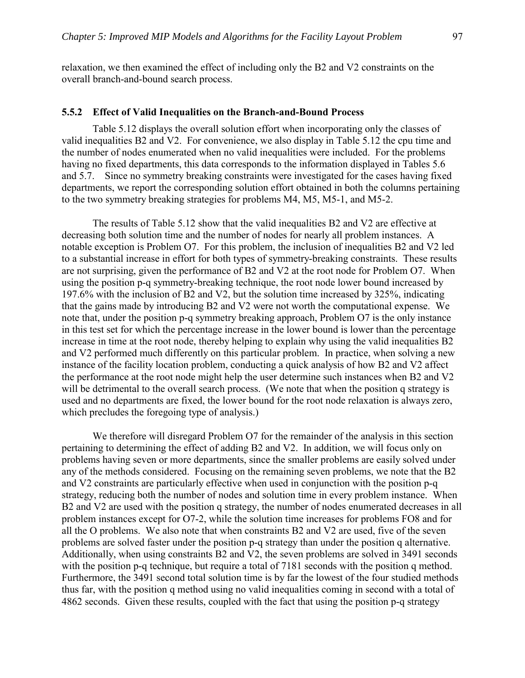relaxation, we then examined the effect of including only the B2 and V2 constraints on the overall branch-and-bound search process.

#### **5.5.2 Effect of Valid Inequalities on the Branch-and-Bound Process**

 Table 5.12 displays the overall solution effort when incorporating only the classes of valid inequalities B2 and V2. For convenience, we also display in Table 5.12 the cpu time and the number of nodes enumerated when no valid inequalities were included. For the problems having no fixed departments, this data corresponds to the information displayed in Tables 5.6 and 5.7. Since no symmetry breaking constraints were investigated for the cases having fixed departments, we report the corresponding solution effort obtained in both the columns pertaining to the two symmetry breaking strategies for problems M4, M5, M5-1, and M5-2.

 The results of Table 5.12 show that the valid inequalities B2 and V2 are effective at decreasing both solution time and the number of nodes for nearly all problem instances. A notable exception is Problem O7. For this problem, the inclusion of inequalities B2 and V2 led to a substantial increase in effort for both types of symmetry-breaking constraints. These results are not surprising, given the performance of B2 and V2 at the root node for Problem O7. When using the position p-q symmetry-breaking technique, the root node lower bound increased by 197.6% with the inclusion of B2 and V2, but the solution time increased by 325%, indicating that the gains made by introducing B2 and V2 were not worth the computational expense. We note that, under the position p-q symmetry breaking approach, Problem O7 is the only instance in this test set for which the percentage increase in the lower bound is lower than the percentage increase in time at the root node, thereby helping to explain why using the valid inequalities B2 and V2 performed much differently on this particular problem. In practice, when solving a new instance of the facility location problem, conducting a quick analysis of how B2 and V2 affect the performance at the root node might help the user determine such instances when B2 and V2 will be detrimental to the overall search process. (We note that when the position q strategy is used and no departments are fixed, the lower bound for the root node relaxation is always zero, which precludes the foregoing type of analysis.)

 We therefore will disregard Problem O7 for the remainder of the analysis in this section pertaining to determining the effect of adding B2 and V2. In addition, we will focus only on problems having seven or more departments, since the smaller problems are easily solved under any of the methods considered. Focusing on the remaining seven problems, we note that the B2 and V2 constraints are particularly effective when used in conjunction with the position p-q strategy, reducing both the number of nodes and solution time in every problem instance. When B2 and V2 are used with the position q strategy, the number of nodes enumerated decreases in all problem instances except for O7-2, while the solution time increases for problems FO8 and for all the O problems. We also note that when constraints B2 and V2 are used, five of the seven problems are solved faster under the position p-q strategy than under the position q alternative. Additionally, when using constraints B2 and V2, the seven problems are solved in 3491 seconds with the position p-q technique, but require a total of 7181 seconds with the position q method. Furthermore, the 3491 second total solution time is by far the lowest of the four studied methods thus far, with the position q method using no valid inequalities coming in second with a total of 4862 seconds. Given these results, coupled with the fact that using the position p-q strategy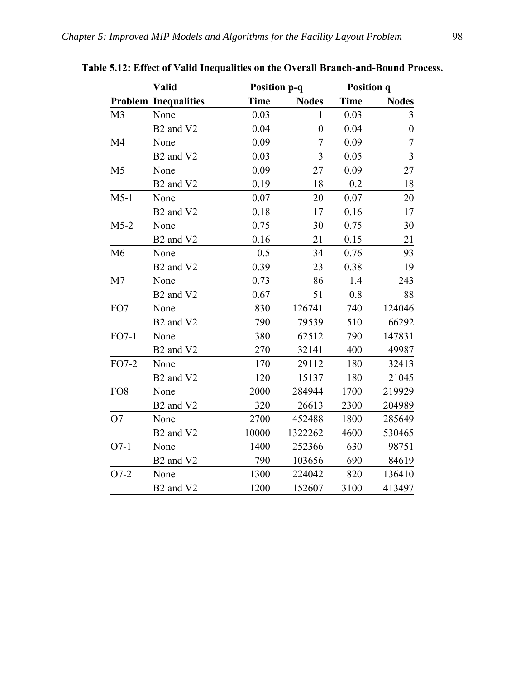|                 | <b>Valid</b>                      |       | <b>Position p-q</b> |             | <b>Position q</b> |  |
|-----------------|-----------------------------------|-------|---------------------|-------------|-------------------|--|
|                 | <b>Problem Inequalities</b>       | Time  | <b>Nodes</b>        | <b>Time</b> | <b>Nodes</b>      |  |
| M <sub>3</sub>  | None                              | 0.03  | $\mathbf{1}$        | 0.03        | 3                 |  |
|                 | B <sub>2</sub> and V <sub>2</sub> | 0.04  | $\overline{0}$      | 0.04        | $\boldsymbol{0}$  |  |
| M4              | None                              | 0.09  | $\overline{7}$      | 0.09        | $\overline{7}$    |  |
|                 | B <sub>2</sub> and V <sub>2</sub> | 0.03  | $\overline{3}$      | 0.05        | $\mathfrak{Z}$    |  |
| M <sub>5</sub>  | None                              | 0.09  | 27                  | 0.09        | 27                |  |
|                 | B <sub>2</sub> and V <sub>2</sub> | 0.19  | 18                  | 0.2         | 18                |  |
| $M5-1$          | None                              | 0.07  | 20                  | 0.07        | 20                |  |
|                 | B <sub>2</sub> and V <sub>2</sub> | 0.18  | 17                  | 0.16        | 17                |  |
| $M5-2$          | None                              | 0.75  | 30                  | 0.75        | 30                |  |
|                 | B <sub>2</sub> and V <sub>2</sub> | 0.16  | 21                  | 0.15        | 21                |  |
| M <sub>6</sub>  | None                              | 0.5   | 34                  | 0.76        | 93                |  |
|                 | B <sub>2</sub> and V <sub>2</sub> | 0.39  | 23                  | 0.38        | 19                |  |
| M <sub>7</sub>  | None                              | 0.73  | 86                  | 1.4         | 243               |  |
|                 | B <sub>2</sub> and V <sub>2</sub> | 0.67  | 51                  | 0.8         | 88                |  |
| FO7             | None                              | 830   | 126741              | 740         | 124046            |  |
|                 | B <sub>2</sub> and V <sub>2</sub> | 790   | 79539               | 510         | 66292             |  |
| $FO7-1$         | None                              | 380   | 62512               | 790         | 147831            |  |
|                 | B <sub>2</sub> and V <sub>2</sub> | 270   | 32141               | 400         | 49987             |  |
| FO7-2           | None                              | 170   | 29112               | 180         | 32413             |  |
|                 | B <sub>2</sub> and V <sub>2</sub> | 120   | 15137               | 180         | 21045             |  |
| FO <sub>8</sub> | None                              | 2000  | 284944              | 1700        | 219929            |  |
|                 | B <sub>2</sub> and V <sub>2</sub> | 320   | 26613               | 2300        | 204989            |  |
| O7              | None                              | 2700  | 452488              | 1800        | 285649            |  |
|                 | B <sub>2</sub> and V <sub>2</sub> | 10000 | 1322262             | 4600        | 530465            |  |
| $O7-1$          | None                              | 1400  | 252366              | 630         | 98751             |  |
|                 | B <sub>2</sub> and V <sub>2</sub> | 790   | 103656              | 690         | 84619             |  |
| $O7-2$          | None                              | 1300  | 224042              | 820         | 136410            |  |
|                 | B <sub>2</sub> and V <sub>2</sub> | 1200  | 152607              | 3100        | 413497            |  |

**Table 5.12: Effect of Valid Inequalities on the Overall Branch-and-Bound Process.**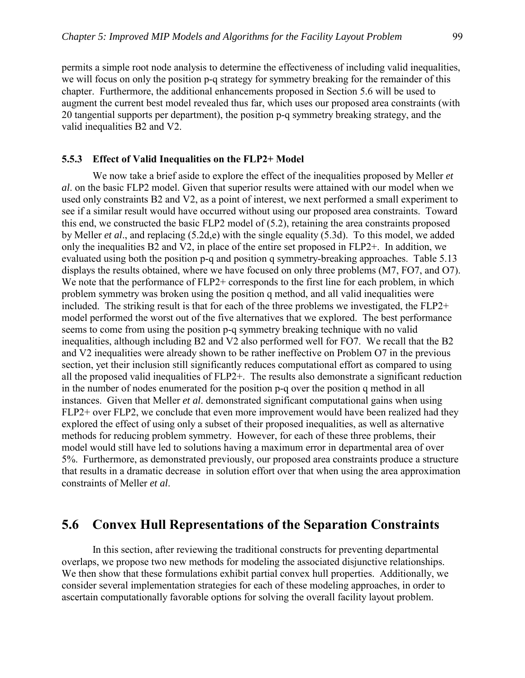permits a simple root node analysis to determine the effectiveness of including valid inequalities, we will focus on only the position p-q strategy for symmetry breaking for the remainder of this chapter. Furthermore, the additional enhancements proposed in Section 5.6 will be used to augment the current best model revealed thus far, which uses our proposed area constraints (with 20 tangential supports per department), the position p-q symmetry breaking strategy, and the valid inequalities B2 and V2.

#### **5.5.3 Effect of Valid Inequalities on the FLP2+ Model**

We now take a brief aside to explore the effect of the inequalities proposed by Meller *et al*. on the basic FLP2 model. Given that superior results were attained with our model when we used only constraints B2 and V2, as a point of interest, we next performed a small experiment to see if a similar result would have occurred without using our proposed area constraints. Toward this end, we constructed the basic FLP2 model of (5.2), retaining the area constraints proposed by Meller *et al*., and replacing (5.2d,e) with the single equality (5.3d). To this model, we added only the inequalities B2 and V2, in place of the entire set proposed in FLP2+. In addition, we evaluated using both the position p-q and position q symmetry-breaking approaches. Table 5.13 displays the results obtained, where we have focused on only three problems (M7, FO7, and O7). We note that the performance of FLP2+ corresponds to the first line for each problem, in which problem symmetry was broken using the position q method, and all valid inequalities were included. The striking result is that for each of the three problems we investigated, the FLP2+ model performed the worst out of the five alternatives that we explored. The best performance seems to come from using the position p-q symmetry breaking technique with no valid inequalities, although including B2 and V2 also performed well for FO7. We recall that the B2 and V2 inequalities were already shown to be rather ineffective on Problem O7 in the previous section, yet their inclusion still significantly reduces computational effort as compared to using all the proposed valid inequalities of FLP2+. The results also demonstrate a significant reduction in the number of nodes enumerated for the position p-q over the position q method in all instances. Given that Meller *et al*. demonstrated significant computational gains when using FLP2+ over FLP2, we conclude that even more improvement would have been realized had they explored the effect of using only a subset of their proposed inequalities, as well as alternative methods for reducing problem symmetry. However, for each of these three problems, their model would still have led to solutions having a maximum error in departmental area of over 5%. Furthermore, as demonstrated previously, our proposed area constraints produce a structure that results in a dramatic decrease in solution effort over that when using the area approximation constraints of Meller *et al*.

### **5.6 Convex Hull Representations of the Separation Constraints**

 In this section, after reviewing the traditional constructs for preventing departmental overlaps, we propose two new methods for modeling the associated disjunctive relationships. We then show that these formulations exhibit partial convex hull properties. Additionally, we consider several implementation strategies for each of these modeling approaches, in order to ascertain computationally favorable options for solving the overall facility layout problem.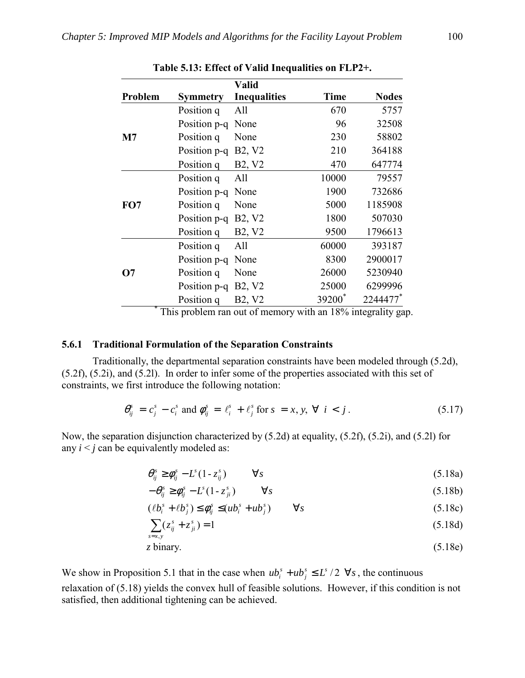|              |                 | <b>Valid</b>                    |             |              |
|--------------|-----------------|---------------------------------|-------------|--------------|
| Problem      | <b>Symmetry</b> | <b>Inequalities</b>             | <b>Time</b> | <b>Nodes</b> |
|              | Position q      | All                             | 670         | 5757         |
|              | Position p-q    | None                            | 96          | 32508        |
| $\mathbf{M}$ | Position q      | None                            | 230         | 58802        |
|              | Position p-q    | B <sub>2</sub> , V <sub>2</sub> | 210         | 364188       |
|              | Position q      | B <sub>2</sub> , V <sub>2</sub> | 470         | 647774       |
|              | Position q      | All                             | 10000       | 79557        |
|              | Position p-q    | None                            | 1900        | 732686       |
| FO7          | Position q      | None                            | 5000        | 1185908      |
|              | Position p-q    | B <sub>2</sub> , V <sub>2</sub> | 1800        | 507030       |
|              | Position q      | B <sub>2</sub> , V <sub>2</sub> | 9500        | 1796613      |
|              | Position q      | All                             | 60000       | 393187       |
|              | Position p-q    | None                            | 8300        | 2900017      |
| <b>O</b> 7   | Position q      | None                            | 26000       | 5230940      |
|              | Position p-q    | B <sub>2</sub> , V <sub>2</sub> | 25000       | 6299996      |
|              | Position q      | B <sub>2</sub> , V <sub>2</sub> | 39200       | 2244477*     |

|  |  |  | Table 5.13: Effect of Valid Inequalities on FLP2+. |  |
|--|--|--|----------------------------------------------------|--|
|--|--|--|----------------------------------------------------|--|

 \* This problem ran out of memory with an 18% integrality gap.

#### **5.6.1 Traditional Formulation of the Separation Constraints**

 Traditionally, the departmental separation constraints have been modeled through (5.2d), (5.2f), (5.2i), and (5.2l). In order to infer some of the properties associated with this set of constraints, we first introduce the following notation:

$$
\theta_{ij}^s = c_j^s - c_i^s \text{ and } \phi_{ij}^s = \ell_i^s + \ell_j^s \text{ for } s = x, y, \forall i < j.
$$
 (5.17)

Now, the separation disjunction characterized by (5.2d) at equality, (5.2f), (5.2i), and (5.2l) for any  $i < j$  can be equivalently modeled as:

$$
\theta_{ij}^s \ge \phi_{ij}^s - L^s (1 - z_{ij}^s) \qquad \forall s \tag{5.18a}
$$

$$
-\theta_{ij}^s \ge \phi_{ij}^s - L^s (1 - z_{ji}^s) \qquad \forall s \qquad (5.18b)
$$

$$
(\ell b_i^s + \ell b_j^s) \le \phi_{ij}^s \le (ub_i^s + ub_j^s) \qquad \forall s
$$
\n
$$
(5.18c)
$$

$$
\sum_{s=x,y}(z_{ij}^s + z_{ji}^s) = 1
$$
\n(5.18d)

*z* binary. (5.18e)

We show in Proposition 5.1 that in the case when  $ub_i^s + ub_j^s \le L^s / 2 \ \forall s$  $s_i^s + ub_j^s \le L^s / 2 \ \forall s$ , the continuous relaxation of (5.18) yields the convex hull of feasible solutions. However, if this condition is not satisfied, then additional tightening can be achieved.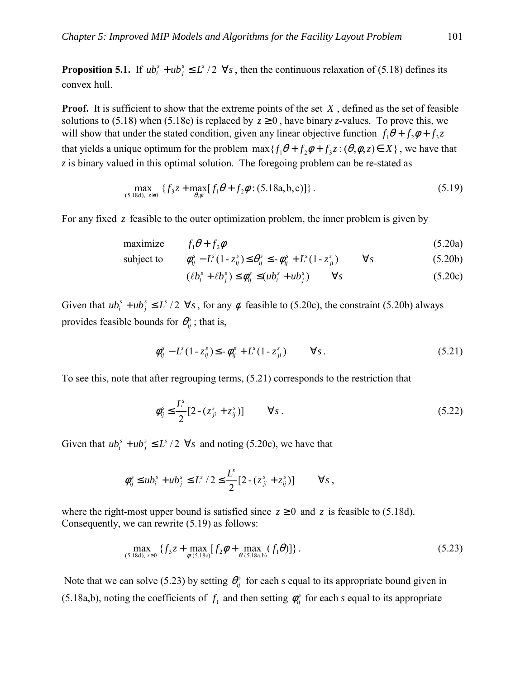**Proposition 5.1.** If  $ub_i^s + ub_j^s \leq L^s/2 \ \ \forall s$  $s_i^s + ub_j^s \le L^s / 2 \ \forall s$ , then the continuous relaxation of (5.18) defines its convex hull.

**Proof.** It is sufficient to show that the extreme points of the set *X*, defined as the set of feasible solutions to (5.18) when (5.18e) is replaced by  $z \ge 0$ , have binary *z*-values. To prove this, we will show that under the stated condition, given any linear objective function  $f_1\theta + f_2\phi + f_3z$ that yields a unique optimum for the problem  $max{ { f<sub>1</sub> \theta + f<sub>2</sub> \phi + f<sub>3</sub> z : (\theta, \phi, z) \in X } }$ , we have that *z* is binary valued in this optimal solution. The foregoing problem can be re-stated as

$$
\max_{(5.18d), z \ge 0} \{ f_3 z + \max_{\theta, \phi} [f_1 \theta + f_2 \phi : (5.18a, b, c)] \}.
$$
 (5.19)

For any fixed *z* feasible to the outer optimization problem, the inner problem is given by

$$
\text{maximize} \qquad f_1 \theta + f_2 \phi \tag{5.20a}
$$

subject to 
$$
\phi_{ij}^s - L^s(1 - z_{ij}^s) \le \theta_{ij}^s \le -\phi_{ij}^s + L^s(1 - z_{ji}^s) \qquad \forall s
$$
 (5.20b)

$$
(\ell b_i^s + \ell b_j^s) \le \phi_{ij}^s \le (ub_i^s + ub_j^s) \qquad \forall s
$$
\n
$$
(5.20c)
$$

Given that  $ub_i^s + ub_j^s \le L^s / 2 \ \forall s$  $\lambda_i^s + ub_j^s \le L^s / 2 \ \forall s$ , for any  $\phi$  feasible to (5.20c), the constraint (5.20b) always provides feasible bounds for  $\theta_{ii}^s$ ; that is,

$$
\phi_{ij}^s - L^s (1 - z_{ij}^s) \le - \phi_{ij}^s + L^s (1 - z_{ji}^s) \qquad \forall s. \tag{5.21}
$$

To see this, note that after regrouping terms, (5.21) corresponds to the restriction that

$$
\phi_{ij}^s \le \frac{L^s}{2} [2 - (z_{ji}^s + z_{ij}^s)] \qquad \forall s \,.
$$
 (5.22)

Given that  $ub_i^s + ub_j^s \le L^s / 2 \ \forall s$  $s_i^s + ub_j^s \le L^s / 2 \ \forall s$  and noting (5.20c), we have that

$$
\phi_{ij}^s \leq ub_i^s + ub_j^s \leq L^s / 2 \leq \frac{L^s}{2} [2 - (z_{ji}^s + z_{ij}^s)] \qquad \forall s ,
$$

where the right-most upper bound is satisfied since  $z \ge 0$  and  $z$  is feasible to (5.18d). Consequently, we can rewrite (5.19) as follows:

$$
\max_{(5.18d), z \ge 0} \{ f_3 z + \max_{\phi:(5.18c)} [f_2 \phi + \max_{\theta:(5.18a,b)} (f_1 \theta)] \}.
$$
 (5.23)

Note that we can solve (5.23) by setting  $\theta_i^s$  for each *s* equal to its appropriate bound given in (5.18a,b), noting the coefficients of  $f_1$  and then setting  $\phi_{ij}^s$  for each *s* equal to its appropriate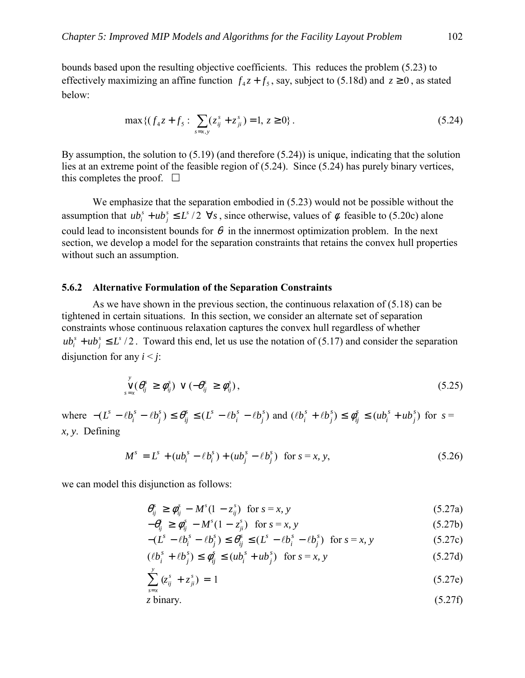bounds based upon the resulting objective coefficients. This reduces the problem (5.23) to effectively maximizing an affine function  $f<sub>4</sub>z + f<sub>5</sub>$ , say, subject to (5.18d) and  $z \ge 0$ , as stated below:

$$
\max \{ (f_4 z + f_5 : \sum_{s=x,y} (z_{ij}^s + z_{ji}^s) = 1, z \ge 0 \}.
$$
 (5.24)

By assumption, the solution to (5.19) (and therefore (5.24)) is unique, indicating that the solution lies at an extreme point of the feasible region of (5.24). Since (5.24) has purely binary vertices, this completes the proof.  $\Box$ 

We emphasize that the separation embodied in (5.23) would not be possible without the assumption that  $ub_i^s + ub_j^s \le L^s / 2 \ \forall s$  $s_i$ <sup>s</sup> +  $ub_j$ <sup>s</sup> ≤  $L^s$  /2  $\forall s$ , since otherwise, values of  $\phi$  feasible to (5.20c) alone could lead to inconsistent bounds for  $\theta$  in the innermost optimization problem. In the next section, we develop a model for the separation constraints that retains the convex hull properties without such an assumption.

#### **5.6.2 Alternative Formulation of the Separation Constraints**

 As we have shown in the previous section, the continuous relaxation of (5.18) can be tightened in certain situations. In this section, we consider an alternate set of separation constraints whose continuous relaxation captures the convex hull regardless of whether  $u b_i^s + u b_j^s \le L^s / 2$ . Toward this end, let us use the notation of (5.17) and consider the separation disjunction for any  $i < j$ :

$$
\bigvee_{s=x}^y (\theta_{ij}^s \geq \phi_{ij}^s) \vee (-\theta_{ij}^s \geq \phi_{ij}^s), \qquad (5.25)
$$

where  $-(L^s - \ell b_i^s - \ell b_j^s) \le \theta_{ij}^s \le (L^s - \ell b_i^s - \ell b_j^s)$  and  $(\ell b_i^s + \ell b_j^s) \le \phi_{ij}^s \le (u b_i^s + u b_j^s)$  for  $s =$ *x, y*. Defining

$$
M^{s} = L^{s} + (ub_{i}^{s} - \ell b_{i}^{s}) + (ub_{j}^{s} - \ell b_{j}^{s}) \text{ for } s = x, y,
$$
 (5.26)

we can model this disjunction as follows:

$$
\theta_{ij}^s \ge \phi_{ij}^s - M^s (1 - z_{ij}^s) \quad \text{for } s = x, y \tag{5.27a}
$$

 $-\theta_{ij}^s \ge \phi_{ij}^s - M^s(1 - z_{ji}^s)$  for  $s = x, y$  (5.27b)

$$
-(Ls - \ell bis - \ell bjs) \le \thetaijs \le (Ls - \ell bis - \ell bjs) \text{ for } s = x, y
$$
 (5.27c)

$$
(\ell b_i^s + \ell b_j^s) \le \phi_{ij}^s \le (ub_i^s + ub_j^s) \quad \text{for } s = x, y \tag{5.27d}
$$

$$
\sum_{s=x}^{y} (z_{ij}^{s} + z_{ji}^{s}) = 1
$$
\n(5.27e)

*z* binary. (5.27f)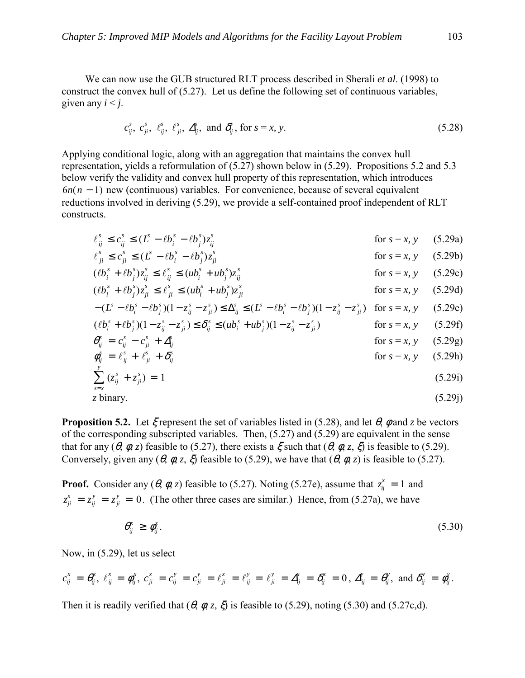We can now use the GUB structured RLT process described in Sherali *et al*. (1998) to construct the convex hull of (5.27). Let us define the following set of continuous variables, given any  $i < j$ .

$$
c_{ij}^s, c_{ji}^s, \ell_{ij}^s, \ell_{ji}^s, \Delta_{ij}^s, \text{ and } \delta_{ij}^s, \text{ for } s = x, y. \tag{5.28}
$$

Applying conditional logic, along with an aggregation that maintains the convex hull representation, yields a reformulation of (5.27) shown below in (5.29). Propositions 5.2 and 5.3 below verify the validity and convex hull property of this representation, which introduces 6*n*(*n* − 1) new (continuous) variables. For convenience, because of several equivalent reductions involved in deriving (5.29), we provide a self-contained proof independent of RLT constructs.

$$
\ell_{ij}^s \le c_{ij}^s \le (L^s - \ell b_i^s - \ell b_j^s) z_{ij}^s \qquad \qquad \text{for } s = x, y \qquad (5.29a)
$$

$$
\ell_{ji}^s \le c_{ji}^s \le (L^s - \ell b_i^s - \ell b_j^s) z_{ji}^s \qquad \text{for } s = x, y \qquad (5.29b)
$$

$$
(\ell b_i^s + \ell b_j^s) z_{ij}^s \le \ell_{ij}^s \le (u b_i^s + u b_j^s) z_{ij}^s \qquad \text{for } s = x, y \quad (5.29c)
$$

$$
(\ell b_i^s + \ell b_j^s) z_{ji}^s \le \ell_{ji}^s \le (ub_i^s + ub_j^s) z_{ji}^s \qquad \text{for } s = x, y \quad (5.29d)
$$
  
 
$$
-(L^s - \ell b_i^s - \ell b_j^s)(1 - z_{ij}^s - z_{ji}^s) \le \Delta_{ij}^s \le (L^s - \ell b_i^s - \ell b_j^s)(1 - z_{ij}^s - z_{ji}^s) \quad \text{for } s = x, y \quad (5.29e)
$$

$$
(\ell b_i^s + \ell b_j^s)(1 - z_{ij}^s - z_{ji}^s) \le \delta_{ij}^s \le (ub_i^s + ub_j^s)(1 - z_{ij}^s - z_{ji}^s) \qquad \text{for } s = x, y \qquad (5.29f)
$$

$$
\theta_{ij}^s = c_{ij}^s - c_{ji}^s + \Delta_{ij}^s \qquad \text{for } s = x, y \quad (5.29g)
$$

$$
\phi_{ij}^s = \ell_{ij}^s + \ell_{ji}^s + \delta_{ij}^s \qquad \qquad \text{for } s = x, y \qquad (5.29h)
$$

$$
\sum_{s=x}^{5} (z_{ij}^s + z_{ji}^s) = 1
$$
\n(5.29i)  
\nz binary. (5.29j)

**Proposition 5.2.** Let  $\xi$  represent the set of variables listed in (5.28), and let  $\theta$ ,  $\phi$  and *z* be vectors of the corresponding subscripted variables. Then, (5.27) and (5.29) are equivalent in the sense that for any ( $\theta$ ,  $\phi$ , *z*) feasible to (5.27), there exists a  $\xi$  such that ( $\theta$ ,  $\phi$ , *z*,  $\xi$ ) is feasible to (5.29). Conversely, given any  $(\theta, \phi, z, \xi)$  feasible to (5.29), we have that  $(\theta, \phi, z)$  is feasible to (5.27).

**Proof.** Consider any  $(\theta, \phi, z)$  feasible to (5.27). Noting (5.27e), assume that  $z_{ij}^x = 1$  and  $z_{ji}^x = z_{ij}^y = z_{ji}^y = 0$ . (The other three cases are similar.) Hence, from (5.27a), we have

$$
\theta_{ij}^x \geq \phi_{ij}^x. \tag{5.30}
$$

Now, in (5.29), let us select

$$
c_{ij}^x = \theta_{ij}^x, \ \ell_{ij}^x = \phi_{ij}^x, \ c_{ji}^x = c_{ij}^y = c_{ji}^y = \ell_{ji}^x = \ell_{ij}^y = \ell_{ji}^y = \Delta_{ij}^x = \delta_{ij}^x = 0, \ \Delta_{ij}^y = \theta_{ij}^y, \text{ and } \delta_{ij}^y = \phi_{ij}^y.
$$

Then it is readily verified that  $(\theta, \phi, z, \xi)$  is feasible to (5.29), noting (5.30) and (5.27c,d).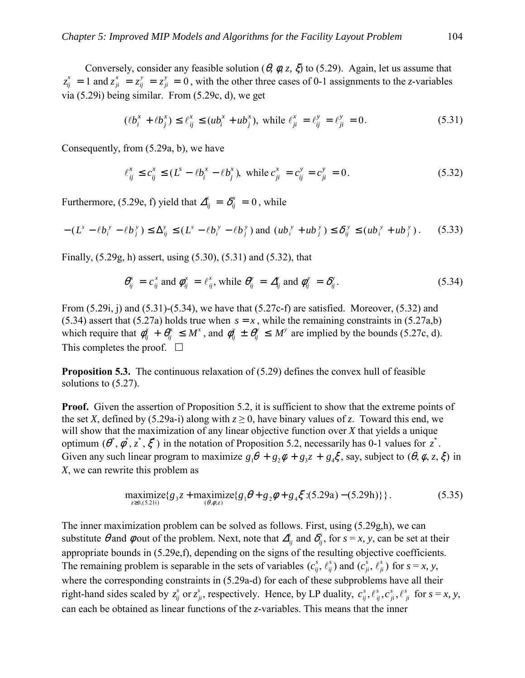Conversely, consider any feasible solution ( $\theta$ ,  $\phi$ ,  $z$ ,  $\zeta$ ) to (5.29). Again, let us assume that  $z_{ij}^x = 1$  and  $z_{ji}^x = z_{ij}^y = z_{ji}^y = 0$ , with the other three cases of 0-1 assignments to the *z*-variables via (5.29i) being similar. From (5.29c, d), we get

$$
(\ell b_i^x + \ell b_j^x) \le \ell_{ij}^x \le (u b_i^x + u b_j^x), \text{ while } \ell_{ji}^x = \ell_{ij}^y = \ell_{ji}^y = 0. \tag{5.31}
$$

Consequently, from (5.29a, b), we have

$$
\ell_{ij}^x \le c_{ij}^x \le (L^s - \ell b_i^x - \ell b_j^x), \text{ while } c_{ji}^x = c_{ij}^y = c_{ji}^y = 0. \tag{5.32}
$$

Furthermore, (5.29e, f) yield that  $\Delta_{ij}^x = \delta_{ij}^x = 0$ , while

$$
-(L^s - \ell b_i^{\,y} - \ell b_j^{\,y}) \le \Delta_{ij}^y \le (L^s - \ell b_i^{\,y} - \ell b_j^{\,y}) \text{ and } (ub_i^{\,y} + ub_j^{\,y}) \le \delta_{ij}^{\,y} \le (ub_i^{\,y} + ub_j^{\,y}). \tag{5.33}
$$

Finally, (5.29g, h) assert, using (5.30), (5.31) and (5.32), that

$$
\theta_{ij}^x = c_{ij}^x \text{ and } \phi_{ij}^x = \ell_{ij}^x, \text{ while } \theta_{ij}^y = \Delta_{ij}^y \text{ and } \phi_{ij}^y = \delta_{ij}^y. \tag{5.34}
$$

From  $(5.29i, i)$  and  $(5.31)$ - $(5.34)$ , we have that  $(5.27c-f)$  are satisfied. Moreover,  $(5.32)$  and (5.34) assert that (5.27a) holds true when  $s = x$ , while the remaining constraints in (5.27a,b) which require that  $\phi_{ij}^x + \theta_{ij}^x \leq M^x$ , and  $\phi_{ij}^y \pm \theta_{ij}^y \leq M^y$  are implied by the bounds (5.27c, d). This completes the proof.  $\Box$ 

**Proposition 5.3.** The continuous relaxation of (5.29) defines the convex hull of feasible solutions to (5.27).

**Proof.** Given the assertion of Proposition 5.2, it is sufficient to show that the extreme points of the set *X*, defined by (5.29a-i) along with  $z \ge 0$ , have binary values of *z*. Toward this end, we will show that the maximization of any linear objective function over *X* that yields a unique optimum  $(\theta^*, \phi^*, z^*, \xi^*)$  in the notation of Proposition 5.2, necessarily has 0-1 values for  $z^*$ . Given any such linear program to maximize  $g_1\theta + g_2\phi + g_3z + g_4\xi$ , say, subject to  $(\theta, \phi, z, \xi)$  in *X*, we can rewrite this problem as

$$
\underset{z \ge 0, (5.21i)}{\text{maximize}} \{g_3 z + \underset{(\theta, \phi, z)}{\text{maximize}} \{g_1 \theta + g_2 \phi + g_4 \xi : (5.29a) - (5.29h)\} \}.
$$
\n(5.35)

The inner maximization problem can be solved as follows. First, using (5.29g,h), we can substitute  $\theta$  and  $\phi$  out of the problem. Next, note that  $\Delta_{ij}^s$  and  $\delta_{ij}^s$ , for  $s = x$ , y, can be set at their appropriate bounds in (5.29e,f), depending on the signs of the resulting objective coefficients. The remaining problem is separable in the sets of variables  $(c_{ij}^s, \ell_{ij}^s)$  and  $(c_{ji}^s, \ell_{ji}^s)$  for  $s = x, y, z$ where the corresponding constraints in (5.29a-d) for each of these subproblems have all their right-hand sides scaled by  $z_{ij}^s$  or  $z_{ji}^s$ , respectively. Hence, by LP duality,  $c_{ij}^s$ ,  $\ell_{ij}^s$ ,  $c_{ji}^s$ ,  $\ell_{ji}^s$ *s ji s ij*  $c_{ij}^s, \ell_{ij}^s, c_{ji}^s, \ell_{ji}^s$  for  $s = x, y$ , can each be obtained as linear functions of the *z*-variables. This means that the inner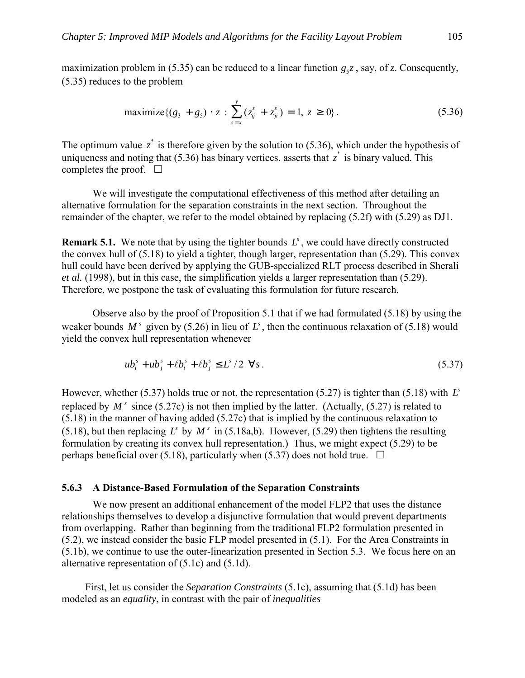maximization problem in (5.35) can be reduced to a linear function  $g_5z$ , say, of *z*. Consequently, (5.35) reduces to the problem

maximize 
$$
\{(g_3 + g_5) \cdot z : \sum_{s=x}^{y} (z_{ij}^s + z_{ji}^s) = 1, z \ge 0\}
$$
. (5.36)

The optimum value  $z^*$  is therefore given by the solution to (5.36), which under the hypothesis of uniqueness and noting that (5.36) has binary vertices, asserts that  $z^*$  is binary valued. This completes the proof.  $\Box$ 

We will investigate the computational effectiveness of this method after detailing an alternative formulation for the separation constraints in the next section. Throughout the remainder of the chapter, we refer to the model obtained by replacing (5.2f) with (5.29) as DJ1.

**Remark 5.1.** We note that by using the tighter bounds  $L^s$ , we could have directly constructed the convex hull of (5.18) to yield a tighter, though larger, representation than (5.29). This convex hull could have been derived by applying the GUB-specialized RLT process described in Sherali *et al.* (1998), but in this case, the simplification yields a larger representation than (5.29). Therefore, we postpone the task of evaluating this formulation for future research.

 Observe also by the proof of Proposition 5.1 that if we had formulated (5.18) by using the weaker bounds  $M^s$  given by (5.26) in lieu of  $L^s$ , then the continuous relaxation of (5.18) would yield the convex hull representation whenever

$$
ub_i^s + ub_j^s + \ell b_i^s + \ell b_j^s \le L^s / 2 \ \forall s \,.
$$
 (5.37)

However, whether (5.37) holds true or not, the representation (5.27) is tighter than (5.18) with  $L^s$ replaced by  $M^s$  since (5.27c) is not then implied by the latter. (Actually, (5.27) is related to (5.18) in the manner of having added (5.27c) that is implied by the continuous relaxation to (5.18), but then replacing *L*<sup>s</sup> by  $M$ <sup>s</sup> in (5.18a,b). However, (5.29) then tightens the resulting formulation by creating its convex hull representation.) Thus, we might expect (5.29) to be perhaps beneficial over (5.18), particularly when (5.37) does not hold true.  $\Box$ 

#### **5.6.3 A Distance-Based Formulation of the Separation Constraints**

We now present an additional enhancement of the model FLP2 that uses the distance relationships themselves to develop a disjunctive formulation that would prevent departments from overlapping. Rather than beginning from the traditional FLP2 formulation presented in (5.2), we instead consider the basic FLP model presented in (5.1). For the Area Constraints in (5.1b), we continue to use the outer-linearization presented in Section 5.3. We focus here on an alternative representation of (5.1c) and (5.1d).

First, let us consider the *Separation Constraints* (5.1c), assuming that (5.1d) has been modeled as an *equality*, in contrast with the pair of *inequalities*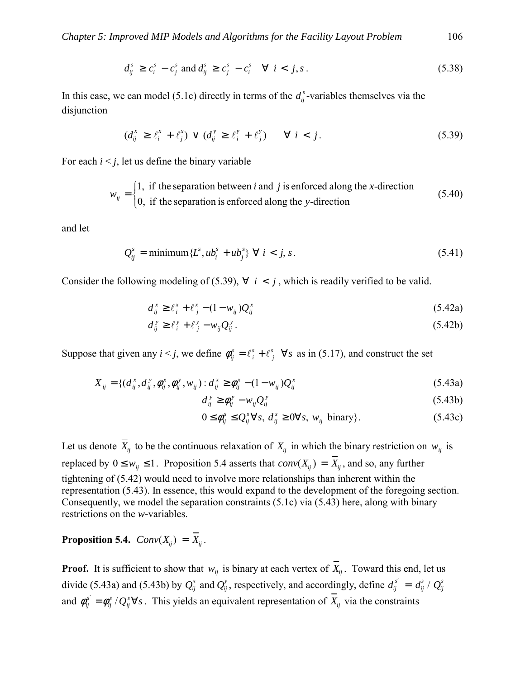$$
d_{ij}^s \ge c_i^s - c_j^s \text{ and } d_{ij}^s \ge c_j^s - c_i^s \quad \forall \ i < j, s. \tag{5.38}
$$

In this case, we can model (5.1c) directly in terms of the  $d_{ij}^s$ -variables themselves via the disjunction

$$
(d_{ij}^x \geq \ell_i^x + \ell_j^x) \vee (d_{ij}^y \geq \ell_i^y + \ell_j^y) \qquad \forall \ i < j. \tag{5.39}
$$

For each  $i < j$ , let us define the binary variable

$$
w_{ij} = \begin{cases} 1, & \text{if the separation between } i \text{ and } j \text{ is enforced along the } x \text{-direction} \\ 0, & \text{if the separation is enforced along the } y \text{-direction} \end{cases} \tag{5.40}
$$

and let

$$
Q_{ij}^s = \text{minimum} \{ L^s, ub_i^s + ub_j^s \} \ \forall \ i < j, s. \tag{5.41}
$$

Consider the following modeling of (5.39),  $\forall$  *i* < *j*, which is readily verified to be valid.

$$
d_{ij}^x \geq \ell_i^x + \ell_j^x - (1 - w_{ij})Q_{ij}^x \tag{5.42a}
$$

$$
d_{ij}^{\ y} \geq \ell_i^{\ y} + \ell_j^{\ y} - w_{ij} Q_{ij}^{\ y} \,. \tag{5.42b}
$$

Suppose that given any  $i < j$ , we define  $\phi_{ij}^s = \ell_i^s + \ell_j^s$   $\forall s$ *s*  $\phi_{ij}^s = \ell_i^s + \ell_j^s$   $\forall s$  as in (5.17), and construct the set

$$
X_{ij} = \{ (d_{ij}^x, d_{ij}^y, \phi_{ij}^x, \phi_{ij}^y, w_{ij}) : d_{ij}^x \ge \phi_{ij}^x - (1 - w_{ij})Q_{ij}^x \tag{5.43a}
$$

$$
d_{ij}^{\ y} \ge \phi_{ij}^{\ y} - w_{ij} Q_{ij}^{\ y} \tag{5.43b}
$$

$$
0 \le \phi_{ij}^s \le Q_{ij}^s \forall s, \ d_{ij}^s \ge 0 \forall s, \ w_{ij} \text{ binary} \}. \tag{5.43c}
$$

Let us denote  $\overline{X}_{ii}$  to be the continuous relaxation of  $X_{ii}$  in which the binary restriction on  $w_{ii}$  is replaced by  $0 \le w_{ij} \le 1$ . Proposition 5.4 asserts that  $conv(X_{ij}) = \overline{X}_{ij}$ , and so, any further tightening of (5.42) would need to involve more relationships than inherent within the representation (5.43). In essence, this would expand to the development of the foregoing section. Consequently, we model the separation constraints (5.1c) via (5.43) here, along with binary restrictions on the *w*-variables.

**Proposition 5.4.**  $Conv(X_{ij}) = \overline{X}_{ij}$ .

**Proof.** It is sufficient to show that  $w_{ij}$  is binary at each vertex of  $\overline{X}_{ij}$ . Toward this end, let us divide (5.43a) and (5.43b) by  $Q_{ij}^x$  and  $Q_{ij}^y$ , respectively, and accordingly, define  $d_{ij}^{s'} = d_{ij}^s / Q_{ij}^s$ and  $\phi_{ij}^{s'} = \phi_{ij}^{s} / Q_{ij}^{s} \forall s$ *s ij*  $\phi_{ij}^{s'} = \phi_{ij}^{s} / Q_{ij}^{s} \forall s$ . This yields an equivalent representation of  $X_{ij}$  via the constraints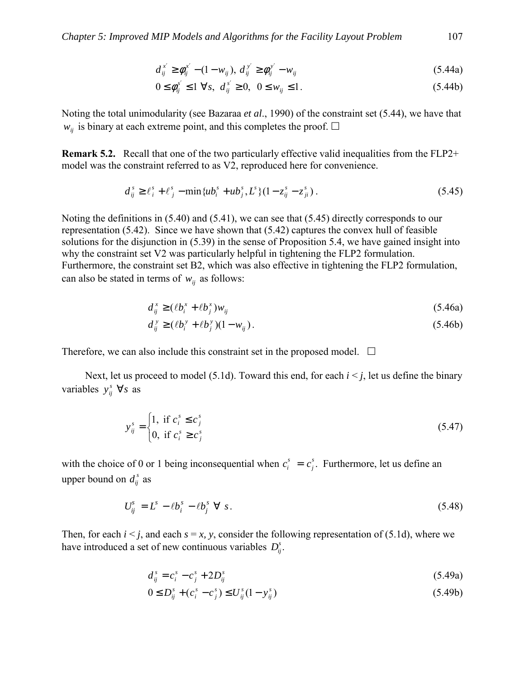$$
d_{ij}^{x'} \ge \phi_{ij}^{x'} - (1 - w_{ij}), \ d_{ij}^{y'} \ge \phi_{ij}^{y'} - w_{ij}
$$
 (5.44a)

$$
0 \le \phi_{ij}^{s'} \le 1 \ \forall s, \ d_{ij}^{s'} \ge 0, \ 0 \le w_{ij} \le 1. \tag{5.44b}
$$

Noting the total unimodularity (see Bazaraa *et al*., 1990) of the constraint set (5.44), we have that  $w_{ij}$  is binary at each extreme point, and this completes the proof.  $\Box$ 

**Remark 5.2.** Recall that one of the two particularly effective valid inequalities from the FLP2+ model was the constraint referred to as V2, reproduced here for convenience.

$$
d_{ij}^s \ge \ell_i^s + \ell_j^s - \min\{ub_i^s + ub_j^s, L^s\}(1 - z_{ij}^s - z_{ji}^s) \,. \tag{5.45}
$$

Noting the definitions in (5.40) and (5.41), we can see that (5.45) directly corresponds to our representation (5.42). Since we have shown that (5.42) captures the convex hull of feasible solutions for the disjunction in (5.39) in the sense of Proposition 5.4, we have gained insight into why the constraint set V2 was particularly helpful in tightening the FLP2 formulation. Furthermore, the constraint set B2, which was also effective in tightening the FLP2 formulation, can also be stated in terms of  $w_{ij}$  as follows:

$$
d_{ij}^x \ge (\ell b_i^x + \ell b_j^x) w_{ij} \tag{5.46a}
$$

$$
d_{ij}^{\,y} \ge (\ell b_i^{\,y} + \ell b_j^{\,y})(1 - w_{ij})\,. \tag{5.46b}
$$

Therefore, we can also include this constraint set in the proposed model.  $\Box$ 

Next, let us proceed to model (5.1d). Toward this end, for each  $i < j$ , let us define the binary variables  $y_{ij}^s \ \forall s$  as

$$
y_{ij}^s = \begin{cases} 1, & \text{if } c_i^s \le c_j^s \\ 0, & \text{if } c_i^s \ge c_j^s \end{cases}
$$
 (5.47)

with the choice of 0 or 1 being inconsequential when  $c_i^s = c_j^s$ . Furthermore, let us define an upper bound on  $d_{ij}^s$  as

$$
U_{ij}^s = L^s - \ell b_i^s - \ell b_j^s \ \forall \ s. \tag{5.48}
$$

Then, for each  $i < j$ , and each  $s = x$ , y, consider the following representation of (5.1d), where we have introduced a set of new continuous variables  $D_{ij}^s$ .

$$
d_{ij}^s = c_i^s - c_j^s + 2D_{ij}^s \tag{5.49a}
$$

$$
0 \le D_{ij}^s + (c_i^s - c_j^s) \le U_{ij}^s (1 - y_{ij}^s)
$$
\n(5.49b)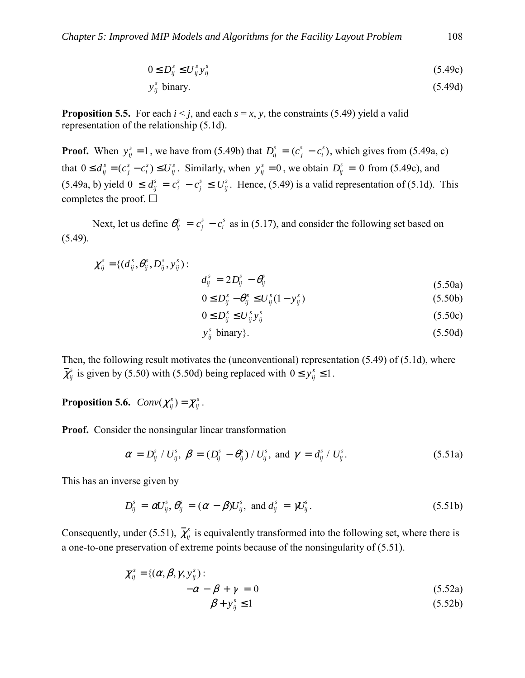$$
0 \le D_{ij}^s \le U_{ij}^s y_{ij}^s \tag{5.49c}
$$

$$
y_{ij}^s \text{ binary.} \tag{5.49d}
$$

**Proposition 5.5.** For each  $i \leq j$ , and each  $s = x$ , *y*, the constraints (5.49) yield a valid representation of the relationship (5.1d).

**Proof.** When  $y_{ij}^s = 1$ , we have from (5.49b) that  $D_{ij}^s = (c_j^s - c_i^s)$ , which gives from (5.49a, c) that  $0 \le d_{ij}^s = (c_j^s - c_i^s) \le U_{ij}^s$ *s i s*  $0 \le d_{ij}^s = (c_j^s - c_i^s) \le U_{ij}^s$ . Similarly, when  $y_{ij}^s = 0$ , we obtain  $D_{ij}^s = 0$  from (5.49c), and  $(5.49a, b)$  yield  $0 \le d_{ij}^s = c_i^s - c_j^s \le U_{ij}^s$ . Hence,  $(5.49)$  is a valid representation of  $(5.1d)$ . This completes the proof.  $\Box$ 

Next, let us define  $\theta_{ij}^s = c_j^s - c_i^s$  as in (5.17), and consider the following set based on (5.49).

$$
\chi_{ij}^{s} = \{ (d_{ij}^{s}, \theta_{ij}^{s}, D_{ij}^{s}, y_{ij}^{s}) : d_{ij}^{s} = 2D_{ij}^{s} - \theta_{ij}^{s}
$$
\n(5.50a)

$$
C_{ij}^s = 2D_{ij}^s - \theta_{ij}^s \tag{5.50a}
$$

$$
0 \le D_{ij}^s - \theta_{ij}^s \le U_{ij}^s (1 - y_{ij}^s) \tag{5.50b}
$$

$$
0 \le D_{ij}^s \le U_{ij}^s y_{ij}^s \tag{5.50c}
$$

$$
y_{ij}^s \text{ binary} \}. \tag{5.50d}
$$

Then, the following result motivates the (unconventional) representation (5.49) of (5.1d), where  $\overline{\chi}_{ij}^s$  is given by (5.50) with (5.50d) being replaced with  $0 \le y_{ij}^s \le 1$ .

**Proposition 5.6.**  $Conv(\chi_{ij}^s) = \overline{\chi}_{ij}^s$ .

**Proof.** Consider the nonsingular linear transformation

$$
\alpha = D_{ij}^s / U_{ij}^s, \ \beta = (D_{ij}^s - \theta_{ij}^s) / U_{ij}^s, \text{ and } \gamma = d_{ij}^s / U_{ij}^s. \tag{5.51a}
$$

This has an inverse given by

$$
D_{ij}^s = \alpha U_{ij}^s, \theta_{ij}^s = (\alpha - \beta)U_{ij}^s, \text{ and } d_{ij}^s = \gamma U_{ij}^s.
$$
 (5.51b)

Consequently, under (5.51),  $\bar{\chi}^s_{ij}$  is equivalently transformed into the following set, where there is a one-to-one preservation of extreme points because of the nonsingularity of (5.51).

$$
\overline{\chi}_{ij}^s = \{ (\alpha, \beta, \gamma, y_{ij}^s) : -\alpha - \beta + \gamma = 0 \tag{5.52a}
$$
\n
$$
\beta + y_{ij}^s \le 1 \tag{5.52b}
$$

$$
\beta + y_{ij}^s \le 1 \tag{5.52b}
$$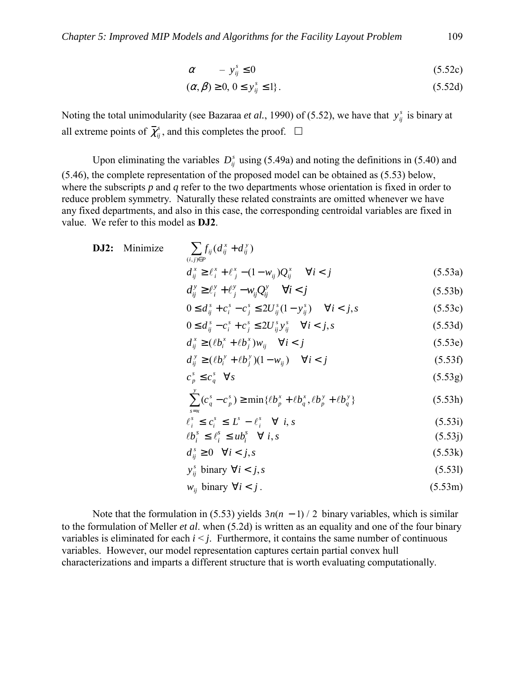$$
\alpha \qquad -y_{ij}^s \le 0 \tag{5.52c}
$$

$$
(\alpha, \beta) \ge 0, 0 \le y_{ij}^s \le 1 \}. \tag{5.52d}
$$

Noting the total unimodularity (see Bazaraa *et al.*, 1990) of (5.52), we have that  $y_{ij}^s$  is binary at all extreme points of  $\overline{\chi}_{ij}^s$ , and this completes the proof.  $\Box$ 

Upon eliminating the variables  $D_{ii}^s$  using (5.49a) and noting the definitions in (5.40) and (5.46), the complete representation of the proposed model can be obtained as (5.53) below, where the subscripts *p* and *q* refer to the two departments whose orientation is fixed in order to reduce problem symmetry. Naturally these related constraints are omitted whenever we have any fixed departments, and also in this case, the corresponding centroidal variables are fixed in value. We refer to this model as **DJ2**.

**DJ2:** Minimize 
$$
\sum_{(i,j)\in P} f_{ij}(d_{ij}^x + d_{ij}^y)
$$

$$
d_{ij}^x \ge \ell_i^x + \ell_j^x - (1 - w_{ij})Q_{ij}^x \quad \forall i < j
$$
(5.53a)

$$
d_{ij}^y \ge \ell_i^y + \ell_j^y - w_{ij} Q_{ij}^y \qquad \forall i < j \tag{5.53b}
$$

$$
0 \le d_{ij}^s + c_i^s - c_j^s \le 2U_{ij}^s (1 - y_{ij}^s) \quad \forall i < j, s
$$
 (5.53c)

$$
0 \le d_{ij}^s - c_i^s + c_j^s \le 2U_{ij}^s y_{ij}^s \quad \forall i < j, s
$$
 (5.53d)

$$
d_{ij}^x \ge (\ell b_i^x + \ell b_j^x) w_{ij} \quad \forall i < j \tag{5.53e}
$$

$$
d_{ij}^{\,y} \ge (\ell b_i^{\,y} + \ell b_j^{\,y})(1 - w_{ij}) \quad \forall i < j \tag{5.53f}
$$

$$
c_p^s \le c_q^s \quad \forall s \tag{5.53g}
$$

$$
\sum_{s=x}^{y} (c_q^s - c_p^s) \ge \min\{\ell b_p^x + \ell b_q^x, \ell b_p^y + \ell b_q^y\} \tag{5.53h}
$$

$$
\ell_i^s \le c_i^s \le L^s - \ell_i^s \quad \forall \ i, s \tag{5.53i}
$$

$$
\ell b_i^s \le \ell_i^s \le u b_i^s \quad \forall \ i, s \tag{5.53j}
$$

$$
d_{ij}^s \ge 0 \quad \forall i < j, s \tag{5.53k}
$$

$$
y_{ij}^s \text{ binary } \forall i < j, s \tag{5.53}
$$

$$
w_{ij} \text{ binary } \forall i < j. \tag{5.53m}
$$

Note that the formulation in (5.53) yields  $3n(n - 1)/2$  binary variables, which is similar to the formulation of Meller *et al*. when (5.2d) is written as an equality and one of the four binary variables is eliminated for each  $i \leq j$ . Furthermore, it contains the same number of continuous variables. However, our model representation captures certain partial convex hull characterizations and imparts a different structure that is worth evaluating computationally.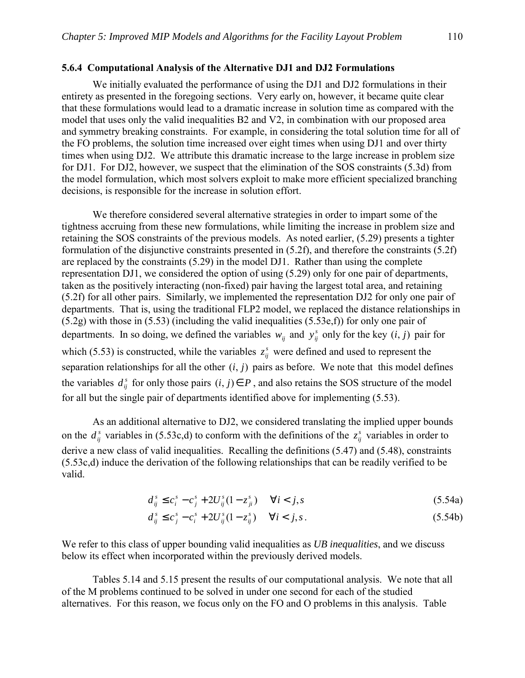#### **5.6.4 Computational Analysis of the Alternative DJ1 and DJ2 Formulations**

 We initially evaluated the performance of using the DJ1 and DJ2 formulations in their entirety as presented in the foregoing sections. Very early on, however, it became quite clear that these formulations would lead to a dramatic increase in solution time as compared with the model that uses only the valid inequalities B2 and V2, in combination with our proposed area and symmetry breaking constraints. For example, in considering the total solution time for all of the FO problems, the solution time increased over eight times when using DJ1 and over thirty times when using DJ2. We attribute this dramatic increase to the large increase in problem size for DJ1. For DJ2, however, we suspect that the elimination of the SOS constraints (5.3d) from the model formulation, which most solvers exploit to make more efficient specialized branching decisions, is responsible for the increase in solution effort.

We therefore considered several alternative strategies in order to impart some of the tightness accruing from these new formulations, while limiting the increase in problem size and retaining the SOS constraints of the previous models. As noted earlier, (5.29) presents a tighter formulation of the disjunctive constraints presented in (5.2f), and therefore the constraints (5.2f) are replaced by the constraints (5.29) in the model DJ1. Rather than using the complete representation DJ1, we considered the option of using (5.29) only for one pair of departments, taken as the positively interacting (non-fixed) pair having the largest total area, and retaining (5.2f) for all other pairs. Similarly, we implemented the representation DJ2 for only one pair of departments. That is, using the traditional FLP2 model, we replaced the distance relationships in (5.2g) with those in (5.53) (including the valid inequalities (5.53e,f)) for only one pair of departments. In so doing, we defined the variables  $w_{ij}$  and  $y_{ij}^s$  only for the key  $(i, j)$  pair for which (5.53) is constructed, while the variables  $z_{ij}^s$  were defined and used to represent the separation relationships for all the other  $(i, j)$  pairs as before. We note that this model defines the variables  $d_i^s$  for only those pairs  $(i, j) \in P$ , and also retains the SOS structure of the model for all but the single pair of departments identified above for implementing (5.53).

 As an additional alternative to DJ2, we considered translating the implied upper bounds on the  $d_{ij}^s$  variables in (5.53c,d) to conform with the definitions of the  $z_{ij}^s$  variables in order to derive a new class of valid inequalities. Recalling the definitions (5.47) and (5.48), constraints (5.53c,d) induce the derivation of the following relationships that can be readily verified to be valid.

$$
d_{ij}^s \le c_i^s - c_j^s + 2U_{ij}^s (1 - z_{ji}^s) \quad \forall i < j, s
$$
\n(5.54a)

$$
d_{ij}^s \le c_j^s - c_i^s + 2U_{ij}^s (1 - z_{ij}^s) \quad \forall i < j, s. \tag{5.54b}
$$

We refer to this class of upper bounding valid inequalities as *UB inequalities*, and we discuss below its effect when incorporated within the previously derived models.

 Tables 5.14 and 5.15 present the results of our computational analysis. We note that all of the M problems continued to be solved in under one second for each of the studied alternatives. For this reason, we focus only on the FO and O problems in this analysis. Table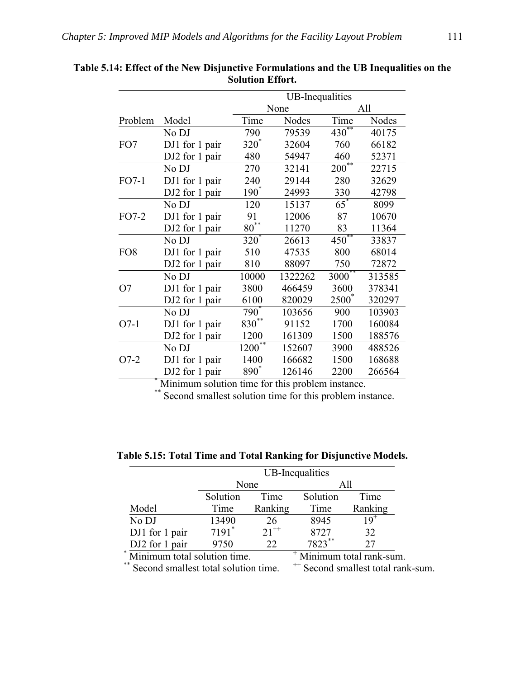|                 |                                                  | <b>UB-Inequalities</b> |         |                   |        |
|-----------------|--------------------------------------------------|------------------------|---------|-------------------|--------|
|                 |                                                  |                        | None    |                   | All    |
| Problem         | Model                                            | Time                   | Nodes   | Time              | Nodes  |
|                 | No DJ                                            | 790                    | 79539   | $430^{**}$        | 40175  |
| FO7             | DJ1 for 1 pair                                   | $320^*$                | 32604   | 760               | 66182  |
|                 | DJ2 for 1 pair                                   | 480                    | 54947   | 460               | 52371  |
|                 | No DJ                                            | 270                    | 32141   | $200^{**}$        | 22715  |
| $FO7-1$         | DJ1 for 1 pair                                   | 240                    | 29144   | 280               | 32629  |
|                 | DJ2 for 1 pair                                   | $190^*$                | 24993   | 330               | 42798  |
|                 | No DJ                                            | 120                    | 15137   | $65^*$            | 8099   |
| FO7-2           | DJ1 for 1 pair                                   | 91                     | 12006   | 87                | 10670  |
|                 | DJ2 for 1 pair                                   | $80^{**}$              | 11270   | 83                | 11364  |
|                 | No DJ                                            | $320^*$                | 26613   | $450^{**}$        | 33837  |
| FO <sub>8</sub> | DJ1 for 1 pair                                   | 510                    | 47535   | 800               | 68014  |
|                 | DJ2 for 1 pair                                   | 810                    | 88097   | 750               | 72872  |
|                 | No DJ                                            | 10000                  | 1322262 | $3000***$         | 313585 |
| O7              | DJ1 for 1 pair                                   | 3800                   | 466459  | 3600              | 378341 |
|                 | DJ2 for 1 pair                                   | 6100                   | 820029  | 2500 <sup>*</sup> | 320297 |
|                 | No DJ                                            | $790^*$                | 103656  | 900               | 103903 |
| $O7-1$          | DJ1 for 1 pair                                   | $830^{**}$             | 91152   | 1700              | 160084 |
|                 | DJ2 for 1 pair                                   | 1200                   | 161309  | 1500              | 188576 |
|                 | No DJ                                            | 1200                   | 152607  | 3900              | 488526 |
| $O7-2$          | DJ1 for 1 pair                                   | 1400                   | 166682  | 1500              | 168688 |
|                 | DJ2 for 1 pair                                   | 890 <sup>*</sup>       | 126146  | 2200              | 266564 |
|                 | Minimum solution time for this problem instance. |                        |         |                   |        |

**Table 5.14: Effect of the New Disjunctive Formulations and the UB Inequalities on the Solution Effort.** 

\*\* Second smallest solution time for this problem instance.

**Table 5.15: Total Time and Total Ranking for Disjunctive Models.** 

|                                        | UB-Inequalities |           |                         |          |
|----------------------------------------|-----------------|-----------|-------------------------|----------|
|                                        | None            |           |                         |          |
|                                        | Solution        | Time      | Solution                | Time     |
| Model                                  | Time            | Ranking   | Time                    | Ranking  |
| No DJ                                  | 13490           | 26        | 8945                    | $19^{+}$ |
| DJ1 for 1 pair                         | $7191*$         | $21^{++}$ | 8727                    | 32       |
| DJ2 for 1 pair                         | 9750            | 22        | $7823$ **               | 27       |
| $\ast$<br>Minimum total solution time. |                 |           | Minimum total rank-sum. |          |

Minimum total solution time.<br>\*\* Second smallest total solution time. ++ Second smallest total rank-sum.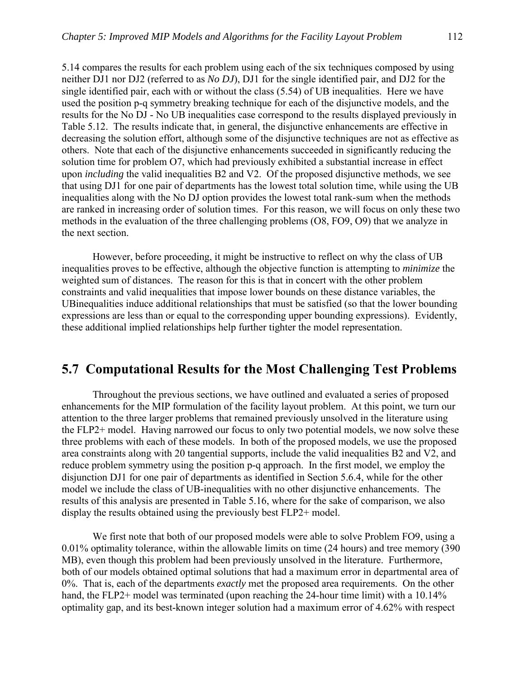5.14 compares the results for each problem using each of the six techniques composed by using neither DJ1 nor DJ2 (referred to as *No DJ*), DJ1 for the single identified pair, and DJ2 for the single identified pair, each with or without the class (5.54) of UB inequalities. Here we have used the position p-q symmetry breaking technique for each of the disjunctive models, and the results for the No DJ - No UB inequalities case correspond to the results displayed previously in Table 5.12. The results indicate that, in general, the disjunctive enhancements are effective in decreasing the solution effort, although some of the disjunctive techniques are not as effective as others. Note that each of the disjunctive enhancements succeeded in significantly reducing the solution time for problem O7, which had previously exhibited a substantial increase in effect upon *including* the valid inequalities B2 and V2. Of the proposed disjunctive methods, we see that using DJ1 for one pair of departments has the lowest total solution time, while using the UB inequalities along with the No DJ option provides the lowest total rank-sum when the methods are ranked in increasing order of solution times. For this reason, we will focus on only these two methods in the evaluation of the three challenging problems (O8, FO9, O9) that we analyze in the next section.

 However, before proceeding, it might be instructive to reflect on why the class of UB inequalities proves to be effective, although the objective function is attempting to *minimize* the weighted sum of distances. The reason for this is that in concert with the other problem constraints and valid inequalities that impose lower bounds on these distance variables, the UBinequalities induce additional relationships that must be satisfied (so that the lower bounding expressions are less than or equal to the corresponding upper bounding expressions). Evidently, these additional implied relationships help further tighter the model representation.

### **5.7 Computational Results for the Most Challenging Test Problems**

 Throughout the previous sections, we have outlined and evaluated a series of proposed enhancements for the MIP formulation of the facility layout problem. At this point, we turn our attention to the three larger problems that remained previously unsolved in the literature using the FLP2+ model. Having narrowed our focus to only two potential models, we now solve these three problems with each of these models. In both of the proposed models, we use the proposed area constraints along with 20 tangential supports, include the valid inequalities B2 and V2, and reduce problem symmetry using the position p-q approach. In the first model, we employ the disjunction DJ1 for one pair of departments as identified in Section 5.6.4, while for the other model we include the class of UB-inequalities with no other disjunctive enhancements. The results of this analysis are presented in Table 5.16, where for the sake of comparison, we also display the results obtained using the previously best FLP2+ model.

 We first note that both of our proposed models were able to solve Problem FO9, using a 0.01% optimality tolerance, within the allowable limits on time (24 hours) and tree memory (390 MB), even though this problem had been previously unsolved in the literature. Furthermore, both of our models obtained optimal solutions that had a maximum error in departmental area of 0%. That is, each of the departments *exactly* met the proposed area requirements. On the other hand, the FLP2+ model was terminated (upon reaching the 24-hour time limit) with a 10.14% optimality gap, and its best-known integer solution had a maximum error of 4.62% with respect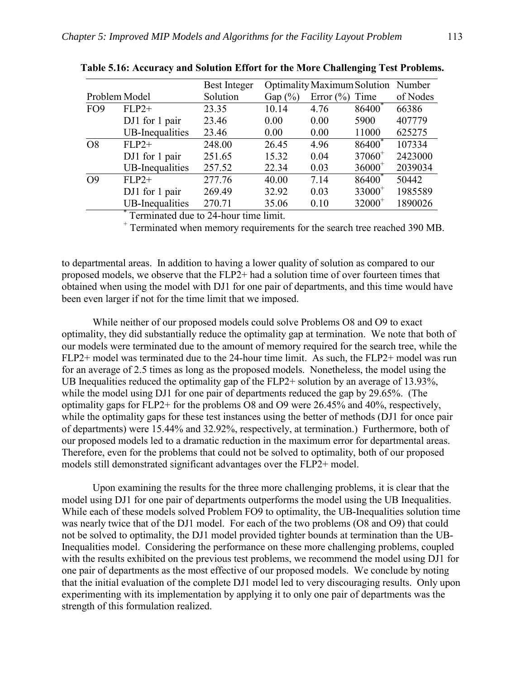|                 |                        | Best Integer |            | <b>Optimality Maximum Solution</b> Number |                    |          |
|-----------------|------------------------|--------------|------------|-------------------------------------------|--------------------|----------|
|                 | Problem Model          | Solution     | Gap $(\%)$ | Error $(\% )$                             | Time               | of Nodes |
| FO <sub>9</sub> | $FLP2+$                | 23.35        | 10.14      | 4.76                                      | 86400 <sup>*</sup> | 66386    |
|                 | DJ1 for 1 pair         | 23.46        | 0.00       | 0.00                                      | 5900               | 407779   |
|                 | UB-Inequalities        | 23.46        | 0.00       | 0.00                                      | 11000              | 625275   |
| O <sub>8</sub>  | $FLP2+$                | 248.00       | 26.45      | 4.96                                      | 86400 <sup>*</sup> | 107334   |
|                 | DJ1 for 1 pair         | 251.65       | 15.32      | 0.04                                      | $37060^+$          | 2423000  |
|                 | UB-Inequalities        | 257.52       | 22.34      | 0.03                                      | $36000^+$          | 2039034  |
| O <sub>9</sub>  | $FLP2+$                | 277.76       | 40.00      | 7.14                                      | 86400              | 50442    |
|                 | DJ1 for 1 pair         | 269.49       | 32.92      | 0.03                                      | $33000^+$          | 1985589  |
|                 | <b>UB-Inequalities</b> | 270.71       | 35.06      | 0.10                                      | $32000^+$          | 1890026  |

**Table 5.16: Accuracy and Solution Effort for the More Challenging Test Problems.** 

\* Terminated due to 24-hour time limit.

+ Terminated when memory requirements for the search tree reached 390 MB.

to departmental areas. In addition to having a lower quality of solution as compared to our proposed models, we observe that the FLP2+ had a solution time of over fourteen times that obtained when using the model with DJ1 for one pair of departments, and this time would have been even larger if not for the time limit that we imposed.

While neither of our proposed models could solve Problems O8 and O9 to exact optimality, they did substantially reduce the optimality gap at termination. We note that both of our models were terminated due to the amount of memory required for the search tree, while the FLP2+ model was terminated due to the 24-hour time limit. As such, the FLP2+ model was run for an average of 2.5 times as long as the proposed models. Nonetheless, the model using the UB Inequalities reduced the optimality gap of the FLP2+ solution by an average of 13.93%, while the model using DJ1 for one pair of departments reduced the gap by 29.65%. (The optimality gaps for FLP2+ for the problems O8 and O9 were 26.45% and 40%, respectively, while the optimality gaps for these test instances using the better of methods (DJ1 for once pair of departments) were 15.44% and 32.92%, respectively, at termination.) Furthermore, both of our proposed models led to a dramatic reduction in the maximum error for departmental areas. Therefore, even for the problems that could not be solved to optimality, both of our proposed models still demonstrated significant advantages over the FLP2+ model.

Upon examining the results for the three more challenging problems, it is clear that the model using DJ1 for one pair of departments outperforms the model using the UB Inequalities. While each of these models solved Problem FO9 to optimality, the UB-Inequalities solution time was nearly twice that of the DJ1 model. For each of the two problems (O8 and O9) that could not be solved to optimality, the DJ1 model provided tighter bounds at termination than the UB-Inequalities model. Considering the performance on these more challenging problems, coupled with the results exhibited on the previous test problems, we recommend the model using DJ1 for one pair of departments as the most effective of our proposed models. We conclude by noting that the initial evaluation of the complete DJ1 model led to very discouraging results. Only upon experimenting with its implementation by applying it to only one pair of departments was the strength of this formulation realized.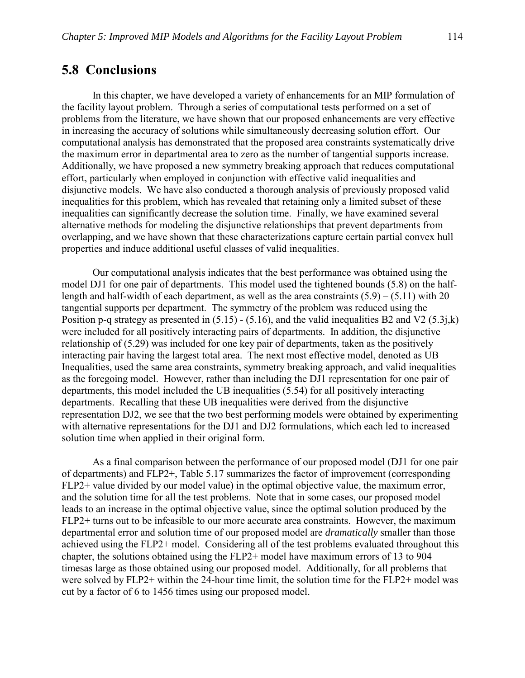## **5.8 Conclusions**

In this chapter, we have developed a variety of enhancements for an MIP formulation of the facility layout problem. Through a series of computational tests performed on a set of problems from the literature, we have shown that our proposed enhancements are very effective in increasing the accuracy of solutions while simultaneously decreasing solution effort. Our computational analysis has demonstrated that the proposed area constraints systematically drive the maximum error in departmental area to zero as the number of tangential supports increase. Additionally, we have proposed a new symmetry breaking approach that reduces computational effort, particularly when employed in conjunction with effective valid inequalities and disjunctive models. We have also conducted a thorough analysis of previously proposed valid inequalities for this problem, which has revealed that retaining only a limited subset of these inequalities can significantly decrease the solution time. Finally, we have examined several alternative methods for modeling the disjunctive relationships that prevent departments from overlapping, and we have shown that these characterizations capture certain partial convex hull properties and induce additional useful classes of valid inequalities.

Our computational analysis indicates that the best performance was obtained using the model DJ1 for one pair of departments. This model used the tightened bounds (5.8) on the halflength and half-width of each department, as well as the area constraints  $(5.9) - (5.11)$  with 20 tangential supports per department. The symmetry of the problem was reduced using the Position p-q strategy as presented in  $(5.15)$  -  $(5.16)$ , and the valid inequalities B2 and V2  $(5.3j,k)$ were included for all positively interacting pairs of departments. In addition, the disjunctive relationship of (5.29) was included for one key pair of departments, taken as the positively interacting pair having the largest total area. The next most effective model, denoted as UB Inequalities, used the same area constraints, symmetry breaking approach, and valid inequalities as the foregoing model. However, rather than including the DJ1 representation for one pair of departments, this model included the UB inequalities (5.54) for all positively interacting departments. Recalling that these UB inequalities were derived from the disjunctive representation DJ2, we see that the two best performing models were obtained by experimenting with alternative representations for the DJ1 and DJ2 formulations, which each led to increased solution time when applied in their original form.

As a final comparison between the performance of our proposed model (DJ1 for one pair of departments) and FLP2+, Table 5.17 summarizes the factor of improvement (corresponding FLP2+ value divided by our model value) in the optimal objective value, the maximum error, and the solution time for all the test problems. Note that in some cases, our proposed model leads to an increase in the optimal objective value, since the optimal solution produced by the FLP2+ turns out to be infeasible to our more accurate area constraints. However, the maximum departmental error and solution time of our proposed model are *dramatically* smaller than those achieved using the FLP2+ model. Considering all of the test problems evaluated throughout this chapter, the solutions obtained using the FLP2+ model have maximum errors of 13 to 904 timesas large as those obtained using our proposed model. Additionally, for all problems that were solved by FLP2+ within the 24-hour time limit, the solution time for the FLP2+ model was cut by a factor of 6 to 1456 times using our proposed model.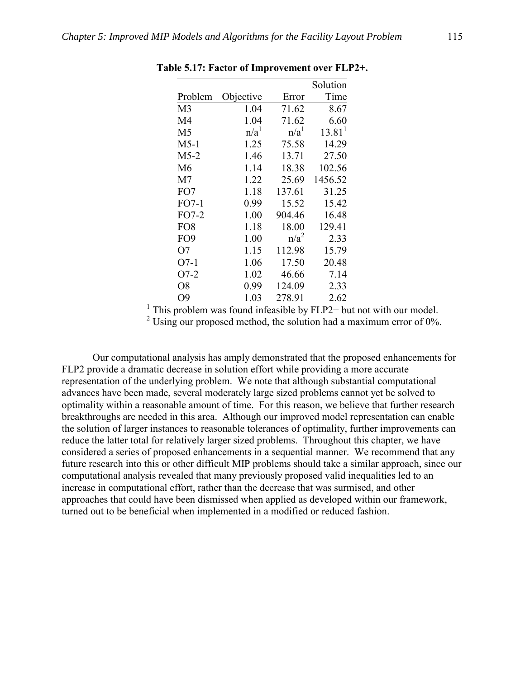|                 |                  |                  | Solution           |
|-----------------|------------------|------------------|--------------------|
| Problem         | Objective        | Error            | Time               |
| M <sub>3</sub>  | 1.04             | 71.62            | 8.67               |
| M4              | 1.04             | 71.62            | 6.60               |
| M <sub>5</sub>  | n/a <sup>1</sup> | n/a <sup>1</sup> | 13.81 <sup>1</sup> |
| $M5-1$          | 1.25             | 75.58            | 14.29              |
| $M5-2$          | 1.46             | 13.71            | 27.50              |
| M6              | 1.14             | 18.38            | 102.56             |
| M7              | 1.22             | 25.69            | 1456.52            |
| FO7             | 1.18             | 137.61           | 31.25              |
| FO7-1           | 0.99             | 15.52            | 15.42              |
| FO7-2           | 1.00             | 904.46           | 16.48              |
| FO <sub>8</sub> | 1.18             | 18.00            | 129.41             |
| FO <sub>9</sub> | 1.00             | $n/a^2$          | 2.33               |
| O7              | 1.15             | 112.98           | 15.79              |
| O7-1            | 1.06             | 17.50            | 20.48              |
| O7-2            | 1.02             | 46.66            | 7.14               |
| O8              | 0.99             | 124.09           | 2.33               |
| О9              | 1.03             | 278.91           | 2.62               |

**Table 5.17: Factor of Improvement over FLP2+.** 

<sup>1</sup> This problem was found infeasible by  $FLP2+$  but not with our model.

 <sup>2</sup>  $2$  Using our proposed method, the solution had a maximum error of 0%.

 Our computational analysis has amply demonstrated that the proposed enhancements for FLP2 provide a dramatic decrease in solution effort while providing a more accurate representation of the underlying problem. We note that although substantial computational advances have been made, several moderately large sized problems cannot yet be solved to optimality within a reasonable amount of time. For this reason, we believe that further research breakthroughs are needed in this area. Although our improved model representation can enable the solution of larger instances to reasonable tolerances of optimality, further improvements can reduce the latter total for relatively larger sized problems. Throughout this chapter, we have considered a series of proposed enhancements in a sequential manner. We recommend that any future research into this or other difficult MIP problems should take a similar approach, since our computational analysis revealed that many previously proposed valid inequalities led to an increase in computational effort, rather than the decrease that was surmised, and other approaches that could have been dismissed when applied as developed within our framework, turned out to be beneficial when implemented in a modified or reduced fashion.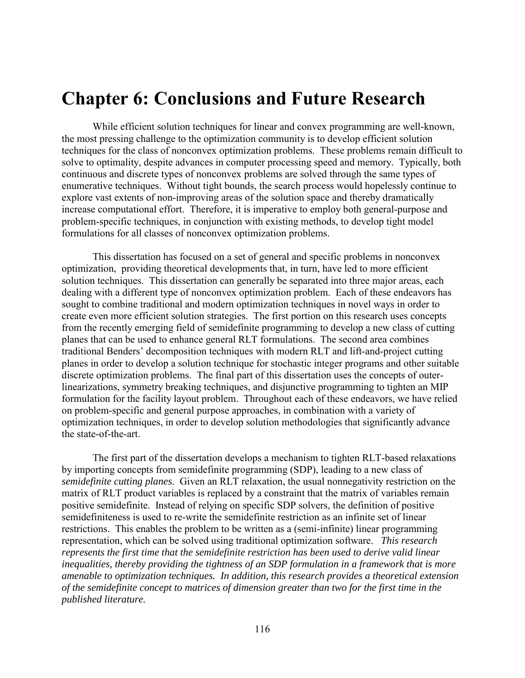## **Chapter 6: Conclusions and Future Research**

While efficient solution techniques for linear and convex programming are well-known, the most pressing challenge to the optimization community is to develop efficient solution techniques for the class of nonconvex optimization problems. These problems remain difficult to solve to optimality, despite advances in computer processing speed and memory. Typically, both continuous and discrete types of nonconvex problems are solved through the same types of enumerative techniques. Without tight bounds, the search process would hopelessly continue to explore vast extents of non-improving areas of the solution space and thereby dramatically increase computational effort. Therefore, it is imperative to employ both general-purpose and problem-specific techniques, in conjunction with existing methods, to develop tight model formulations for all classes of nonconvex optimization problems.

This dissertation has focused on a set of general and specific problems in nonconvex optimization, providing theoretical developments that, in turn, have led to more efficient solution techniques. This dissertation can generally be separated into three major areas, each dealing with a different type of nonconvex optimization problem. Each of these endeavors has sought to combine traditional and modern optimization techniques in novel ways in order to create even more efficient solution strategies. The first portion on this research uses concepts from the recently emerging field of semidefinite programming to develop a new class of cutting planes that can be used to enhance general RLT formulations. The second area combines traditional Benders' decomposition techniques with modern RLT and lift-and-project cutting planes in order to develop a solution technique for stochastic integer programs and other suitable discrete optimization problems. The final part of this dissertation uses the concepts of outerlinearizations, symmetry breaking techniques, and disjunctive programming to tighten an MIP formulation for the facility layout problem. Throughout each of these endeavors, we have relied on problem-specific and general purpose approaches, in combination with a variety of optimization techniques, in order to develop solution methodologies that significantly advance the state-of-the-art.

The first part of the dissertation develops a mechanism to tighten RLT-based relaxations by importing concepts from semidefinite programming (SDP), leading to a new class of *semidefinite cutting planes*. Given an RLT relaxation, the usual nonnegativity restriction on the matrix of RLT product variables is replaced by a constraint that the matrix of variables remain positive semidefinite. Instead of relying on specific SDP solvers, the definition of positive semidefiniteness is used to re-write the semidefinite restriction as an infinite set of linear restrictions. This enables the problem to be written as a (semi-infinite) linear programming representation, which can be solved using traditional optimization software. *This research represents the first time that the semidefinite restriction has been used to derive valid linear inequalities, thereby providing the tightness of an SDP formulation in a framework that is more amenable to optimization techniques. In addition, this research provides a theoretical extension of the semidefinite concept to matrices of dimension greater than two for the first time in the published literature.*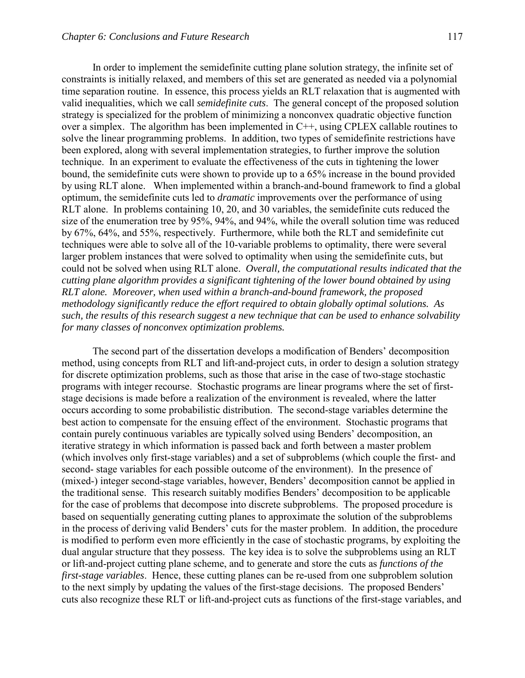In order to implement the semidefinite cutting plane solution strategy, the infinite set of constraints is initially relaxed, and members of this set are generated as needed via a polynomial time separation routine. In essence, this process yields an RLT relaxation that is augmented with valid inequalities, which we call *semidefinite cuts*. The general concept of the proposed solution strategy is specialized for the problem of minimizing a nonconvex quadratic objective function over a simplex. The algorithm has been implemented in C++, using CPLEX callable routines to solve the linear programming problems. In addition, two types of semidefinite restrictions have been explored, along with several implementation strategies, to further improve the solution technique. In an experiment to evaluate the effectiveness of the cuts in tightening the lower bound, the semidefinite cuts were shown to provide up to a 65% increase in the bound provided by using RLT alone. When implemented within a branch-and-bound framework to find a global optimum, the semidefinite cuts led to *dramatic* improvements over the performance of using RLT alone. In problems containing 10, 20, and 30 variables, the semidefinite cuts reduced the size of the enumeration tree by 95%, 94%, and 94%, while the overall solution time was reduced by 67%, 64%, and 55%, respectively. Furthermore, while both the RLT and semidefinite cut techniques were able to solve all of the 10-variable problems to optimality, there were several larger problem instances that were solved to optimality when using the semidefinite cuts, but could not be solved when using RLT alone. *Overall, the computational results indicated that the cutting plane algorithm provides a significant tightening of the lower bound obtained by using RLT alone. Moreover, when used within a branch-and-bound framework, the proposed methodology significantly reduce the effort required to obtain globally optimal solutions. As such, the results of this research suggest a new technique that can be used to enhance solvability for many classes of nonconvex optimization problems.* 

The second part of the dissertation develops a modification of Benders' decomposition method, using concepts from RLT and lift-and-project cuts, in order to design a solution strategy for discrete optimization problems, such as those that arise in the case of two-stage stochastic programs with integer recourse. Stochastic programs are linear programs where the set of firststage decisions is made before a realization of the environment is revealed, where the latter occurs according to some probabilistic distribution. The second-stage variables determine the best action to compensate for the ensuing effect of the environment. Stochastic programs that contain purely continuous variables are typically solved using Benders' decomposition, an iterative strategy in which information is passed back and forth between a master problem (which involves only first-stage variables) and a set of subproblems (which couple the first- and second- stage variables for each possible outcome of the environment). In the presence of (mixed-) integer second-stage variables, however, Benders' decomposition cannot be applied in the traditional sense. This research suitably modifies Benders' decomposition to be applicable for the case of problems that decompose into discrete subproblems. The proposed procedure is based on sequentially generating cutting planes to approximate the solution of the subproblems in the process of deriving valid Benders' cuts for the master problem. In addition, the procedure is modified to perform even more efficiently in the case of stochastic programs, by exploiting the dual angular structure that they possess. The key idea is to solve the subproblems using an RLT or lift-and-project cutting plane scheme, and to generate and store the cuts as *functions of the first-stage variables*. Hence, these cutting planes can be re-used from one subproblem solution to the next simply by updating the values of the first-stage decisions. The proposed Benders' cuts also recognize these RLT or lift-and-project cuts as functions of the first-stage variables, and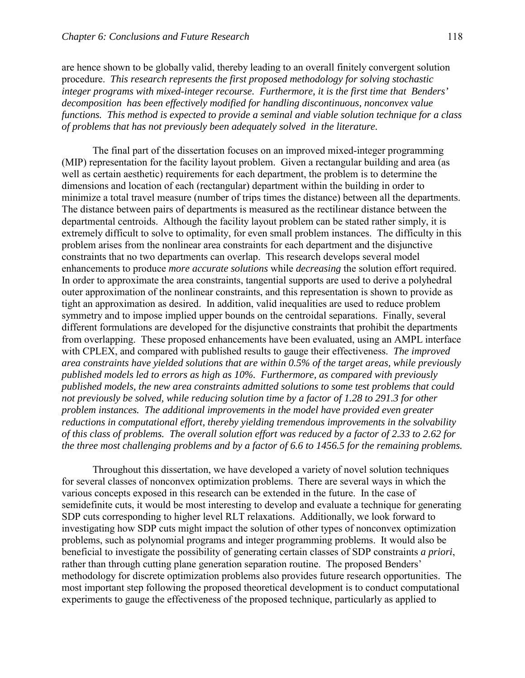are hence shown to be globally valid, thereby leading to an overall finitely convergent solution procedure. *This research represents the first proposed methodology for solving stochastic integer programs with mixed-integer recourse. Furthermore, it is the first time that Benders' decomposition has been effectively modified for handling discontinuous, nonconvex value functions. This method is expected to provide a seminal and viable solution technique for a class of problems that has not previously been adequately solved in the literature.*

 The final part of the dissertation focuses on an improved mixed-integer programming (MIP) representation for the facility layout problem. Given a rectangular building and area (as well as certain aesthetic) requirements for each department, the problem is to determine the dimensions and location of each (rectangular) department within the building in order to minimize a total travel measure (number of trips times the distance) between all the departments. The distance between pairs of departments is measured as the rectilinear distance between the departmental centroids. Although the facility layout problem can be stated rather simply, it is extremely difficult to solve to optimality, for even small problem instances. The difficulty in this problem arises from the nonlinear area constraints for each department and the disjunctive constraints that no two departments can overlap. This research develops several model enhancements to produce *more accurate solutions* while *decreasing* the solution effort required. In order to approximate the area constraints, tangential supports are used to derive a polyhedral outer approximation of the nonlinear constraints, and this representation is shown to provide as tight an approximation as desired. In addition, valid inequalities are used to reduce problem symmetry and to impose implied upper bounds on the centroidal separations. Finally, several different formulations are developed for the disjunctive constraints that prohibit the departments from overlapping. These proposed enhancements have been evaluated, using an AMPL interface with CPLEX, and compared with published results to gauge their effectiveness. *The improved area constraints have yielded solutions that are within 0.5% of the target areas, while previously published models led to errors as high as 10%. Furthermore, as compared with previously published models, the new area constraints admitted solutions to some test problems that could not previously be solved, while reducing solution time by a factor of 1.28 to 291.3 for other problem instances. The additional improvements in the model have provided even greater reductions in computational effort, thereby yielding tremendous improvements in the solvability of this class of problems. The overall solution effort was reduced by a factor of 2.33 to 2.62 for the three most challenging problems and by a factor of 6.6 to 1456.5 for the remaining problems.* 

 Throughout this dissertation, we have developed a variety of novel solution techniques for several classes of nonconvex optimization problems. There are several ways in which the various concepts exposed in this research can be extended in the future. In the case of semidefinite cuts, it would be most interesting to develop and evaluate a technique for generating SDP cuts corresponding to higher level RLT relaxations. Additionally, we look forward to investigating how SDP cuts might impact the solution of other types of nonconvex optimization problems, such as polynomial programs and integer programming problems. It would also be beneficial to investigate the possibility of generating certain classes of SDP constraints *a priori*, rather than through cutting plane generation separation routine. The proposed Benders' methodology for discrete optimization problems also provides future research opportunities. The most important step following the proposed theoretical development is to conduct computational experiments to gauge the effectiveness of the proposed technique, particularly as applied to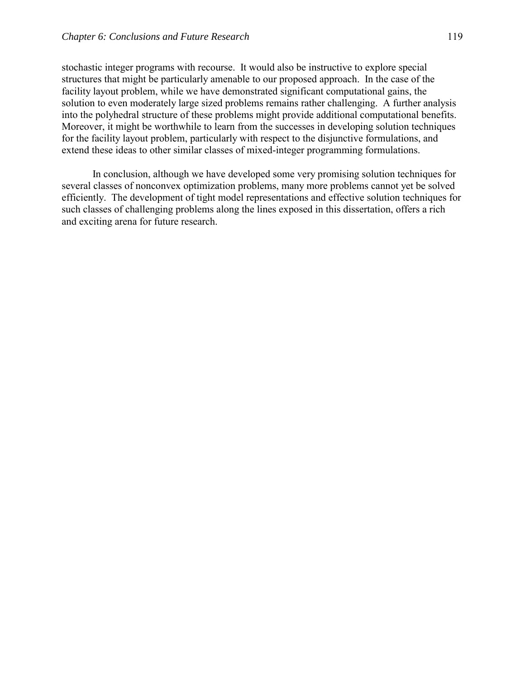stochastic integer programs with recourse. It would also be instructive to explore special structures that might be particularly amenable to our proposed approach. In the case of the facility layout problem, while we have demonstrated significant computational gains, the solution to even moderately large sized problems remains rather challenging. A further analysis into the polyhedral structure of these problems might provide additional computational benefits. Moreover, it might be worthwhile to learn from the successes in developing solution techniques for the facility layout problem, particularly with respect to the disjunctive formulations, and extend these ideas to other similar classes of mixed-integer programming formulations.

In conclusion, although we have developed some very promising solution techniques for several classes of nonconvex optimization problems, many more problems cannot yet be solved efficiently. The development of tight model representations and effective solution techniques for such classes of challenging problems along the lines exposed in this dissertation, offers a rich and exciting arena for future research.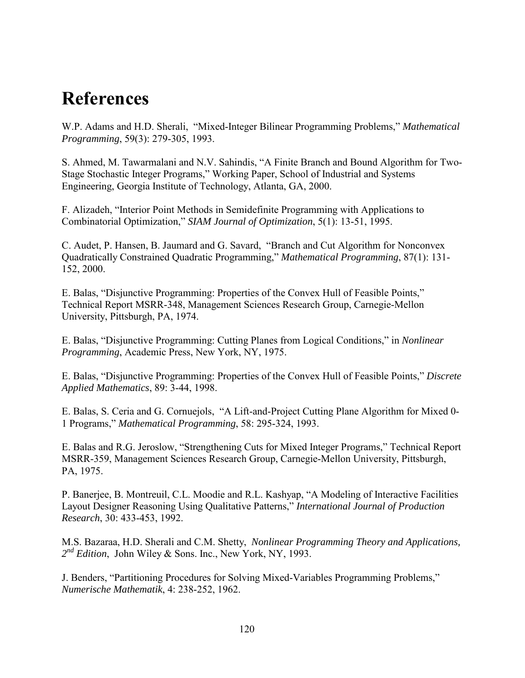# **References**

W.P. Adams and H.D. Sherali, "Mixed-Integer Bilinear Programming Problems," Mathematical *Programming*, 59(3): 279-305, 1993.

S. Ahmed, M. Tawarmalani and N.V. Sahindis, "A Finite Branch and Bound Algorithm for Two-Stage Stochastic Integer Programs," Working Paper, School of Industrial and Systems Engineering, Georgia Institute of Technology, Atlanta, GA, 2000.

F. Alizadeh, "Interior Point Methods in Semidefinite Programming with Applications to Combinatorial Optimization,î *SIAM Journal of Optimization*, 5(1): 13-51, 1995.

C. Audet, P. Hansen, B. Jaumard and G. Savard, "Branch and Cut Algorithm for Nonconvex Quadratically Constrained Quadratic Programming,î *Mathematical Programming*, 87(1): 131- 152, 2000.

E. Balas, "Disjunctive Programming: Properties of the Convex Hull of Feasible Points," Technical Report MSRR-348, Management Sciences Research Group, Carnegie-Mellon University, Pittsburgh, PA, 1974.

E. Balas, "Disjunctive Programming: Cutting Planes from Logical Conditions," in *Nonlinear Programming*, Academic Press, New York, NY, 1975.

E. Balas, "Disjunctive Programming: Properties of the Convex Hull of Feasible Points," Discrete *Applied Mathematics*, 89: 3-44, 1998.

E. Balas, S. Ceria and G. Cornuejols, "A Lift-and-Project Cutting Plane Algorithm for Mixed 0-1 Programs,î *Mathematical Programming*, 58: 295-324, 1993.

E. Balas and R.G. Jeroslow, "Strengthening Cuts for Mixed Integer Programs," Technical Report MSRR-359, Management Sciences Research Group, Carnegie-Mellon University, Pittsburgh, PA, 1975.

P. Banerjee, B. Montreuil, C.L. Moodie and R.L. Kashyap, "A Modeling of Interactive Facilities Layout Designer Reasoning Using Qualitative Patterns," *International Journal of Production Research*, 30: 433-453, 1992.

M.S. Bazaraa, H.D. Sherali and C.M. Shetty, *Nonlinear Programming Theory and Applications, 2nd Edition*, John Wiley & Sons. Inc., New York, NY, 1993.

J. Benders, "Partitioning Procedures for Solving Mixed-Variables Programming Problems," *Numerische Mathematik*, 4: 238-252, 1962.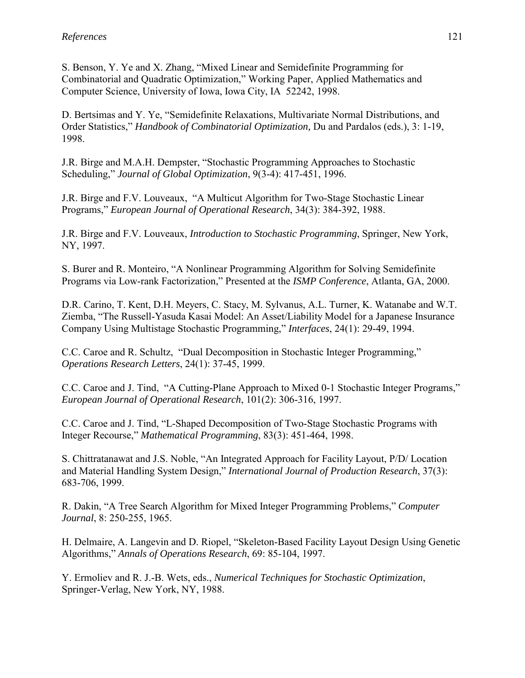S. Benson, Y. Ye and X. Zhang, "Mixed Linear and Semidefinite Programming for Combinatorial and Quadratic Optimization," Working Paper, Applied Mathematics and Computer Science, University of Iowa, Iowa City, IA 52242, 1998.

D. Bertsimas and Y. Ye, "Semidefinite Relaxations, Multivariate Normal Distributions, and Order Statistics," *Handbook of Combinatorial Optimization*, Du and Pardalos (eds.), 3: 1-19, 1998.

J.R. Birge and M.A.H. Dempster, "Stochastic Programming Approaches to Stochastic Scheduling," *Journal of Global Optimization*, 9(3-4): 417-451, 1996.

J.R. Birge and F.V. Louveaux, "A Multicut Algorithm for Two-Stage Stochastic Linear Programs," *European Journal of Operational Research*, 34(3): 384-392, 1988.

J.R. Birge and F.V. Louveaux, *Introduction to Stochastic Programming*, Springer, New York, NY, 1997.

S. Burer and R. Monteiro, "A Nonlinear Programming Algorithm for Solving Semidefinite Programs via Low-rank Factorization," Presented at the *ISMP Conference*, Atlanta, GA, 2000.

D.R. Carino, T. Kent, D.H. Meyers, C. Stacy, M. Sylvanus, A.L. Turner, K. Watanabe and W.T. Ziemba, "The Russell-Yasuda Kasai Model: An Asset/Liability Model for a Japanese Insurance Company Using Multistage Stochastic Programming,î *Interfaces*, 24(1): 29-49, 1994.

C.C. Caroe and R. Schultz, "Dual Decomposition in Stochastic Integer Programming," *Operations Research Letters*, 24(1): 37-45, 1999.

C.C. Caroe and J. Tind, "A Cutting-Plane Approach to Mixed 0-1 Stochastic Integer Programs," *European Journal of Operational Research*, 101(2): 306-316, 1997.

C.C. Caroe and J. Tind, "L-Shaped Decomposition of Two-Stage Stochastic Programs with Integer Recourse,î *Mathematical Programming*, 83(3): 451-464, 1998.

S. Chittratanawat and J.S. Noble, "An Integrated Approach for Facility Layout, P/D/ Location and Material Handling System Design," *International Journal of Production Research*, 37(3): 683-706, 1999.

R. Dakin, "A Tree Search Algorithm for Mixed Integer Programming Problems," *Computer Journal*, 8: 250-255, 1965.

H. Delmaire, A. Langevin and D. Riopel, "Skeleton-Based Facility Layout Design Using Genetic Algorithms,î *Annals of Operations Research*, 69: 85-104, 1997.

Y. Ermoliev and R. J.-B. Wets, eds., *Numerical Techniques for Stochastic Optimization*, Springer-Verlag, New York, NY, 1988.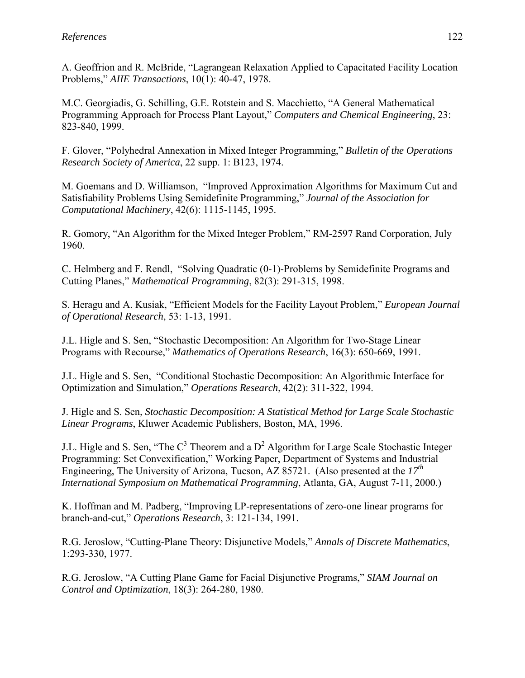A. Geoffrion and R. McBride, "Lagrangean Relaxation Applied to Capacitated Facility Location Problems,î *AIIE Transactions*, 10(1): 40-47, 1978.

M.C. Georgiadis, G. Schilling, G.E. Rotstein and S. Macchietto, "A General Mathematical Programming Approach for Process Plant Layout," *Computers and Chemical Engineering*, 23: 823-840, 1999.

F. Glover, "Polyhedral Annexation in Mixed Integer Programming," *Bulletin of the Operations Research Society of America*, 22 supp. 1: B123, 1974.

M. Goemans and D. Williamson, "Improved Approximation Algorithms for Maximum Cut and Satisfiability Problems Using Semidefinite Programming," *Journal of the Association for Computational Machinery*, 42(6): 1115-1145, 1995.

R. Gomory, "An Algorithm for the Mixed Integer Problem," RM-2597 Rand Corporation, July 1960.

C. Helmberg and F. Rendl, "Solving Quadratic (0-1)-Problems by Semidefinite Programs and Cutting Planes,î *Mathematical Programming*, 82(3): 291-315, 1998.

S. Heragu and A. Kusiak, "Efficient Models for the Facility Layout Problem," *European Journal of Operational Research*, 53: 1-13, 1991.

J.L. Higle and S. Sen, "Stochastic Decomposition: An Algorithm for Two-Stage Linear Programs with Recourse," *Mathematics of Operations Research*, 16(3): 650-669, 1991.

J.L. Higle and S. Sen, "Conditional Stochastic Decomposition: An Algorithmic Interface for Optimization and Simulation,î *Operations Research*, 42(2): 311-322, 1994.

J. Higle and S. Sen, *Stochastic Decomposition: A Statistical Method for Large Scale Stochastic Linear Programs*, Kluwer Academic Publishers, Boston, MA, 1996.

J.L. Higle and S. Sen, "The  $C^3$  Theorem and a  $D^2$  Algorithm for Large Scale Stochastic Integer Programming: Set Convexification," Working Paper, Department of Systems and Industrial Engineering, The University of Arizona, Tucson, AZ 85721. (Also presented at the *17th International Symposium on Mathematical Programming*, Atlanta, GA, August 7-11, 2000.)

K. Hoffman and M. Padberg, "Improving LP-representations of zero-one linear programs for branch-and-cut," *Operations Research*, 3: 121-134, 1991.

R.G. Jeroslow, "Cutting-Plane Theory: Disjunctive Models," *Annals of Discrete Mathematics*, 1:293-330, 1977.

R.G. Jeroslow, "A Cutting Plane Game for Facial Disjunctive Programs," *SIAM Journal on Control and Optimization*, 18(3): 264-280, 1980.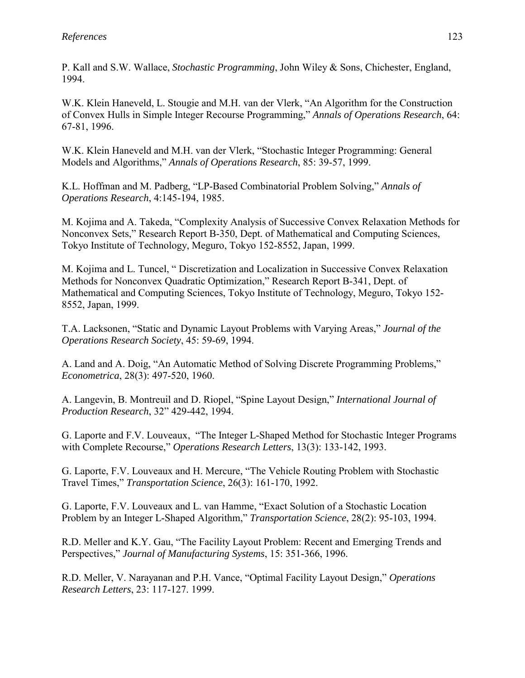P. Kall and S.W. Wallace, *Stochastic Programming*, John Wiley & Sons, Chichester, England, 1994.

W.K. Klein Haneveld, L. Stougie and M.H. van der Vlerk, "An Algorithm for the Construction of Convex Hulls in Simple Integer Recourse Programming,î *Annals of Operations Research*, 64: 67-81, 1996.

W.K. Klein Haneveld and M.H. van der Vlerk, "Stochastic Integer Programming: General Models and Algorithms," *Annals of Operations Research*, 85: 39-57, 1999.

K.L. Hoffman and M. Padberg, "LP-Based Combinatorial Problem Solving," *Annals of Operations Research*, 4:145-194, 1985.

M. Kojima and A. Takeda, "Complexity Analysis of Successive Convex Relaxation Methods for Nonconvex Sets,î Research Report B-350, Dept. of Mathematical and Computing Sciences, Tokyo Institute of Technology, Meguro, Tokyo 152-8552, Japan, 1999.

M. Kojima and L. Tuncel, "Discretization and Localization in Successive Convex Relaxation Methods for Nonconvex Quadratic Optimization," Research Report B-341, Dept. of Mathematical and Computing Sciences, Tokyo Institute of Technology, Meguro, Tokyo 152- 8552, Japan, 1999.

T.A. Lacksonen, "Static and Dynamic Layout Problems with Varying Areas," *Journal of the Operations Research Society*, 45: 59-69, 1994.

A. Land and A. Doig, "An Automatic Method of Solving Discrete Programming Problems," *Econometrica*, 28(3): 497-520, 1960.

A. Langevin, B. Montreuil and D. Riopel, "Spine Layout Design," *International Journal of Production Research*, 32î 429-442, 1994.

G. Laporte and F.V. Louveaux, "The Integer L-Shaped Method for Stochastic Integer Programs with Complete Recourse," *Operations Research Letters*, 13(3): 133-142, 1993.

G. Laporte, F.V. Louveaux and H. Mercure, "The Vehicle Routing Problem with Stochastic Travel Times,î *Transportation Science*, 26(3): 161-170, 1992.

G. Laporte, F.V. Louveaux and L. van Hamme, "Exact Solution of a Stochastic Location Problem by an Integer L-Shaped Algorithm," *Transportation Science*, 28(2): 95-103, 1994.

R.D. Meller and K.Y. Gau, "The Facility Layout Problem: Recent and Emerging Trends and Perspectives," *Journal of Manufacturing Systems*, 15: 351-366, 1996.

R.D. Meller, V. Narayanan and P.H. Vance, "Optimal Facility Layout Design," Operations *Research Letters*, 23: 117-127. 1999.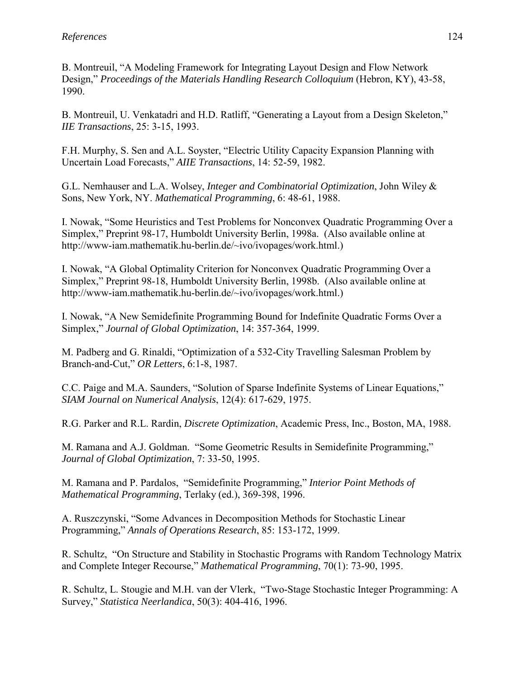B. Montreuil, "A Modeling Framework for Integrating Layout Design and Flow Network Design," *Proceedings of the Materials Handling Research Colloquium* (Hebron, KY), 43-58, 1990.

B. Montreuil, U. Venkatadri and H.D. Ratliff, "Generating a Layout from a Design Skeleton," *IIE Transactions*, 25: 3-15, 1993.

F.H. Murphy, S. Sen and A.L. Soyster, "Electric Utility Capacity Expansion Planning with Uncertain Load Forecasts,î *AIIE Transactions*, 14: 52-59, 1982.

G.L. Nemhauser and L.A. Wolsey, *Integer and Combinatorial Optimization*, John Wiley & Sons, New York, NY. *Mathematical Programming*, 6: 48-61, 1988.

I. Nowak, "Some Heuristics and Test Problems for Nonconvex Quadratic Programming Over a Simplex," Preprint 98-17, Humboldt University Berlin, 1998a. (Also available online at http://www-iam.mathematik.hu-berlin.de/~ivo/ivopages/work.html.)

I. Nowak, "A Global Optimality Criterion for Nonconvex Ouadratic Programming Over a Simplex," Preprint 98-18, Humboldt University Berlin, 1998b. (Also available online at http://www-iam.mathematik.hu-berlin.de/~ivo/ivopages/work.html.)

I. Nowak, "A New Semidefinite Programming Bound for Indefinite Quadratic Forms Over a Simplex,î *Journal of Global Optimization*, 14: 357-364, 1999.

M. Padberg and G. Rinaldi, "Optimization of a 532-City Travelling Salesman Problem by Branch-and-Cut,î *OR Letters*, 6:1-8, 1987.

C.C. Paige and M.A. Saunders, "Solution of Sparse Indefinite Systems of Linear Equations," *SIAM Journal on Numerical Analysis*, 12(4): 617-629, 1975.

R.G. Parker and R.L. Rardin, *Discrete Optimization*, Academic Press, Inc., Boston, MA, 1988.

M. Ramana and A.J. Goldman. "Some Geometric Results in Semidefinite Programming," *Journal of Global Optimization*, 7: 33-50, 1995.

M. Ramana and P. Pardalos, "Semidefinite Programming," *Interior Point Methods of Mathematical Programming*, Terlaky (ed.), 369-398, 1996.

A. Ruszczynski, "Some Advances in Decomposition Methods for Stochastic Linear Programming,î *Annals of Operations Research*, 85: 153-172, 1999.

R. Schultz, "On Structure and Stability in Stochastic Programs with Random Technology Matrix and Complete Integer Recourse," *Mathematical Programming*, 70(1): 73-90, 1995.

R. Schultz, L. Stougie and M.H. van der Vlerk, "Two-Stage Stochastic Integer Programming: A Survey,î *Statistica Neerlandica*, 50(3): 404-416, 1996.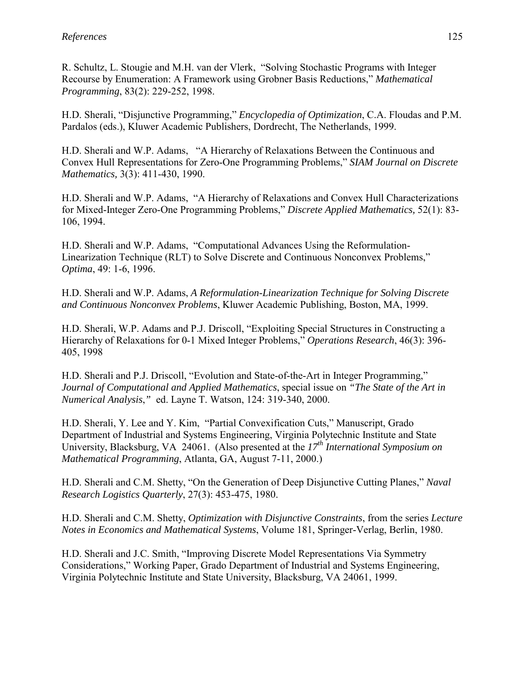R. Schultz, L. Stougie and M.H. van der Vlerk, "Solving Stochastic Programs with Integer Recourse by Enumeration: A Framework using Grobner Basis Reductions," *Mathematical Programming*, 83(2): 229-252, 1998.

H.D. Sherali, "Disjunctive Programming," *Encyclopedia of Optimization*, C.A. Floudas and P.M. Pardalos (eds.), Kluwer Academic Publishers, Dordrecht, The Netherlands, 1999.

H.D. Sherali and W.P. Adams, "A Hierarchy of Relaxations Between the Continuous and Convex Hull Representations for Zero-One Programming Problems," SIAM Journal on Discrete *Mathematics,* 3(3): 411-430, 1990.

H.D. Sherali and W.P. Adams, "A Hierarchy of Relaxations and Convex Hull Characterizations for Mixed-Integer Zero-One Programming Problems,î *Discrete Applied Mathematics,* 52(1): 83- 106, 1994.

H.D. Sherali and W.P. Adams, "Computational Advances Using the Reformulation-Linearization Technique (RLT) to Solve Discrete and Continuous Nonconvex Problems," *Optima*, 49: 1-6, 1996.

H.D. Sherali and W.P. Adams, *A Reformulation-Linearization Technique for Solving Discrete and Continuous Nonconvex Problems*, Kluwer Academic Publishing, Boston, MA, 1999.

H.D. Sherali, W.P. Adams and P.J. Driscoll, "Exploiting Special Structures in Constructing a Hierarchy of Relaxations for 0-1 Mixed Integer Problems," *Operations Research*, 46(3): 396-405, 1998

H.D. Sherali and P.J. Driscoll, "Evolution and State-of-the-Art in Integer Programming," *Journal of Computational and Applied Mathematics*, special issue on *"The State of the Art in Numerical Analysis*,*"* ed. Layne T. Watson, 124: 319-340, 2000.

H.D. Sherali, Y. Lee and Y. Kim, "Partial Convexification Cuts," Manuscript, Grado Department of Industrial and Systems Engineering, Virginia Polytechnic Institute and State University, Blacksburg, VA 24061. (Also presented at the *17th International Symposium on Mathematical Programming*, Atlanta, GA, August 7-11, 2000.)

H.D. Sherali and C.M. Shetty, "On the Generation of Deep Disjunctive Cutting Planes," *Naval Research Logistics Quarterly*, 27(3): 453-475, 1980.

H.D. Sherali and C.M. Shetty, *Optimization with Disjunctive Constraints*, from the series *Lecture Notes in Economics and Mathematical Systems*, Volume 181, Springer-Verlag, Berlin, 1980.

H.D. Sherali and J.C. Smith, "Improving Discrete Model Representations Via Symmetry" Considerations," Working Paper, Grado Department of Industrial and Systems Engineering, Virginia Polytechnic Institute and State University, Blacksburg, VA 24061, 1999.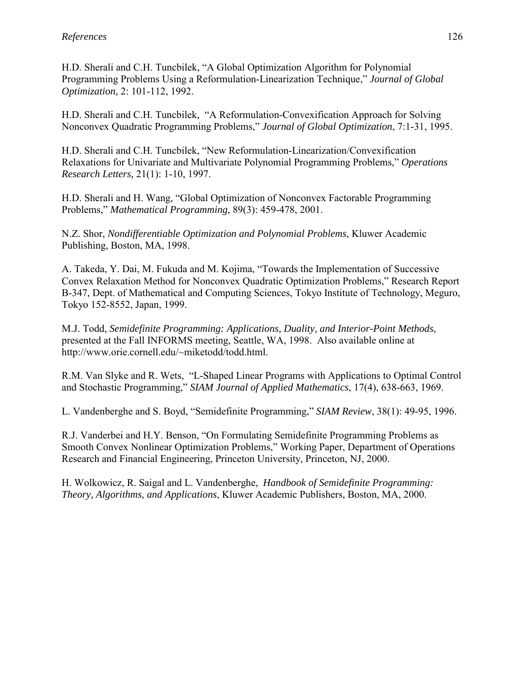H.D. Sherali and C.H. Tuncbilek, "A Global Optimization Algorithm for Polynomial Programming Problems Using a Reformulation-Linearization Technique," *Journal of Global Optimization,* 2: 101-112, 1992.

H.D. Sherali and C.H. Tuncbilek, "A Reformulation-Convexification Approach for Solving Nonconvex Quadratic Programming Problems," Journal of Global Optimization, 7:1-31, 1995.

H.D. Sherali and C.H. Tuncbilek, "New Reformulation-Linearization/Convexification Relaxations for Univariate and Multivariate Polynomial Programming Problems,î *Operations Research Letters,* 21(1): 1-10, 1997.

H.D. Sherali and H. Wang, "Global Optimization of Nonconvex Factorable Programming Problems," *Mathematical Programming*, 89(3): 459-478, 2001.

N.Z. Shor, *Nondifferentiable Optimization and Polynomial Problems*, Kluwer Academic Publishing, Boston, MA, 1998.

A. Takeda, Y. Dai, M. Fukuda and M. Kojima, "Towards the Implementation of Successive Convex Relaxation Method for Nonconvex Quadratic Optimization Problems," Research Report B-347, Dept. of Mathematical and Computing Sciences, Tokyo Institute of Technology, Meguro, Tokyo 152-8552, Japan, 1999.

M.J. Todd, *Semidefinite Programming: Applications, Duality, and Interior-Point Methods*, presented at the Fall INFORMS meeting, Seattle, WA, 1998. Also available online at http://www.orie.cornell.edu/~miketodd/todd.html.

R.M. Van Slyke and R. Wets, "L-Shaped Linear Programs with Applications to Optimal Control and Stochastic Programming," *SIAM Journal of Applied Mathematics*, 17(4), 638-663, 1969.

L. Vandenberghe and S. Boyd, "Semidefinite Programming," SIAM Review, 38(1): 49-95, 1996.

R.J. Vanderbei and H.Y. Benson, "On Formulating Semidefinite Programming Problems as Smooth Convex Nonlinear Optimization Problems," Working Paper, Department of Operations Research and Financial Engineering, Princeton University, Princeton, NJ, 2000.

H. Wolkowicz, R. Saigal and L. Vandenberghe, *Handbook of Semidefinite Programming: Theory, Algorithms, and Applications*, Kluwer Academic Publishers, Boston, MA, 2000.